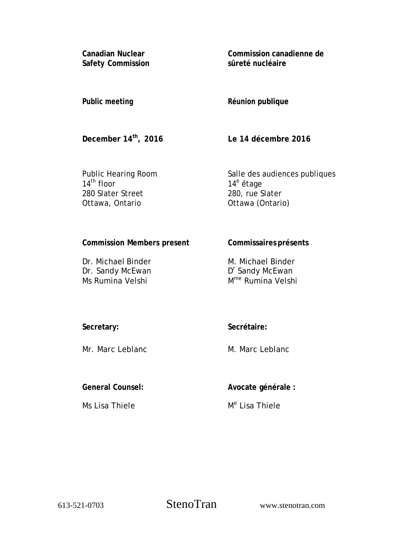**Canadian Nuclear Safety Commission**  **Commission canadienne de sûreté nucléaire** 

## **Public meeting**

### **Réunion publique**

**December 14th, 2016** 

**Le 14 décembre 2016** 

Public Hearing Room  $14^{\text{th}}$  floor 280 Slater Street Ottawa, Ontario

Salle des audiences publiques 14<sup>e</sup> étage 280, rue Slater Ottawa (Ontario)

# **Commission Members present**

Dr. Michael Binder Dr. Sandy McEwan Ms Rumina Velshi

**Commissaires présents** 

M. Michael Binder D<sup>r</sup> Sandy McEwan Mme Rumina Velshi

**Secretary:**

**Secrétaire:**

M. Marc Leblanc

**General Counsel:** 

Mr. Marc Leblanc

Ms Lisa Thiele

**Avocate générale :** 

M<sup>e</sup> Lisa Thiele

613-521-0703 StenoTran www.stenotran.com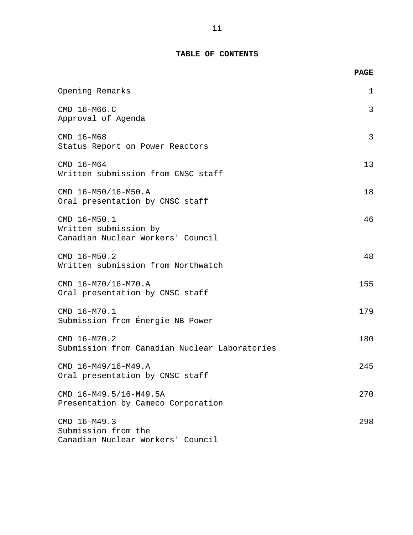### **TABLE OF CONTENTS**

|                                                                            | <b>PAGE</b> |
|----------------------------------------------------------------------------|-------------|
| Opening Remarks                                                            | 1           |
| CMD 16-M66.C<br>Approval of Agenda                                         | 3           |
| CMD 16-M68<br>Status Report on Power Reactors                              | 3           |
| CMD 16-M64<br>Written submission from CNSC staff                           | 13          |
| CMD 16-M50/16-M50.A<br>Oral presentation by CNSC staff                     | 18          |
| CMD 16-M50.1<br>Written submission by<br>Canadian Nuclear Workers' Council | 46          |
| CMD 16-M50.2<br>Written submission from Northwatch                         | 48          |
| CMD 16-M70/16-M70.A<br>Oral presentation by CNSC staff                     | 155         |
| CMD 16-M70.1<br>Submission from Energie NB Power                           | 179         |
| CMD 16-M70.2<br>Submission from Canadian Nuclear Laboratories              | 180         |
| CMD 16-M49/16-M49.A<br>Oral presentation by CNSC staff                     | 245         |
| CMD 16-M49.5/16-M49.5A<br>Presentation by Cameco Corporation               | 270         |
| CMD 16-M49.3<br>Submission from the<br>Canadian Nuclear Workers' Council   | 298         |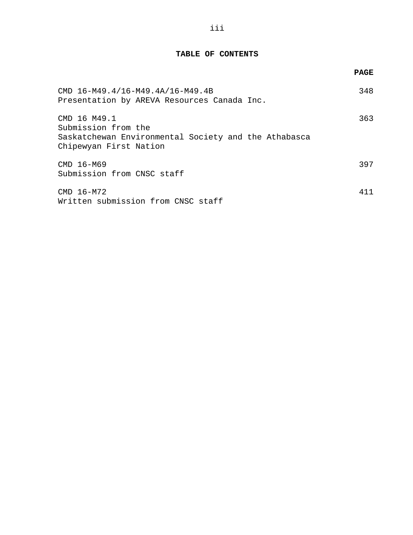#### **TABLE OF CONTENTS**

|                                                                                                                       | <b>PAGE</b> |
|-----------------------------------------------------------------------------------------------------------------------|-------------|
| CMD 16-M49.4/16-M49.4A/16-M49.4B<br>Presentation by AREVA Resources Canada Inc.                                       | 348         |
| CMD 16 M49.1<br>Submission from the<br>Saskatchewan Environmental Society and the Athabasca<br>Chipewyan First Nation | 363         |
| CMD 16-M69<br>Submission from CNSC staff                                                                              | 397         |
| CMD 16-M72<br>Written submission from CNSC staff                                                                      | 411         |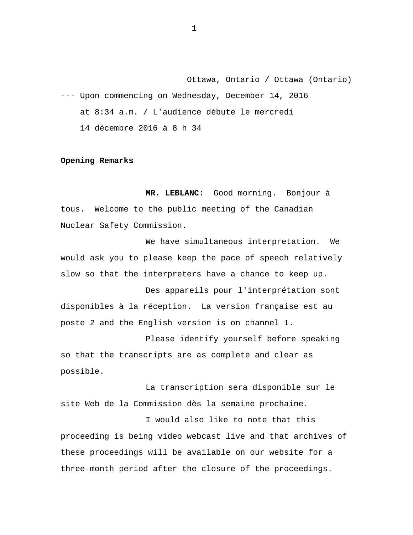<span id="page-3-0"></span>Ottawa, Ontario / Ottawa (Ontario) --- Upon commencing on Wednesday, December 14, 2016 at 8:34 a.m. / L'audience débute le mercredi 14 décembre 2016 à 8 h 34

#### **Opening Remarks**

**MR. LEBLANC:** Good morning. Bonjour à tous. Welcome to the public meeting of the Canadian Nuclear Safety Commission.

We have simultaneous interpretation. We would ask you to please keep the pace of speech relatively slow so that the interpreters have a chance to keep up.

Des appareils pour l'interprétation sont disponibles à la réception. La version française est au poste 2 and the English version is on channel 1.

Please identify yourself before speaking so that the transcripts are as complete and clear as possible.

La transcription sera disponible sur le site Web de la Commission dès la semaine prochaine.

I would also like to note that this proceeding is being video webcast live and that archives of these proceedings will be available on our website for a three-month period after the closure of the proceedings.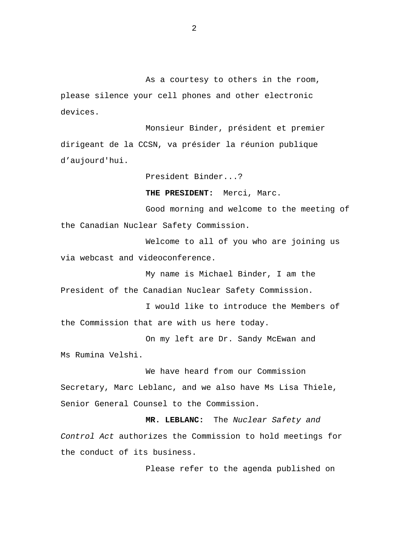As a courtesy to others in the room, please silence your cell phones and other electronic devices.

Monsieur Binder, président et premier dirigeant de la CCSN, va présider la réunion publique d'aujourd'hui.

President Binder...?

**THE PRESIDENT:** Merci, Marc.

Good morning and welcome to the meeting of the Canadian Nuclear Safety Commission.

Welcome to all of you who are joining us via webcast and videoconference.

My name is Michael Binder, I am the President of the Canadian Nuclear Safety Commission.

I would like to introduce the Members of the Commission that are with us here today.

On my left are Dr. Sandy McEwan and Ms Rumina Velshi.

We have heard from our Commission Secretary, Marc Leblanc, and we also have Ms Lisa Thiele, Senior General Counsel to the Commission.

**MR. LEBLANC:** The *Nuclear Safety and Control Act* authorizes the Commission to hold meetings for the conduct of its business.

Please refer to the agenda published on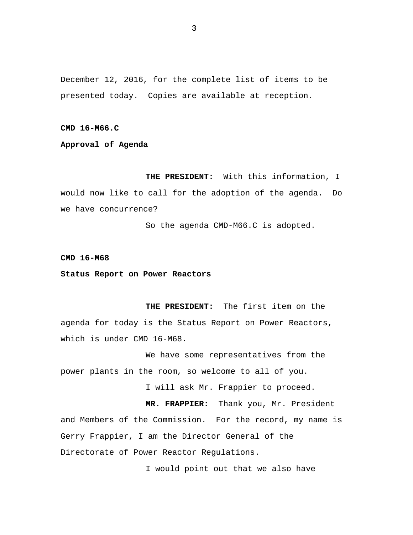<span id="page-5-0"></span>December 12, 2016, for the complete list of items to be presented today. Copies are available at reception.

**CMD 16-M66.C** 

**Approval of Agenda** 

**THE PRESIDENT:** With this information, I would now like to call for the adoption of the agenda. Do we have concurrence?

So the agenda CMD-M66.C is adopted.

**CMD 16-M68** 

**Status Report on Power Reactors** 

**THE PRESIDENT:** The first item on the agenda for today is the Status Report on Power Reactors, which is under CMD 16-M68.

We have some representatives from the power plants in the room, so welcome to all of you.

I will ask Mr. Frappier to proceed.

**MR. FRAPPIER:** Thank you, Mr. President and Members of the Commission. For the record, my name is Gerry Frappier, I am the Director General of the Directorate of Power Reactor Regulations.

I would point out that we also have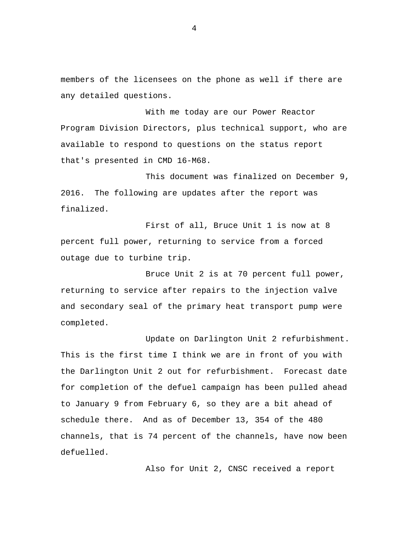members of the licensees on the phone as well if there are any detailed questions.

With me today are our Power Reactor Program Division Directors, plus technical support, who are available to respond to questions on the status report that's presented in CMD 16-M68.

This document was finalized on December 9, 2016. The following are updates after the report was finalized.

First of all, Bruce Unit 1 is now at 8 percent full power, returning to service from a forced outage due to turbine trip.

Bruce Unit 2 is at 70 percent full power, returning to service after repairs to the injection valve and secondary seal of the primary heat transport pump were completed.

Update on Darlington Unit 2 refurbishment. This is the first time I think we are in front of you with the Darlington Unit 2 out for refurbishment. Forecast date for completion of the defuel campaign has been pulled ahead to January 9 from February 6, so they are a bit ahead of schedule there. And as of December 13, 354 of the 480 channels, that is 74 percent of the channels, have now been defuelled.

Also for Unit 2, CNSC received a report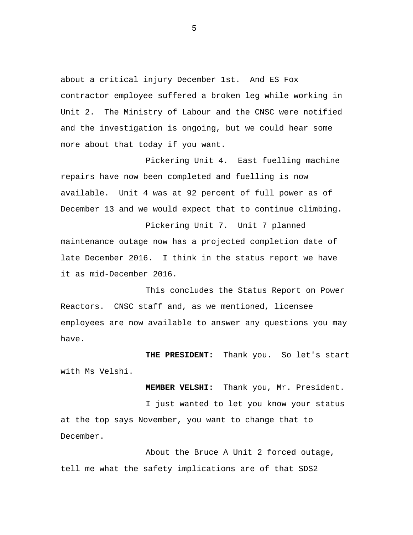about a critical injury December 1st. And ES Fox contractor employee suffered a broken leg while working in Unit 2. The Ministry of Labour and the CNSC were notified and the investigation is ongoing, but we could hear some more about that today if you want.

Pickering Unit 4. East fuelling machine repairs have now been completed and fuelling is now available. Unit 4 was at 92 percent of full power as of December 13 and we would expect that to continue climbing.

Pickering Unit 7. Unit 7 planned maintenance outage now has a projected completion date of late December 2016. I think in the status report we have it as mid-December 2016.

This concludes the Status Report on Power Reactors. CNSC staff and, as we mentioned, licensee employees are now available to answer any questions you may have.

**THE PRESIDENT:** Thank you. So let's start with Ms Velshi.

**MEMBER VELSHI:** Thank you, Mr. President. I just wanted to let you know your status at the top says November, you want to change that to December.

About the Bruce A Unit 2 forced outage, tell me what the safety implications are of that SDS2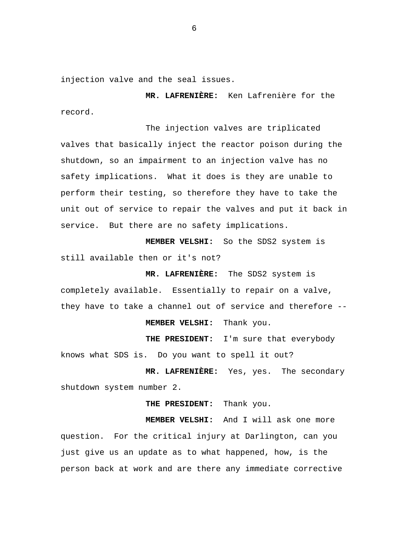injection valve and the seal issues.

**MR. LAFRENIÈRE:** Ken Lafrenière for the record.

The injection valves are triplicated valves that basically inject the reactor poison during the shutdown, so an impairment to an injection valve has no safety implications. What it does is they are unable to perform their testing, so therefore they have to take the unit out of service to repair the valves and put it back in service. But there are no safety implications.

**MEMBER VELSHI:** So the SDS2 system is still available then or it's not?

**MR. LAFRENIÈRE:** The SDS2 system is completely available. Essentially to repair on a valve, they have to take a channel out of service and therefore --

**MEMBER VELSHI:** Thank you.

**THE PRESIDENT:** I'm sure that everybody knows what SDS is. Do you want to spell it out?

**MR. LAFRENIÈRE:** Yes, yes. The secondary shutdown system number 2.

**THE PRESIDENT:** Thank you.

**MEMBER VELSHI:** And I will ask one more question. For the critical injury at Darlington, can you just give us an update as to what happened, how, is the person back at work and are there any immediate corrective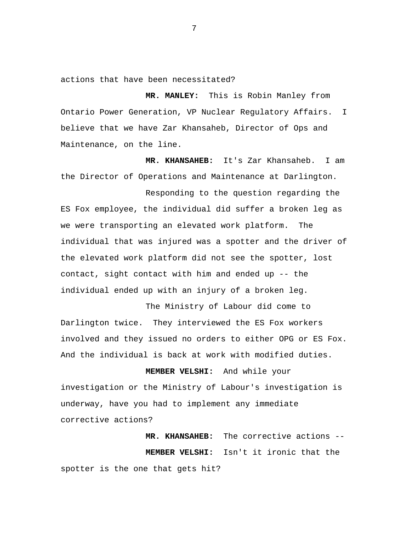actions that have been necessitated?

**MR. MANLEY:** This is Robin Manley from Ontario Power Generation, VP Nuclear Regulatory Affairs. I believe that we have Zar Khansaheb, Director of Ops and Maintenance, on the line.

**MR. KHANSAHEB:** It's Zar Khansaheb. I am the Director of Operations and Maintenance at Darlington.

Responding to the question regarding the ES Fox employee, the individual did suffer a broken leg as we were transporting an elevated work platform. The individual that was injured was a spotter and the driver of the elevated work platform did not see the spotter, lost contact, sight contact with him and ended up -- the individual ended up with an injury of a broken leg.

The Ministry of Labour did come to Darlington twice. They interviewed the ES Fox workers involved and they issued no orders to either OPG or ES Fox. And the individual is back at work with modified duties.

**MEMBER VELSHI:** And while your investigation or the Ministry of Labour's investigation is underway, have you had to implement any immediate corrective actions?

**MR. KHANSAHEB:** The corrective actions -- **MEMBER VELSHI:** Isn't it ironic that the spotter is the one that gets hit?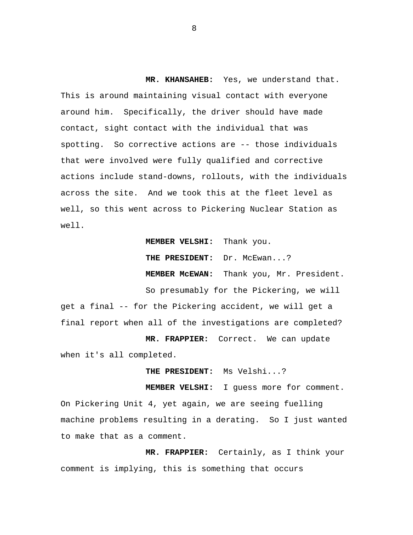**MR. KHANSAHEB:** Yes, we understand that. This is around maintaining visual contact with everyone around him. Specifically, the driver should have made contact, sight contact with the individual that was spotting. So corrective actions are -- those individuals that were involved were fully qualified and corrective actions include stand-downs, rollouts, with the individuals across the site. And we took this at the fleet level as well, so this went across to Pickering Nuclear Station as well.

**MEMBER VELSHI:** Thank you.

**THE PRESIDENT:** Dr. McEwan...?

**MEMBER McEWAN:** Thank you, Mr. President.

So presumably for the Pickering, we will get a final -- for the Pickering accident, we will get a final report when all of the investigations are completed?

**MR. FRAPPIER:** Correct. We can update when it's all completed.

**THE PRESIDENT:** Ms Velshi...?

**MEMBER VELSHI:** I guess more for comment. On Pickering Unit 4, yet again, we are seeing fuelling machine problems resulting in a derating. So I just wanted to make that as a comment.

**MR. FRAPPIER:** Certainly, as I think your comment is implying, this is something that occurs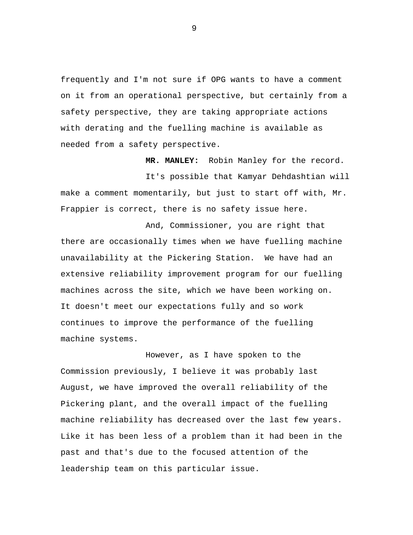frequently and I'm not sure if OPG wants to have a comment on it from an operational perspective, but certainly from a safety perspective, they are taking appropriate actions with derating and the fuelling machine is available as needed from a safety perspective.

**MR. MANLEY:** Robin Manley for the record.

It's possible that Kamyar Dehdashtian will make a comment momentarily, but just to start off with, Mr. Frappier is correct, there is no safety issue here.

And, Commissioner, you are right that there are occasionally times when we have fuelling machine unavailability at the Pickering Station. We have had an extensive reliability improvement program for our fuelling machines across the site, which we have been working on. It doesn't meet our expectations fully and so work continues to improve the performance of the fuelling machine systems.

However, as I have spoken to the Commission previously, I believe it was probably last August, we have improved the overall reliability of the Pickering plant, and the overall impact of the fuelling machine reliability has decreased over the last few years. Like it has been less of a problem than it had been in the past and that's due to the focused attention of the leadership team on this particular issue.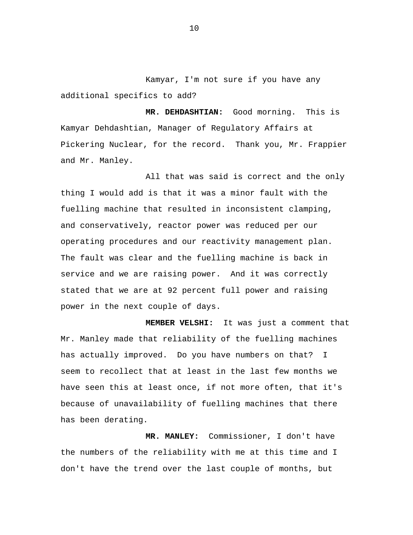Kamyar, I'm not sure if you have any additional specifics to add?

**MR. DEHDASHTIAN:** Good morning. This is Kamyar Dehdashtian, Manager of Regulatory Affairs at Pickering Nuclear, for the record. Thank you, Mr. Frappier and Mr. Manley.

All that was said is correct and the only thing I would add is that it was a minor fault with the fuelling machine that resulted in inconsistent clamping, and conservatively, reactor power was reduced per our operating procedures and our reactivity management plan. The fault was clear and the fuelling machine is back in service and we are raising power. And it was correctly stated that we are at 92 percent full power and raising power in the next couple of days.

**MEMBER VELSHI:** It was just a comment that Mr. Manley made that reliability of the fuelling machines has actually improved. Do you have numbers on that? I seem to recollect that at least in the last few months we have seen this at least once, if not more often, that it's because of unavailability of fuelling machines that there has been derating.

**MR. MANLEY:** Commissioner, I don't have the numbers of the reliability with me at this time and I don't have the trend over the last couple of months, but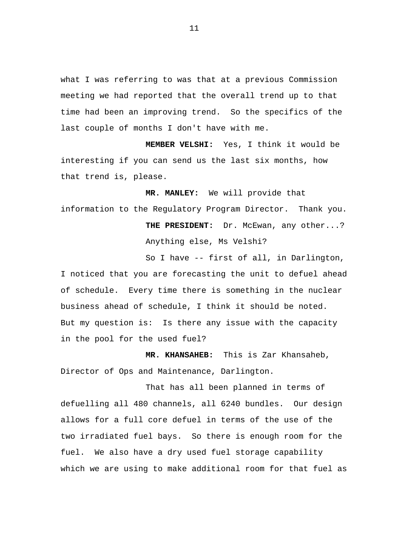what I was referring to was that at a previous Commission meeting we had reported that the overall trend up to that time had been an improving trend. So the specifics of the last couple of months I don't have with me.

**MEMBER VELSHI:** Yes, I think it would be interesting if you can send us the last six months, how that trend is, please.

**MR. MANLEY:** We will provide that information to the Regulatory Program Director. Thank you. THE PRESIDENT: Dr. McEwan, any other...?

Anything else, Ms Velshi?

So I have -- first of all, in Darlington, I noticed that you are forecasting the unit to defuel ahead of schedule. Every time there is something in the nuclear business ahead of schedule, I think it should be noted. But my question is: Is there any issue with the capacity in the pool for the used fuel?

**MR. KHANSAHEB:** This is Zar Khansaheb, Director of Ops and Maintenance, Darlington.

That has all been planned in terms of defuelling all 480 channels, all 6240 bundles. Our design allows for a full core defuel in terms of the use of the two irradiated fuel bays. So there is enough room for the fuel. We also have a dry used fuel storage capability which we are using to make additional room for that fuel as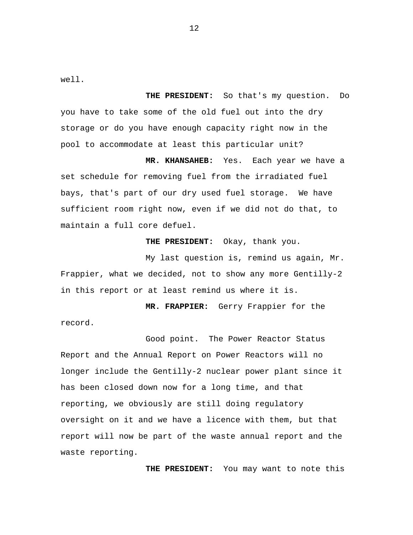well.

**THE PRESIDENT:** So that's my question. Do you have to take some of the old fuel out into the dry storage or do you have enough capacity right now in the pool to accommodate at least this particular unit?

**MR. KHANSAHEB:** Yes. Each year we have a set schedule for removing fuel from the irradiated fuel bays, that's part of our dry used fuel storage. We have sufficient room right now, even if we did not do that, to maintain a full core defuel.

**THE PRESIDENT:** Okay, thank you.

My last question is, remind us again, Mr. Frappier, what we decided, not to show any more Gentilly-2 in this report or at least remind us where it is.

**MR. FRAPPIER:** Gerry Frappier for the record.

Good point. The Power Reactor Status Report and the Annual Report on Power Reactors will no longer include the Gentilly-2 nuclear power plant since it has been closed down now for a long time, and that reporting, we obviously are still doing regulatory oversight on it and we have a licence with them, but that report will now be part of the waste annual report and the waste reporting.

**THE PRESIDENT:** You may want to note this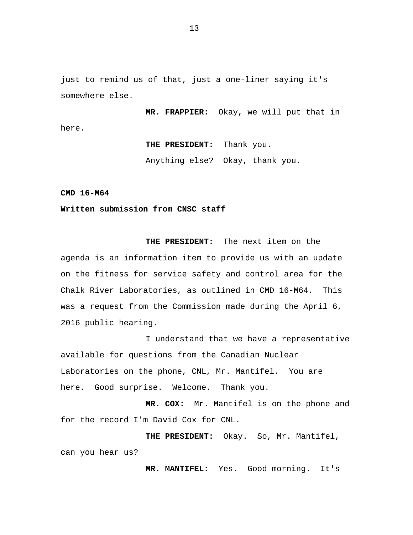<span id="page-15-0"></span>just to remind us of that, just a one-liner saying it's somewhere else.

**MR. FRAPPIER:** Okay, we will put that in here.

> **THE PRESIDENT:** Thank you. Anything else? Okay, thank you.

**CMD 16-M64** 

**Written submission from CNSC staff** 

**THE PRESIDENT:** The next item on the agenda is an information item to provide us with an update on the fitness for service safety and control area for the Chalk River Laboratories, as outlined in CMD 16-M64. This was a request from the Commission made during the April 6, 2016 public hearing.

I understand that we have a representative available for questions from the Canadian Nuclear Laboratories on the phone, CNL, Mr. Mantifel. You are here. Good surprise. Welcome. Thank you.

**MR. COX:** Mr. Mantifel is on the phone and for the record I'm David Cox for CNL.

**THE PRESIDENT:** Okay. So, Mr. Mantifel, can you hear us?

**MR. MANTIFEL:** Yes. Good morning. It's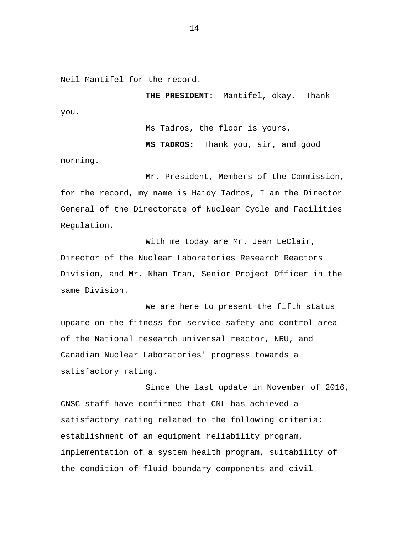Neil Mantifel for the record.

morning.

**THE PRESIDENT:** Mantifel, okay. Thank you.

Ms Tadros, the floor is yours.

**MS TADROS:** Thank you, sir, and good

Mr. President, Members of the Commission, for the record, my name is Haidy Tadros, I am the Director General of the Directorate of Nuclear Cycle and Facilities Regulation.

With me today are Mr. Jean LeClair, Director of the Nuclear Laboratories Research Reactors Division, and Mr. Nhan Tran, Senior Project Officer in the same Division.

We are here to present the fifth status update on the fitness for service safety and control area of the National research universal reactor, NRU, and Canadian Nuclear Laboratories' progress towards a satisfactory rating.

Since the last update in November of 2016, CNSC staff have confirmed that CNL has achieved a satisfactory rating related to the following criteria: establishment of an equipment reliability program, implementation of a system health program, suitability of the condition of fluid boundary components and civil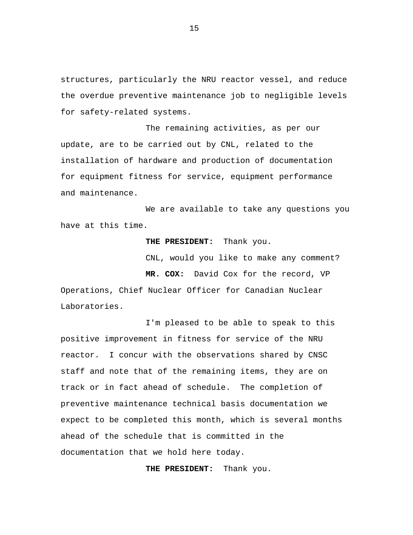structures, particularly the NRU reactor vessel, and reduce the overdue preventive maintenance job to negligible levels for safety-related systems.

The remaining activities, as per our update, are to be carried out by CNL, related to the installation of hardware and production of documentation for equipment fitness for service, equipment performance and maintenance.

We are available to take any questions you have at this time.

#### **THE PRESIDENT:** Thank you.

CNL, would you like to make any comment?

**MR. COX:** David Cox for the record, VP Operations, Chief Nuclear Officer for Canadian Nuclear Laboratories.

I'm pleased to be able to speak to this positive improvement in fitness for service of the NRU reactor. I concur with the observations shared by CNSC staff and note that of the remaining items, they are on track or in fact ahead of schedule. The completion of preventive maintenance technical basis documentation we expect to be completed this month, which is several months ahead of the schedule that is committed in the documentation that we hold here today.

**THE PRESIDENT:** Thank you.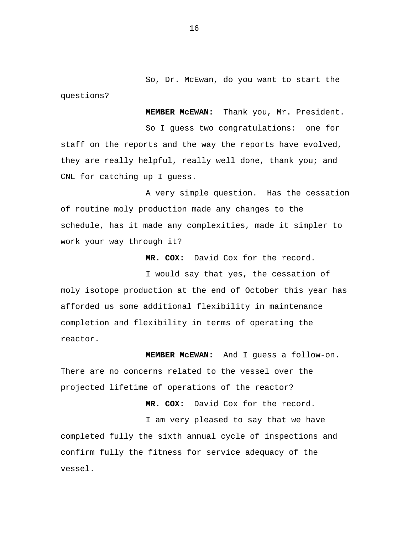So, Dr. McEwan, do you want to start the questions?

**MEMBER McEWAN:** Thank you, Mr. President. So I guess two congratulations: one for staff on the reports and the way the reports have evolved, they are really helpful, really well done, thank you; and CNL for catching up I guess.

A very simple question. Has the cessation of routine moly production made any changes to the schedule, has it made any complexities, made it simpler to work your way through it?

**MR. COX:** David Cox for the record.

I would say that yes, the cessation of moly isotope production at the end of October this year has afforded us some additional flexibility in maintenance completion and flexibility in terms of operating the reactor.

**MEMBER McEWAN:** And I guess a follow-on. There are no concerns related to the vessel over the projected lifetime of operations of the reactor?

**MR. COX:** David Cox for the record. I am very pleased to say that we have completed fully the sixth annual cycle of inspections and confirm fully the fitness for service adequacy of the vessel.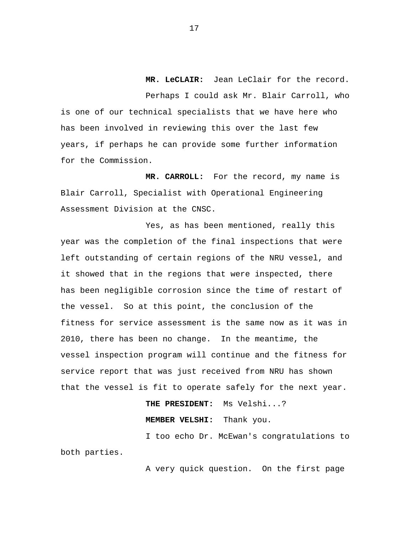**MR. LeCLAIR:** Jean LeClair for the record. Perhaps I could ask Mr. Blair Carroll, who is one of our technical specialists that we have here who has been involved in reviewing this over the last few years, if perhaps he can provide some further information

for the Commission.

**MR. CARROLL:** For the record, my name is Blair Carroll, Specialist with Operational Engineering Assessment Division at the CNSC.

Yes, as has been mentioned, really this year was the completion of the final inspections that were left outstanding of certain regions of the NRU vessel, and it showed that in the regions that were inspected, there has been negligible corrosion since the time of restart of the vessel. So at this point, the conclusion of the fitness for service assessment is the same now as it was in 2010, there has been no change. In the meantime, the vessel inspection program will continue and the fitness for service report that was just received from NRU has shown that the vessel is fit to operate safely for the next year.

**THE PRESIDENT:** Ms Velshi...?

**MEMBER VELSHI:** Thank you.

I too echo Dr. McEwan's congratulations to both parties.

A very quick question. On the first page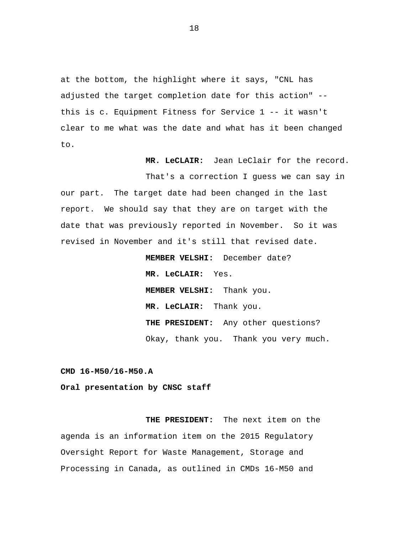<span id="page-20-0"></span>at the bottom, the highlight where it says, "CNL has adjusted the target completion date for this action" - this is c. Equipment Fitness for Service 1 -- it wasn't clear to me what was the date and what has it been changed to.

**MR. LeCLAIR:** Jean LeClair for the record.

That's a correction I guess we can say in our part. The target date had been changed in the last report. We should say that they are on target with the date that was previously reported in November. So it was revised in November and it's still that revised date.

> **MEMBER VELSHI:** December date? **MR. LeCLAIR:** Yes. **MEMBER VELSHI:** Thank you. **MR. LeCLAIR:** Thank you. **THE PRESIDENT:** Any other questions? Okay, thank you. Thank you very much.

**CMD 16-M50/16-M50.A** 

**Oral presentation by CNSC staff** 

**THE PRESIDENT:** The next item on the agenda is an information item on the 2015 Regulatory Oversight Report for Waste Management, Storage and Processing in Canada, as outlined in CMDs 16-M50 and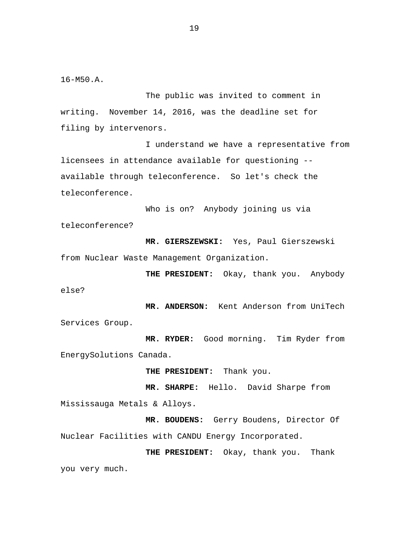16-M50.A.

The public was invited to comment in writing. November 14, 2016, was the deadline set for filing by intervenors.

I understand we have a representative from licensees in attendance available for questioning - available through teleconference. So let's check the teleconference.

Who is on? Anybody joining us via teleconference?

**MR. GIERSZEWSKI:** Yes, Paul Gierszewski from Nuclear Waste Management Organization.

**THE PRESIDENT:** Okay, thank you. Anybody else?

**MR. ANDERSON:** Kent Anderson from UniTech Services Group.

**MR. RYDER:** Good morning. Tim Ryder from EnergySolutions Canada.

**THE PRESIDENT:** Thank you.

**MR. SHARPE:** Hello. David Sharpe from Mississauga Metals & Alloys.

**MR. BOUDENS:** Gerry Boudens, Director Of Nuclear Facilities with CANDU Energy Incorporated.

**THE PRESIDENT:** Okay, thank you. Thank you very much.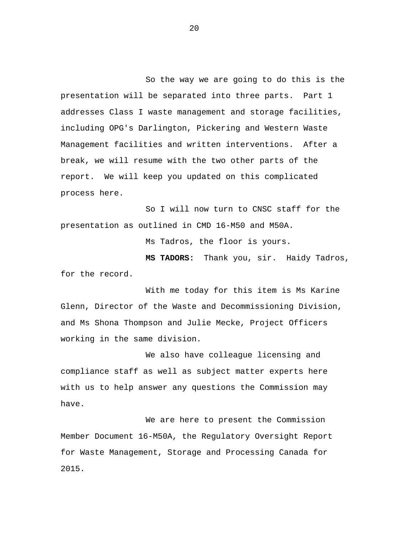So the way we are going to do this is the presentation will be separated into three parts. Part 1 addresses Class I waste management and storage facilities, including OPG's Darlington, Pickering and Western Waste Management facilities and written interventions. After a break, we will resume with the two other parts of the report. We will keep you updated on this complicated process here.

So I will now turn to CNSC staff for the presentation as outlined in CMD 16-M50 and M50A.

Ms Tadros, the floor is yours.

**MS TADORS:** Thank you, sir. Haidy Tadros, for the record.

With me today for this item is Ms Karine Glenn, Director of the Waste and Decommissioning Division, and Ms Shona Thompson and Julie Mecke, Project Officers working in the same division.

We also have colleague licensing and compliance staff as well as subject matter experts here with us to help answer any questions the Commission may have.

We are here to present the Commission Member Document 16-M50A, the Regulatory Oversight Report for Waste Management, Storage and Processing Canada for 2015.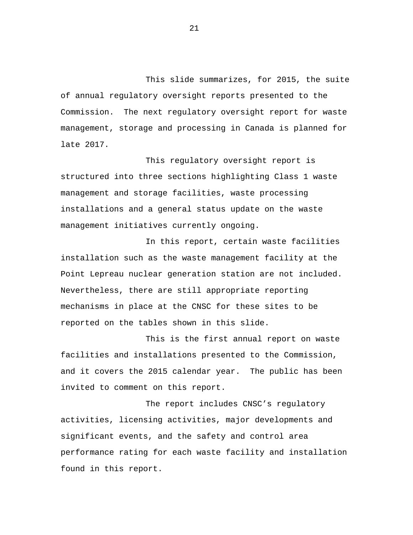This slide summarizes, for 2015, the suite of annual regulatory oversight reports presented to the Commission. The next regulatory oversight report for waste management, storage and processing in Canada is planned for late 2017.

This regulatory oversight report is structured into three sections highlighting Class 1 waste management and storage facilities, waste processing installations and a general status update on the waste management initiatives currently ongoing.

In this report, certain waste facilities installation such as the waste management facility at the Point Lepreau nuclear generation station are not included. Nevertheless, there are still appropriate reporting mechanisms in place at the CNSC for these sites to be reported on the tables shown in this slide.

This is the first annual report on waste facilities and installations presented to the Commission, and it covers the 2015 calendar year. The public has been invited to comment on this report.

The report includes CNSC's regulatory activities, licensing activities, major developments and significant events, and the safety and control area performance rating for each waste facility and installation found in this report.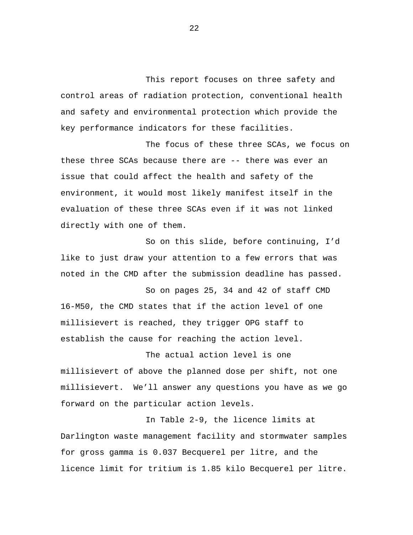This report focuses on three safety and control areas of radiation protection, conventional health and safety and environmental protection which provide the key performance indicators for these facilities.

The focus of these three SCAs, we focus on these three SCAs because there are -- there was ever an issue that could affect the health and safety of the environment, it would most likely manifest itself in the evaluation of these three SCAs even if it was not linked directly with one of them.

So on this slide, before continuing, I'd like to just draw your attention to a few errors that was noted in the CMD after the submission deadline has passed.

So on pages 25, 34 and 42 of staff CMD 16-M50, the CMD states that if the action level of one millisievert is reached, they trigger OPG staff to establish the cause for reaching the action level.

The actual action level is one millisievert of above the planned dose per shift, not one millisievert. We'll answer any questions you have as we go forward on the particular action levels.

In Table 2-9, the licence limits at Darlington waste management facility and stormwater samples for gross gamma is 0.037 Becquerel per litre, and the licence limit for tritium is 1.85 kilo Becquerel per litre.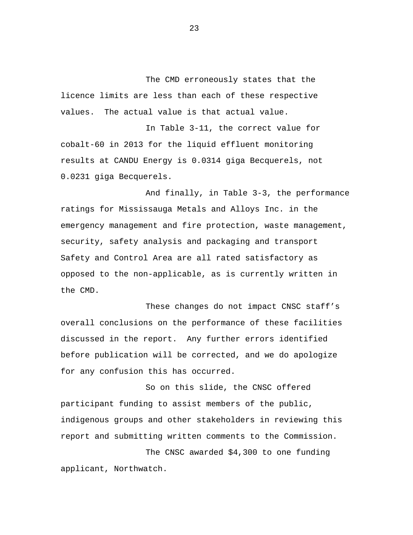The CMD erroneously states that the licence limits are less than each of these respective values. The actual value is that actual value.

In Table 3-11, the correct value for cobalt-60 in 2013 for the liquid effluent monitoring results at CANDU Energy is 0.0314 giga Becquerels, not 0.0231 giga Becquerels.

And finally, in Table 3-3, the performance ratings for Mississauga Metals and Alloys Inc. in the emergency management and fire protection, waste management, security, safety analysis and packaging and transport Safety and Control Area are all rated satisfactory as opposed to the non-applicable, as is currently written in the CMD.

These changes do not impact CNSC staff's overall conclusions on the performance of these facilities discussed in the report. Any further errors identified before publication will be corrected, and we do apologize for any confusion this has occurred.

So on this slide, the CNSC offered participant funding to assist members of the public, indigenous groups and other stakeholders in reviewing this report and submitting written comments to the Commission.

The CNSC awarded \$4,300 to one funding applicant, Northwatch.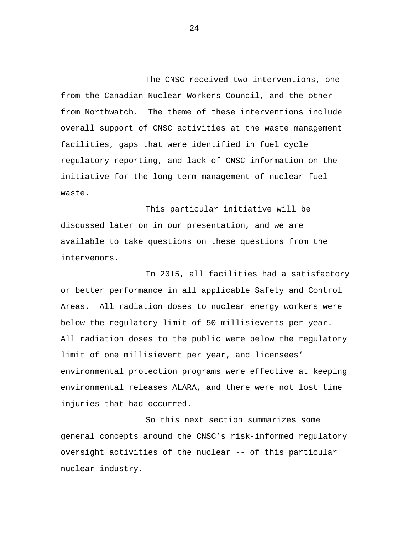The CNSC received two interventions, one from the Canadian Nuclear Workers Council, and the other from Northwatch. The theme of these interventions include overall support of CNSC activities at the waste management facilities, gaps that were identified in fuel cycle regulatory reporting, and lack of CNSC information on the initiative for the long-term management of nuclear fuel waste.

This particular initiative will be discussed later on in our presentation, and we are available to take questions on these questions from the intervenors.

In 2015, all facilities had a satisfactory or better performance in all applicable Safety and Control Areas. All radiation doses to nuclear energy workers were below the regulatory limit of 50 millisieverts per year. All radiation doses to the public were below the regulatory limit of one millisievert per year, and licensees' environmental protection programs were effective at keeping environmental releases ALARA, and there were not lost time injuries that had occurred.

So this next section summarizes some general concepts around the CNSC's risk-informed regulatory oversight activities of the nuclear -- of this particular nuclear industry.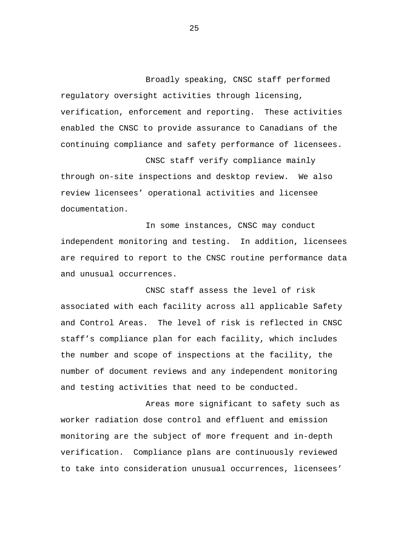Broadly speaking, CNSC staff performed regulatory oversight activities through licensing, verification, enforcement and reporting. These activities enabled the CNSC to provide assurance to Canadians of the continuing compliance and safety performance of licensees.

CNSC staff verify compliance mainly through on-site inspections and desktop review. We also review licensees' operational activities and licensee documentation.

In some instances, CNSC may conduct independent monitoring and testing. In addition, licensees are required to report to the CNSC routine performance data and unusual occurrences.

CNSC staff assess the level of risk associated with each facility across all applicable Safety and Control Areas. The level of risk is reflected in CNSC staff's compliance plan for each facility, which includes the number and scope of inspections at the facility, the number of document reviews and any independent monitoring and testing activities that need to be conducted.

Areas more significant to safety such as worker radiation dose control and effluent and emission monitoring are the subject of more frequent and in-depth verification. Compliance plans are continuously reviewed to take into consideration unusual occurrences, licensees'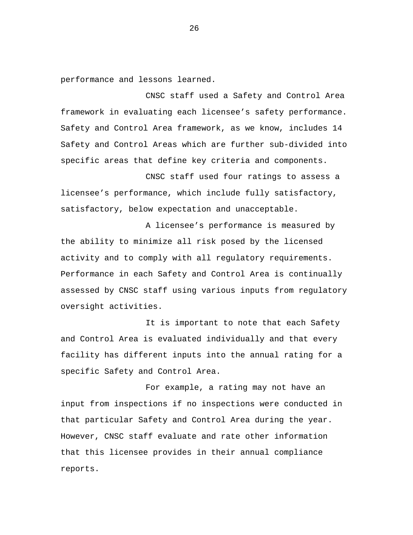performance and lessons learned.

CNSC staff used a Safety and Control Area framework in evaluating each licensee's safety performance. Safety and Control Area framework, as we know, includes 14 Safety and Control Areas which are further sub-divided into specific areas that define key criteria and components.

CNSC staff used four ratings to assess a licensee's performance, which include fully satisfactory, satisfactory, below expectation and unacceptable.

A licensee's performance is measured by the ability to minimize all risk posed by the licensed activity and to comply with all regulatory requirements. Performance in each Safety and Control Area is continually assessed by CNSC staff using various inputs from regulatory oversight activities.

It is important to note that each Safety and Control Area is evaluated individually and that every facility has different inputs into the annual rating for a specific Safety and Control Area.

For example, a rating may not have an input from inspections if no inspections were conducted in that particular Safety and Control Area during the year. However, CNSC staff evaluate and rate other information that this licensee provides in their annual compliance reports.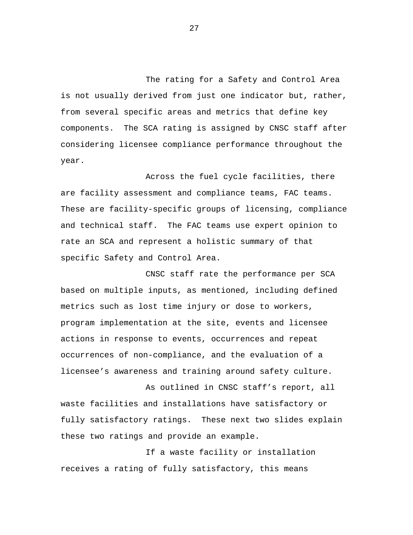The rating for a Safety and Control Area is not usually derived from just one indicator but, rather, from several specific areas and metrics that define key components. The SCA rating is assigned by CNSC staff after considering licensee compliance performance throughout the year.

Across the fuel cycle facilities, there are facility assessment and compliance teams, FAC teams. These are facility-specific groups of licensing, compliance and technical staff. The FAC teams use expert opinion to rate an SCA and represent a holistic summary of that specific Safety and Control Area.

CNSC staff rate the performance per SCA based on multiple inputs, as mentioned, including defined metrics such as lost time injury or dose to workers, program implementation at the site, events and licensee actions in response to events, occurrences and repeat occurrences of non-compliance, and the evaluation of a licensee's awareness and training around safety culture.

As outlined in CNSC staff's report, all waste facilities and installations have satisfactory or fully satisfactory ratings. These next two slides explain these two ratings and provide an example.

If a waste facility or installation receives a rating of fully satisfactory, this means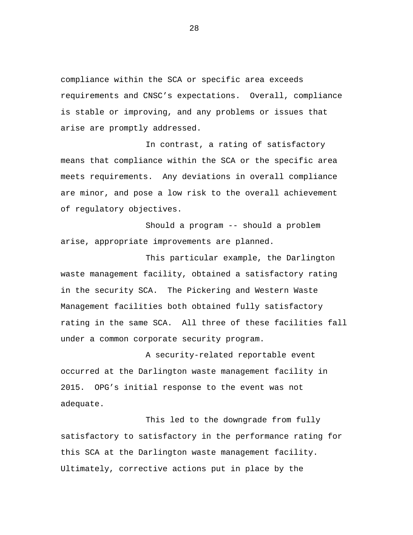compliance within the SCA or specific area exceeds requirements and CNSC's expectations. Overall, compliance is stable or improving, and any problems or issues that arise are promptly addressed.

In contrast, a rating of satisfactory means that compliance within the SCA or the specific area meets requirements. Any deviations in overall compliance are minor, and pose a low risk to the overall achievement of regulatory objectives.

Should a program -- should a problem arise, appropriate improvements are planned.

This particular example, the Darlington waste management facility, obtained a satisfactory rating in the security SCA. The Pickering and Western Waste Management facilities both obtained fully satisfactory rating in the same SCA. All three of these facilities fall under a common corporate security program.

A security-related reportable event occurred at the Darlington waste management facility in 2015. OPG's initial response to the event was not adequate.

This led to the downgrade from fully satisfactory to satisfactory in the performance rating for this SCA at the Darlington waste management facility. Ultimately, corrective actions put in place by the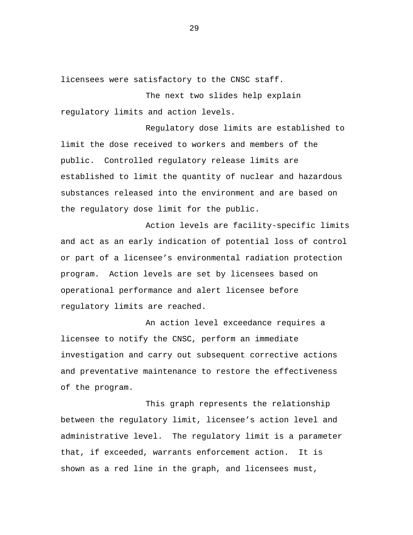licensees were satisfactory to the CNSC staff.

The next two slides help explain regulatory limits and action levels.

Regulatory dose limits are established to limit the dose received to workers and members of the public. Controlled regulatory release limits are established to limit the quantity of nuclear and hazardous substances released into the environment and are based on the regulatory dose limit for the public.

Action levels are facility-specific limits and act as an early indication of potential loss of control or part of a licensee's environmental radiation protection program. Action levels are set by licensees based on operational performance and alert licensee before regulatory limits are reached.

An action level exceedance requires a licensee to notify the CNSC, perform an immediate investigation and carry out subsequent corrective actions and preventative maintenance to restore the effectiveness of the program.

This graph represents the relationship between the regulatory limit, licensee's action level and administrative level. The regulatory limit is a parameter that, if exceeded, warrants enforcement action. It is shown as a red line in the graph, and licensees must,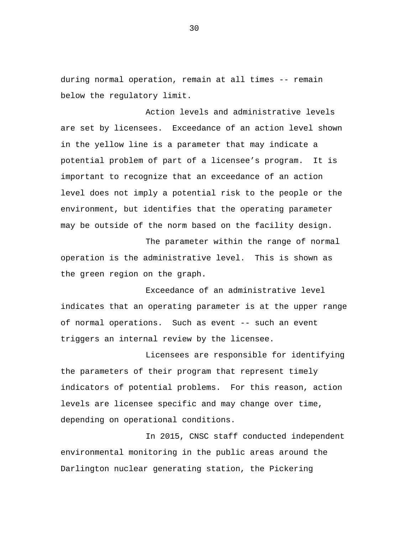during normal operation, remain at all times -- remain below the regulatory limit.

Action levels and administrative levels are set by licensees. Exceedance of an action level shown in the yellow line is a parameter that may indicate a potential problem of part of a licensee's program. It is important to recognize that an exceedance of an action level does not imply a potential risk to the people or the environment, but identifies that the operating parameter may be outside of the norm based on the facility design.

The parameter within the range of normal operation is the administrative level. This is shown as the green region on the graph.

Exceedance of an administrative level indicates that an operating parameter is at the upper range of normal operations. Such as event -- such an event triggers an internal review by the licensee.

Licensees are responsible for identifying the parameters of their program that represent timely indicators of potential problems. For this reason, action levels are licensee specific and may change over time, depending on operational conditions.

In 2015, CNSC staff conducted independent environmental monitoring in the public areas around the Darlington nuclear generating station, the Pickering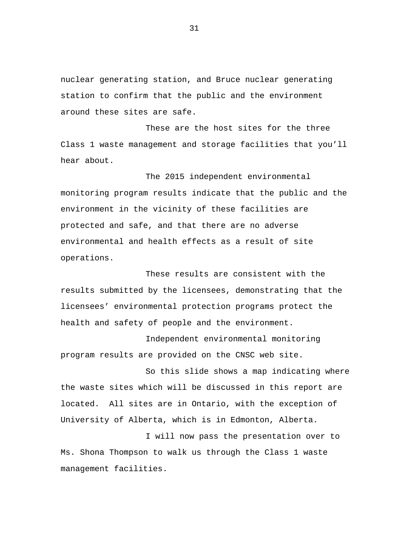nuclear generating station, and Bruce nuclear generating station to confirm that the public and the environment around these sites are safe.

These are the host sites for the three Class 1 waste management and storage facilities that you'll hear about.

The 2015 independent environmental monitoring program results indicate that the public and the environment in the vicinity of these facilities are protected and safe, and that there are no adverse environmental and health effects as a result of site operations.

These results are consistent with the results submitted by the licensees, demonstrating that the licensees' environmental protection programs protect the health and safety of people and the environment.

Independent environmental monitoring program results are provided on the CNSC web site.

So this slide shows a map indicating where the waste sites which will be discussed in this report are located. All sites are in Ontario, with the exception of University of Alberta, which is in Edmonton, Alberta.

I will now pass the presentation over to Ms. Shona Thompson to walk us through the Class 1 waste management facilities.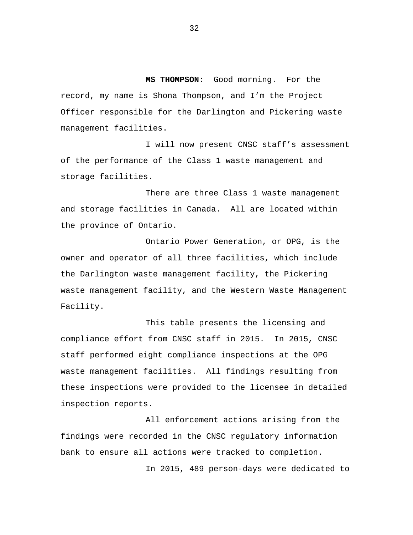**MS THOMPSON:** Good morning. For the record, my name is Shona Thompson, and I'm the Project Officer responsible for the Darlington and Pickering waste management facilities.

I will now present CNSC staff's assessment of the performance of the Class 1 waste management and storage facilities.

There are three Class 1 waste management and storage facilities in Canada. All are located within the province of Ontario.

Ontario Power Generation, or OPG, is the owner and operator of all three facilities, which include the Darlington waste management facility, the Pickering waste management facility, and the Western Waste Management Facility.

This table presents the licensing and compliance effort from CNSC staff in 2015. In 2015, CNSC staff performed eight compliance inspections at the OPG waste management facilities. All findings resulting from these inspections were provided to the licensee in detailed inspection reports.

All enforcement actions arising from the findings were recorded in the CNSC regulatory information bank to ensure all actions were tracked to completion.

In 2015, 489 person-days were dedicated to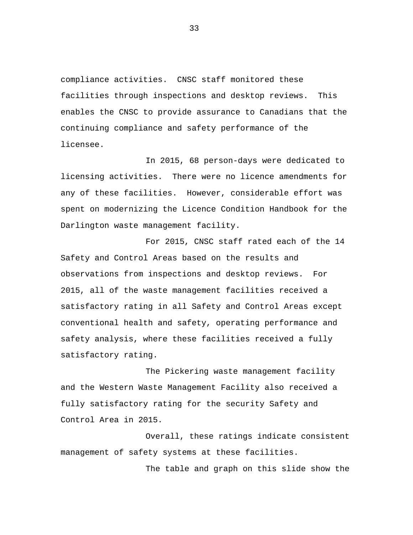compliance activities. CNSC staff monitored these facilities through inspections and desktop reviews. This enables the CNSC to provide assurance to Canadians that the continuing compliance and safety performance of the licensee.

In 2015, 68 person-days were dedicated to licensing activities. There were no licence amendments for any of these facilities. However, considerable effort was spent on modernizing the Licence Condition Handbook for the Darlington waste management facility.

For 2015, CNSC staff rated each of the 14 Safety and Control Areas based on the results and observations from inspections and desktop reviews. For 2015, all of the waste management facilities received a satisfactory rating in all Safety and Control Areas except conventional health and safety, operating performance and safety analysis, where these facilities received a fully satisfactory rating.

The Pickering waste management facility and the Western Waste Management Facility also received a fully satisfactory rating for the security Safety and Control Area in 2015.

Overall, these ratings indicate consistent management of safety systems at these facilities.

The table and graph on this slide show the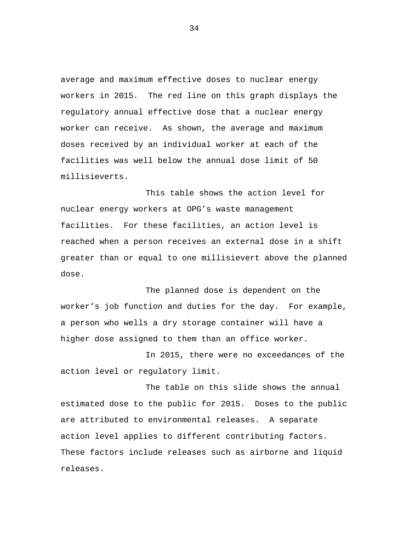average and maximum effective doses to nuclear energy workers in 2015. The red line on this graph displays the regulatory annual effective dose that a nuclear energy worker can receive. As shown, the average and maximum doses received by an individual worker at each of the facilities was well below the annual dose limit of 50 millisieverts.

This table shows the action level for nuclear energy workers at OPG's waste management facilities. For these facilities, an action level is reached when a person receives an external dose in a shift greater than or equal to one millisievert above the planned dose.

The planned dose is dependent on the worker's job function and duties for the day. For example, a person who wells a dry storage container will have a higher dose assigned to them than an office worker.

In 2015, there were no exceedances of the action level or regulatory limit.

The table on this slide shows the annual estimated dose to the public for 2015. Doses to the public are attributed to environmental releases. A separate action level applies to different contributing factors. These factors include releases such as airborne and liquid releases.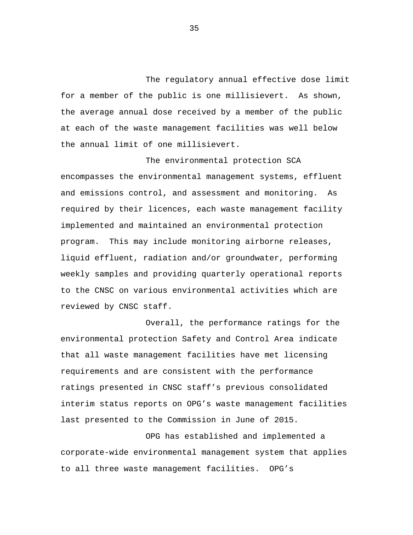The regulatory annual effective dose limit for a member of the public is one millisievert. As shown, the average annual dose received by a member of the public at each of the waste management facilities was well below the annual limit of one millisievert.

The environmental protection SCA encompasses the environmental management systems, effluent and emissions control, and assessment and monitoring. As required by their licences, each waste management facility implemented and maintained an environmental protection program. This may include monitoring airborne releases, liquid effluent, radiation and/or groundwater, performing weekly samples and providing quarterly operational reports to the CNSC on various environmental activities which are reviewed by CNSC staff.

Overall, the performance ratings for the environmental protection Safety and Control Area indicate that all waste management facilities have met licensing requirements and are consistent with the performance ratings presented in CNSC staff's previous consolidated interim status reports on OPG's waste management facilities last presented to the Commission in June of 2015.

OPG has established and implemented a corporate-wide environmental management system that applies to all three waste management facilities. OPG's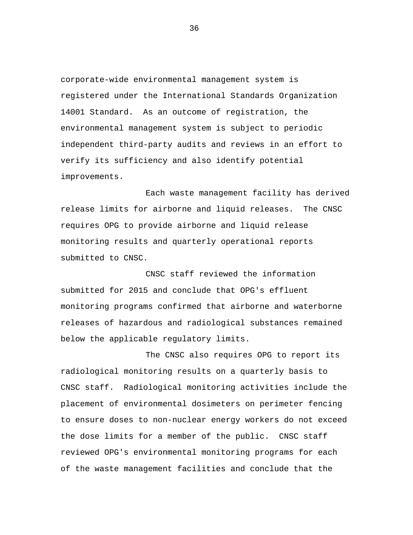corporate-wide environmental management system is registered under the International Standards Organization 14001 Standard. As an outcome of registration, the environmental management system is subject to periodic independent third-party audits and reviews in an effort to verify its sufficiency and also identify potential improvements.

Each waste management facility has derived release limits for airborne and liquid releases. The CNSC requires OPG to provide airborne and liquid release monitoring results and quarterly operational reports submitted to CNSC.

CNSC staff reviewed the information submitted for 2015 and conclude that OPG's effluent monitoring programs confirmed that airborne and waterborne releases of hazardous and radiological substances remained below the applicable regulatory limits.

The CNSC also requires OPG to report its radiological monitoring results on a quarterly basis to CNSC staff. Radiological monitoring activities include the placement of environmental dosimeters on perimeter fencing to ensure doses to non-nuclear energy workers do not exceed the dose limits for a member of the public. CNSC staff reviewed OPG's environmental monitoring programs for each of the waste management facilities and conclude that the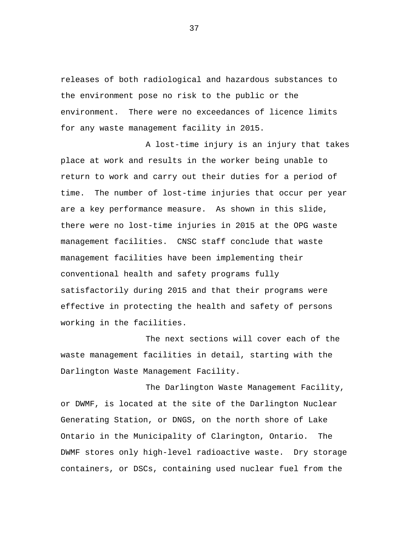releases of both radiological and hazardous substances to the environment pose no risk to the public or the environment. There were no exceedances of licence limits for any waste management facility in 2015.

A lost-time injury is an injury that takes place at work and results in the worker being unable to return to work and carry out their duties for a period of time. The number of lost-time injuries that occur per year are a key performance measure. As shown in this slide, there were no lost-time injuries in 2015 at the OPG waste management facilities. CNSC staff conclude that waste management facilities have been implementing their conventional health and safety programs fully satisfactorily during 2015 and that their programs were effective in protecting the health and safety of persons working in the facilities.

The next sections will cover each of the waste management facilities in detail, starting with the Darlington Waste Management Facility.

The Darlington Waste Management Facility, or DWMF, is located at the site of the Darlington Nuclear Generating Station, or DNGS, on the north shore of Lake Ontario in the Municipality of Clarington, Ontario. The DWMF stores only high-level radioactive waste. Dry storage containers, or DSCs, containing used nuclear fuel from the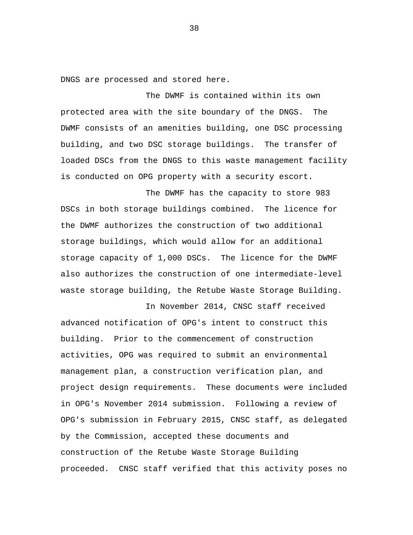DNGS are processed and stored here.

The DWMF is contained within its own protected area with the site boundary of the DNGS. The DWMF consists of an amenities building, one DSC processing building, and two DSC storage buildings. The transfer of loaded DSCs from the DNGS to this waste management facility is conducted on OPG property with a security escort.

The DWMF has the capacity to store 983 DSCs in both storage buildings combined. The licence for the DWMF authorizes the construction of two additional storage buildings, which would allow for an additional storage capacity of 1,000 DSCs. The licence for the DWMF also authorizes the construction of one intermediate-level waste storage building, the Retube Waste Storage Building.

In November 2014, CNSC staff received advanced notification of OPG's intent to construct this building. Prior to the commencement of construction activities, OPG was required to submit an environmental management plan, a construction verification plan, and project design requirements. These documents were included in OPG's November 2014 submission. Following a review of OPG's submission in February 2015, CNSC staff, as delegated by the Commission, accepted these documents and construction of the Retube Waste Storage Building proceeded. CNSC staff verified that this activity poses no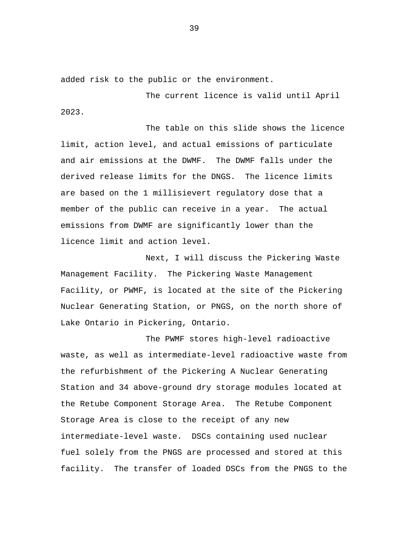added risk to the public or the environment.

The current licence is valid until April 2023.

The table on this slide shows the licence limit, action level, and actual emissions of particulate and air emissions at the DWMF. The DWMF falls under the derived release limits for the DNGS. The licence limits are based on the 1 millisievert regulatory dose that a member of the public can receive in a year. The actual emissions from DWMF are significantly lower than the licence limit and action level.

Next, I will discuss the Pickering Waste Management Facility. The Pickering Waste Management Facility, or PWMF, is located at the site of the Pickering Nuclear Generating Station, or PNGS, on the north shore of Lake Ontario in Pickering, Ontario.

The PWMF stores high-level radioactive waste, as well as intermediate-level radioactive waste from the refurbishment of the Pickering A Nuclear Generating Station and 34 above-ground dry storage modules located at the Retube Component Storage Area. The Retube Component Storage Area is close to the receipt of any new intermediate-level waste. DSCs containing used nuclear fuel solely from the PNGS are processed and stored at this facility. The transfer of loaded DSCs from the PNGS to the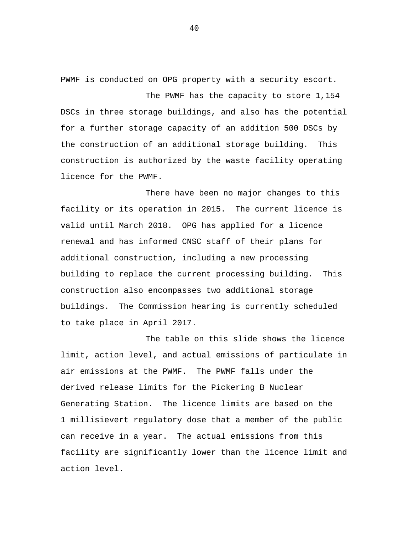PWMF is conducted on OPG property with a security escort.

The PWMF has the capacity to store 1,154 DSCs in three storage buildings, and also has the potential for a further storage capacity of an addition 500 DSCs by the construction of an additional storage building. This construction is authorized by the waste facility operating licence for the PWMF.

There have been no major changes to this facility or its operation in 2015. The current licence is valid until March 2018. OPG has applied for a licence renewal and has informed CNSC staff of their plans for additional construction, including a new processing building to replace the current processing building. This construction also encompasses two additional storage buildings. The Commission hearing is currently scheduled to take place in April 2017.

The table on this slide shows the licence limit, action level, and actual emissions of particulate in air emissions at the PWMF. The PWMF falls under the derived release limits for the Pickering B Nuclear Generating Station. The licence limits are based on the 1 millisievert regulatory dose that a member of the public can receive in a year. The actual emissions from this facility are significantly lower than the licence limit and action level.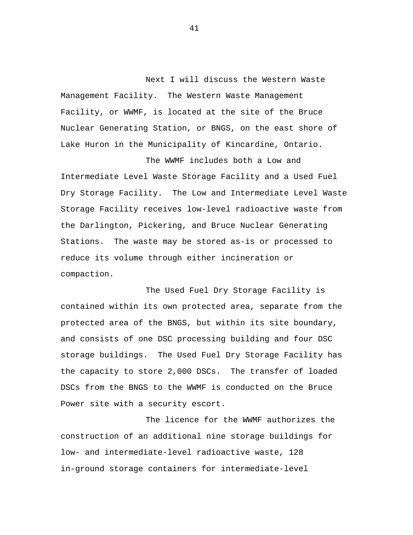Next I will discuss the Western Waste Management Facility. The Western Waste Management Facility, or WWMF, is located at the site of the Bruce Nuclear Generating Station, or BNGS, on the east shore of Lake Huron in the Municipality of Kincardine, Ontario.

The WWMF includes both a Low and Intermediate Level Waste Storage Facility and a Used Fuel Dry Storage Facility. The Low and Intermediate Level Waste Storage Facility receives low-level radioactive waste from the Darlington, Pickering, and Bruce Nuclear Generating Stations. The waste may be stored as-is or processed to reduce its volume through either incineration or compaction.

The Used Fuel Dry Storage Facility is contained within its own protected area, separate from the protected area of the BNGS, but within its site boundary, and consists of one DSC processing building and four DSC storage buildings. The Used Fuel Dry Storage Facility has the capacity to store 2,000 DSCs. The transfer of loaded DSCs from the BNGS to the WWMF is conducted on the Bruce Power site with a security escort.

The licence for the WWMF authorizes the construction of an additional nine storage buildings for low- and intermediate-level radioactive waste, 128 in-ground storage containers for intermediate-level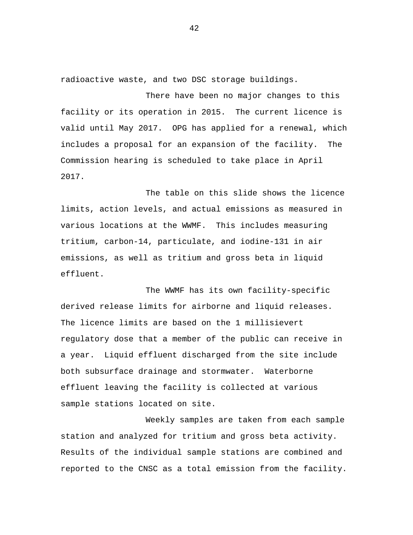radioactive waste, and two DSC storage buildings.

There have been no major changes to this facility or its operation in 2015. The current licence is valid until May 2017. OPG has applied for a renewal, which includes a proposal for an expansion of the facility. The Commission hearing is scheduled to take place in April 2017.

The table on this slide shows the licence limits, action levels, and actual emissions as measured in various locations at the WWMF. This includes measuring tritium, carbon-14, particulate, and iodine-131 in air emissions, as well as tritium and gross beta in liquid effluent.

The WWMF has its own facility-specific derived release limits for airborne and liquid releases. The licence limits are based on the 1 millisievert regulatory dose that a member of the public can receive in a year. Liquid effluent discharged from the site include both subsurface drainage and stormwater. Waterborne effluent leaving the facility is collected at various sample stations located on site.

Weekly samples are taken from each sample station and analyzed for tritium and gross beta activity. Results of the individual sample stations are combined and reported to the CNSC as a total emission from the facility.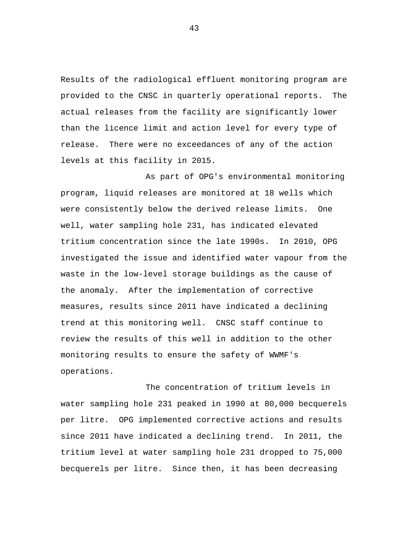Results of the radiological effluent monitoring program are provided to the CNSC in quarterly operational reports. The actual releases from the facility are significantly lower than the licence limit and action level for every type of release. There were no exceedances of any of the action levels at this facility in 2015.

As part of OPG's environmental monitoring program, liquid releases are monitored at 18 wells which were consistently below the derived release limits. One well, water sampling hole 231, has indicated elevated tritium concentration since the late 1990s. In 2010, OPG investigated the issue and identified water vapour from the waste in the low-level storage buildings as the cause of the anomaly. After the implementation of corrective measures, results since 2011 have indicated a declining trend at this monitoring well. CNSC staff continue to review the results of this well in addition to the other monitoring results to ensure the safety of WWMF's operations.

The concentration of tritium levels in water sampling hole 231 peaked in 1990 at 80,000 becquerels per litre. OPG implemented corrective actions and results since 2011 have indicated a declining trend. In 2011, the tritium level at water sampling hole 231 dropped to 75,000 becquerels per litre. Since then, it has been decreasing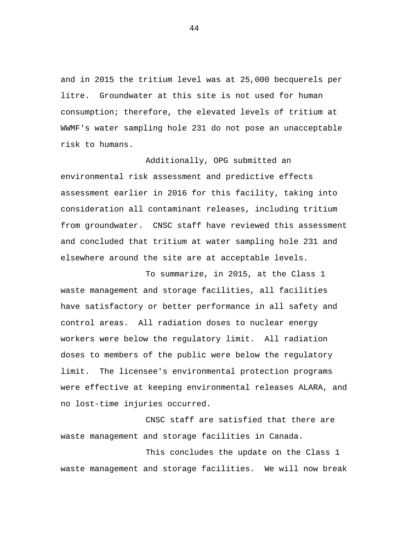and in 2015 the tritium level was at 25,000 becquerels per litre. Groundwater at this site is not used for human consumption; therefore, the elevated levels of tritium at WWMF's water sampling hole 231 do not pose an unacceptable risk to humans.

Additionally, OPG submitted an environmental risk assessment and predictive effects assessment earlier in 2016 for this facility, taking into consideration all contaminant releases, including tritium from groundwater. CNSC staff have reviewed this assessment and concluded that tritium at water sampling hole 231 and elsewhere around the site are at acceptable levels.

To summarize, in 2015, at the Class 1 waste management and storage facilities, all facilities have satisfactory or better performance in all safety and control areas. All radiation doses to nuclear energy workers were below the regulatory limit. All radiation doses to members of the public were below the regulatory limit. The licensee's environmental protection programs were effective at keeping environmental releases ALARA, and no lost-time injuries occurred.

CNSC staff are satisfied that there are waste management and storage facilities in Canada.

This concludes the update on the Class 1 waste management and storage facilities. We will now break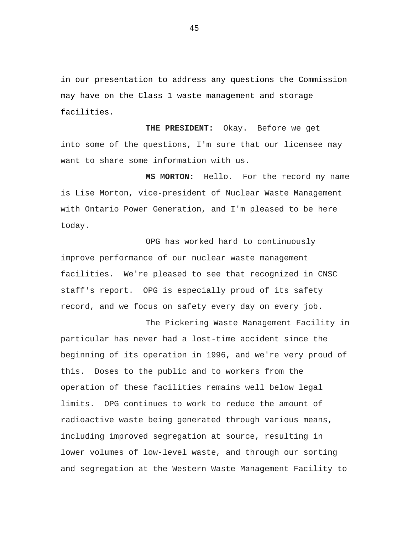in our presentation to address any questions the Commission may have on the Class 1 waste management and storage facilities.

**THE PRESIDENT:** Okay. Before we get into some of the questions, I'm sure that our licensee may want to share some information with us.

**MS MORTON:** Hello. For the record my name is Lise Morton, vice-president of Nuclear Waste Management with Ontario Power Generation, and I'm pleased to be here today.

OPG has worked hard to continuously improve performance of our nuclear waste management facilities. We're pleased to see that recognized in CNSC staff's report. OPG is especially proud of its safety record, and we focus on safety every day on every job.

The Pickering Waste Management Facility in particular has never had a lost-time accident since the beginning of its operation in 1996, and we're very proud of this. Doses to the public and to workers from the operation of these facilities remains well below legal limits. OPG continues to work to reduce the amount of radioactive waste being generated through various means, including improved segregation at source, resulting in lower volumes of low-level waste, and through our sorting and segregation at the Western Waste Management Facility to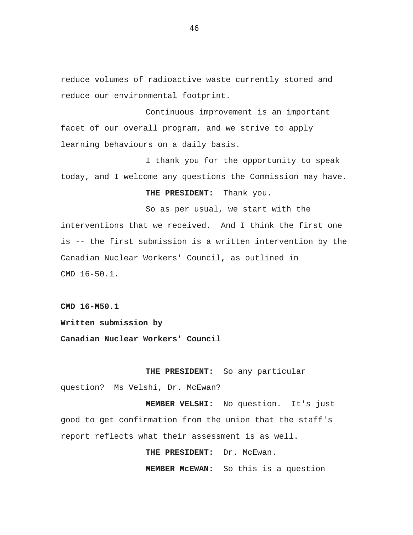reduce volumes of radioactive waste currently stored and reduce our environmental footprint.

Continuous improvement is an important facet of our overall program, and we strive to apply learning behaviours on a daily basis.

I thank you for the opportunity to speak today, and I welcome any questions the Commission may have.

## **THE PRESIDENT:** Thank you.

So as per usual, we start with the interventions that we received. And I think the first one is -- the first submission is a written intervention by the Canadian Nuclear Workers' Council, as outlined in CMD 16-50.1.

**CMD 16-M50.1** 

**Written submission by** 

**Canadian Nuclear Workers' Council** 

**THE PRESIDENT:** So any particular question? Ms Velshi, Dr. McEwan?

**MEMBER VELSHI:** No question. It's just good to get confirmation from the union that the staff's report reflects what their assessment is as well.

THE PRESIDENT: Dr. McEwan.

**MEMBER McEWAN:** So this is a question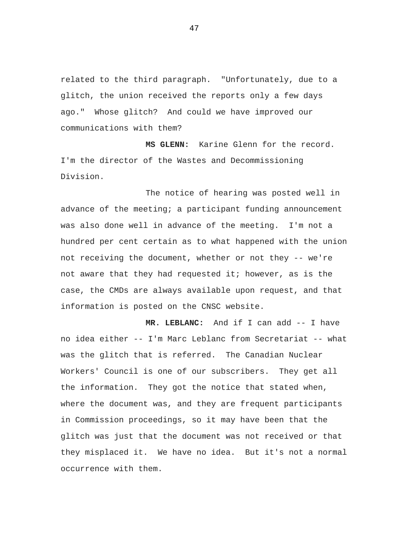related to the third paragraph. "Unfortunately, due to a glitch, the union received the reports only a few days ago." Whose glitch? And could we have improved our communications with them?

**MS GLENN:** Karine Glenn for the record. I'm the director of the Wastes and Decommissioning Division.

The notice of hearing was posted well in advance of the meeting; a participant funding announcement was also done well in advance of the meeting. I'm not a hundred per cent certain as to what happened with the union not receiving the document, whether or not they -- we're not aware that they had requested it; however, as is the case, the CMDs are always available upon request, and that information is posted on the CNSC website.

**MR. LEBLANC:** And if I can add -- I have no idea either -- I'm Marc Leblanc from Secretariat -- what was the glitch that is referred. The Canadian Nuclear Workers' Council is one of our subscribers. They get all the information. They got the notice that stated when, where the document was, and they are frequent participants in Commission proceedings, so it may have been that the glitch was just that the document was not received or that they misplaced it. We have no idea. But it's not a normal occurrence with them.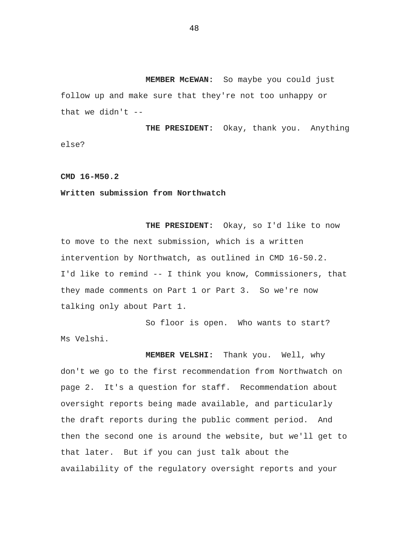**MEMBER McEWAN:** So maybe you could just follow up and make sure that they're not too unhappy or that we didn't  $-$ 

**THE PRESIDENT:** Okay, thank you. Anything else?

## **CMD 16-M50.2**

## **Written submission from Northwatch**

**THE PRESIDENT:** Okay, so I'd like to now to move to the next submission, which is a written intervention by Northwatch, as outlined in CMD 16-50.2. I'd like to remind -- I think you know, Commissioners, that they made comments on Part 1 or Part 3. So we're now talking only about Part 1.

So floor is open. Who wants to start? Ms Velshi.

**MEMBER VELSHI:** Thank you. Well, why don't we go to the first recommendation from Northwatch on page 2. It's a question for staff. Recommendation about oversight reports being made available, and particularly the draft reports during the public comment period. And then the second one is around the website, but we'll get to that later. But if you can just talk about the availability of the regulatory oversight reports and your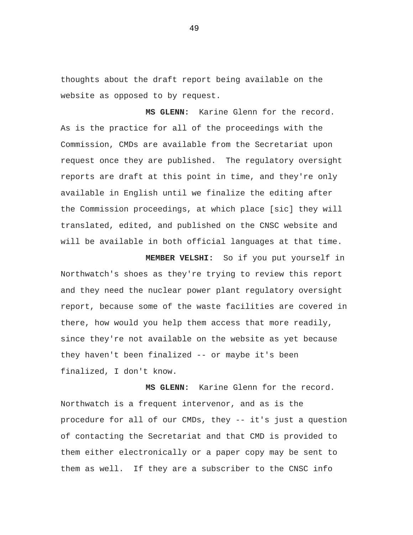thoughts about the draft report being available on the website as opposed to by request.

**MS GLENN:** Karine Glenn for the record. As is the practice for all of the proceedings with the Commission, CMDs are available from the Secretariat upon request once they are published. The regulatory oversight reports are draft at this point in time, and they're only available in English until we finalize the editing after the Commission proceedings, at which place [sic] they will translated, edited, and published on the CNSC website and will be available in both official languages at that time.

**MEMBER VELSHI:** So if you put yourself in Northwatch's shoes as they're trying to review this report and they need the nuclear power plant regulatory oversight report, because some of the waste facilities are covered in there, how would you help them access that more readily, since they're not available on the website as yet because they haven't been finalized -- or maybe it's been finalized, I don't know.

**MS GLENN:** Karine Glenn for the record. Northwatch is a frequent intervenor, and as is the procedure for all of our CMDs, they -- it's just a question of contacting the Secretariat and that CMD is provided to them either electronically or a paper copy may be sent to them as well. If they are a subscriber to the CNSC info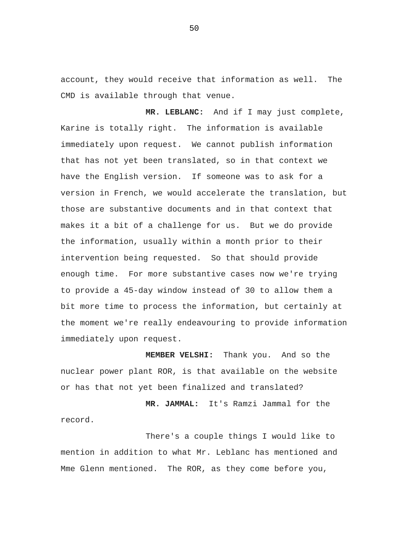account, they would receive that information as well. The CMD is available through that venue.

**MR. LEBLANC:** And if I may just complete, Karine is totally right. The information is available immediately upon request. We cannot publish information that has not yet been translated, so in that context we have the English version. If someone was to ask for a version in French, we would accelerate the translation, but those are substantive documents and in that context that makes it a bit of a challenge for us. But we do provide the information, usually within a month prior to their intervention being requested. So that should provide enough time. For more substantive cases now we're trying to provide a 45-day window instead of 30 to allow them a bit more time to process the information, but certainly at the moment we're really endeavouring to provide information immediately upon request.

**MEMBER VELSHI:** Thank you. And so the nuclear power plant ROR, is that available on the website or has that not yet been finalized and translated?

**MR. JAMMAL:** It's Ramzi Jammal for the record.

There's a couple things I would like to mention in addition to what Mr. Leblanc has mentioned and Mme Glenn mentioned. The ROR, as they come before you,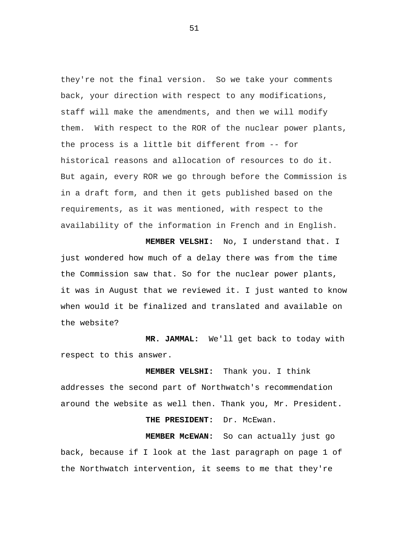they're not the final version. So we take your comments back, your direction with respect to any modifications, staff will make the amendments, and then we will modify them. With respect to the ROR of the nuclear power plants, the process is a little bit different from -- for historical reasons and allocation of resources to do it. But again, every ROR we go through before the Commission is in a draft form, and then it gets published based on the requirements, as it was mentioned, with respect to the availability of the information in French and in English.

**MEMBER VELSHI:** No, I understand that. I just wondered how much of a delay there was from the time the Commission saw that. So for the nuclear power plants, it was in August that we reviewed it. I just wanted to know when would it be finalized and translated and available on the website?

 **MR. JAMMAL:** We'll get back to today with respect to this answer.

 **MEMBER VELSHI:** Thank you. I think addresses the second part of Northwatch's recommendation around the website as well then. Thank you, Mr. President.

THE PRESIDENT: Dr. McEwan.

 **MEMBER McEWAN:** So can actually just go back, because if I look at the last paragraph on page 1 of the Northwatch intervention, it seems to me that they're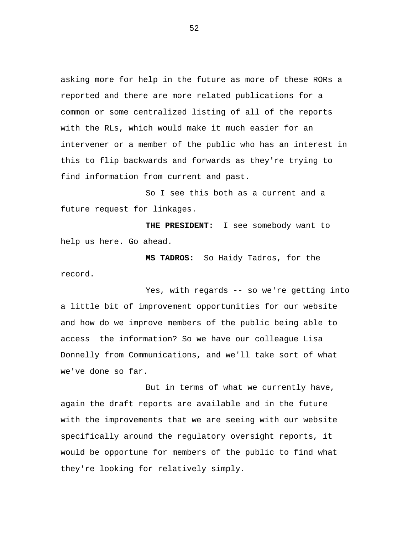asking more for help in the future as more of these RORs a reported and there are more related publications for a common or some centralized listing of all of the reports with the RLs, which would make it much easier for an intervener or a member of the public who has an interest in this to flip backwards and forwards as they're trying to find information from current and past.

So I see this both as a current and a future request for linkages.

 **THE PRESIDENT:** I see somebody want to help us here. Go ahead.

 **MS TADROS:** So Haidy Tadros, for the record.

Yes, with regards -- so we're getting into a little bit of improvement opportunities for our website and how do we improve members of the public being able to access the information? So we have our colleague Lisa Donnelly from Communications, and we'll take sort of what we've done so far.

But in terms of what we currently have, again the draft reports are available and in the future with the improvements that we are seeing with our website specifically around the regulatory oversight reports, it would be opportune for members of the public to find what they're looking for relatively simply.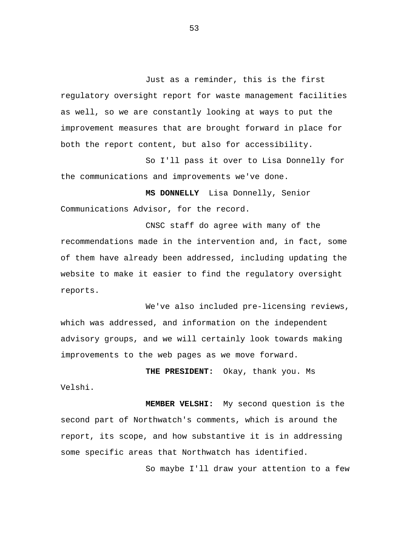Just as a reminder, this is the first regulatory oversight report for waste management facilities as well, so we are constantly looking at ways to put the improvement measures that are brought forward in place for both the report content, but also for accessibility.

So I'll pass it over to Lisa Donnelly for the communications and improvements we've done.

 **MS DONNELLY** Lisa Donnelly, Senior Communications Advisor, for the record.

CNSC staff do agree with many of the recommendations made in the intervention and, in fact, some of them have already been addressed, including updating the website to make it easier to find the regulatory oversight reports.

We've also included pre-licensing reviews, which was addressed, and information on the independent advisory groups, and we will certainly look towards making improvements to the web pages as we move forward.

 **THE PRESIDENT:** Okay, thank you. Ms Velshi.

 **MEMBER VELSHI:** My second question is the second part of Northwatch's comments, which is around the report, its scope, and how substantive it is in addressing some specific areas that Northwatch has identified.

So maybe I'll draw your attention to a few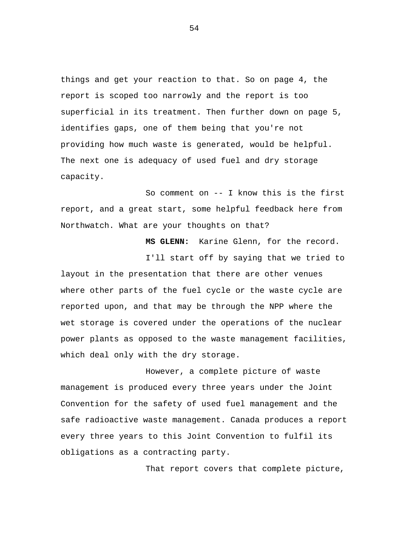things and get your reaction to that. So on page 4, the report is scoped too narrowly and the report is too superficial in its treatment. Then further down on page 5, identifies gaps, one of them being that you're not providing how much waste is generated, would be helpful. The next one is adequacy of used fuel and dry storage capacity.

So comment on -- I know this is the first report, and a great start, some helpful feedback here from Northwatch. What are your thoughts on that?

 **MS GLENN:** Karine Glenn, for the record.

I'll start off by saying that we tried to layout in the presentation that there are other venues where other parts of the fuel cycle or the waste cycle are reported upon, and that may be through the NPP where the wet storage is covered under the operations of the nuclear power plants as opposed to the waste management facilities, which deal only with the dry storage.

However, a complete picture of waste management is produced every three years under the Joint Convention for the safety of used fuel management and the safe radioactive waste management. Canada produces a report every three years to this Joint Convention to fulfil its obligations as a contracting party.

That report covers that complete picture,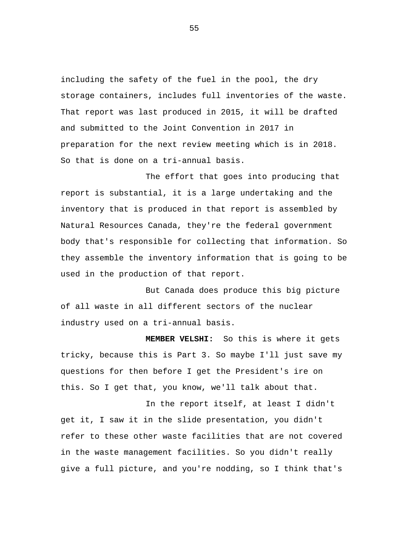including the safety of the fuel in the pool, the dry storage containers, includes full inventories of the waste. That report was last produced in 2015, it will be drafted and submitted to the Joint Convention in 2017 in preparation for the next review meeting which is in 2018. So that is done on a tri-annual basis.

The effort that goes into producing that report is substantial, it is a large undertaking and the inventory that is produced in that report is assembled by Natural Resources Canada, they're the federal government body that's responsible for collecting that information. So they assemble the inventory information that is going to be used in the production of that report.

But Canada does produce this big picture of all waste in all different sectors of the nuclear industry used on a tri-annual basis.

 **MEMBER VELSHI:** So this is where it gets tricky, because this is Part 3. So maybe I'll just save my questions for then before I get the President's ire on this. So I get that, you know, we'll talk about that.

In the report itself, at least I didn't get it, I saw it in the slide presentation, you didn't refer to these other waste facilities that are not covered in the waste management facilities. So you didn't really give a full picture, and you're nodding, so I think that's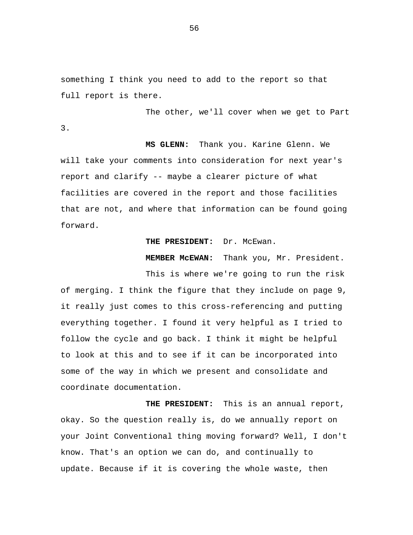something I think you need to add to the report so that full report is there.

3.

The other, we'll cover when we get to Part

 **MS GLENN:** Thank you. Karine Glenn. We will take your comments into consideration for next year's report and clarify -- maybe a clearer picture of what facilities are covered in the report and those facilities that are not, and where that information can be found going forward.

## THE PRESIDENT: Dr. McEwan.

 **MEMBER McEWAN:** Thank you, Mr. President.

This is where we're going to run the risk of merging. I think the figure that they include on page 9, it really just comes to this cross-referencing and putting everything together. I found it very helpful as I tried to follow the cycle and go back. I think it might be helpful to look at this and to see if it can be incorporated into some of the way in which we present and consolidate and coordinate documentation.

 **THE PRESIDENT:** This is an annual report, okay. So the question really is, do we annually report on your Joint Conventional thing moving forward? Well, I don't know. That's an option we can do, and continually to update. Because if it is covering the whole waste, then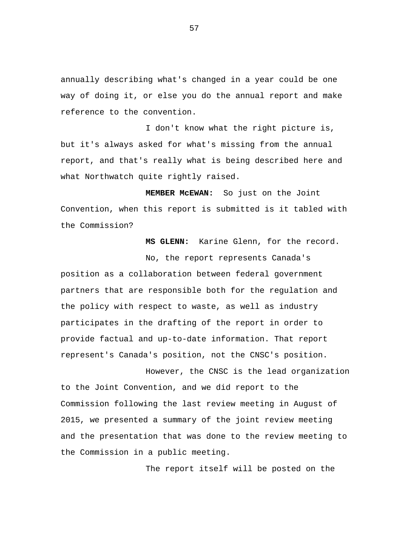annually describing what's changed in a year could be one way of doing it, or else you do the annual report and make reference to the convention.

I don't know what the right picture is, but it's always asked for what's missing from the annual report, and that's really what is being described here and what Northwatch quite rightly raised.

 **MEMBER McEWAN:** So just on the Joint Convention, when this report is submitted is it tabled with the Commission?

 **MS GLENN:** Karine Glenn, for the record.

No, the report represents Canada's position as a collaboration between federal government partners that are responsible both for the regulation and the policy with respect to waste, as well as industry participates in the drafting of the report in order to provide factual and up-to-date information. That report represent's Canada's position, not the CNSC's position.

However, the CNSC is the lead organization to the Joint Convention, and we did report to the Commission following the last review meeting in August of 2015, we presented a summary of the joint review meeting and the presentation that was done to the review meeting to the Commission in a public meeting.

The report itself will be posted on the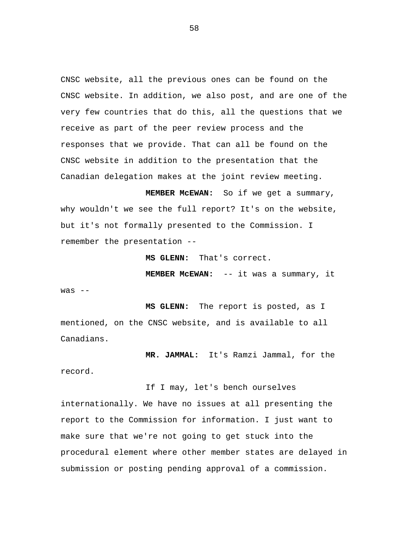CNSC website, all the previous ones can be found on the CNSC website. In addition, we also post, and are one of the very few countries that do this, all the questions that we receive as part of the peer review process and the responses that we provide. That can all be found on the CNSC website in addition to the presentation that the Canadian delegation makes at the joint review meeting.

 **MEMBER McEWAN:** So if we get a summary, why wouldn't we see the full report? It's on the website, but it's not formally presented to the Commission. I remember the presentation --

 **MS GLENN:** That's correct.

 **MEMBER McEWAN:** -- it was a summary, it

was --

record.

 **MS GLENN:** The report is posted, as I mentioned, on the CNSC website, and is available to all Canadians.

 **MR. JAMMAL:** It's Ramzi Jammal, for the

If I may, let's bench ourselves

internationally. We have no issues at all presenting the report to the Commission for information. I just want to make sure that we're not going to get stuck into the procedural element where other member states are delayed in submission or posting pending approval of a commission.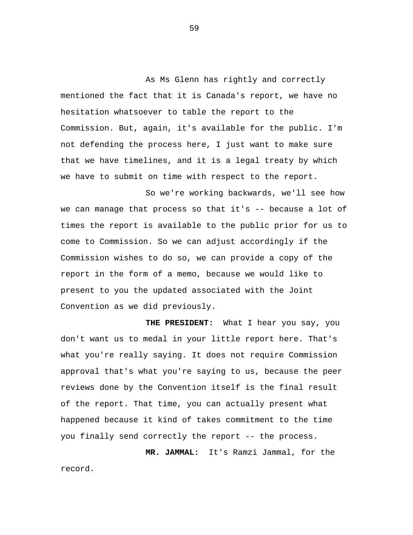As Ms Glenn has rightly and correctly mentioned the fact that it is Canada's report, we have no hesitation whatsoever to table the report to the Commission. But, again, it's available for the public. I'm not defending the process here, I just want to make sure that we have timelines, and it is a legal treaty by which we have to submit on time with respect to the report.

So we're working backwards, we'll see how we can manage that process so that it's -- because a lot of times the report is available to the public prior for us to come to Commission. So we can adjust accordingly if the Commission wishes to do so, we can provide a copy of the report in the form of a memo, because we would like to present to you the updated associated with the Joint Convention as we did previously.

 **THE PRESIDENT:** What I hear you say, you don't want us to medal in your little report here. That's what you're really saying. It does not require Commission approval that's what you're saying to us, because the peer reviews done by the Convention itself is the final result of the report. That time, you can actually present what happened because it kind of takes commitment to the time you finally send correctly the report -- the process.

 **MR. JAMMAL:** It's Ramzi Jammal, for the record.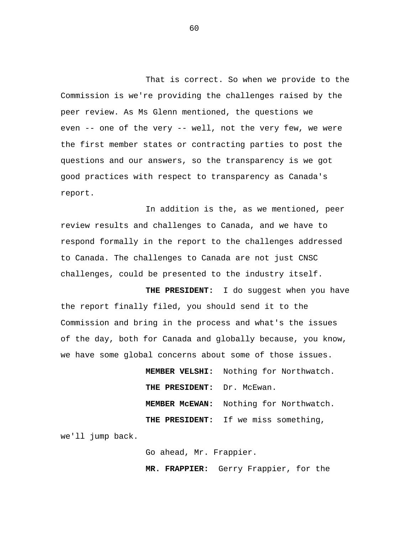That is correct. So when we provide to the Commission is we're providing the challenges raised by the peer review. As Ms Glenn mentioned, the questions we even -- one of the very -- well, not the very few, we were the first member states or contracting parties to post the questions and our answers, so the transparency is we got good practices with respect to transparency as Canada's report.

In addition is the, as we mentioned, peer review results and challenges to Canada, and we have to respond formally in the report to the challenges addressed to Canada. The challenges to Canada are not just CNSC challenges, could be presented to the industry itself.

 **THE PRESIDENT:** I do suggest when you have the report finally filed, you should send it to the Commission and bring in the process and what's the issues of the day, both for Canada and globally because, you know, we have some global concerns about some of those issues.

> **MEMBER VELSHI:** Nothing for Northwatch.  **THE PRESIDENT:** Dr. McEwan.  **MEMBER McEWAN:** Nothing for Northwatch.  **THE PRESIDENT:** If we miss something,

we'll jump back.

Go ahead, Mr. Frappier.

 **MR. FRAPPIER:** Gerry Frappier, for the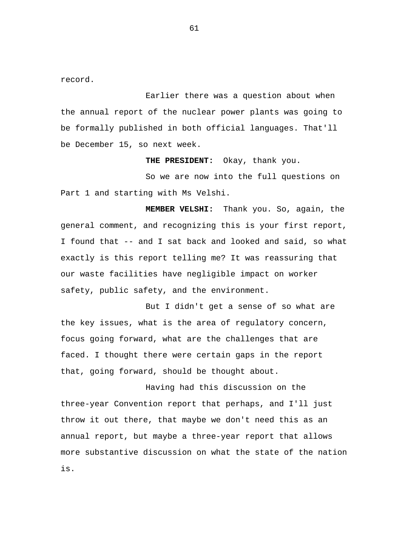record.

Earlier there was a question about when the annual report of the nuclear power plants was going to be formally published in both official languages. That'll be December 15, so next week.

 **THE PRESIDENT:** Okay, thank you.

So we are now into the full questions on Part 1 and starting with Ms Velshi.

 **MEMBER VELSHI:** Thank you. So, again, the general comment, and recognizing this is your first report, I found that -- and I sat back and looked and said, so what exactly is this report telling me? It was reassuring that our waste facilities have negligible impact on worker safety, public safety, and the environment.

But I didn't get a sense of so what are the key issues, what is the area of regulatory concern, focus going forward, what are the challenges that are faced. I thought there were certain gaps in the report that, going forward, should be thought about.

Having had this discussion on the three-year Convention report that perhaps, and I'll just throw it out there, that maybe we don't need this as an annual report, but maybe a three-year report that allows more substantive discussion on what the state of the nation is.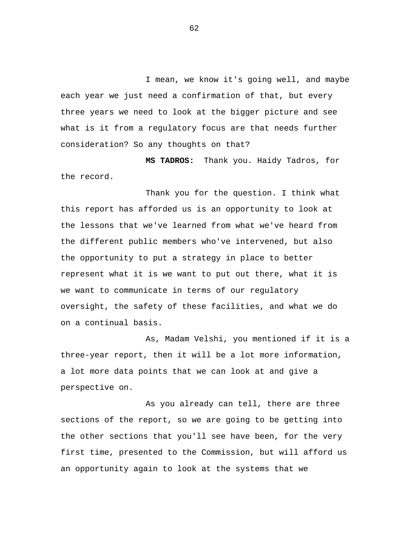I mean, we know it's going well, and maybe each year we just need a confirmation of that, but every three years we need to look at the bigger picture and see what is it from a regulatory focus are that needs further consideration? So any thoughts on that?

 **MS TADROS:** Thank you. Haidy Tadros, for the record.

Thank you for the question. I think what this report has afforded us is an opportunity to look at the lessons that we've learned from what we've heard from the different public members who've intervened, but also the opportunity to put a strategy in place to better represent what it is we want to put out there, what it is we want to communicate in terms of our regulatory oversight, the safety of these facilities, and what we do on a continual basis.

As, Madam Velshi, you mentioned if it is a three-year report, then it will be a lot more information, a lot more data points that we can look at and give a perspective on.

As you already can tell, there are three sections of the report, so we are going to be getting into the other sections that you'll see have been, for the very first time, presented to the Commission, but will afford us an opportunity again to look at the systems that we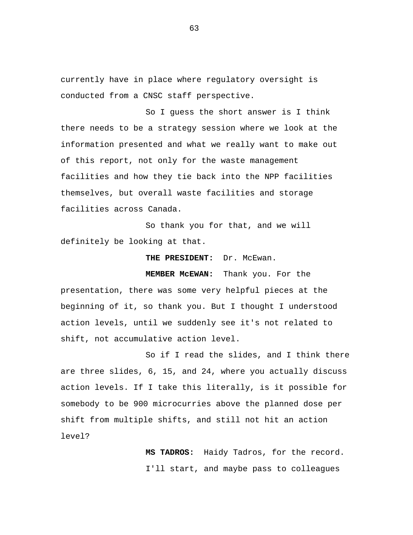currently have in place where regulatory oversight is conducted from a CNSC staff perspective.

So I guess the short answer is I think there needs to be a strategy session where we look at the information presented and what we really want to make out of this report, not only for the waste management facilities and how they tie back into the NPP facilities themselves, but overall waste facilities and storage facilities across Canada.

So thank you for that, and we will definitely be looking at that.

 **THE PRESIDENT:** Dr. McEwan.

 **MEMBER McEWAN:** Thank you. For the

presentation, there was some very helpful pieces at the beginning of it, so thank you. But I thought I understood action levels, until we suddenly see it's not related to shift, not accumulative action level.

So if I read the slides, and I think there are three slides, 6, 15, and 24, where you actually discuss action levels. If I take this literally, is it possible for somebody to be 900 microcurries above the planned dose per shift from multiple shifts, and still not hit an action level?

> **MS TADROS:** Haidy Tadros, for the record. I'll start, and maybe pass to colleagues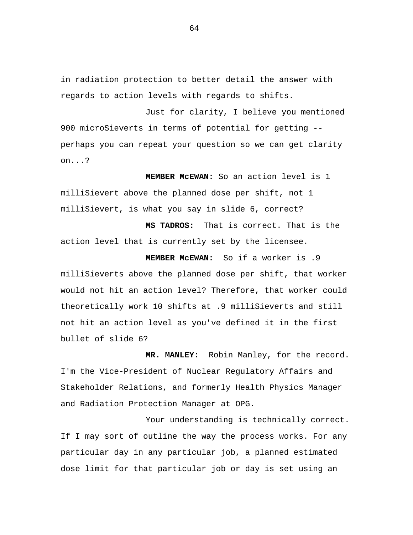in radiation protection to better detail the answer with regards to action levels with regards to shifts.

Just for clarity, I believe you mentioned 900 microSieverts in terms of potential for getting - perhaps you can repeat your question so we can get clarity on...?

 **MEMBER McEWAN:** So an action level is 1 milliSievert above the planned dose per shift, not 1 milliSievert, is what you say in slide 6, correct?

 **MS TADROS:** That is correct. That is the action level that is currently set by the licensee.

 **MEMBER McEWAN:** So if a worker is .9 milliSieverts above the planned dose per shift, that worker would not hit an action level? Therefore, that worker could theoretically work 10 shifts at .9 milliSieverts and still not hit an action level as you've defined it in the first bullet of slide 6?

 **MR. MANLEY:** Robin Manley, for the record. I'm the Vice-President of Nuclear Regulatory Affairs and Stakeholder Relations, and formerly Health Physics Manager and Radiation Protection Manager at OPG.

Your understanding is technically correct. If I may sort of outline the way the process works. For any particular day in any particular job, a planned estimated dose limit for that particular job or day is set using an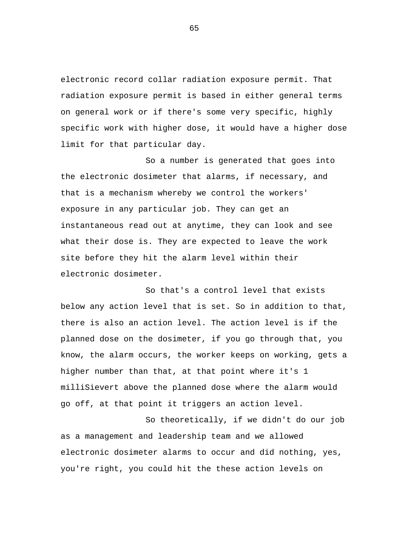electronic record collar radiation exposure permit. That radiation exposure permit is based in either general terms on general work or if there's some very specific, highly specific work with higher dose, it would have a higher dose limit for that particular day.

So a number is generated that goes into the electronic dosimeter that alarms, if necessary, and that is a mechanism whereby we control the workers' exposure in any particular job. They can get an instantaneous read out at anytime, they can look and see what their dose is. They are expected to leave the work site before they hit the alarm level within their electronic dosimeter.

So that's a control level that exists below any action level that is set. So in addition to that, there is also an action level. The action level is if the planned dose on the dosimeter, if you go through that, you know, the alarm occurs, the worker keeps on working, gets a higher number than that, at that point where it's 1 milliSievert above the planned dose where the alarm would go off, at that point it triggers an action level.

So theoretically, if we didn't do our job as a management and leadership team and we allowed electronic dosimeter alarms to occur and did nothing, yes, you're right, you could hit the these action levels on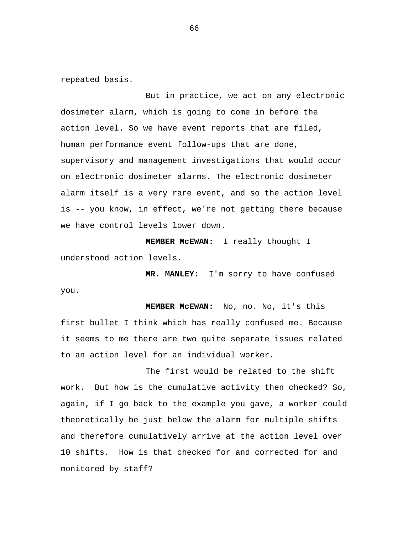repeated basis.

But in practice, we act on any electronic dosimeter alarm, which is going to come in before the action level. So we have event reports that are filed, human performance event follow-ups that are done, supervisory and management investigations that would occur on electronic dosimeter alarms. The electronic dosimeter alarm itself is a very rare event, and so the action level is -- you know, in effect, we're not getting there because we have control levels lower down.

 **MEMBER McEWAN:** I really thought I understood action levels.

 **MR. MANLEY:** I'm sorry to have confused you.

 **MEMBER McEWAN:** No, no. No, it's this first bullet I think which has really confused me. Because it seems to me there are two quite separate issues related to an action level for an individual worker.

The first would be related to the shift work. But how is the cumulative activity then checked? So, again, if I go back to the example you gave, a worker could theoretically be just below the alarm for multiple shifts and therefore cumulatively arrive at the action level over 10 shifts. How is that checked for and corrected for and monitored by staff?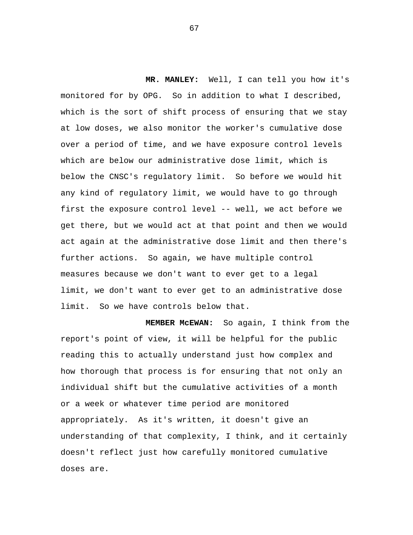**MR. MANLEY:** Well, I can tell you how it's monitored for by OPG. So in addition to what I described, which is the sort of shift process of ensuring that we stay at low doses, we also monitor the worker's cumulative dose over a period of time, and we have exposure control levels which are below our administrative dose limit, which is below the CNSC's regulatory limit. So before we would hit any kind of regulatory limit, we would have to go through first the exposure control level -- well, we act before we get there, but we would act at that point and then we would act again at the administrative dose limit and then there's further actions. So again, we have multiple control measures because we don't want to ever get to a legal limit, we don't want to ever get to an administrative dose limit. So we have controls below that.

**MEMBER McEWAN:** So again, I think from the report's point of view, it will be helpful for the public reading this to actually understand just how complex and how thorough that process is for ensuring that not only an individual shift but the cumulative activities of a month or a week or whatever time period are monitored appropriately. As it's written, it doesn't give an understanding of that complexity, I think, and it certainly doesn't reflect just how carefully monitored cumulative doses are.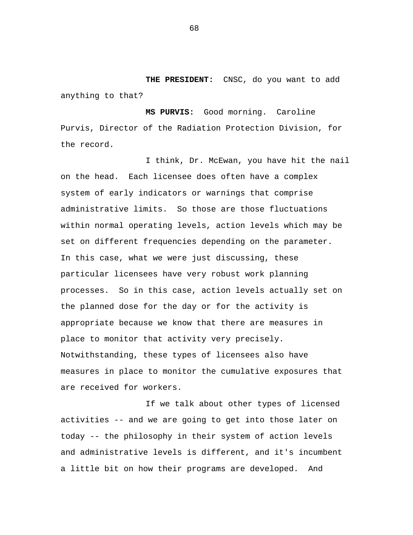**THE PRESIDENT:** CNSC, do you want to add anything to that?

**MS PURVIS:** Good morning. Caroline Purvis, Director of the Radiation Protection Division, for the record.

I think, Dr. McEwan, you have hit the nail on the head. Each licensee does often have a complex system of early indicators or warnings that comprise administrative limits. So those are those fluctuations within normal operating levels, action levels which may be set on different frequencies depending on the parameter. In this case, what we were just discussing, these particular licensees have very robust work planning processes. So in this case, action levels actually set on the planned dose for the day or for the activity is appropriate because we know that there are measures in place to monitor that activity very precisely. Notwithstanding, these types of licensees also have measures in place to monitor the cumulative exposures that are received for workers.

If we talk about other types of licensed activities -- and we are going to get into those later on today -- the philosophy in their system of action levels and administrative levels is different, and it's incumbent a little bit on how their programs are developed. And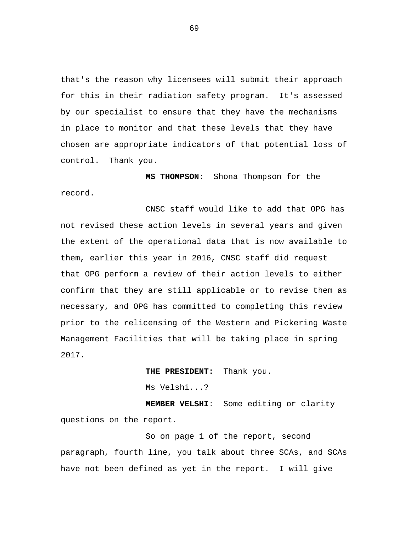that's the reason why licensees will submit their approach for this in their radiation safety program. It's assessed by our specialist to ensure that they have the mechanisms in place to monitor and that these levels that they have chosen are appropriate indicators of that potential loss of control. Thank you.

**MS THOMPSON:** Shona Thompson for the record.

CNSC staff would like to add that OPG has not revised these action levels in several years and given the extent of the operational data that is now available to them, earlier this year in 2016, CNSC staff did request that OPG perform a review of their action levels to either confirm that they are still applicable or to revise them as necessary, and OPG has committed to completing this review prior to the relicensing of the Western and Pickering Waste Management Facilities that will be taking place in spring 2017.

> **THE PRESIDENT:** Thank you. Ms Velshi...?

**MEMBER VELSHI**: Some editing or clarity questions on the report.

So on page 1 of the report, second paragraph, fourth line, you talk about three SCAs, and SCAs have not been defined as yet in the report. I will give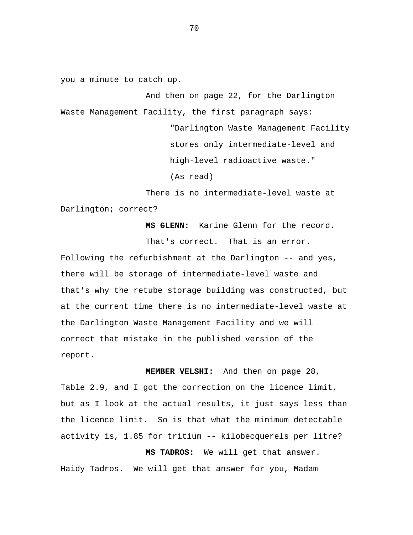you a minute to catch up.

And then on page 22, for the Darlington Waste Management Facility, the first paragraph says:

> "Darlington Waste Management Facility stores only intermediate-level and high-level radioactive waste."

(As read)

There is no intermediate-level waste at Darlington; correct?

> **MS GLENN:** Karine Glenn for the record. That's correct. That is an error.

Following the refurbishment at the Darlington -- and yes, there will be storage of intermediate-level waste and that's why the retube storage building was constructed, but at the current time there is no intermediate-level waste at the Darlington Waste Management Facility and we will correct that mistake in the published version of the report.

**MEMBER VELSHI:** And then on page 28, Table 2.9, and I got the correction on the licence limit, but as I look at the actual results, it just says less than the licence limit. So is that what the minimum detectable activity is, 1.85 for tritium -- kilobecquerels per litre?

**MS TADROS:** We will get that answer. Haidy Tadros. We will get that answer for you, Madam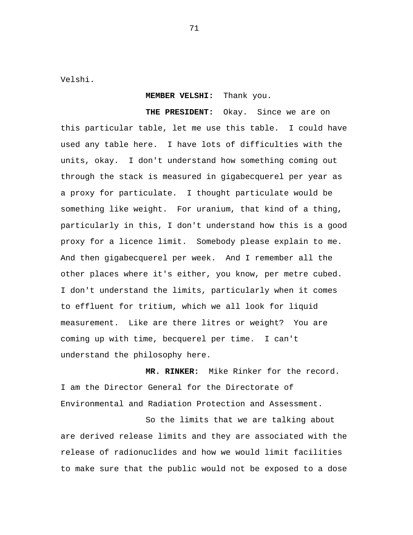Velshi.

## **MEMBER VELSHI:** Thank you.

**THE PRESIDENT:** Okay. Since we are on this particular table, let me use this table. I could have used any table here. I have lots of difficulties with the units, okay. I don't understand how something coming out through the stack is measured in gigabecquerel per year as a proxy for particulate. I thought particulate would be something like weight. For uranium, that kind of a thing, particularly in this, I don't understand how this is a good proxy for a licence limit. Somebody please explain to me. And then gigabecquerel per week. And I remember all the other places where it's either, you know, per metre cubed. I don't understand the limits, particularly when it comes to effluent for tritium, which we all look for liquid measurement. Like are there litres or weight? You are coming up with time, becquerel per time. I can't understand the philosophy here.

**MR. RINKER:** Mike Rinker for the record. I am the Director General for the Directorate of Environmental and Radiation Protection and Assessment.

So the limits that we are talking about are derived release limits and they are associated with the release of radionuclides and how we would limit facilities to make sure that the public would not be exposed to a dose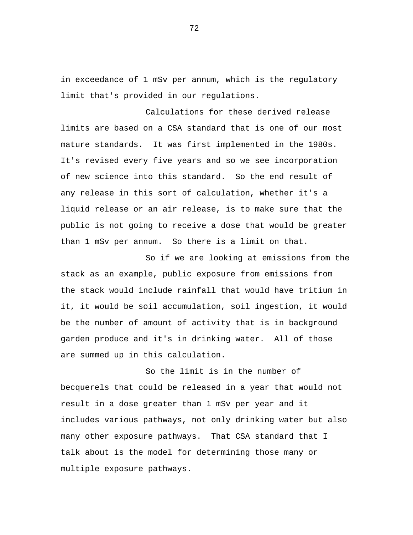in exceedance of 1 mSv per annum, which is the regulatory limit that's provided in our regulations.

Calculations for these derived release limits are based on a CSA standard that is one of our most mature standards. It was first implemented in the 1980s. It's revised every five years and so we see incorporation of new science into this standard. So the end result of any release in this sort of calculation, whether it's a liquid release or an air release, is to make sure that the public is not going to receive a dose that would be greater than 1 mSv per annum. So there is a limit on that.

So if we are looking at emissions from the stack as an example, public exposure from emissions from the stack would include rainfall that would have tritium in it, it would be soil accumulation, soil ingestion, it would be the number of amount of activity that is in background garden produce and it's in drinking water. All of those are summed up in this calculation.

So the limit is in the number of becquerels that could be released in a year that would not result in a dose greater than 1 mSv per year and it includes various pathways, not only drinking water but also many other exposure pathways. That CSA standard that I talk about is the model for determining those many or multiple exposure pathways.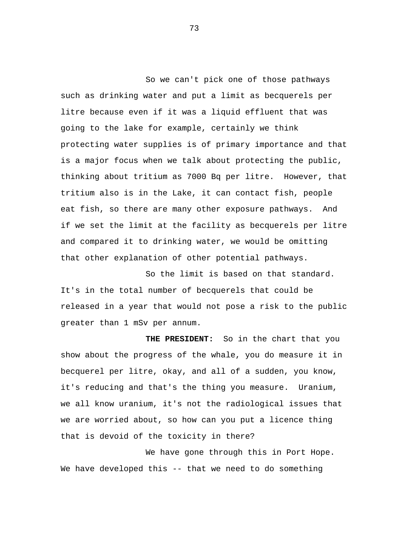So we can't pick one of those pathways such as drinking water and put a limit as becquerels per litre because even if it was a liquid effluent that was going to the lake for example, certainly we think protecting water supplies is of primary importance and that is a major focus when we talk about protecting the public, thinking about tritium as 7000 Bq per litre. However, that tritium also is in the Lake, it can contact fish, people eat fish, so there are many other exposure pathways. And if we set the limit at the facility as becquerels per litre and compared it to drinking water, we would be omitting that other explanation of other potential pathways.

So the limit is based on that standard. It's in the total number of becquerels that could be released in a year that would not pose a risk to the public greater than 1 mSv per annum.

**THE PRESIDENT:** So in the chart that you show about the progress of the whale, you do measure it in becquerel per litre, okay, and all of a sudden, you know, it's reducing and that's the thing you measure. Uranium, we all know uranium, it's not the radiological issues that we are worried about, so how can you put a licence thing that is devoid of the toxicity in there?

We have gone through this in Port Hope. We have developed this -- that we need to do something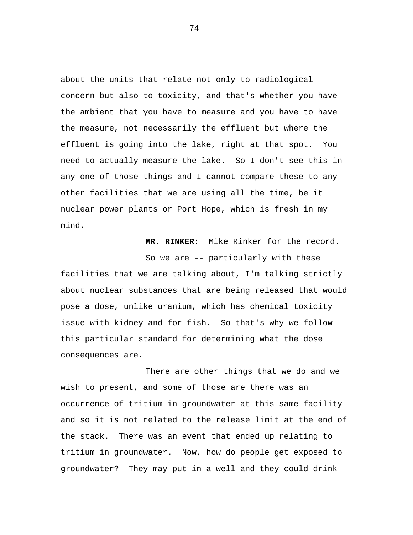about the units that relate not only to radiological concern but also to toxicity, and that's whether you have the ambient that you have to measure and you have to have the measure, not necessarily the effluent but where the effluent is going into the lake, right at that spot. You need to actually measure the lake. So I don't see this in any one of those things and I cannot compare these to any other facilities that we are using all the time, be it nuclear power plants or Port Hope, which is fresh in my mind.

**MR. RINKER:** Mike Rinker for the record.

So we are -- particularly with these facilities that we are talking about, I'm talking strictly about nuclear substances that are being released that would pose a dose, unlike uranium, which has chemical toxicity issue with kidney and for fish. So that's why we follow this particular standard for determining what the dose consequences are.

There are other things that we do and we wish to present, and some of those are there was an occurrence of tritium in groundwater at this same facility and so it is not related to the release limit at the end of the stack. There was an event that ended up relating to tritium in groundwater. Now, how do people get exposed to groundwater? They may put in a well and they could drink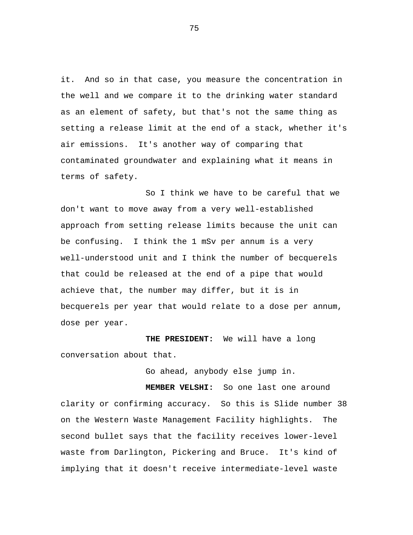it. And so in that case, you measure the concentration in the well and we compare it to the drinking water standard as an element of safety, but that's not the same thing as setting a release limit at the end of a stack, whether it's air emissions. It's another way of comparing that contaminated groundwater and explaining what it means in terms of safety.

So I think we have to be careful that we don't want to move away from a very well-established approach from setting release limits because the unit can be confusing. I think the 1 mSv per annum is a very well-understood unit and I think the number of becquerels that could be released at the end of a pipe that would achieve that, the number may differ, but it is in becquerels per year that would relate to a dose per annum, dose per year.

**THE PRESIDENT:** We will have a long conversation about that.

Go ahead, anybody else jump in.

**MEMBER VELSHI:** So one last one around clarity or confirming accuracy. So this is Slide number 38 on the Western Waste Management Facility highlights. The second bullet says that the facility receives lower-level waste from Darlington, Pickering and Bruce. It's kind of implying that it doesn't receive intermediate-level waste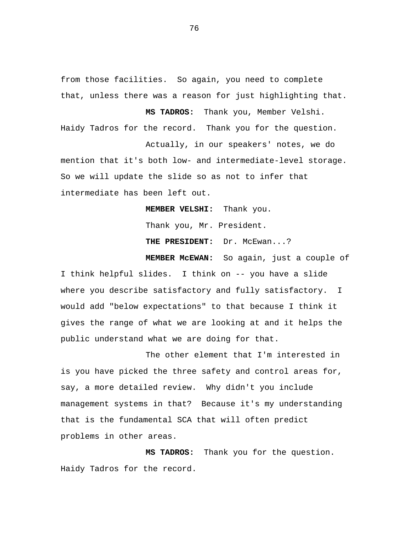from those facilities. So again, you need to complete that, unless there was a reason for just highlighting that.

**MS TADROS:** Thank you, Member Velshi. Haidy Tadros for the record. Thank you for the question. Actually, in our speakers' notes, we do

mention that it's both low- and intermediate-level storage. So we will update the slide so as not to infer that intermediate has been left out.

**MEMBER VELSHI:** Thank you.

Thank you, Mr. President.

THE PRESIDENT: Dr. McEwan...?

**MEMBER McEWAN:** So again, just a couple of I think helpful slides. I think on -- you have a slide where you describe satisfactory and fully satisfactory. I would add "below expectations" to that because I think it gives the range of what we are looking at and it helps the public understand what we are doing for that.

The other element that I'm interested in is you have picked the three safety and control areas for, say, a more detailed review. Why didn't you include management systems in that? Because it's my understanding that is the fundamental SCA that will often predict problems in other areas.

**MS TADROS:** Thank you for the question. Haidy Tadros for the record.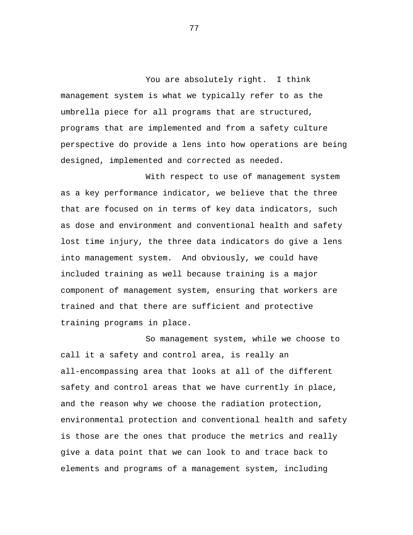You are absolutely right. I think management system is what we typically refer to as the umbrella piece for all programs that are structured, programs that are implemented and from a safety culture perspective do provide a lens into how operations are being designed, implemented and corrected as needed.

With respect to use of management system as a key performance indicator, we believe that the three that are focused on in terms of key data indicators, such as dose and environment and conventional health and safety lost time injury, the three data indicators do give a lens into management system. And obviously, we could have included training as well because training is a major component of management system, ensuring that workers are trained and that there are sufficient and protective training programs in place.

So management system, while we choose to call it a safety and control area, is really an all-encompassing area that looks at all of the different safety and control areas that we have currently in place, and the reason why we choose the radiation protection, environmental protection and conventional health and safety is those are the ones that produce the metrics and really give a data point that we can look to and trace back to elements and programs of a management system, including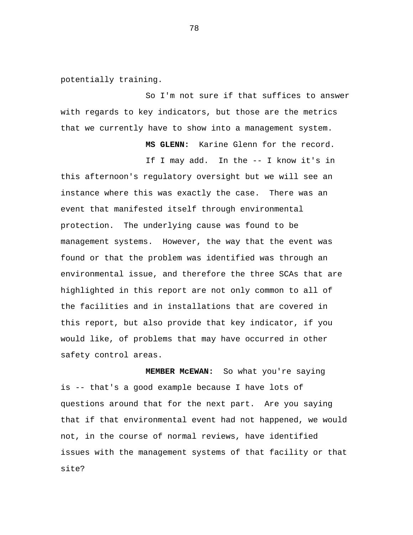potentially training.

So I'm not sure if that suffices to answer with regards to key indicators, but those are the metrics that we currently have to show into a management system.

**MS GLENN:** Karine Glenn for the record.

If I may add. In the -- I know it's in this afternoon's regulatory oversight but we will see an instance where this was exactly the case. There was an event that manifested itself through environmental protection. The underlying cause was found to be management systems. However, the way that the event was found or that the problem was identified was through an environmental issue, and therefore the three SCAs that are highlighted in this report are not only common to all of the facilities and in installations that are covered in this report, but also provide that key indicator, if you would like, of problems that may have occurred in other safety control areas.

**MEMBER McEWAN:** So what you're saying is -- that's a good example because I have lots of questions around that for the next part. Are you saying that if that environmental event had not happened, we would not, in the course of normal reviews, have identified issues with the management systems of that facility or that site?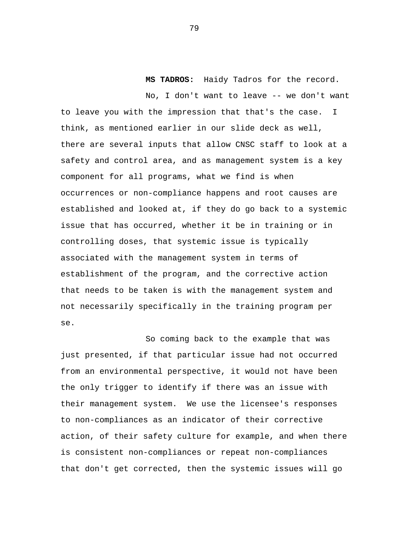**MS TADROS:** Haidy Tadros for the record.

No, I don't want to leave -- we don't want to leave you with the impression that that's the case. I think, as mentioned earlier in our slide deck as well, there are several inputs that allow CNSC staff to look at a safety and control area, and as management system is a key component for all programs, what we find is when occurrences or non-compliance happens and root causes are established and looked at, if they do go back to a systemic issue that has occurred, whether it be in training or in controlling doses, that systemic issue is typically associated with the management system in terms of establishment of the program, and the corrective action that needs to be taken is with the management system and not necessarily specifically in the training program per se.

So coming back to the example that was just presented, if that particular issue had not occurred from an environmental perspective, it would not have been the only trigger to identify if there was an issue with their management system. We use the licensee's responses to non-compliances as an indicator of their corrective action, of their safety culture for example, and when there is consistent non-compliances or repeat non-compliances that don't get corrected, then the systemic issues will go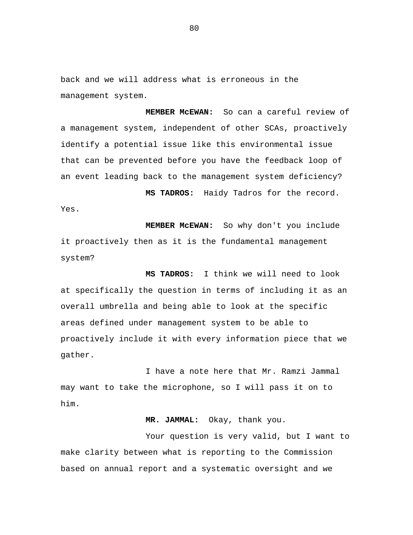back and we will address what is erroneous in the management system.

**MEMBER McEWAN:** So can a careful review of a management system, independent of other SCAs, proactively identify a potential issue like this environmental issue that can be prevented before you have the feedback loop of an event leading back to the management system deficiency?

**MS TADROS:** Haidy Tadros for the record. Yes.

**MEMBER McEWAN:** So why don't you include it proactively then as it is the fundamental management system?

**MS TADROS:** I think we will need to look at specifically the question in terms of including it as an overall umbrella and being able to look at the specific areas defined under management system to be able to proactively include it with every information piece that we gather.

I have a note here that Mr. Ramzi Jammal may want to take the microphone, so I will pass it on to him.

## **MR. JAMMAL:** Okay, thank you.

Your question is very valid, but I want to make clarity between what is reporting to the Commission based on annual report and a systematic oversight and we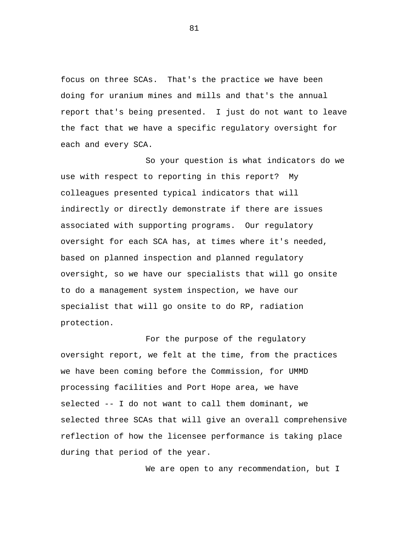focus on three SCAs. That's the practice we have been doing for uranium mines and mills and that's the annual report that's being presented. I just do not want to leave the fact that we have a specific regulatory oversight for each and every SCA.

So your question is what indicators do we use with respect to reporting in this report? My colleagues presented typical indicators that will indirectly or directly demonstrate if there are issues associated with supporting programs. Our regulatory oversight for each SCA has, at times where it's needed, based on planned inspection and planned regulatory oversight, so we have our specialists that will go onsite to do a management system inspection, we have our specialist that will go onsite to do RP, radiation protection.

For the purpose of the regulatory oversight report, we felt at the time, from the practices we have been coming before the Commission, for UMMD processing facilities and Port Hope area, we have selected -- I do not want to call them dominant, we selected three SCAs that will give an overall comprehensive reflection of how the licensee performance is taking place during that period of the year.

We are open to any recommendation, but I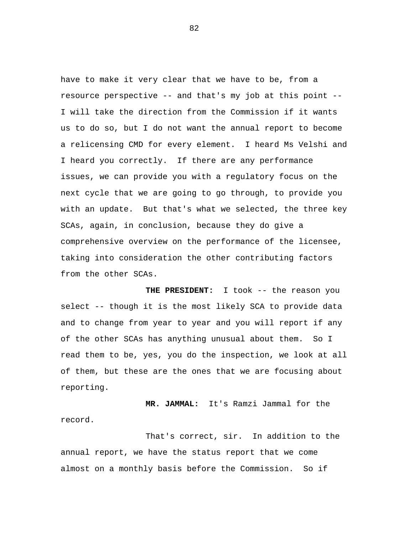have to make it very clear that we have to be, from a resource perspective -- and that's my job at this point -- I will take the direction from the Commission if it wants us to do so, but I do not want the annual report to become a relicensing CMD for every element. I heard Ms Velshi and I heard you correctly. If there are any performance issues, we can provide you with a regulatory focus on the next cycle that we are going to go through, to provide you with an update. But that's what we selected, the three key SCAs, again, in conclusion, because they do give a comprehensive overview on the performance of the licensee, taking into consideration the other contributing factors from the other SCAs.

**THE PRESIDENT:** I took -- the reason you select -- though it is the most likely SCA to provide data and to change from year to year and you will report if any of the other SCAs has anything unusual about them. So I read them to be, yes, you do the inspection, we look at all of them, but these are the ones that we are focusing about reporting.

**MR. JAMMAL:** It's Ramzi Jammal for the record.

That's correct, sir. In addition to the annual report, we have the status report that we come almost on a monthly basis before the Commission. So if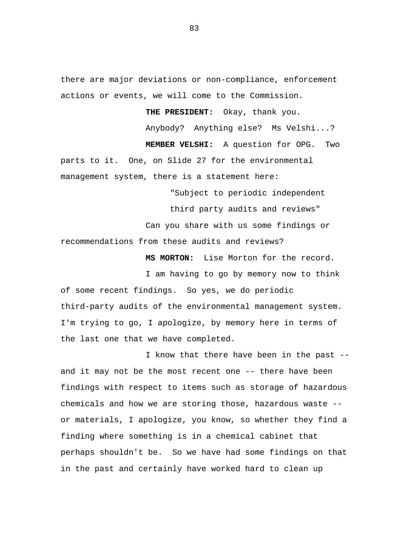there are major deviations or non-compliance, enforcement actions or events, we will come to the Commission.

**THE PRESIDENT:** Okay, thank you.

Anybody? Anything else? Ms Velshi...?

**MEMBER VELSHI:** A question for OPG. Two parts to it. One, on Slide 27 for the environmental management system, there is a statement here:

> "Subject to periodic independent third party audits and reviews"

Can you share with us some findings or

recommendations from these audits and reviews?

**MS MORTON:** Lise Morton for the record.

I am having to go by memory now to think of some recent findings. So yes, we do periodic third-party audits of the environmental management system. I'm trying to go, I apologize, by memory here in terms of the last one that we have completed.

I know that there have been in the past - and it may not be the most recent one -- there have been findings with respect to items such as storage of hazardous chemicals and how we are storing those, hazardous waste - or materials, I apologize, you know, so whether they find a finding where something is in a chemical cabinet that perhaps shouldn't be. So we have had some findings on that in the past and certainly have worked hard to clean up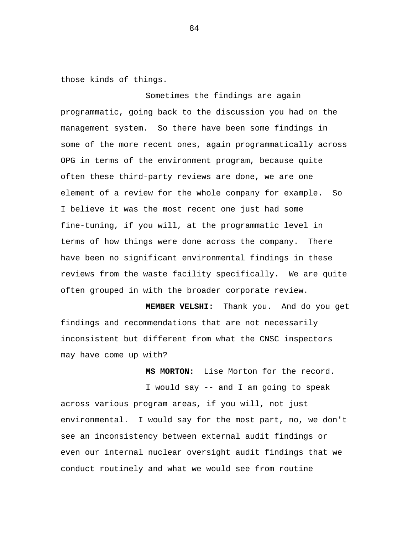those kinds of things.

Sometimes the findings are again programmatic, going back to the discussion you had on the management system. So there have been some findings in some of the more recent ones, again programmatically across OPG in terms of the environment program, because quite often these third-party reviews are done, we are one element of a review for the whole company for example. So I believe it was the most recent one just had some fine-tuning, if you will, at the programmatic level in terms of how things were done across the company. There have been no significant environmental findings in these reviews from the waste facility specifically. We are quite often grouped in with the broader corporate review.

**MEMBER VELSHI:** Thank you. And do you get findings and recommendations that are not necessarily inconsistent but different from what the CNSC inspectors may have come up with?

**MS MORTON:** Lise Morton for the record.

I would say -- and I am going to speak across various program areas, if you will, not just environmental. I would say for the most part, no, we don't see an inconsistency between external audit findings or even our internal nuclear oversight audit findings that we conduct routinely and what we would see from routine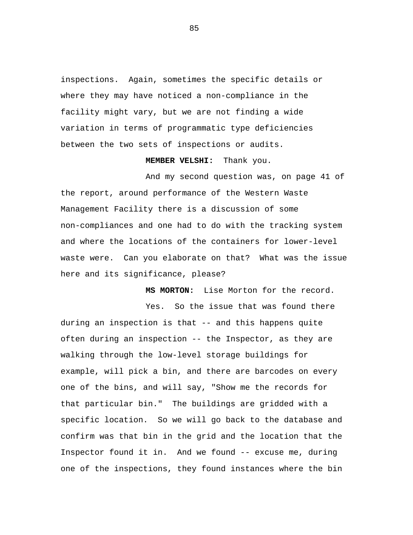inspections. Again, sometimes the specific details or where they may have noticed a non-compliance in the facility might vary, but we are not finding a wide variation in terms of programmatic type deficiencies between the two sets of inspections or audits.

**MEMBER VELSHI:** Thank you.

And my second question was, on page 41 of the report, around performance of the Western Waste Management Facility there is a discussion of some non-compliances and one had to do with the tracking system and where the locations of the containers for lower-level waste were. Can you elaborate on that? What was the issue here and its significance, please?

**MS MORTON:** Lise Morton for the record.

Yes. So the issue that was found there during an inspection is that -- and this happens quite often during an inspection -- the Inspector, as they are walking through the low-level storage buildings for example, will pick a bin, and there are barcodes on every one of the bins, and will say, "Show me the records for that particular bin." The buildings are gridded with a specific location. So we will go back to the database and confirm was that bin in the grid and the location that the Inspector found it in. And we found -- excuse me, during one of the inspections, they found instances where the bin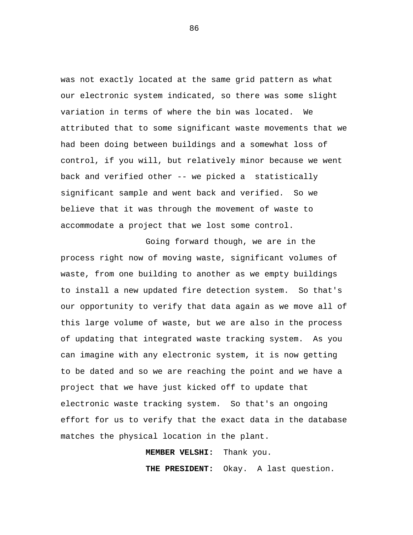was not exactly located at the same grid pattern as what our electronic system indicated, so there was some slight variation in terms of where the bin was located. We attributed that to some significant waste movements that we had been doing between buildings and a somewhat loss of control, if you will, but relatively minor because we went back and verified other -- we picked a statistically significant sample and went back and verified. So we believe that it was through the movement of waste to accommodate a project that we lost some control.

Going forward though, we are in the process right now of moving waste, significant volumes of waste, from one building to another as we empty buildings to install a new updated fire detection system. So that's our opportunity to verify that data again as we move all of this large volume of waste, but we are also in the process of updating that integrated waste tracking system. As you can imagine with any electronic system, it is now getting to be dated and so we are reaching the point and we have a project that we have just kicked off to update that electronic waste tracking system. So that's an ongoing effort for us to verify that the exact data in the database matches the physical location in the plant.

**MEMBER VELSHI:** Thank you.

**THE PRESIDENT:** Okay. A last question.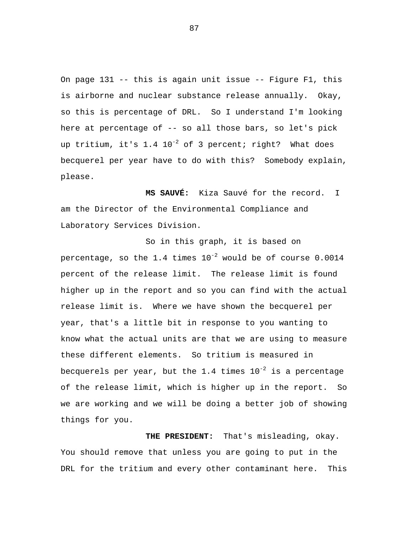On page 131 -- this is again unit issue -- Figure F1, this is airborne and nuclear substance release annually. Okay, so this is percentage of DRL. So I understand I'm looking here at percentage of -- so all those bars, so let's pick up tritium, it's  $1.4 \ 10^{-2}$  of 3 percent; right? What does becquerel per year have to do with this? Somebody explain, please.

**MS SAUVÉ:** Kiza Sauvé for the record. I am the Director of the Environmental Compliance and Laboratory Services Division.

So in this graph, it is based on percentage, so the 1.4 times  $10^{-2}$  would be of course 0.0014 percent of the release limit. The release limit is found higher up in the report and so you can find with the actual release limit is. Where we have shown the becquerel per year, that's a little bit in response to you wanting to know what the actual units are that we are using to measure these different elements. So tritium is measured in becquerels per year, but the 1.4 times  $10^{-2}$  is a percentage of the release limit, which is higher up in the report. So we are working and we will be doing a better job of showing things for you.

**THE PRESIDENT:** That's misleading, okay. You should remove that unless you are going to put in the DRL for the tritium and every other contaminant here. This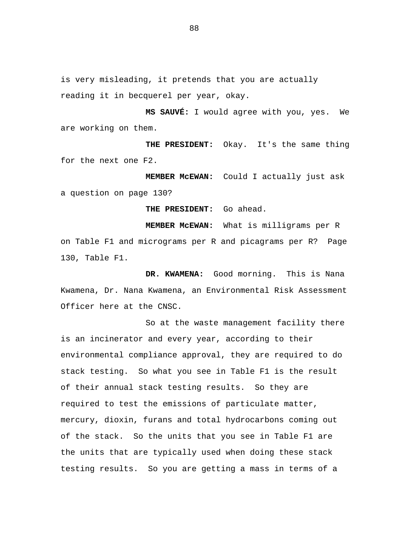is very misleading, it pretends that you are actually reading it in becquerel per year, okay.

**MS SAUVÉ:** I would agree with you, yes. We are working on them.

**THE PRESIDENT:** Okay. It's the same thing for the next one F2.

**MEMBER McEWAN:** Could I actually just ask a question on page 130?

**THE PRESIDENT:** Go ahead.

**MEMBER McEWAN:** What is milligrams per R on Table F1 and micrograms per R and picagrams per R? Page 130, Table F1.

**DR. KWAMENA:** Good morning. This is Nana Kwamena, Dr. Nana Kwamena, an Environmental Risk Assessment Officer here at the CNSC.

So at the waste management facility there is an incinerator and every year, according to their environmental compliance approval, they are required to do stack testing. So what you see in Table F1 is the result of their annual stack testing results. So they are required to test the emissions of particulate matter, mercury, dioxin, furans and total hydrocarbons coming out of the stack. So the units that you see in Table F1 are the units that are typically used when doing these stack testing results. So you are getting a mass in terms of a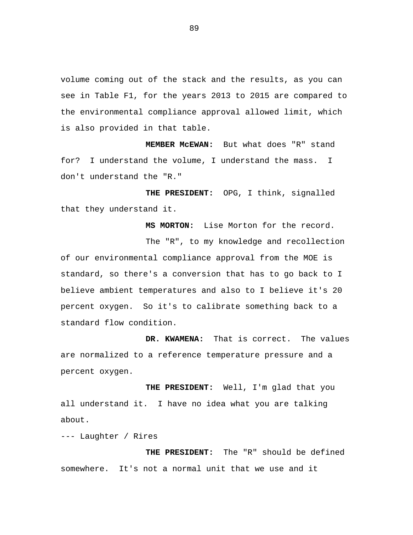volume coming out of the stack and the results, as you can see in Table F1, for the years 2013 to 2015 are compared to the environmental compliance approval allowed limit, which is also provided in that table.

**MEMBER McEWAN:** But what does "R" stand for? I understand the volume, I understand the mass. I don't understand the "R."

**THE PRESIDENT:** OPG, I think, signalled that they understand it.

**MS MORTON:** Lise Morton for the record. The "R", to my knowledge and recollection of our environmental compliance approval from the MOE is standard, so there's a conversion that has to go back to I believe ambient temperatures and also to I believe it's 20 percent oxygen. So it's to calibrate something back to a standard flow condition.

**DR. KWAMENA:** That is correct. The values are normalized to a reference temperature pressure and a percent oxygen.

**THE PRESIDENT:** Well, I'm glad that you all understand it. I have no idea what you are talking about.

--- Laughter / Rires

**THE PRESIDENT:** The "R" should be defined somewhere. It's not a normal unit that we use and it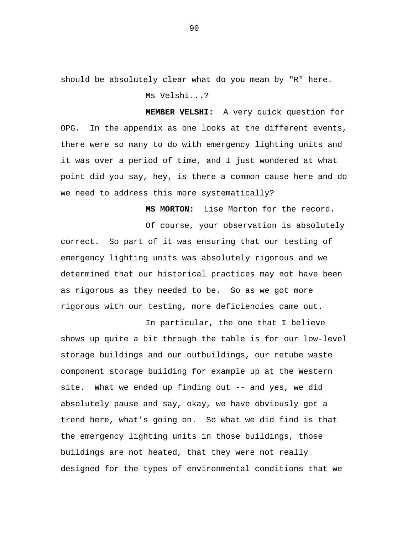should be absolutely clear what do you mean by "R" here. Ms Velshi...?

**MEMBER VELSHI:** A very quick question for OPG. In the appendix as one looks at the different events, there were so many to do with emergency lighting units and it was over a period of time, and I just wondered at what point did you say, hey, is there a common cause here and do we need to address this more systematically?

**MS MORTON:** Lise Morton for the record.

Of course, your observation is absolutely correct. So part of it was ensuring that our testing of emergency lighting units was absolutely rigorous and we determined that our historical practices may not have been as rigorous as they needed to be. So as we got more rigorous with our testing, more deficiencies came out.

In particular, the one that I believe shows up quite a bit through the table is for our low-level storage buildings and our outbuildings, our retube waste component storage building for example up at the Western site. What we ended up finding out -- and yes, we did absolutely pause and say, okay, we have obviously got a trend here, what's going on. So what we did find is that the emergency lighting units in those buildings, those buildings are not heated, that they were not really designed for the types of environmental conditions that we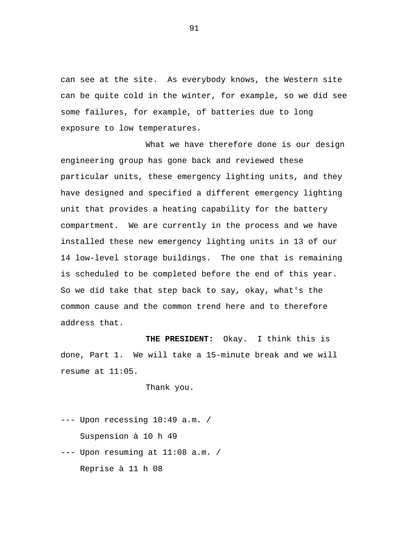can see at the site. As everybody knows, the Western site can be quite cold in the winter, for example, so we did see some failures, for example, of batteries due to long exposure to low temperatures.

What we have therefore done is our design engineering group has gone back and reviewed these particular units, these emergency lighting units, and they have designed and specified a different emergency lighting unit that provides a heating capability for the battery compartment. We are currently in the process and we have installed these new emergency lighting units in 13 of our 14 low-level storage buildings. The one that is remaining is scheduled to be completed before the end of this year. So we did take that step back to say, okay, what's the common cause and the common trend here and to therefore address that.

**THE PRESIDENT:** Okay. I think this is done, Part 1. We will take a 15-minute break and we will resume at 11:05.

Thank you.

--- Upon recessing 10:49 a.m. / Suspension à 10 h 49 --- Upon resuming at 11:08 a.m. / Reprise à 11 h 08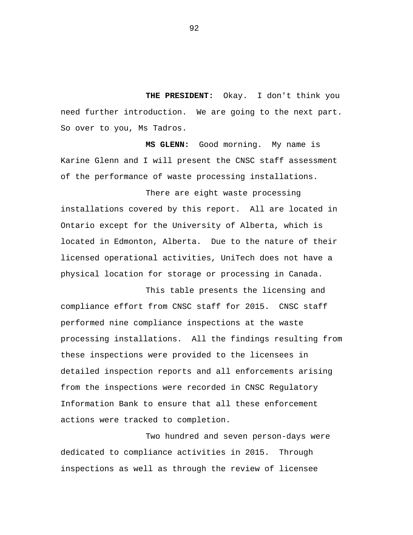**THE PRESIDENT:** Okay. I don't think you need further introduction. We are going to the next part. So over to you, Ms Tadros.

**MS GLENN:** Good morning. My name is Karine Glenn and I will present the CNSC staff assessment of the performance of waste processing installations.

There are eight waste processing installations covered by this report. All are located in Ontario except for the University of Alberta, which is located in Edmonton, Alberta. Due to the nature of their licensed operational activities, UniTech does not have a physical location for storage or processing in Canada.

This table presents the licensing and compliance effort from CNSC staff for 2015. CNSC staff performed nine compliance inspections at the waste processing installations. All the findings resulting from these inspections were provided to the licensees in detailed inspection reports and all enforcements arising from the inspections were recorded in CNSC Regulatory Information Bank to ensure that all these enforcement actions were tracked to completion.

Two hundred and seven person-days were dedicated to compliance activities in 2015. Through inspections as well as through the review of licensee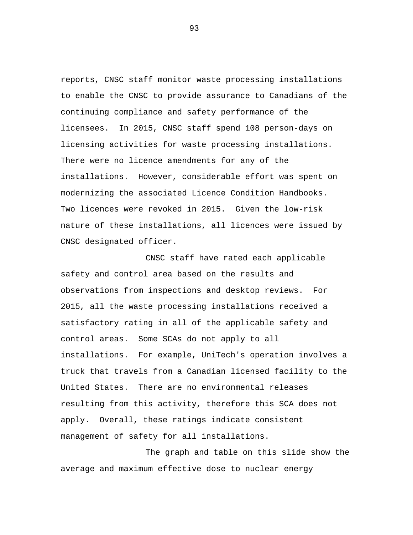reports, CNSC staff monitor waste processing installations to enable the CNSC to provide assurance to Canadians of the continuing compliance and safety performance of the licensees. In 2015, CNSC staff spend 108 person-days on licensing activities for waste processing installations. There were no licence amendments for any of the installations. However, considerable effort was spent on modernizing the associated Licence Condition Handbooks. Two licences were revoked in 2015. Given the low-risk nature of these installations, all licences were issued by CNSC designated officer.

CNSC staff have rated each applicable safety and control area based on the results and observations from inspections and desktop reviews. For 2015, all the waste processing installations received a satisfactory rating in all of the applicable safety and control areas. Some SCAs do not apply to all installations. For example, UniTech's operation involves a truck that travels from a Canadian licensed facility to the United States. There are no environmental releases resulting from this activity, therefore this SCA does not apply. Overall, these ratings indicate consistent management of safety for all installations.

The graph and table on this slide show the average and maximum effective dose to nuclear energy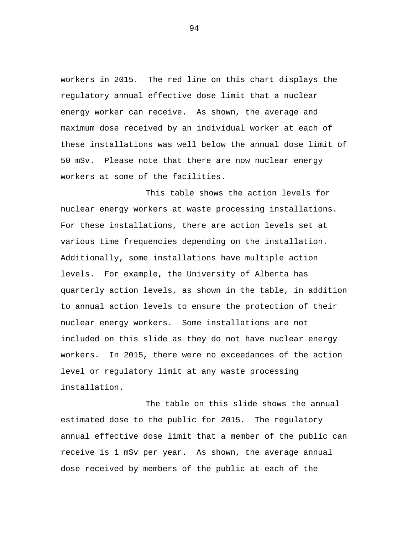workers in 2015. The red line on this chart displays the regulatory annual effective dose limit that a nuclear energy worker can receive. As shown, the average and maximum dose received by an individual worker at each of these installations was well below the annual dose limit of 50 mSv. Please note that there are now nuclear energy workers at some of the facilities.

This table shows the action levels for nuclear energy workers at waste processing installations. For these installations, there are action levels set at various time frequencies depending on the installation. Additionally, some installations have multiple action levels. For example, the University of Alberta has quarterly action levels, as shown in the table, in addition to annual action levels to ensure the protection of their nuclear energy workers. Some installations are not included on this slide as they do not have nuclear energy workers. In 2015, there were no exceedances of the action level or regulatory limit at any waste processing installation.

The table on this slide shows the annual estimated dose to the public for 2015. The regulatory annual effective dose limit that a member of the public can receive is 1 mSv per year. As shown, the average annual dose received by members of the public at each of the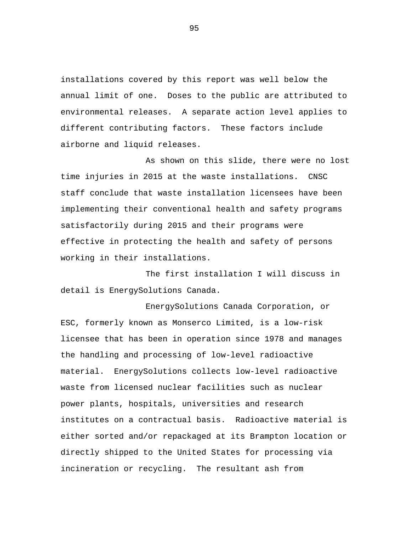installations covered by this report was well below the annual limit of one. Doses to the public are attributed to environmental releases. A separate action level applies to different contributing factors. These factors include airborne and liquid releases.

As shown on this slide, there were no lost time injuries in 2015 at the waste installations. CNSC staff conclude that waste installation licensees have been implementing their conventional health and safety programs satisfactorily during 2015 and their programs were effective in protecting the health and safety of persons working in their installations.

The first installation I will discuss in detail is EnergySolutions Canada.

EnergySolutions Canada Corporation, or ESC, formerly known as Monserco Limited, is a low-risk licensee that has been in operation since 1978 and manages the handling and processing of low-level radioactive material. EnergySolutions collects low-level radioactive waste from licensed nuclear facilities such as nuclear power plants, hospitals, universities and research institutes on a contractual basis. Radioactive material is either sorted and/or repackaged at its Brampton location or directly shipped to the United States for processing via incineration or recycling. The resultant ash from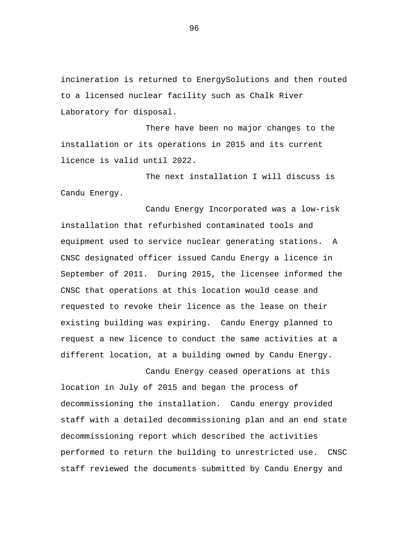incineration is returned to EnergySolutions and then routed to a licensed nuclear facility such as Chalk River Laboratory for disposal.

There have been no major changes to the installation or its operations in 2015 and its current licence is valid until 2022.

The next installation I will discuss is Candu Energy.

Candu Energy Incorporated was a low-risk installation that refurbished contaminated tools and equipment used to service nuclear generating stations. A CNSC designated officer issued Candu Energy a licence in September of 2011. During 2015, the licensee informed the CNSC that operations at this location would cease and requested to revoke their licence as the lease on their existing building was expiring. Candu Energy planned to request a new licence to conduct the same activities at a different location, at a building owned by Candu Energy.

location in July of 2015 and began the process of decommissioning the installation. Candu energy provided staff with a detailed decommissioning plan and an end state decommissioning report which described the activities performed to return the building to unrestricted use. CNSC staff reviewed the documents submitted by Candu Energy and

Candu Energy ceased operations at this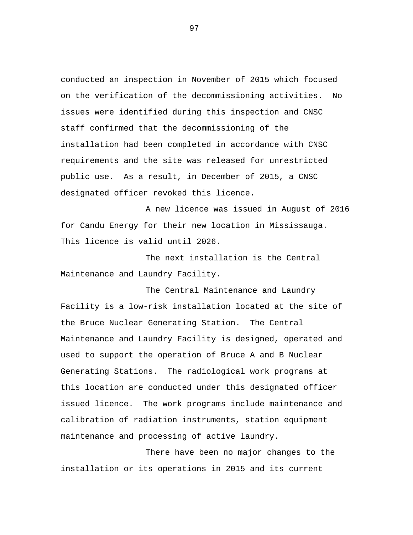conducted an inspection in November of 2015 which focused on the verification of the decommissioning activities. No issues were identified during this inspection and CNSC staff confirmed that the decommissioning of the installation had been completed in accordance with CNSC requirements and the site was released for unrestricted public use. As a result, in December of 2015, a CNSC designated officer revoked this licence.

A new licence was issued in August of 2016 for Candu Energy for their new location in Mississauga. This licence is valid until 2026.

The next installation is the Central Maintenance and Laundry Facility.

The Central Maintenance and Laundry Facility is a low-risk installation located at the site of the Bruce Nuclear Generating Station. The Central Maintenance and Laundry Facility is designed, operated and used to support the operation of Bruce A and B Nuclear Generating Stations. The radiological work programs at this location are conducted under this designated officer issued licence. The work programs include maintenance and calibration of radiation instruments, station equipment maintenance and processing of active laundry.

There have been no major changes to the installation or its operations in 2015 and its current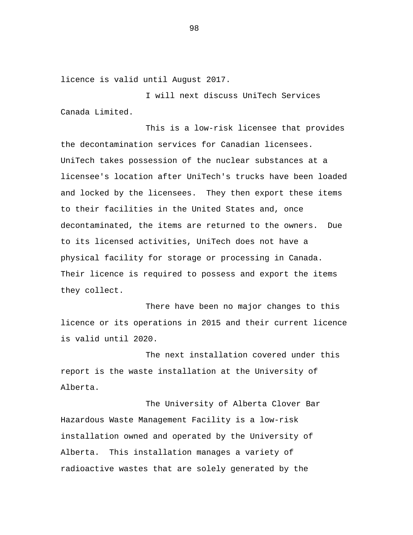licence is valid until August 2017.

I will next discuss UniTech Services Canada Limited.

This is a low-risk licensee that provides the decontamination services for Canadian licensees. UniTech takes possession of the nuclear substances at a licensee's location after UniTech's trucks have been loaded and locked by the licensees. They then export these items to their facilities in the United States and, once decontaminated, the items are returned to the owners. Due to its licensed activities, UniTech does not have a physical facility for storage or processing in Canada. Their licence is required to possess and export the items they collect.

There have been no major changes to this licence or its operations in 2015 and their current licence is valid until 2020.

The next installation covered under this report is the waste installation at the University of Alberta.

The University of Alberta Clover Bar Hazardous Waste Management Facility is a low-risk installation owned and operated by the University of Alberta. This installation manages a variety of radioactive wastes that are solely generated by the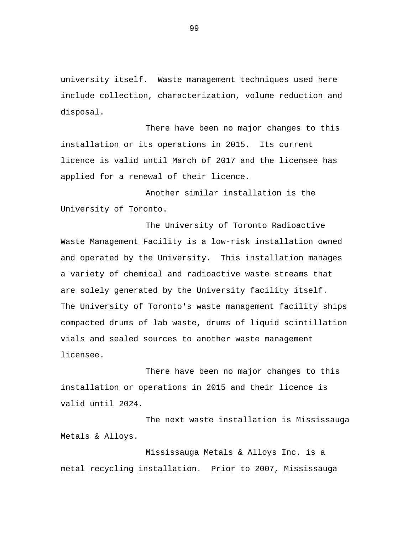university itself. Waste management techniques used here include collection, characterization, volume reduction and disposal.

There have been no major changes to this installation or its operations in 2015. Its current licence is valid until March of 2017 and the licensee has applied for a renewal of their licence.

Another similar installation is the University of Toronto.

The University of Toronto Radioactive Waste Management Facility is a low-risk installation owned and operated by the University. This installation manages a variety of chemical and radioactive waste streams that are solely generated by the University facility itself. The University of Toronto's waste management facility ships compacted drums of lab waste, drums of liquid scintillation vials and sealed sources to another waste management licensee.

There have been no major changes to this installation or operations in 2015 and their licence is valid until 2024.

The next waste installation is Mississauga Metals & Alloys.

Mississauga Metals & Alloys Inc. is a metal recycling installation. Prior to 2007, Mississauga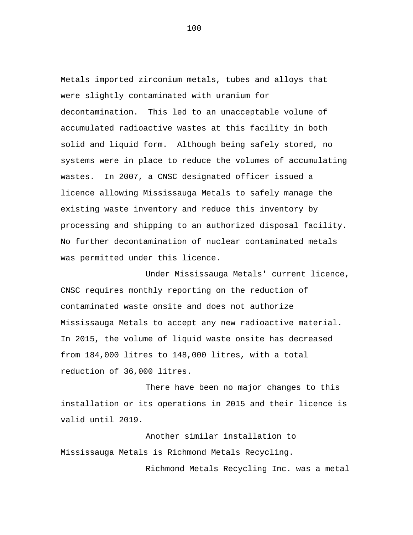Metals imported zirconium metals, tubes and alloys that were slightly contaminated with uranium for decontamination. This led to an unacceptable volume of accumulated radioactive wastes at this facility in both solid and liquid form. Although being safely stored, no systems were in place to reduce the volumes of accumulating wastes. In 2007, a CNSC designated officer issued a licence allowing Mississauga Metals to safely manage the existing waste inventory and reduce this inventory by processing and shipping to an authorized disposal facility. No further decontamination of nuclear contaminated metals was permitted under this licence.

Under Mississauga Metals' current licence, CNSC requires monthly reporting on the reduction of contaminated waste onsite and does not authorize Mississauga Metals to accept any new radioactive material. In 2015, the volume of liquid waste onsite has decreased from 184,000 litres to 148,000 litres, with a total reduction of 36,000 litres.

There have been no major changes to this installation or its operations in 2015 and their licence is valid until 2019.

Another similar installation to Mississauga Metals is Richmond Metals Recycling.

Richmond Metals Recycling Inc. was a metal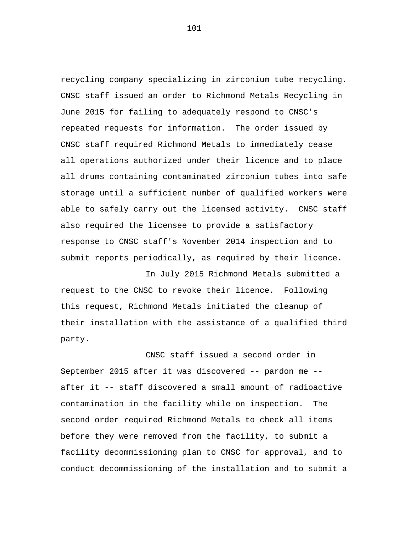recycling company specializing in zirconium tube recycling. CNSC staff issued an order to Richmond Metals Recycling in June 2015 for failing to adequately respond to CNSC's repeated requests for information. The order issued by CNSC staff required Richmond Metals to immediately cease all operations authorized under their licence and to place all drums containing contaminated zirconium tubes into safe storage until a sufficient number of qualified workers were able to safely carry out the licensed activity. CNSC staff also required the licensee to provide a satisfactory response to CNSC staff's November 2014 inspection and to submit reports periodically, as required by their licence.

In July 2015 Richmond Metals submitted a request to the CNSC to revoke their licence. Following this request, Richmond Metals initiated the cleanup of their installation with the assistance of a qualified third party.

CNSC staff issued a second order in September 2015 after it was discovered -- pardon me - after it -- staff discovered a small amount of radioactive contamination in the facility while on inspection. The second order required Richmond Metals to check all items before they were removed from the facility, to submit a facility decommissioning plan to CNSC for approval, and to conduct decommissioning of the installation and to submit a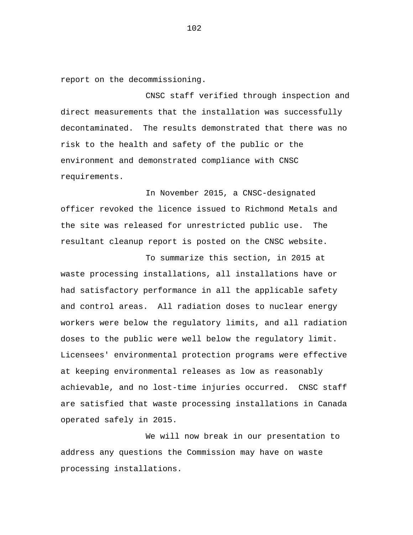report on the decommissioning.

CNSC staff verified through inspection and direct measurements that the installation was successfully decontaminated. The results demonstrated that there was no risk to the health and safety of the public or the environment and demonstrated compliance with CNSC requirements.

In November 2015, a CNSC-designated officer revoked the licence issued to Richmond Metals and the site was released for unrestricted public use. The resultant cleanup report is posted on the CNSC website.

To summarize this section, in 2015 at waste processing installations, all installations have or had satisfactory performance in all the applicable safety and control areas. All radiation doses to nuclear energy workers were below the regulatory limits, and all radiation doses to the public were well below the regulatory limit. Licensees' environmental protection programs were effective at keeping environmental releases as low as reasonably achievable, and no lost-time injuries occurred. CNSC staff are satisfied that waste processing installations in Canada operated safely in 2015.

We will now break in our presentation to address any questions the Commission may have on waste processing installations.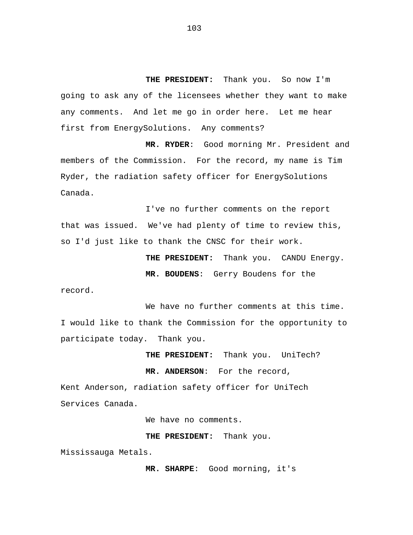**THE PRESIDENT:** Thank you. So now I'm going to ask any of the licensees whether they want to make any comments. And let me go in order here. Let me hear first from EnergySolutions. Any comments?

**MR. RYDER**: Good morning Mr. President and members of the Commission. For the record, my name is Tim Ryder, the radiation safety officer for EnergySolutions Canada.

I've no further comments on the report that was issued. We've had plenty of time to review this, so I'd just like to thank the CNSC for their work.

> **THE PRESIDENT:** Thank you. CANDU Energy. **MR. BOUDENS**: Gerry Boudens for the

record.

We have no further comments at this time. I would like to thank the Commission for the opportunity to participate today. Thank you.

> **THE PRESIDENT:** Thank you. UniTech? **MR. ANDERSON**: For the record,

Kent Anderson, radiation safety officer for UniTech Services Canada.

We have no comments.

**THE PRESIDENT:** Thank you.

Mississauga Metals.

**MR. SHARPE**: Good morning, it's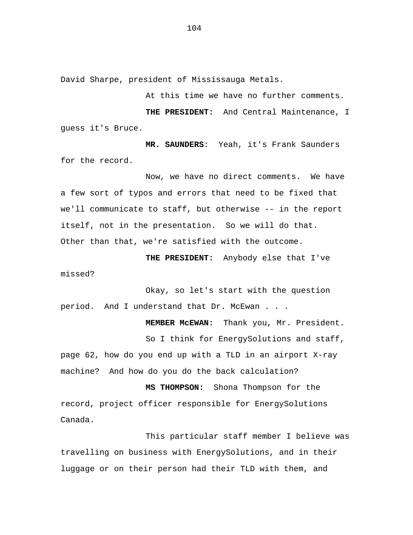David Sharpe, president of Mississauga Metals.

At this time we have no further comments.

**THE PRESIDENT:** And Central Maintenance, I guess it's Bruce.

**MR. SAUNDERS**: Yeah, it's Frank Saunders for the record.

Now, we have no direct comments. We have a few sort of typos and errors that need to be fixed that we'll communicate to staff, but otherwise -- in the report itself, not in the presentation. So we will do that. Other than that, we're satisfied with the outcome.

**THE PRESIDENT:** Anybody else that I've missed?

Okay, so let's start with the question period. And I understand that Dr. McEwan . . .

**MEMBER McEWAN:** Thank you, Mr. President. So I think for EnergySolutions and staff, page 62, how do you end up with a TLD in an airport X-ray machine? And how do you do the back calculation?

**MS THOMPSON:** Shona Thompson for the record, project officer responsible for EnergySolutions Canada.

This particular staff member I believe was travelling on business with EnergySolutions, and in their luggage or on their person had their TLD with them, and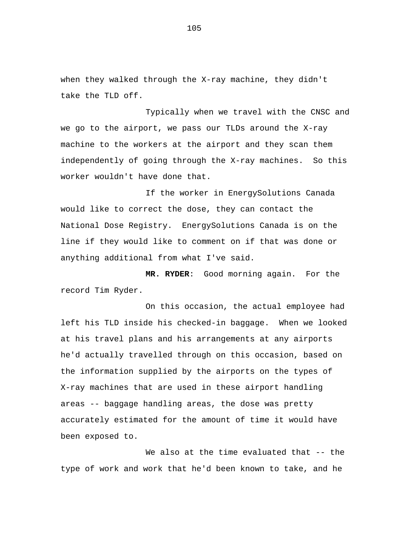when they walked through the X-ray machine, they didn't take the TLD off.

Typically when we travel with the CNSC and we go to the airport, we pass our TLDs around the X-ray machine to the workers at the airport and they scan them independently of going through the X-ray machines. So this worker wouldn't have done that.

If the worker in EnergySolutions Canada would like to correct the dose, they can contact the National Dose Registry. EnergySolutions Canada is on the line if they would like to comment on if that was done or anything additional from what I've said.

**MR. RYDER**: Good morning again. For the record Tim Ryder.

On this occasion, the actual employee had left his TLD inside his checked-in baggage. When we looked at his travel plans and his arrangements at any airports he'd actually travelled through on this occasion, based on the information supplied by the airports on the types of X-ray machines that are used in these airport handling areas -- baggage handling areas, the dose was pretty accurately estimated for the amount of time it would have been exposed to.

We also at the time evaluated that -- the type of work and work that he'd been known to take, and he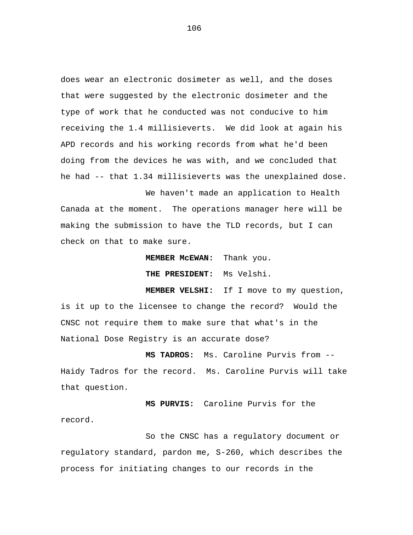does wear an electronic dosimeter as well, and the doses that were suggested by the electronic dosimeter and the type of work that he conducted was not conducive to him receiving the 1.4 millisieverts. We did look at again his APD records and his working records from what he'd been doing from the devices he was with, and we concluded that he had -- that 1.34 millisieverts was the unexplained dose.

We haven't made an application to Health Canada at the moment. The operations manager here will be making the submission to have the TLD records, but I can check on that to make sure.

**MEMBER McEWAN:** Thank you.

**THE PRESIDENT:** Ms Velshi.

**MEMBER VELSHI:** If I move to my question, is it up to the licensee to change the record? Would the CNSC not require them to make sure that what's in the National Dose Registry is an accurate dose?

**MS TADROS:** Ms. Caroline Purvis from -- Haidy Tadros for the record. Ms. Caroline Purvis will take that question.

**MS PURVIS:** Caroline Purvis for the record.

So the CNSC has a regulatory document or regulatory standard, pardon me, S-260, which describes the process for initiating changes to our records in the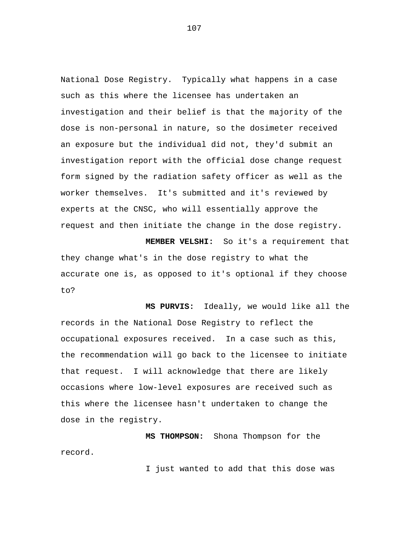National Dose Registry. Typically what happens in a case such as this where the licensee has undertaken an investigation and their belief is that the majority of the dose is non-personal in nature, so the dosimeter received an exposure but the individual did not, they'd submit an investigation report with the official dose change request form signed by the radiation safety officer as well as the worker themselves. It's submitted and it's reviewed by experts at the CNSC, who will essentially approve the request and then initiate the change in the dose registry.

**MEMBER VELSHI:** So it's a requirement that they change what's in the dose registry to what the accurate one is, as opposed to it's optional if they choose to?

**MS PURVIS:** Ideally, we would like all the records in the National Dose Registry to reflect the occupational exposures received. In a case such as this, the recommendation will go back to the licensee to initiate that request. I will acknowledge that there are likely occasions where low-level exposures are received such as this where the licensee hasn't undertaken to change the dose in the registry.

**MS THOMPSON:** Shona Thompson for the record.

I just wanted to add that this dose was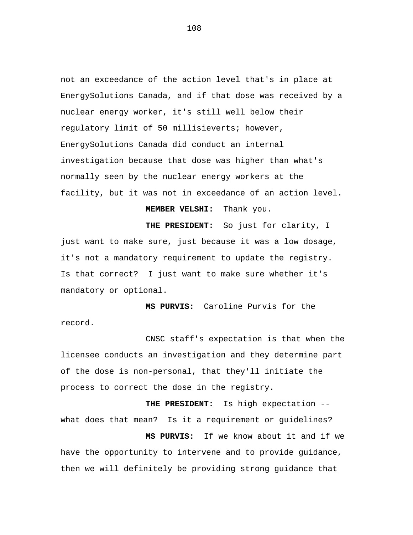not an exceedance of the action level that's in place at EnergySolutions Canada, and if that dose was received by a nuclear energy worker, it's still well below their regulatory limit of 50 millisieverts; however, EnergySolutions Canada did conduct an internal investigation because that dose was higher than what's normally seen by the nuclear energy workers at the facility, but it was not in exceedance of an action level.

## **MEMBER VELSHI:** Thank you.

**THE PRESIDENT:** So just for clarity, I just want to make sure, just because it was a low dosage, it's not a mandatory requirement to update the registry. Is that correct? I just want to make sure whether it's mandatory or optional.

**MS PURVIS:** Caroline Purvis for the record.

CNSC staff's expectation is that when the licensee conducts an investigation and they determine part of the dose is non-personal, that they'll initiate the process to correct the dose in the registry.

**THE PRESIDENT:** Is high expectation - what does that mean? Is it a requirement or guidelines? **MS PURVIS:** If we know about it and if we have the opportunity to intervene and to provide guidance, then we will definitely be providing strong guidance that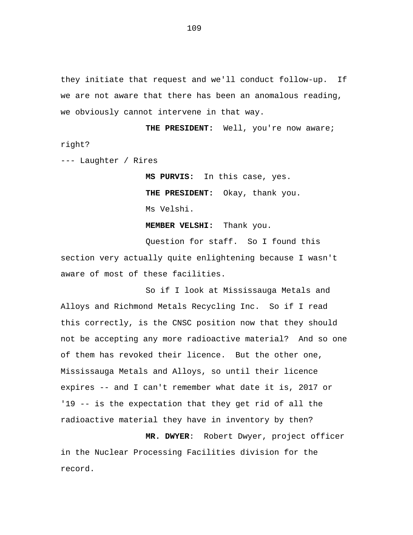they initiate that request and we'll conduct follow-up. If we are not aware that there has been an anomalous reading, we obviously cannot intervene in that way.

**THE PRESIDENT:** Well, you're now aware; right?

--- Laughter / Rires

**MS PURVIS:** In this case, yes. **THE PRESIDENT:** Okay, thank you. Ms Velshi.

**MEMBER VELSHI:** Thank you.

Question for staff. So I found this section very actually quite enlightening because I wasn't aware of most of these facilities.

So if I look at Mississauga Metals and Alloys and Richmond Metals Recycling Inc. So if I read this correctly, is the CNSC position now that they should not be accepting any more radioactive material? And so one of them has revoked their licence. But the other one, Mississauga Metals and Alloys, so until their licence expires -- and I can't remember what date it is, 2017 or '19 -- is the expectation that they get rid of all the radioactive material they have in inventory by then?

**MR. DWYER**: Robert Dwyer, project officer in the Nuclear Processing Facilities division for the record.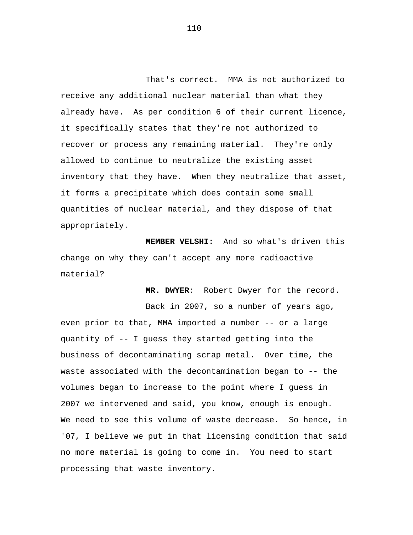That's correct. MMA is not authorized to receive any additional nuclear material than what they already have. As per condition 6 of their current licence, it specifically states that they're not authorized to recover or process any remaining material. They're only allowed to continue to neutralize the existing asset inventory that they have. When they neutralize that asset, it forms a precipitate which does contain some small quantities of nuclear material, and they dispose of that appropriately.

**MEMBER VELSHI:** And so what's driven this change on why they can't accept any more radioactive material?

**MR. DWYER**: Robert Dwyer for the record.

Back in 2007, so a number of years ago, even prior to that, MMA imported a number -- or a large quantity of -- I guess they started getting into the business of decontaminating scrap metal. Over time, the waste associated with the decontamination began to -- the volumes began to increase to the point where I guess in 2007 we intervened and said, you know, enough is enough. We need to see this volume of waste decrease. So hence, in '07, I believe we put in that licensing condition that said no more material is going to come in. You need to start processing that waste inventory.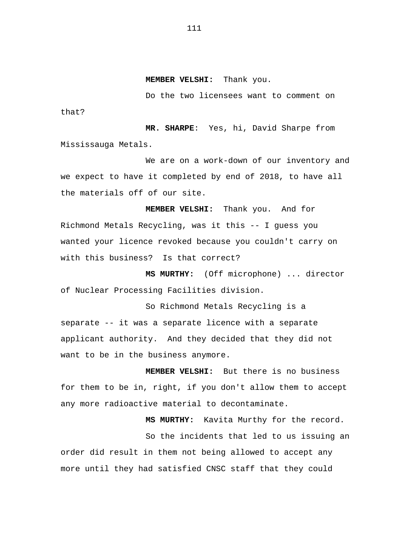**MEMBER VELSHI:** Thank you.

Do the two licensees want to comment on

**MR. SHARPE**: Yes, hi, David Sharpe from Mississauga Metals.

that?

We are on a work-down of our inventory and we expect to have it completed by end of 2018, to have all the materials off of our site.

**MEMBER VELSHI:** Thank you. And for Richmond Metals Recycling, was it this -- I guess you wanted your licence revoked because you couldn't carry on with this business? Is that correct?

**MS MURTHY:** (Off microphone) ... director of Nuclear Processing Facilities division.

So Richmond Metals Recycling is a separate -- it was a separate licence with a separate applicant authority. And they decided that they did not want to be in the business anymore.

**MEMBER VELSHI:** But there is no business for them to be in, right, if you don't allow them to accept any more radioactive material to decontaminate.

**MS MURTHY:** Kavita Murthy for the record.

So the incidents that led to us issuing an order did result in them not being allowed to accept any more until they had satisfied CNSC staff that they could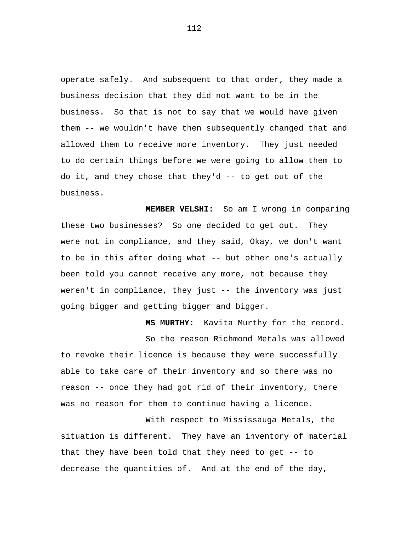operate safely. And subsequent to that order, they made a business decision that they did not want to be in the business. So that is not to say that we would have given them -- we wouldn't have then subsequently changed that and allowed them to receive more inventory. They just needed to do certain things before we were going to allow them to do it, and they chose that they'd -- to get out of the business.

**MEMBER VELSHI:** So am I wrong in comparing these two businesses? So one decided to get out. They were not in compliance, and they said, Okay, we don't want to be in this after doing what -- but other one's actually been told you cannot receive any more, not because they weren't in compliance, they just -- the inventory was just going bigger and getting bigger and bigger.

**MS MURTHY:** Kavita Murthy for the record. So the reason Richmond Metals was allowed to revoke their licence is because they were successfully able to take care of their inventory and so there was no reason -- once they had got rid of their inventory, there was no reason for them to continue having a licence.

With respect to Mississauga Metals, the situation is different. They have an inventory of material that they have been told that they need to get -- to decrease the quantities of. And at the end of the day,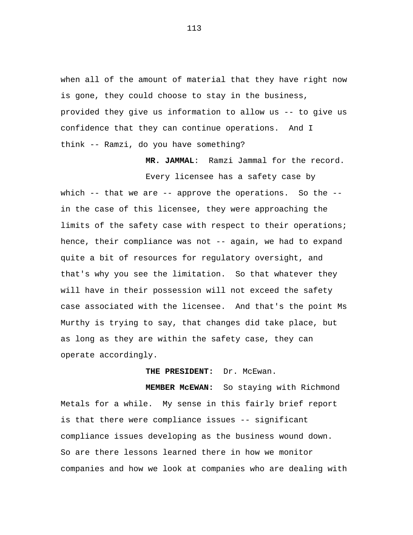when all of the amount of material that they have right now is gone, they could choose to stay in the business, provided they give us information to allow us -- to give us confidence that they can continue operations. And I think -- Ramzi, do you have something?

**MR. JAMMAL**: Ramzi Jammal for the record.

Every licensee has a safety case by which -- that we are -- approve the operations. So the -in the case of this licensee, they were approaching the limits of the safety case with respect to their operations; hence, their compliance was not -- again, we had to expand quite a bit of resources for regulatory oversight, and that's why you see the limitation. So that whatever they will have in their possession will not exceed the safety case associated with the licensee. And that's the point Ms Murthy is trying to say, that changes did take place, but as long as they are within the safety case, they can operate accordingly.

THE PRESIDENT: Dr. McEwan.

**MEMBER McEWAN:** So staying with Richmond Metals for a while. My sense in this fairly brief report is that there were compliance issues -- significant compliance issues developing as the business wound down. So are there lessons learned there in how we monitor companies and how we look at companies who are dealing with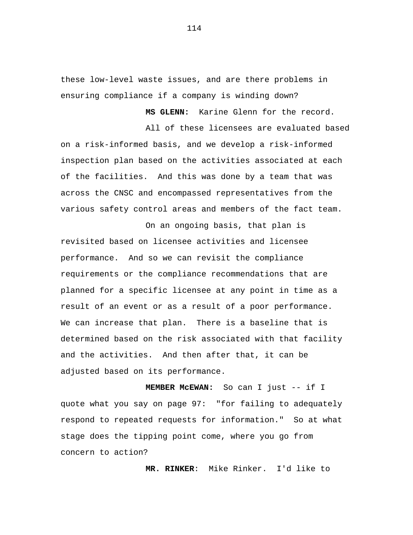these low-level waste issues, and are there problems in ensuring compliance if a company is winding down?

**MS GLENN:** Karine Glenn for the record.

All of these licensees are evaluated based on a risk-informed basis, and we develop a risk-informed inspection plan based on the activities associated at each of the facilities. And this was done by a team that was across the CNSC and encompassed representatives from the various safety control areas and members of the fact team.

On an ongoing basis, that plan is revisited based on licensee activities and licensee performance. And so we can revisit the compliance requirements or the compliance recommendations that are planned for a specific licensee at any point in time as a result of an event or as a result of a poor performance. We can increase that plan. There is a baseline that is determined based on the risk associated with that facility and the activities. And then after that, it can be adjusted based on its performance.

**MEMBER McEWAN:** So can I just -- if I quote what you say on page 97: "for failing to adequately respond to repeated requests for information." So at what stage does the tipping point come, where you go from concern to action?

**MR. RINKER**: Mike Rinker. I'd like to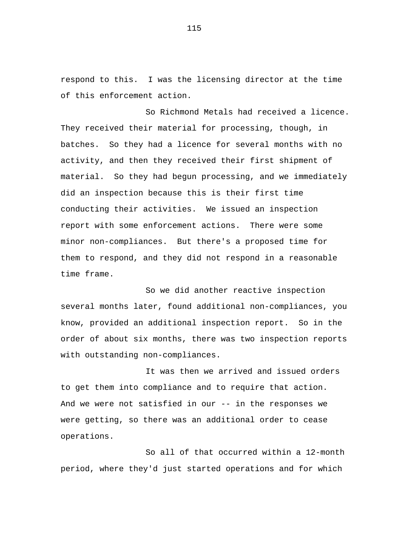respond to this. I was the licensing director at the time of this enforcement action.

So Richmond Metals had received a licence. They received their material for processing, though, in batches. So they had a licence for several months with no activity, and then they received their first shipment of material. So they had begun processing, and we immediately did an inspection because this is their first time conducting their activities. We issued an inspection report with some enforcement actions. There were some minor non-compliances. But there's a proposed time for them to respond, and they did not respond in a reasonable time frame.

So we did another reactive inspection several months later, found additional non-compliances, you know, provided an additional inspection report. So in the order of about six months, there was two inspection reports with outstanding non-compliances.

It was then we arrived and issued orders to get them into compliance and to require that action. And we were not satisfied in our -- in the responses we were getting, so there was an additional order to cease operations.

So all of that occurred within a 12-month period, where they'd just started operations and for which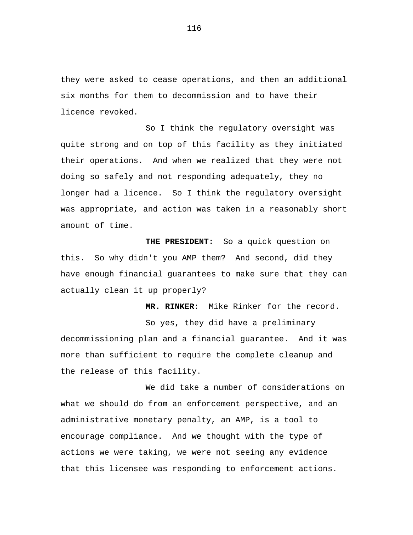they were asked to cease operations, and then an additional six months for them to decommission and to have their licence revoked.

So I think the regulatory oversight was quite strong and on top of this facility as they initiated their operations. And when we realized that they were not doing so safely and not responding adequately, they no longer had a licence. So I think the regulatory oversight was appropriate, and action was taken in a reasonably short amount of time.

**THE PRESIDENT:** So a quick question on this. So why didn't you AMP them? And second, did they have enough financial guarantees to make sure that they can actually clean it up properly?

So yes, they did have a preliminary decommissioning plan and a financial guarantee. And it was more than sufficient to require the complete cleanup and the release of this facility.

**MR. RINKER**: Mike Rinker for the record.

We did take a number of considerations on what we should do from an enforcement perspective, and an administrative monetary penalty, an AMP, is a tool to encourage compliance. And we thought with the type of actions we were taking, we were not seeing any evidence that this licensee was responding to enforcement actions.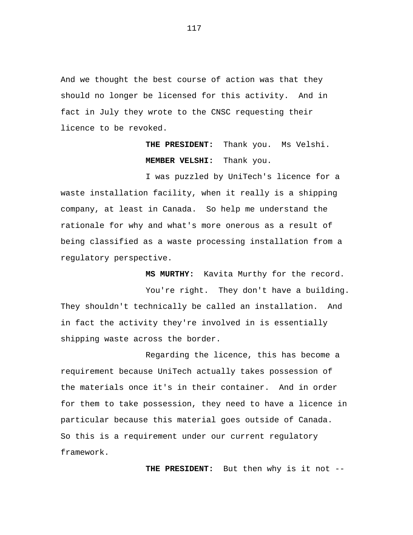And we thought the best course of action was that they should no longer be licensed for this activity. And in fact in July they wrote to the CNSC requesting their licence to be revoked.

> **THE PRESIDENT:** Thank you. Ms Velshi. **MEMBER VELSHI:** Thank you.

**MS MURTHY:** Kavita Murthy for the record.

I was puzzled by UniTech's licence for a waste installation facility, when it really is a shipping company, at least in Canada. So help me understand the rationale for why and what's more onerous as a result of being classified as a waste processing installation from a regulatory perspective.

You're right. They don't have a building. They shouldn't technically be called an installation. And in fact the activity they're involved in is essentially shipping waste across the border.

Regarding the licence, this has become a requirement because UniTech actually takes possession of the materials once it's in their container. And in order for them to take possession, they need to have a licence in particular because this material goes outside of Canada. So this is a requirement under our current regulatory framework.

**THE PRESIDENT:** But then why is it not --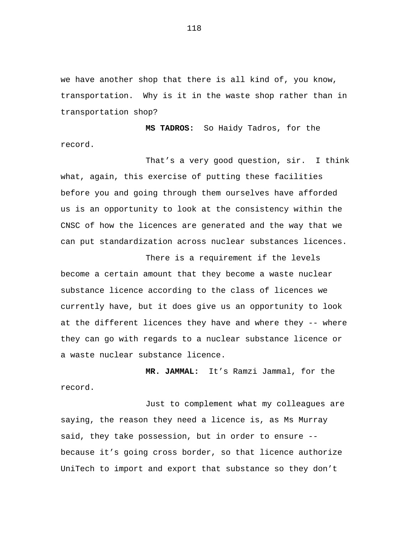we have another shop that there is all kind of, you know, transportation. Why is it in the waste shop rather than in transportation shop?

**MS TADROS:** So Haidy Tadros, for the record.

That's a very good question, sir. I think what, again, this exercise of putting these facilities before you and going through them ourselves have afforded us is an opportunity to look at the consistency within the CNSC of how the licences are generated and the way that we can put standardization across nuclear substances licences.

There is a requirement if the levels become a certain amount that they become a waste nuclear substance licence according to the class of licences we currently have, but it does give us an opportunity to look at the different licences they have and where they -- where they can go with regards to a nuclear substance licence or a waste nuclear substance licence.

**MR. JAMMAL:** It's Ramzi Jammal, for the record.

Just to complement what my colleagues are saying, the reason they need a licence is, as Ms Murray said, they take possession, but in order to ensure - because it's going cross border, so that licence authorize UniTech to import and export that substance so they don't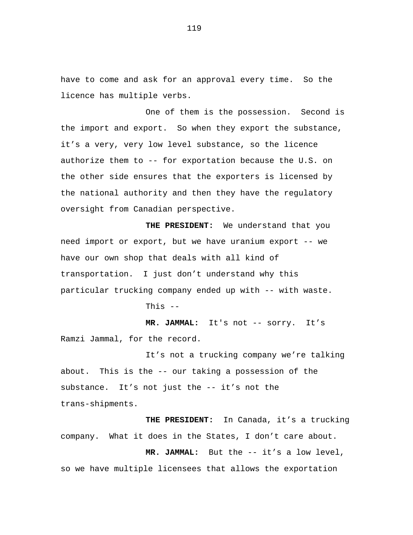have to come and ask for an approval every time. So the licence has multiple verbs.

One of them is the possession. Second is the import and export. So when they export the substance, it's a very, very low level substance, so the licence authorize them to -- for exportation because the U.S. on the other side ensures that the exporters is licensed by the national authority and then they have the regulatory oversight from Canadian perspective.

**THE PRESIDENT:** We understand that you need import or export, but we have uranium export -- we have our own shop that deals with all kind of transportation. I just don't understand why this particular trucking company ended up with -- with waste.

This  $-$ 

**MR. JAMMAL:** It's not -- sorry. It's Ramzi Jammal, for the record.

It's not a trucking company we're talking about. This is the -- our taking a possession of the substance. It's not just the -- it's not the trans-shipments.

**THE PRESIDENT:** In Canada, it's a trucking company. What it does in the States, I don't care about.

**MR. JAMMAL:** But the -- it's a low level, so we have multiple licensees that allows the exportation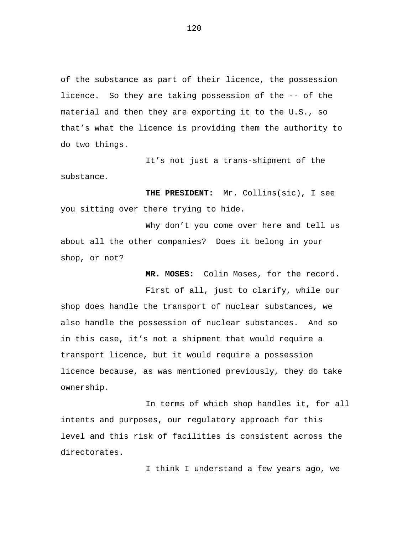of the substance as part of their licence, the possession licence. So they are taking possession of the -- of the material and then they are exporting it to the U.S., so that's what the licence is providing them the authority to do two things.

It's not just a trans-shipment of the substance.

**THE PRESIDENT:** Mr. Collins(sic), I see you sitting over there trying to hide.

Why don't you come over here and tell us about all the other companies? Does it belong in your shop, or not?

**MR. MOSES:** Colin Moses, for the record.

First of all, just to clarify, while our shop does handle the transport of nuclear substances, we also handle the possession of nuclear substances. And so in this case, it's not a shipment that would require a transport licence, but it would require a possession licence because, as was mentioned previously, they do take ownership.

In terms of which shop handles it, for all intents and purposes, our regulatory approach for this level and this risk of facilities is consistent across the directorates.

I think I understand a few years ago, we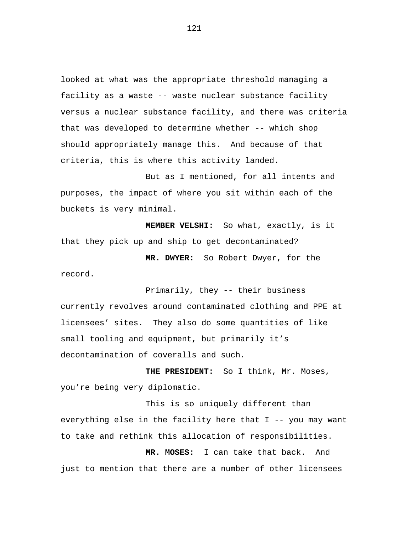looked at what was the appropriate threshold managing a facility as a waste -- waste nuclear substance facility versus a nuclear substance facility, and there was criteria that was developed to determine whether -- which shop should appropriately manage this. And because of that criteria, this is where this activity landed.

But as I mentioned, for all intents and purposes, the impact of where you sit within each of the buckets is very minimal.

**MEMBER VELSHI:** So what, exactly, is it that they pick up and ship to get decontaminated?

**MR. DWYER:** So Robert Dwyer, for the record.

Primarily, they -- their business currently revolves around contaminated clothing and PPE at licensees' sites. They also do some quantities of like small tooling and equipment, but primarily it's decontamination of coveralls and such.

**THE PRESIDENT:** So I think, Mr. Moses, you're being very diplomatic.

This is so uniquely different than everything else in the facility here that I -- you may want to take and rethink this allocation of responsibilities.

**MR. MOSES:** I can take that back. And just to mention that there are a number of other licensees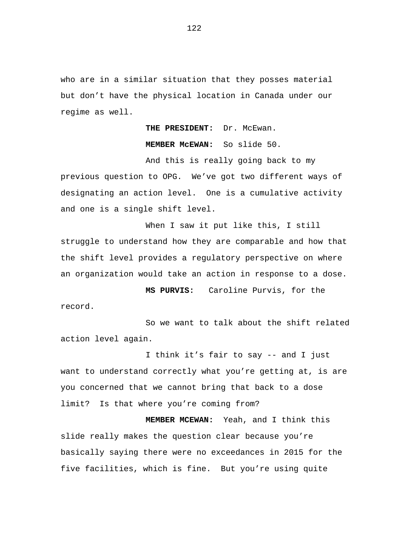who are in a similar situation that they posses material but don't have the physical location in Canada under our regime as well.

**THE PRESIDENT:** Dr. McEwan.

**MEMBER McEWAN:** So slide 50.

And this is really going back to my previous question to OPG. We've got two different ways of designating an action level. One is a cumulative activity and one is a single shift level.

When I saw it put like this, I still struggle to understand how they are comparable and how that the shift level provides a regulatory perspective on where an organization would take an action in response to a dose.

**MS PURVIS:** Caroline Purvis, for the record.

So we want to talk about the shift related action level again.

I think it's fair to say -- and I just want to understand correctly what you're getting at, is are you concerned that we cannot bring that back to a dose limit? Is that where you're coming from?

**MEMBER MCEWAN:** Yeah, and I think this slide really makes the question clear because you're basically saying there were no exceedances in 2015 for the five facilities, which is fine. But you're using quite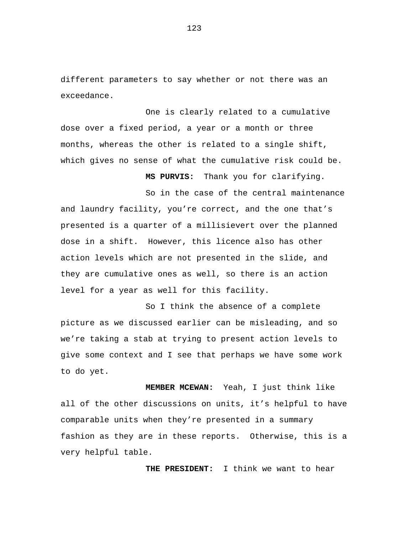different parameters to say whether or not there was an exceedance.

One is clearly related to a cumulative dose over a fixed period, a year or a month or three months, whereas the other is related to a single shift, which gives no sense of what the cumulative risk could be.

**MS PURVIS:** Thank you for clarifying.

So in the case of the central maintenance and laundry facility, you're correct, and the one that's presented is a quarter of a millisievert over the planned dose in a shift. However, this licence also has other action levels which are not presented in the slide, and they are cumulative ones as well, so there is an action level for a year as well for this facility.

So I think the absence of a complete picture as we discussed earlier can be misleading, and so we're taking a stab at trying to present action levels to give some context and I see that perhaps we have some work to do yet.

**MEMBER MCEWAN:** Yeah, I just think like all of the other discussions on units, it's helpful to have comparable units when they're presented in a summary fashion as they are in these reports. Otherwise, this is a very helpful table.

**THE PRESIDENT:** I think we want to hear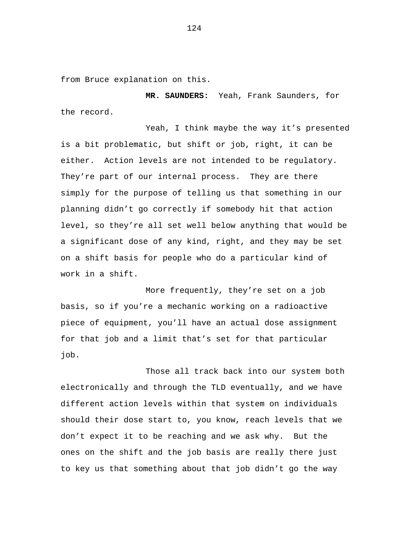from Bruce explanation on this.

**MR. SAUNDERS:** Yeah, Frank Saunders, for the record.

Yeah, I think maybe the way it's presented is a bit problematic, but shift or job, right, it can be either. Action levels are not intended to be regulatory. They're part of our internal process. They are there simply for the purpose of telling us that something in our planning didn't go correctly if somebody hit that action level, so they're all set well below anything that would be a significant dose of any kind, right, and they may be set on a shift basis for people who do a particular kind of work in a shift.

More frequently, they're set on a job basis, so if you're a mechanic working on a radioactive piece of equipment, you'll have an actual dose assignment for that job and a limit that's set for that particular job.

Those all track back into our system both electronically and through the TLD eventually, and we have different action levels within that system on individuals should their dose start to, you know, reach levels that we don't expect it to be reaching and we ask why. But the ones on the shift and the job basis are really there just to key us that something about that job didn't go the way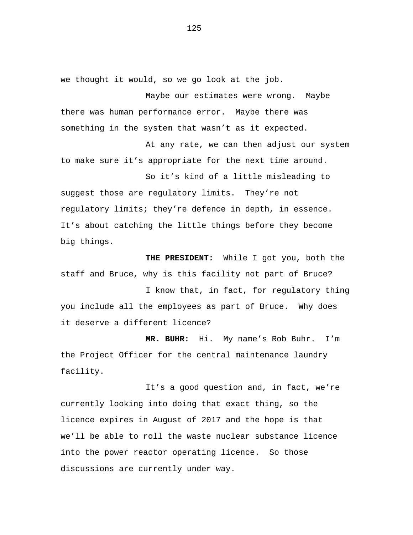we thought it would, so we go look at the job.

Maybe our estimates were wrong. Maybe there was human performance error. Maybe there was something in the system that wasn't as it expected.

At any rate, we can then adjust our system to make sure it's appropriate for the next time around.

So it's kind of a little misleading to suggest those are regulatory limits. They're not regulatory limits; they're defence in depth, in essence. It's about catching the little things before they become big things.

**THE PRESIDENT:** While I got you, both the staff and Bruce, why is this facility not part of Bruce?

I know that, in fact, for regulatory thing you include all the employees as part of Bruce. Why does it deserve a different licence?

**MR. BUHR:** Hi. My name's Rob Buhr. I'm the Project Officer for the central maintenance laundry facility.

It's a good question and, in fact, we're currently looking into doing that exact thing, so the licence expires in August of 2017 and the hope is that we'll be able to roll the waste nuclear substance licence into the power reactor operating licence. So those discussions are currently under way.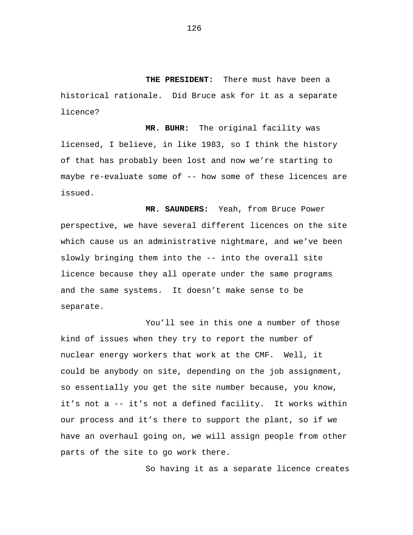**THE PRESIDENT:** There must have been a historical rationale. Did Bruce ask for it as a separate licence?

**MR. BUHR:** The original facility was licensed, I believe, in like 1983, so I think the history of that has probably been lost and now we're starting to maybe re-evaluate some of -- how some of these licences are issued.

**MR. SAUNDERS:** Yeah, from Bruce Power perspective, we have several different licences on the site which cause us an administrative nightmare, and we've been slowly bringing them into the -- into the overall site licence because they all operate under the same programs and the same systems. It doesn't make sense to be separate.

You'll see in this one a number of those kind of issues when they try to report the number of nuclear energy workers that work at the CMF. Well, it could be anybody on site, depending on the job assignment, so essentially you get the site number because, you know, it's not a -- it's not a defined facility. It works within our process and it's there to support the plant, so if we have an overhaul going on, we will assign people from other parts of the site to go work there.

So having it as a separate licence creates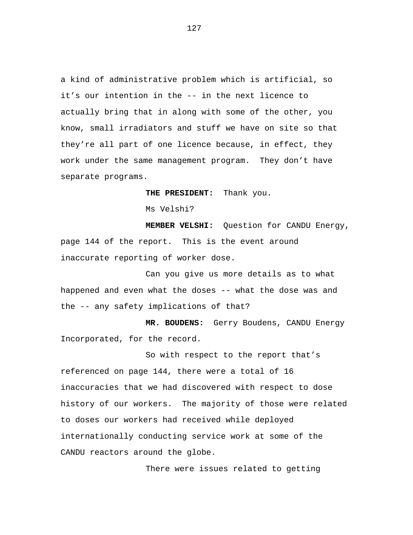a kind of administrative problem which is artificial, so it's our intention in the -- in the next licence to actually bring that in along with some of the other, you know, small irradiators and stuff we have on site so that they're all part of one licence because, in effect, they work under the same management program. They don't have separate programs.

**THE PRESIDENT:** Thank you.

Ms Velshi?

**MEMBER VELSHI:** Question for CANDU Energy, page 144 of the report. This is the event around inaccurate reporting of worker dose.

Can you give us more details as to what happened and even what the doses -- what the dose was and the -- any safety implications of that?

**MR. BOUDENS:** Gerry Boudens, CANDU Energy Incorporated, for the record.

So with respect to the report that's referenced on page 144, there were a total of 16 inaccuracies that we had discovered with respect to dose history of our workers. The majority of those were related to doses our workers had received while deployed internationally conducting service work at some of the CANDU reactors around the globe.

There were issues related to getting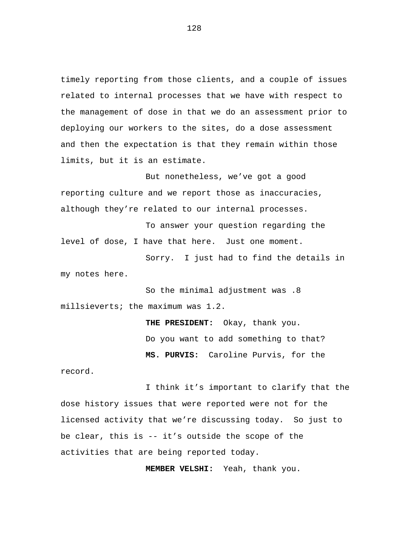timely reporting from those clients, and a couple of issues related to internal processes that we have with respect to the management of dose in that we do an assessment prior to deploying our workers to the sites, do a dose assessment and then the expectation is that they remain within those limits, but it is an estimate.

But nonetheless, we've got a good reporting culture and we report those as inaccuracies, although they're related to our internal processes.

To answer your question regarding the level of dose, I have that here. Just one moment.

Sorry. I just had to find the details in my notes here.

So the minimal adjustment was .8 millsieverts; the maximum was 1.2.

> **THE PRESIDENT:** Okay, thank you. Do you want to add something to that? **MS. PURVIS:** Caroline Purvis, for the

record.

I think it's important to clarify that the dose history issues that were reported were not for the licensed activity that we're discussing today. So just to be clear, this is -- it's outside the scope of the activities that are being reported today.

**MEMBER VELSHI:** Yeah, thank you.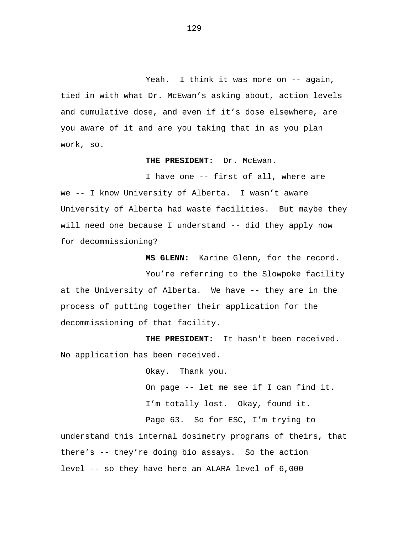Yeah. I think it was more on -- again, tied in with what Dr. McEwan's asking about, action levels and cumulative dose, and even if it's dose elsewhere, are you aware of it and are you taking that in as you plan work, so.

## **THE PRESIDENT:** Dr. McEwan.

I have one -- first of all, where are we -- I know University of Alberta. I wasn't aware University of Alberta had waste facilities. But maybe they will need one because I understand -- did they apply now for decommissioning?

 **MS GLENN:** Karine Glenn, for the record.

You're referring to the Slowpoke facility at the University of Alberta. We have -- they are in the process of putting together their application for the decommissioning of that facility.

**THE PRESIDENT:** It hasn't been received. No application has been received.

> Okay. Thank you. On page -- let me see if I can find it. I'm totally lost. Okay, found it.

Page 63. So for ESC, I'm trying to

understand this internal dosimetry programs of theirs, that there's -- they're doing bio assays. So the action level -- so they have here an ALARA level of 6,000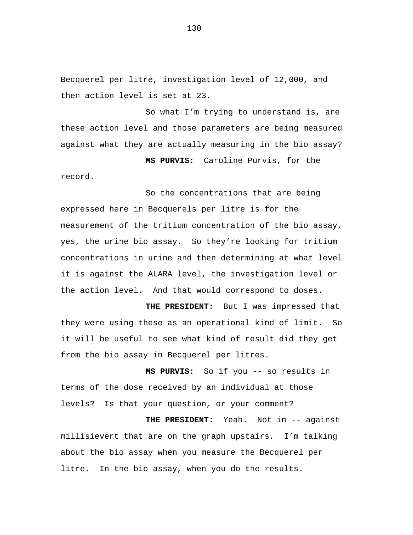Becquerel per litre, investigation level of 12,000, and then action level is set at 23.

So what I'm trying to understand is, are these action level and those parameters are being measured against what they are actually measuring in the bio assay?

**MS PURVIS:** Caroline Purvis, for the record.

So the concentrations that are being expressed here in Becquerels per litre is for the measurement of the tritium concentration of the bio assay, yes, the urine bio assay. So they're looking for tritium concentrations in urine and then determining at what level it is against the ALARA level, the investigation level or the action level. And that would correspond to doses.

**THE PRESIDENT:** But I was impressed that they were using these as an operational kind of limit. So it will be useful to see what kind of result did they get from the bio assay in Becquerel per litres.

**MS PURVIS:** So if you -- so results in terms of the dose received by an individual at those levels? Is that your question, or your comment?

**THE PRESIDENT:** Yeah. Not in -- against millisievert that are on the graph upstairs. I'm talking about the bio assay when you measure the Becquerel per litre. In the bio assay, when you do the results.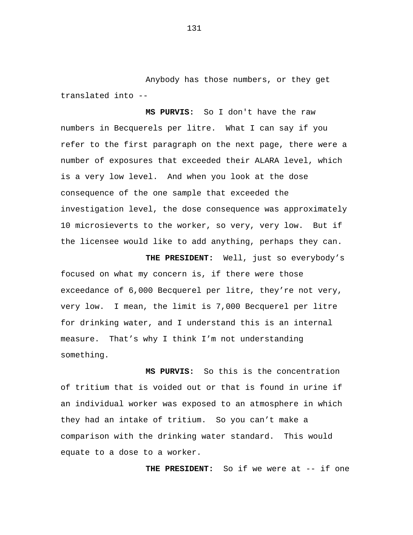Anybody has those numbers, or they get translated into --

**MS PURVIS:** So I don't have the raw numbers in Becquerels per litre. What I can say if you refer to the first paragraph on the next page, there were a number of exposures that exceeded their ALARA level, which is a very low level. And when you look at the dose consequence of the one sample that exceeded the investigation level, the dose consequence was approximately 10 microsieverts to the worker, so very, very low. But if the licensee would like to add anything, perhaps they can.

**THE PRESIDENT:** Well, just so everybody's focused on what my concern is, if there were those exceedance of 6,000 Becquerel per litre, they're not very, very low. I mean, the limit is 7,000 Becquerel per litre for drinking water, and I understand this is an internal measure. That's why I think I'm not understanding something.

**MS PURVIS:** So this is the concentration of tritium that is voided out or that is found in urine if an individual worker was exposed to an atmosphere in which they had an intake of tritium. So you can't make a comparison with the drinking water standard. This would equate to a dose to a worker.

**THE PRESIDENT:** So if we were at -- if one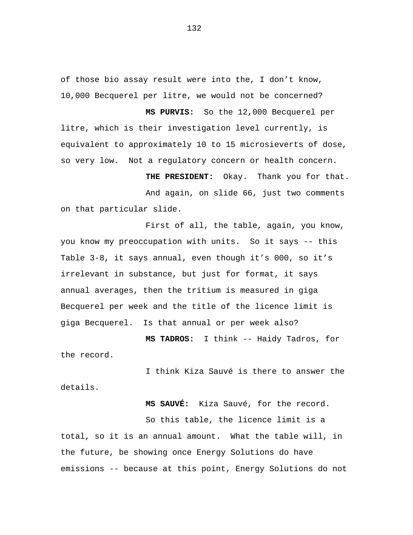of those bio assay result were into the, I don't know, 10,000 Becquerel per litre, we would not be concerned?

**MS PURVIS:** So the 12,000 Becquerel per litre, which is their investigation level currently, is equivalent to approximately 10 to 15 microsieverts of dose, so very low. Not a regulatory concern or health concern.

**THE PRESIDENT:** Okay. Thank you for that. And again, on slide 66, just two comments on that particular slide.

First of all, the table, again, you know, you know my preoccupation with units. So it says -- this Table 3-8, it says annual, even though it's 000, so it's irrelevant in substance, but just for format, it says annual averages, then the tritium is measured in giga Becquerel per week and the title of the licence limit is giga Becquerel. Is that annual or per week also?

**MS TADROS:** I think -- Haidy Tadros, for the record.

I think Kiza Sauvé is there to answer the details.

 **MS SAUVÉ:** Kiza Sauvé, for the record.

So this table, the licence limit is a total, so it is an annual amount. What the table will, in the future, be showing once Energy Solutions do have emissions -- because at this point, Energy Solutions do not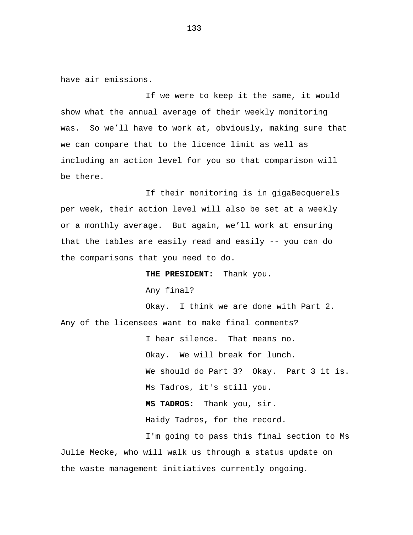have air emissions.

If we were to keep it the same, it would show what the annual average of their weekly monitoring was. So we'll have to work at, obviously, making sure that we can compare that to the licence limit as well as including an action level for you so that comparison will be there.

If their monitoring is in gigaBecquerels per week, their action level will also be set at a weekly or a monthly average. But again, we'll work at ensuring that the tables are easily read and easily -- you can do the comparisons that you need to do.

**THE PRESIDENT:** Thank you. Any final? Okay. I think we are done with Part 2. Any of the licensees want to make final comments? I hear silence. That means no. Okay. We will break for lunch.

We should do Part 3? Okay. Part 3 it is. Ms Tadros, it's still you. **MS TADROS:** Thank you, sir. Haidy Tadros, for the record. I'm going to pass this final section to Ms

Julie Mecke, who will walk us through a status update on the waste management initiatives currently ongoing.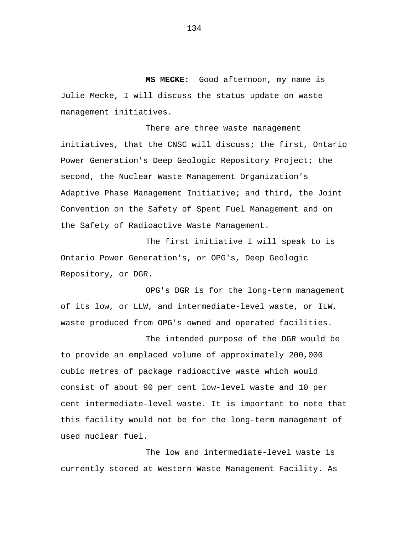**MS MECKE:** Good afternoon, my name is Julie Mecke, I will discuss the status update on waste management initiatives.

There are three waste management initiatives, that the CNSC will discuss; the first, Ontario Power Generation's Deep Geologic Repository Project; the second, the Nuclear Waste Management Organization's Adaptive Phase Management Initiative; and third, the Joint Convention on the Safety of Spent Fuel Management and on the Safety of Radioactive Waste Management.

The first initiative I will speak to is Ontario Power Generation's, or OPG's, Deep Geologic Repository, or DGR.

OPG's DGR is for the long-term management of its low, or LLW, and intermediate-level waste, or ILW, waste produced from OPG's owned and operated facilities.

The intended purpose of the DGR would be to provide an emplaced volume of approximately 200,000 cubic metres of package radioactive waste which would consist of about 90 per cent low-level waste and 10 per cent intermediate-level waste. It is important to note that this facility would not be for the long-term management of used nuclear fuel.

The low and intermediate-level waste is currently stored at Western Waste Management Facility. As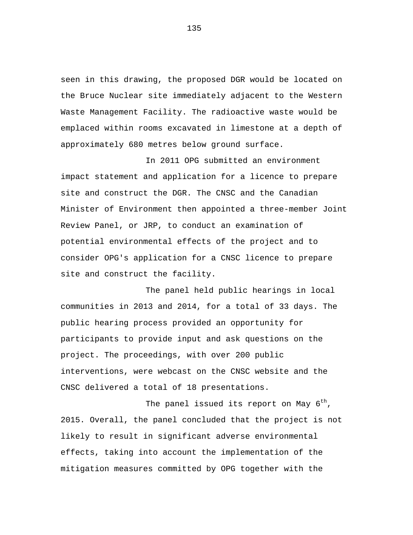seen in this drawing, the proposed DGR would be located on the Bruce Nuclear site immediately adjacent to the Western Waste Management Facility. The radioactive waste would be emplaced within rooms excavated in limestone at a depth of approximately 680 metres below ground surface.

In 2011 OPG submitted an environment impact statement and application for a licence to prepare site and construct the DGR. The CNSC and the Canadian Minister of Environment then appointed a three-member Joint Review Panel, or JRP, to conduct an examination of potential environmental effects of the project and to consider OPG's application for a CNSC licence to prepare site and construct the facility.

The panel held public hearings in local communities in 2013 and 2014, for a total of 33 days. The public hearing process provided an opportunity for participants to provide input and ask questions on the project. The proceedings, with over 200 public interventions, were webcast on the CNSC website and the CNSC delivered a total of 18 presentations.

The panel issued its report on May  $6^{th}$ , 2015. Overall, the panel concluded that the project is not likely to result in significant adverse environmental effects, taking into account the implementation of the mitigation measures committed by OPG together with the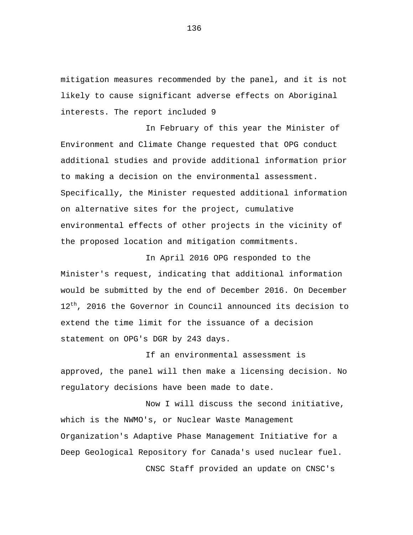mitigation measures recommended by the panel, and it is not likely to cause significant adverse effects on Aboriginal interests. The report included 9

In February of this year the Minister of Environment and Climate Change requested that OPG conduct additional studies and provide additional information prior to making a decision on the environmental assessment. Specifically, the Minister requested additional information on alternative sites for the project, cumulative environmental effects of other projects in the vicinity of the proposed location and mitigation commitments.

In April 2016 OPG responded to the Minister's request, indicating that additional information would be submitted by the end of December 2016. On December 12<sup>th</sup>, 2016 the Governor in Council announced its decision to extend the time limit for the issuance of a decision statement on OPG's DGR by 243 days.

If an environmental assessment is approved, the panel will then make a licensing decision. No regulatory decisions have been made to date.

Now I will discuss the second initiative, which is the NWMO's, or Nuclear Waste Management Organization's Adaptive Phase Management Initiative for a Deep Geological Repository for Canada's used nuclear fuel. CNSC Staff provided an update on CNSC's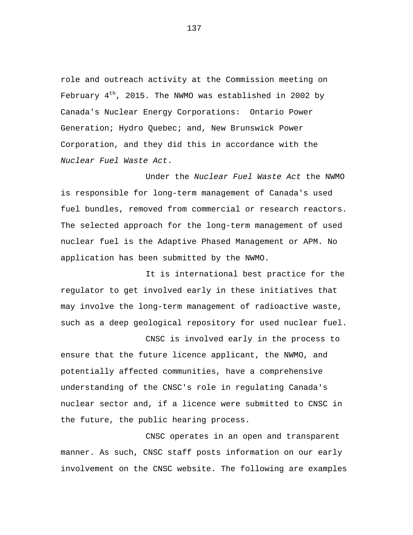role and outreach activity at the Commission meeting on February  $4<sup>th</sup>$ , 2015. The NWMO was established in 2002 by Canada's Nuclear Energy Corporations: Ontario Power Generation; Hydro Quebec; and, New Brunswick Power Corporation, and they did this in accordance with the *Nuclear Fuel Waste Act*.

 Under the *Nuclear Fuel Waste Act* the NWMO is responsible for long-term management of Canada's used fuel bundles, removed from commercial or research reactors. The selected approach for the long-term management of used nuclear fuel is the Adaptive Phased Management or APM. No application has been submitted by the NWMO.

It is international best practice for the regulator to get involved early in these initiatives that may involve the long-term management of radioactive waste, such as a deep geological repository for used nuclear fuel.

CNSC is involved early in the process to ensure that the future licence applicant, the NWMO, and potentially affected communities, have a comprehensive understanding of the CNSC's role in regulating Canada's nuclear sector and, if a licence were submitted to CNSC in the future, the public hearing process.

CNSC operates in an open and transparent manner. As such, CNSC staff posts information on our early involvement on the CNSC website. The following are examples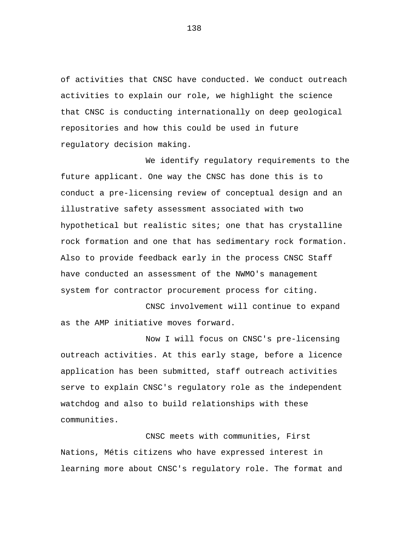of activities that CNSC have conducted. We conduct outreach activities to explain our role, we highlight the science that CNSC is conducting internationally on deep geological repositories and how this could be used in future regulatory decision making.

We identify requlatory requirements to the future applicant. One way the CNSC has done this is to conduct a pre-licensing review of conceptual design and an illustrative safety assessment associated with two hypothetical but realistic sites; one that has crystalline rock formation and one that has sedimentary rock formation. Also to provide feedback early in the process CNSC Staff have conducted an assessment of the NWMO's management system for contractor procurement process for citing.

CNSC involvement will continue to expand as the AMP initiative moves forward.

Now I will focus on CNSC's pre-licensing outreach activities. At this early stage, before a licence application has been submitted, staff outreach activities serve to explain CNSC's regulatory role as the independent watchdog and also to build relationships with these communities.

CNSC meets with communities, First Nations, Métis citizens who have expressed interest in learning more about CNSC's regulatory role. The format and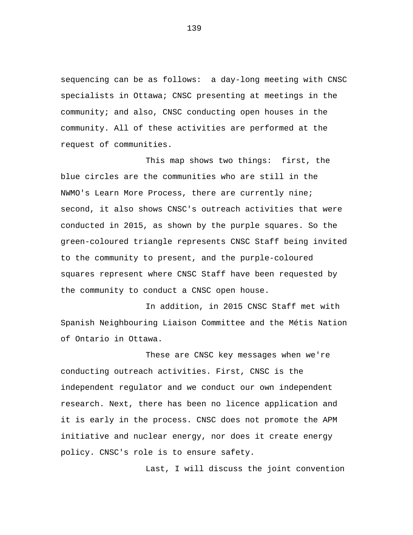sequencing can be as follows: a day-long meeting with CNSC specialists in Ottawa; CNSC presenting at meetings in the community; and also, CNSC conducting open houses in the community. All of these activities are performed at the request of communities.

This map shows two things: first, the blue circles are the communities who are still in the NWMO's Learn More Process, there are currently nine; second, it also shows CNSC's outreach activities that were conducted in 2015, as shown by the purple squares. So the green-coloured triangle represents CNSC Staff being invited to the community to present, and the purple-coloured squares represent where CNSC Staff have been requested by the community to conduct a CNSC open house.

In addition, in 2015 CNSC Staff met with Spanish Neighbouring Liaison Committee and the Métis Nation of Ontario in Ottawa.

These are CNSC key messages when we're conducting outreach activities. First, CNSC is the independent regulator and we conduct our own independent research. Next, there has been no licence application and it is early in the process. CNSC does not promote the APM initiative and nuclear energy, nor does it create energy policy. CNSC's role is to ensure safety.

Last, I will discuss the joint convention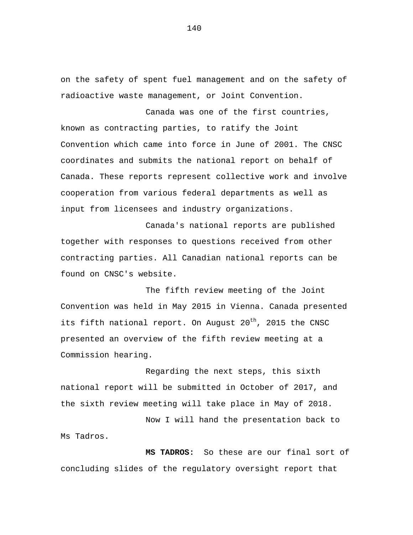on the safety of spent fuel management and on the safety of radioactive waste management, or Joint Convention.

Canada was one of the first countries, known as contracting parties, to ratify the Joint Convention which came into force in June of 2001. The CNSC coordinates and submits the national report on behalf of Canada. These reports represent collective work and involve cooperation from various federal departments as well as input from licensees and industry organizations.

Canada's national reports are published together with responses to questions received from other contracting parties. All Canadian national reports can be found on CNSC's website.

The fifth review meeting of the Joint Convention was held in May 2015 in Vienna. Canada presented its fifth national report. On August  $20^{th}$ , 2015 the CNSC presented an overview of the fifth review meeting at a Commission hearing.

Regarding the next steps, this sixth national report will be submitted in October of 2017, and the sixth review meeting will take place in May of 2018.

Now I will hand the presentation back to Ms Tadros.

 **MS TADROS:** So these are our final sort of concluding slides of the regulatory oversight report that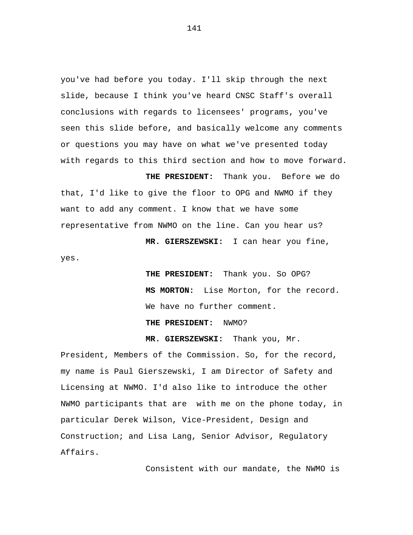you've had before you today. I'll skip through the next slide, because I think you've heard CNSC Staff's overall conclusions with regards to licensees' programs, you've seen this slide before, and basically welcome any comments or questions you may have on what we've presented today with regards to this third section and how to move forward.

 **THE PRESIDENT:** Thank you. Before we do that, I'd like to give the floor to OPG and NWMO if they want to add any comment. I know that we have some representative from NWMO on the line. Can you hear us?

 **MR. GIERSZEWSKI:** I can hear you fine,

 **THE PRESIDENT:** Thank you. So OPG?  **MS MORTON:** Lise Morton, for the record. We have no further comment.

## **THE PRESIDENT:** NWMO?

yes.

 **MR. GIERSZEWSKI:** Thank you, Mr.

President, Members of the Commission. So, for the record, my name is Paul Gierszewski, I am Director of Safety and Licensing at NWMO. I'd also like to introduce the other NWMO participants that are with me on the phone today, in particular Derek Wilson, Vice-President, Design and Construction; and Lisa Lang, Senior Advisor, Regulatory Affairs.

Consistent with our mandate, the NWMO is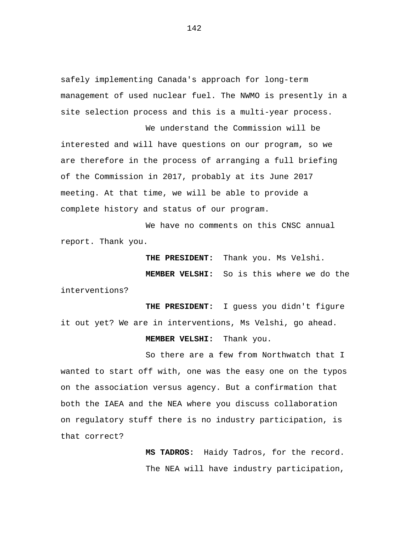safely implementing Canada's approach for long-term management of used nuclear fuel. The NWMO is presently in a site selection process and this is a multi-year process.

We understand the Commission will be interested and will have questions on our program, so we are therefore in the process of arranging a full briefing of the Commission in 2017, probably at its June 2017 meeting. At that time, we will be able to provide a complete history and status of our program.

We have no comments on this CNSC annual report. Thank you.

> **THE PRESIDENT:** Thank you. Ms Velshi.  **MEMBER VELSHI:** So is this where we do the

interventions?

 **THE PRESIDENT:** I guess you didn't figure it out yet? We are in interventions, Ms Velshi, go ahead.

 **MEMBER VELSHI:** Thank you.

So there are a few from Northwatch that I wanted to start off with, one was the easy one on the typos on the association versus agency. But a confirmation that both the IAEA and the NEA where you discuss collaboration on regulatory stuff there is no industry participation, is that correct?

> **MS TADROS:** Haidy Tadros, for the record. The NEA will have industry participation,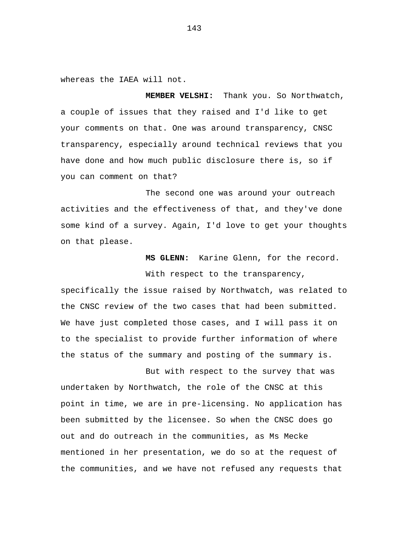whereas the IAEA will not.

 **MEMBER VELSHI:** Thank you. So Northwatch, a couple of issues that they raised and I'd like to get your comments on that. One was around transparency, CNSC transparency, especially around technical reviews that you have done and how much public disclosure there is, so if you can comment on that?

The second one was around your outreach activities and the effectiveness of that, and they've done some kind of a survey. Again, I'd love to get your thoughts on that please.

> **MS GLENN:** Karine Glenn, for the record. With respect to the transparency,

specifically the issue raised by Northwatch, was related to the CNSC review of the two cases that had been submitted. We have just completed those cases, and I will pass it on to the specialist to provide further information of where the status of the summary and posting of the summary is.

But with respect to the survey that was undertaken by Northwatch, the role of the CNSC at this point in time, we are in pre-licensing. No application has been submitted by the licensee. So when the CNSC does go out and do outreach in the communities, as Ms Mecke mentioned in her presentation, we do so at the request of the communities, and we have not refused any requests that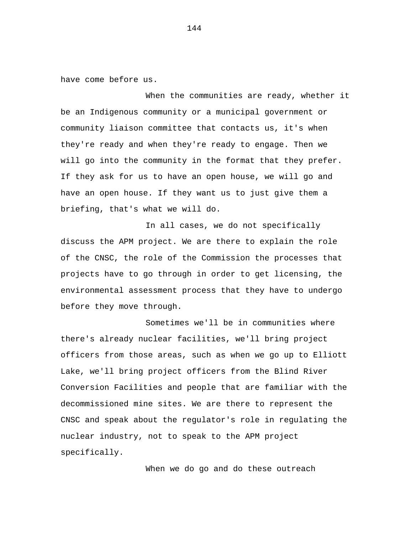have come before us.

When the communities are ready, whether it be an Indigenous community or a municipal government or community liaison committee that contacts us, it's when they're ready and when they're ready to engage. Then we will go into the community in the format that they prefer. If they ask for us to have an open house, we will go and have an open house. If they want us to just give them a briefing, that's what we will do.

In all cases, we do not specifically discuss the APM project. We are there to explain the role of the CNSC, the role of the Commission the processes that projects have to go through in order to get licensing, the environmental assessment process that they have to undergo before they move through.

Sometimes we'll be in communities where there's already nuclear facilities, we'll bring project officers from those areas, such as when we go up to Elliott Lake, we'll bring project officers from the Blind River Conversion Facilities and people that are familiar with the decommissioned mine sites. We are there to represent the CNSC and speak about the regulator's role in regulating the nuclear industry, not to speak to the APM project specifically.

When we do go and do these outreach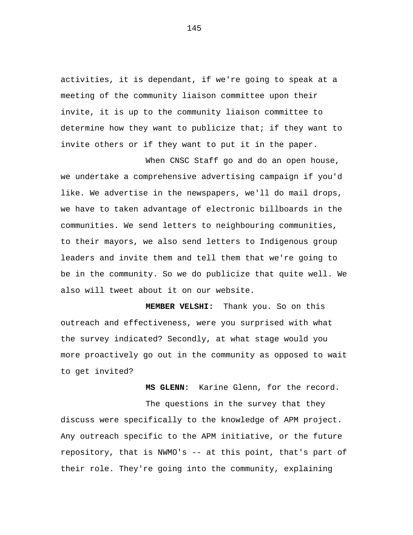activities, it is dependant, if we're going to speak at a meeting of the community liaison committee upon their invite, it is up to the community liaison committee to determine how they want to publicize that; if they want to invite others or if they want to put it in the paper.

When CNSC Staff go and do an open house, we undertake a comprehensive advertising campaign if you'd like. We advertise in the newspapers, we'll do mail drops, we have to taken advantage of electronic billboards in the communities. We send letters to neighbouring communities, to their mayors, we also send letters to Indigenous group leaders and invite them and tell them that we're going to be in the community. So we do publicize that quite well. We also will tweet about it on our website.

 **MEMBER VELSHI:** Thank you. So on this outreach and effectiveness, were you surprised with what the survey indicated? Secondly, at what stage would you more proactively go out in the community as opposed to wait to get invited?

 **MS GLENN:** Karine Glenn, for the record.

The questions in the survey that they discuss were specifically to the knowledge of APM project. Any outreach specific to the APM initiative, or the future repository, that is NWMO's -- at this point, that's part of their role. They're going into the community, explaining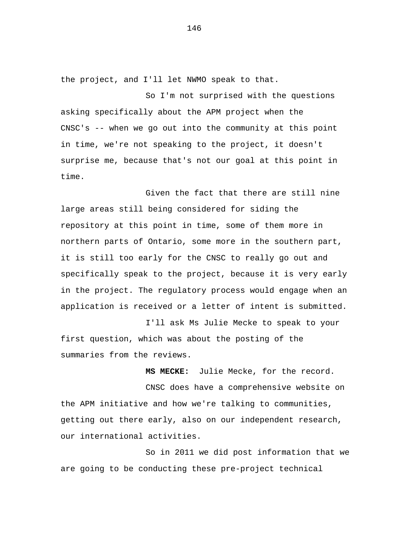the project, and I'll let NWMO speak to that.

So I'm not surprised with the questions asking specifically about the APM project when the CNSC's -- when we go out into the community at this point in time, we're not speaking to the project, it doesn't surprise me, because that's not our goal at this point in time.

Given the fact that there are still nine large areas still being considered for siding the repository at this point in time, some of them more in northern parts of Ontario, some more in the southern part, it is still too early for the CNSC to really go out and specifically speak to the project, because it is very early in the project. The regulatory process would engage when an application is received or a letter of intent is submitted.

I'll ask Ms Julie Mecke to speak to your first question, which was about the posting of the summaries from the reviews.

CNSC does have a comprehensive website on the APM initiative and how we're talking to communities, getting out there early, also on our independent research, our international activities.

 **MS MECKE:** Julie Mecke, for the record.

So in 2011 we did post information that we are going to be conducting these pre-project technical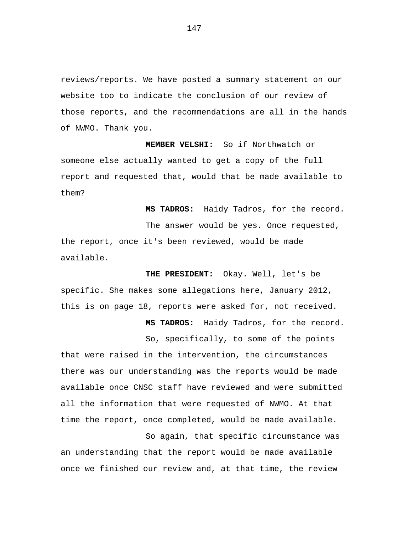reviews/reports. We have posted a summary statement on our website too to indicate the conclusion of our review of those reports, and the recommendations are all in the hands of NWMO. Thank you.

 **MEMBER VELSHI:** So if Northwatch or someone else actually wanted to get a copy of the full report and requested that, would that be made available to them?

 **MS TADROS:** Haidy Tadros, for the record.

The answer would be yes. Once requested, the report, once it's been reviewed, would be made available.

 **THE PRESIDENT:** Okay. Well, let's be specific. She makes some allegations here, January 2012, this is on page 18, reports were asked for, not received.

 **MS TADROS:** Haidy Tadros, for the record.

So, specifically, to some of the points that were raised in the intervention, the circumstances there was our understanding was the reports would be made available once CNSC staff have reviewed and were submitted all the information that were requested of NWMO. At that time the report, once completed, would be made available.

So again, that specific circumstance was an understanding that the report would be made available once we finished our review and, at that time, the review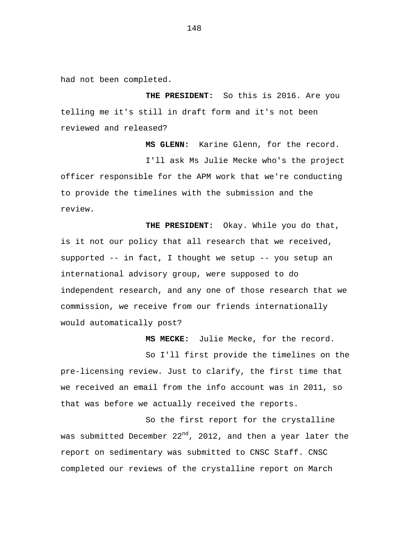had not been completed.

 **THE PRESIDENT:** So this is 2016. Are you telling me it's still in draft form and it's not been reviewed and released?

 **MS GLENN:** Karine Glenn, for the record. I'll ask Ms Julie Mecke who's the project officer responsible for the APM work that we're conducting to provide the timelines with the submission and the review.

 **THE PRESIDENT:** Okay. While you do that, is it not our policy that all research that we received, supported -- in fact, I thought we setup -- you setup an international advisory group, were supposed to do independent research, and any one of those research that we commission, we receive from our friends internationally would automatically post?

 **MS MECKE:** Julie Mecke, for the record.

So I'll first provide the timelines on the pre-licensing review. Just to clarify, the first time that we received an email from the info account was in 2011, so that was before we actually received the reports.

So the first report for the crystalline was submitted December  $22^{nd}$ , 2012, and then a year later the report on sedimentary was submitted to CNSC Staff. CNSC completed our reviews of the crystalline report on March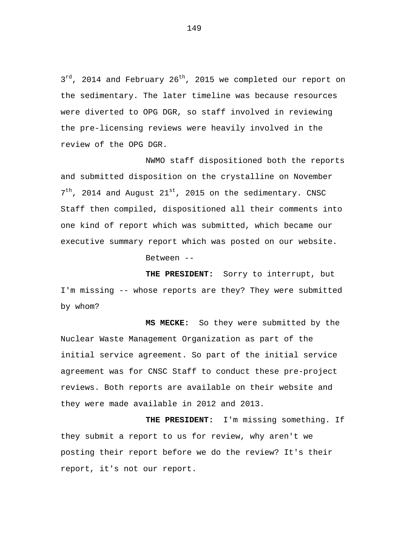3<sup>rd</sup>, 2014 and February 26<sup>th</sup>, 2015 we completed our report on the sedimentary. The later timeline was because resources were diverted to OPG DGR, so staff involved in reviewing the pre-licensing reviews were heavily involved in the review of the OPG DGR.

NWMO staff dispositioned both the reports and submitted disposition on the crystalline on November  $7<sup>th</sup>$ , 2014 and August 21<sup>st</sup>, 2015 on the sedimentary. CNSC Staff then compiled, dispositioned all their comments into one kind of report which was submitted, which became our executive summary report which was posted on our website.

Between --

 **THE PRESIDENT:** Sorry to interrupt, but I'm missing -- whose reports are they? They were submitted by whom?

 **MS MECKE:** So they were submitted by the Nuclear Waste Management Organization as part of the initial service agreement. So part of the initial service agreement was for CNSC Staff to conduct these pre-project reviews. Both reports are available on their website and they were made available in 2012 and 2013.

 **THE PRESIDENT:** I'm missing something. If they submit a report to us for review, why aren't we posting their report before we do the review? It's their report, it's not our report.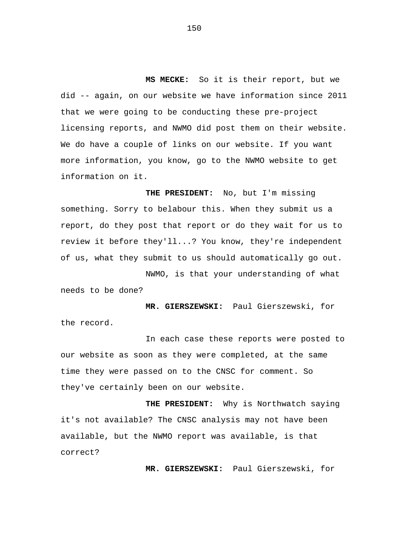**MS MECKE:** So it is their report, but we did -- again, on our website we have information since 2011 that we were going to be conducting these pre-project licensing reports, and NWMO did post them on their website. We do have a couple of links on our website. If you want more information, you know, go to the NWMO website to get information on it.

 **THE PRESIDENT:** No, but I'm missing something. Sorry to belabour this. When they submit us a report, do they post that report or do they wait for us to review it before they'll...? You know, they're independent of us, what they submit to us should automatically go out.

NWMO, is that your understanding of what needs to be done?

 **MR. GIERSZEWSKI:** Paul Gierszewski, for the record.

In each case these reports were posted to our website as soon as they were completed, at the same time they were passed on to the CNSC for comment. So they've certainly been on our website.

 **THE PRESIDENT:** Why is Northwatch saying it's not available? The CNSC analysis may not have been available, but the NWMO report was available, is that correct?

 **MR. GIERSZEWSKI:** Paul Gierszewski, for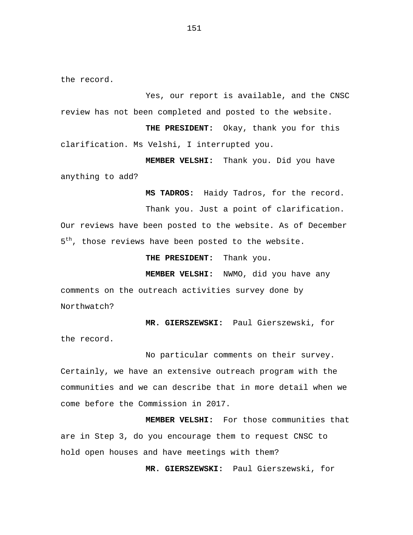the record.

Yes, our report is available, and the CNSC review has not been completed and posted to the website.

 **THE PRESIDENT:** Okay, thank you for this clarification. Ms Velshi, I interrupted you.

 **MEMBER VELSHI:** Thank you. Did you have anything to add?

 **MS TADROS:** Haidy Tadros, for the record. Thank you. Just a point of clarification. Our reviews have been posted to the website. As of December  $5<sup>th</sup>$ , those reviews have been posted to the website.

 **THE PRESIDENT:** Thank you.

 **MEMBER VELSHI:** NWMO, did you have any comments on the outreach activities survey done by Northwatch?

 **MR. GIERSZEWSKI:** Paul Gierszewski, for the record.

No particular comments on their survey. Certainly, we have an extensive outreach program with the communities and we can describe that in more detail when we come before the Commission in 2017.

 **MEMBER VELSHI:** For those communities that are in Step 3, do you encourage them to request CNSC to hold open houses and have meetings with them?

 **MR. GIERSZEWSKI:** Paul Gierszewski, for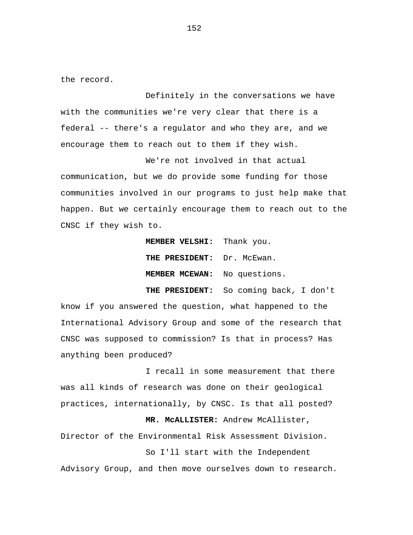the record.

Definitely in the conversations we have with the communities we're very clear that there is a federal -- there's a regulator and who they are, and we encourage them to reach out to them if they wish.

We're not involved in that actual communication, but we do provide some funding for those communities involved in our programs to just help make that happen. But we certainly encourage them to reach out to the CNSC if they wish to.

> **MEMBER VELSHI:** Thank you.  **THE PRESIDENT:** Dr. McEwan.  **MEMBER MCEWAN:** No questions.

 **THE PRESIDENT:** So coming back, I don't know if you answered the question, what happened to the International Advisory Group and some of the research that CNSC was supposed to commission? Is that in process? Has anything been produced?

I recall in some measurement that there was all kinds of research was done on their geological practices, internationally, by CNSC. Is that all posted?

 **MR. McALLISTER:** Andrew McAllister, Director of the Environmental Risk Assessment Division.

So I'll start with the Independent Advisory Group, and then move ourselves down to research.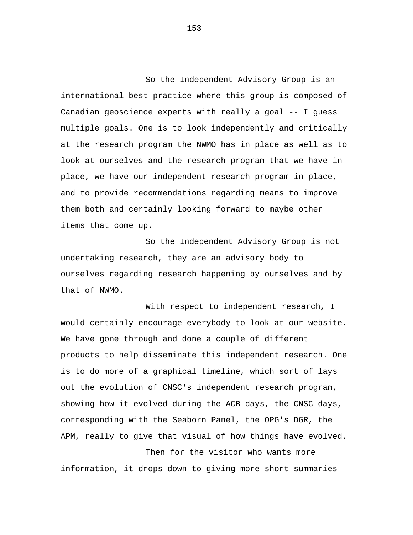So the Independent Advisory Group is an international best practice where this group is composed of Canadian geoscience experts with really a goal -- I guess multiple goals. One is to look independently and critically at the research program the NWMO has in place as well as to look at ourselves and the research program that we have in place, we have our independent research program in place, and to provide recommendations regarding means to improve them both and certainly looking forward to maybe other items that come up.

So the Independent Advisory Group is not undertaking research, they are an advisory body to ourselves regarding research happening by ourselves and by that of NWMO.

With respect to independent research, I would certainly encourage everybody to look at our website. We have gone through and done a couple of different products to help disseminate this independent research. One is to do more of a graphical timeline, which sort of lays out the evolution of CNSC's independent research program, showing how it evolved during the ACB days, the CNSC days, corresponding with the Seaborn Panel, the OPG's DGR, the APM, really to give that visual of how things have evolved.

Then for the visitor who wants more information, it drops down to giving more short summaries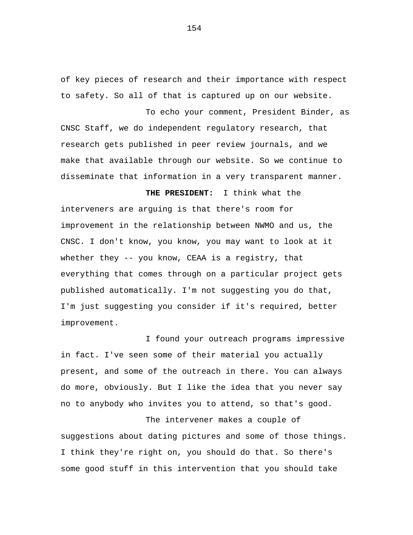of key pieces of research and their importance with respect to safety. So all of that is captured up on our website.

To echo your comment, President Binder, as CNSC Staff, we do independent regulatory research, that research gets published in peer review journals, and we make that available through our website. So we continue to disseminate that information in a very transparent manner.

 **THE PRESIDENT:** I think what the interveners are arguing is that there's room for improvement in the relationship between NWMO and us, the CNSC. I don't know, you know, you may want to look at it whether they -- you know, CEAA is a registry, that everything that comes through on a particular project gets published automatically. I'm not suggesting you do that, I'm just suggesting you consider if it's required, better improvement.

I found your outreach programs impressive in fact. I've seen some of their material you actually present, and some of the outreach in there. You can always do more, obviously. But I like the idea that you never say no to anybody who invites you to attend, so that's good.

The intervener makes a couple of suggestions about dating pictures and some of those things. I think they're right on, you should do that. So there's some good stuff in this intervention that you should take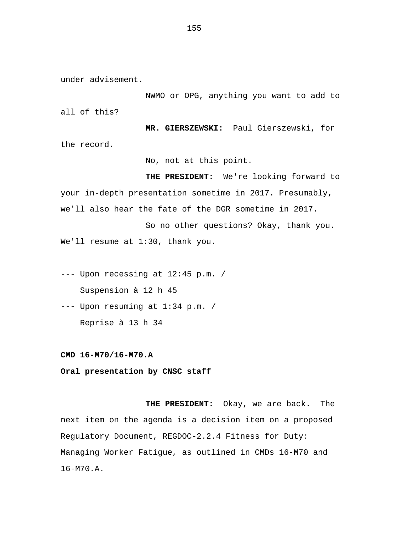under advisement.

NWMO or OPG, anything you want to add to all of this?

 **MR. GIERSZEWSKI:** Paul Gierszewski, for the record.

No, not at this point.

 **THE PRESIDENT:** We're looking forward to your in-depth presentation sometime in 2017. Presumably, we'll also hear the fate of the DGR sometime in 2017.

So no other questions? Okay, thank you. We'll resume at 1:30, thank you.

--- Upon recessing at 12:45 p.m. / Suspension à 12 h 45

--- Upon resuming at 1:34 p.m. / Reprise à 13 h 34

**CMD 16-M70/16-M70.A** 

**Oral presentation by CNSC staff** 

**THE PRESIDENT:** Okay, we are back**.** The next item on the agenda is a decision item on a proposed Regulatory Document, REGDOC-2.2.4 Fitness for Duty: Managing Worker Fatigue, as outlined in CMDs 16-M70 and 16-M70.A.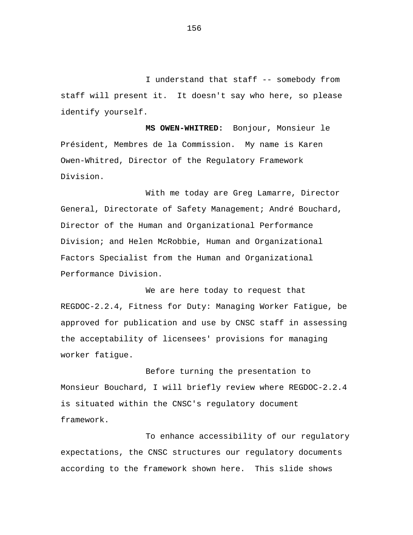I understand that staff -- somebody from staff will present it. It doesn't say who here, so please identify yourself.

**MS OWEN-WHITRED:** Bonjour, Monsieur le Président, Membres de la Commission. My name is Karen Owen-Whitred, Director of the Regulatory Framework Division.

With me today are Greg Lamarre, Director General, Directorate of Safety Management; André Bouchard, Director of the Human and Organizational Performance Division; and Helen McRobbie, Human and Organizational Factors Specialist from the Human and Organizational Performance Division.

We are here today to request that REGDOC-2.2.4, Fitness for Duty: Managing Worker Fatigue, be approved for publication and use by CNSC staff in assessing the acceptability of licensees' provisions for managing worker fatigue.

Before turning the presentation to Monsieur Bouchard, I will briefly review where REGDOC-2.2.4 is situated within the CNSC's regulatory document framework.

To enhance accessibility of our regulatory expectations, the CNSC structures our regulatory documents according to the framework shown here. This slide shows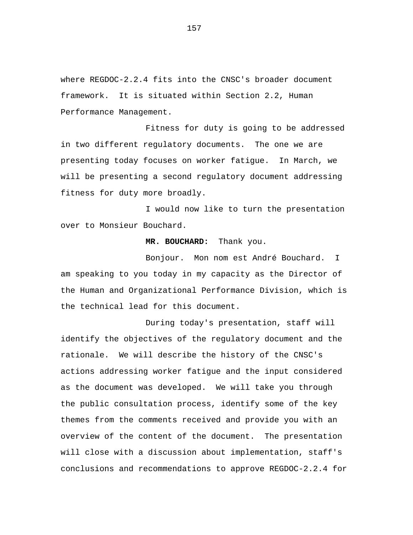where REGDOC-2.2.4 fits into the CNSC's broader document framework. It is situated within Section 2.2, Human Performance Management.

Fitness for duty is going to be addressed in two different regulatory documents. The one we are presenting today focuses on worker fatigue. In March, we will be presenting a second regulatory document addressing fitness for duty more broadly.

I would now like to turn the presentation over to Monsieur Bouchard.

## **MR. BOUCHARD:** Thank you.

Bonjour. Mon nom est André Bouchard. I am speaking to you today in my capacity as the Director of the Human and Organizational Performance Division, which is the technical lead for this document.

During today's presentation, staff will identify the objectives of the regulatory document and the rationale. We will describe the history of the CNSC's actions addressing worker fatigue and the input considered as the document was developed. We will take you through the public consultation process, identify some of the key themes from the comments received and provide you with an overview of the content of the document. The presentation will close with a discussion about implementation, staff's conclusions and recommendations to approve REGDOC-2.2.4 for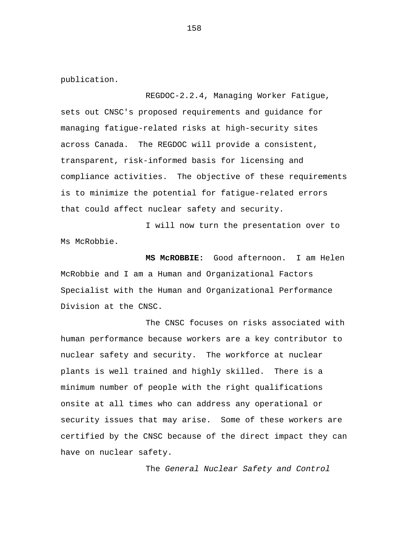publication.

REGDOC-2.2.4, Managing Worker Fatigue, sets out CNSC's proposed requirements and guidance for managing fatigue-related risks at high-security sites across Canada. The REGDOC will provide a consistent, transparent, risk-informed basis for licensing and compliance activities. The objective of these requirements is to minimize the potential for fatigue-related errors that could affect nuclear safety and security.

I will now turn the presentation over to Ms McRobbie.

**MS McROBBIE:** Good afternoon. I am Helen McRobbie and I am a Human and Organizational Factors Specialist with the Human and Organizational Performance Division at the CNSC.

The CNSC focuses on risks associated with human performance because workers are a key contributor to nuclear safety and security. The workforce at nuclear plants is well trained and highly skilled. There is a minimum number of people with the right qualifications onsite at all times who can address any operational or security issues that may arise. Some of these workers are certified by the CNSC because of the direct impact they can have on nuclear safety.

The *General Nuclear Safety and Control*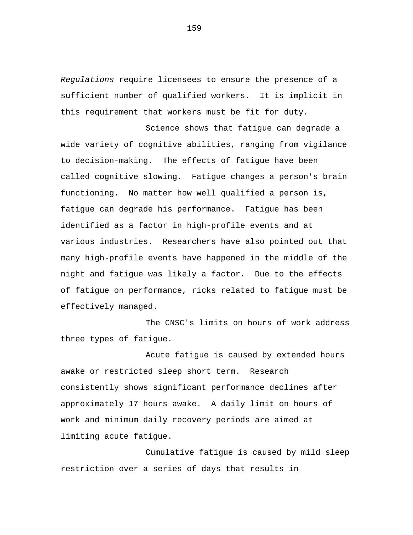*Regulations* require licensees to ensure the presence of a sufficient number of qualified workers. It is implicit in this requirement that workers must be fit for duty.

Science shows that fatigue can degrade a wide variety of cognitive abilities, ranging from vigilance to decision-making. The effects of fatigue have been called cognitive slowing. Fatigue changes a person's brain functioning. No matter how well qualified a person is, fatigue can degrade his performance. Fatigue has been identified as a factor in high-profile events and at various industries. Researchers have also pointed out that many high-profile events have happened in the middle of the night and fatigue was likely a factor. Due to the effects of fatigue on performance, ricks related to fatigue must be effectively managed.

The CNSC's limits on hours of work address three types of fatigue.

Acute fatigue is caused by extended hours awake or restricted sleep short term. Research consistently shows significant performance declines after approximately 17 hours awake. A daily limit on hours of work and minimum daily recovery periods are aimed at limiting acute fatigue.

Cumulative fatigue is caused by mild sleep restriction over a series of days that results in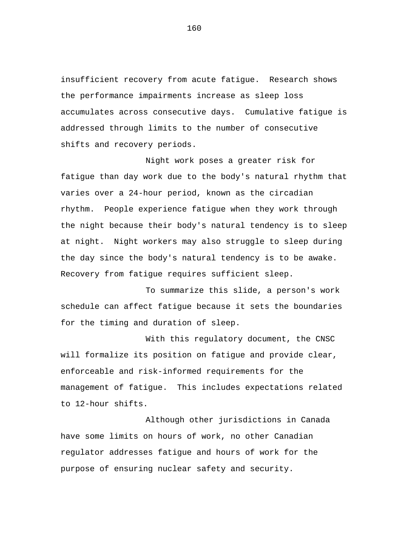insufficient recovery from acute fatigue. Research shows the performance impairments increase as sleep loss accumulates across consecutive days. Cumulative fatigue is addressed through limits to the number of consecutive shifts and recovery periods.

Night work poses a greater risk for fatigue than day work due to the body's natural rhythm that varies over a 24-hour period, known as the circadian rhythm. People experience fatigue when they work through the night because their body's natural tendency is to sleep at night. Night workers may also struggle to sleep during the day since the body's natural tendency is to be awake. Recovery from fatigue requires sufficient sleep.

To summarize this slide, a person's work schedule can affect fatigue because it sets the boundaries for the timing and duration of sleep.

With this regulatory document, the CNSC will formalize its position on fatigue and provide clear, enforceable and risk-informed requirements for the management of fatigue. This includes expectations related to 12-hour shifts.

Although other jurisdictions in Canada have some limits on hours of work, no other Canadian regulator addresses fatigue and hours of work for the purpose of ensuring nuclear safety and security.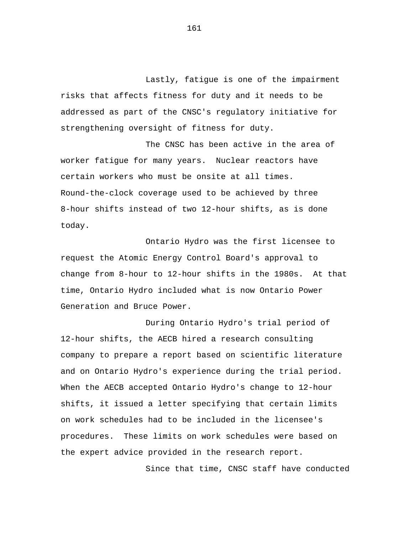Lastly, fatigue is one of the impairment risks that affects fitness for duty and it needs to be addressed as part of the CNSC's regulatory initiative for strengthening oversight of fitness for duty.

The CNSC has been active in the area of worker fatigue for many years. Nuclear reactors have certain workers who must be onsite at all times. Round-the-clock coverage used to be achieved by three 8-hour shifts instead of two 12-hour shifts, as is done today.

Ontario Hydro was the first licensee to request the Atomic Energy Control Board's approval to change from 8-hour to 12-hour shifts in the 1980s. At that time, Ontario Hydro included what is now Ontario Power Generation and Bruce Power.

During Ontario Hydro's trial period of 12-hour shifts, the AECB hired a research consulting company to prepare a report based on scientific literature and on Ontario Hydro's experience during the trial period. When the AECB accepted Ontario Hydro's change to 12-hour shifts, it issued a letter specifying that certain limits on work schedules had to be included in the licensee's procedures. These limits on work schedules were based on the expert advice provided in the research report.

Since that time, CNSC staff have conducted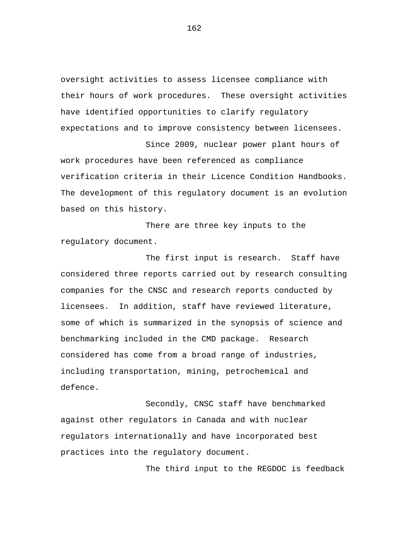oversight activities to assess licensee compliance with their hours of work procedures. These oversight activities have identified opportunities to clarify regulatory expectations and to improve consistency between licensees.

Since 2009, nuclear power plant hours of work procedures have been referenced as compliance verification criteria in their Licence Condition Handbooks. The development of this regulatory document is an evolution based on this history.

There are three key inputs to the regulatory document.

The first input is research. Staff have considered three reports carried out by research consulting companies for the CNSC and research reports conducted by licensees. In addition, staff have reviewed literature, some of which is summarized in the synopsis of science and benchmarking included in the CMD package. Research considered has come from a broad range of industries, including transportation, mining, petrochemical and defence.

Secondly, CNSC staff have benchmarked against other regulators in Canada and with nuclear regulators internationally and have incorporated best practices into the regulatory document.

The third input to the REGDOC is feedback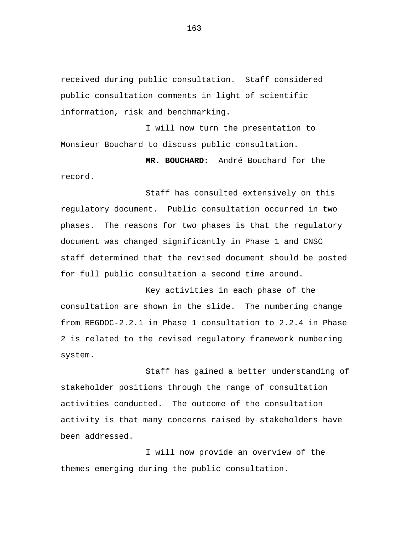received during public consultation. Staff considered public consultation comments in light of scientific information, risk and benchmarking.

I will now turn the presentation to Monsieur Bouchard to discuss public consultation.

**MR. BOUCHARD:** André Bouchard for the record.

Staff has consulted extensively on this regulatory document. Public consultation occurred in two phases. The reasons for two phases is that the regulatory document was changed significantly in Phase 1 and CNSC staff determined that the revised document should be posted for full public consultation a second time around.

Key activities in each phase of the consultation are shown in the slide. The numbering change from REGDOC-2.2.1 in Phase 1 consultation to 2.2.4 in Phase 2 is related to the revised regulatory framework numbering system.

Staff has gained a better understanding of stakeholder positions through the range of consultation activities conducted. The outcome of the consultation activity is that many concerns raised by stakeholders have been addressed.

I will now provide an overview of the themes emerging during the public consultation.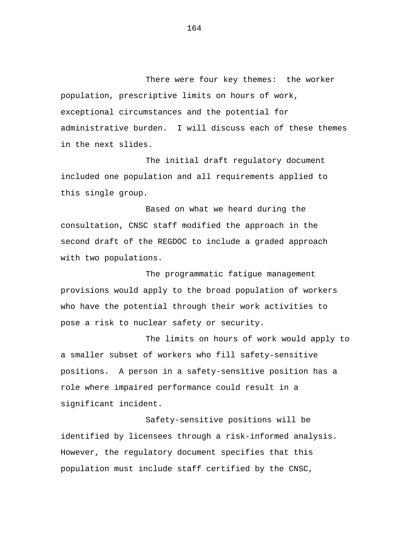There were four key themes: the worker population, prescriptive limits on hours of work, exceptional circumstances and the potential for administrative burden. I will discuss each of these themes in the next slides.

The initial draft regulatory document included one population and all requirements applied to this single group.

Based on what we heard during the consultation, CNSC staff modified the approach in the second draft of the REGDOC to include a graded approach with two populations.

The programmatic fatigue management provisions would apply to the broad population of workers who have the potential through their work activities to pose a risk to nuclear safety or security.

The limits on hours of work would apply to a smaller subset of workers who fill safety-sensitive positions. A person in a safety-sensitive position has a role where impaired performance could result in a significant incident.

Safety-sensitive positions will be identified by licensees through a risk-informed analysis. However, the regulatory document specifies that this population must include staff certified by the CNSC,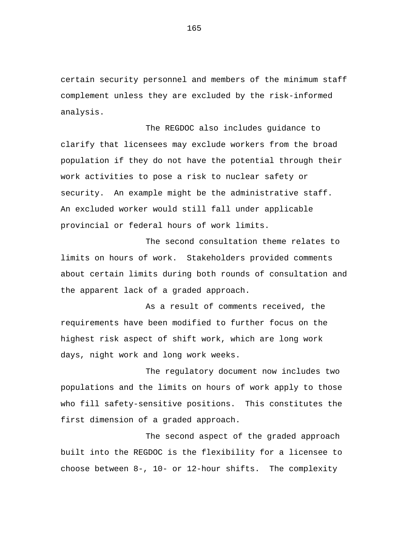certain security personnel and members of the minimum staff complement unless they are excluded by the risk-informed analysis.

The REGDOC also includes guidance to clarify that licensees may exclude workers from the broad population if they do not have the potential through their work activities to pose a risk to nuclear safety or security. An example might be the administrative staff. An excluded worker would still fall under applicable provincial or federal hours of work limits.

The second consultation theme relates to limits on hours of work. Stakeholders provided comments about certain limits during both rounds of consultation and the apparent lack of a graded approach.

As a result of comments received, the requirements have been modified to further focus on the highest risk aspect of shift work, which are long work days, night work and long work weeks.

The regulatory document now includes two populations and the limits on hours of work apply to those who fill safety-sensitive positions. This constitutes the first dimension of a graded approach.

The second aspect of the graded approach built into the REGDOC is the flexibility for a licensee to choose between 8-, 10- or 12-hour shifts. The complexity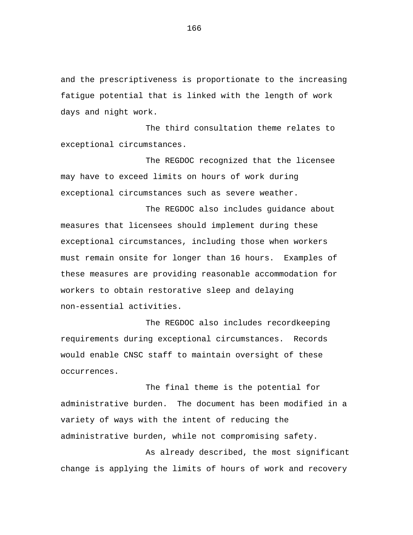and the prescriptiveness is proportionate to the increasing fatigue potential that is linked with the length of work days and night work.

The third consultation theme relates to exceptional circumstances.

The REGDOC recognized that the licensee may have to exceed limits on hours of work during exceptional circumstances such as severe weather.

The REGDOC also includes guidance about measures that licensees should implement during these exceptional circumstances, including those when workers must remain onsite for longer than 16 hours. Examples of these measures are providing reasonable accommodation for workers to obtain restorative sleep and delaying non-essential activities.

The REGDOC also includes recordkeeping requirements during exceptional circumstances. Records would enable CNSC staff to maintain oversight of these occurrences.

The final theme is the potential for administrative burden. The document has been modified in a variety of ways with the intent of reducing the administrative burden, while not compromising safety.

As already described, the most significant change is applying the limits of hours of work and recovery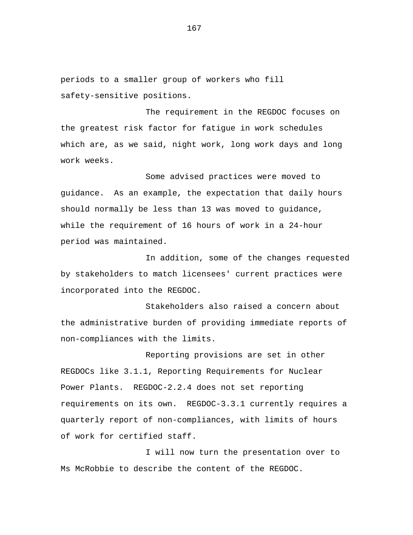periods to a smaller group of workers who fill safety-sensitive positions.

The requirement in the REGDOC focuses on the greatest risk factor for fatigue in work schedules which are, as we said, night work, long work days and long work weeks.

Some advised practices were moved to guidance. As an example, the expectation that daily hours should normally be less than 13 was moved to guidance, while the requirement of 16 hours of work in a 24-hour period was maintained.

In addition, some of the changes requested by stakeholders to match licensees' current practices were incorporated into the REGDOC.

Stakeholders also raised a concern about the administrative burden of providing immediate reports of non-compliances with the limits.

Reporting provisions are set in other REGDOCs like 3.1.1, Reporting Requirements for Nuclear Power Plants. REGDOC-2.2.4 does not set reporting requirements on its own. REGDOC-3.3.1 currently requires a quarterly report of non-compliances, with limits of hours of work for certified staff.

I will now turn the presentation over to Ms McRobbie to describe the content of the REGDOC.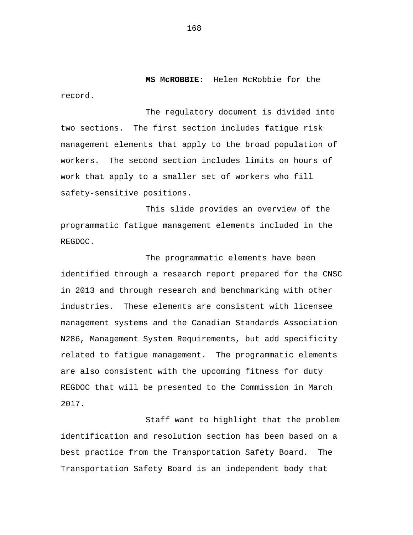**MS McROBBIE:** Helen McRobbie for the record.

The regulatory document is divided into two sections. The first section includes fatigue risk management elements that apply to the broad population of workers. The second section includes limits on hours of work that apply to a smaller set of workers who fill safety-sensitive positions.

This slide provides an overview of the programmatic fatigue management elements included in the REGDOC.

The programmatic elements have been identified through a research report prepared for the CNSC in 2013 and through research and benchmarking with other industries. These elements are consistent with licensee management systems and the Canadian Standards Association N286, Management System Requirements, but add specificity related to fatigue management. The programmatic elements are also consistent with the upcoming fitness for duty REGDOC that will be presented to the Commission in March 2017.

Staff want to highlight that the problem identification and resolution section has been based on a best practice from the Transportation Safety Board. The Transportation Safety Board is an independent body that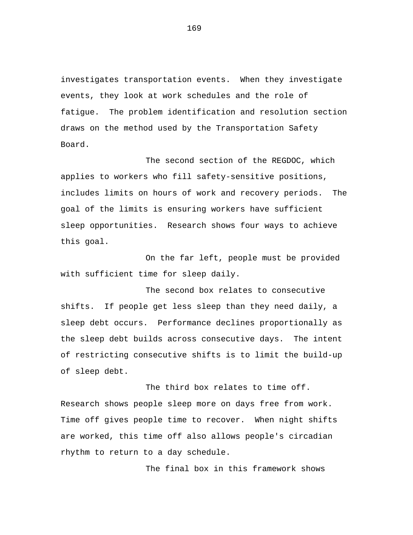investigates transportation events. When they investigate events, they look at work schedules and the role of fatigue. The problem identification and resolution section draws on the method used by the Transportation Safety Board.

The second section of the REGDOC, which applies to workers who fill safety-sensitive positions, includes limits on hours of work and recovery periods. The goal of the limits is ensuring workers have sufficient sleep opportunities. Research shows four ways to achieve this goal.

On the far left, people must be provided with sufficient time for sleep daily.

The second box relates to consecutive shifts. If people get less sleep than they need daily, a sleep debt occurs. Performance declines proportionally as the sleep debt builds across consecutive days. The intent of restricting consecutive shifts is to limit the build-up of sleep debt.

The third box relates to time off. Research shows people sleep more on days free from work. Time off gives people time to recover. When night shifts are worked, this time off also allows people's circadian rhythm to return to a day schedule.

The final box in this framework shows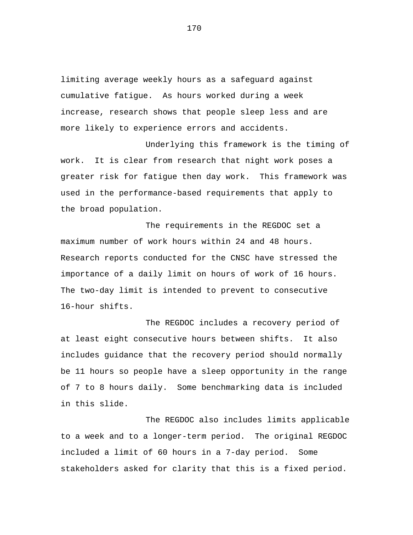limiting average weekly hours as a safeguard against cumulative fatigue. As hours worked during a week increase, research shows that people sleep less and are more likely to experience errors and accidents.

Underlying this framework is the timing of work. It is clear from research that night work poses a greater risk for fatigue then day work. This framework was used in the performance-based requirements that apply to the broad population.

The requirements in the REGDOC set a maximum number of work hours within 24 and 48 hours. Research reports conducted for the CNSC have stressed the importance of a daily limit on hours of work of 16 hours. The two-day limit is intended to prevent to consecutive 16-hour shifts.

The REGDOC includes a recovery period of at least eight consecutive hours between shifts. It also includes guidance that the recovery period should normally be 11 hours so people have a sleep opportunity in the range of 7 to 8 hours daily. Some benchmarking data is included in this slide.

The REGDOC also includes limits applicable to a week and to a longer-term period. The original REGDOC included a limit of 60 hours in a 7-day period. Some stakeholders asked for clarity that this is a fixed period.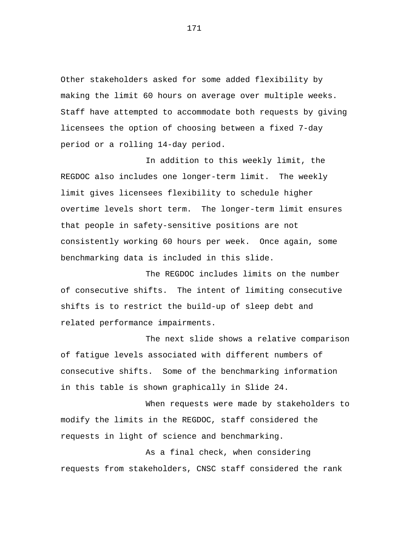Other stakeholders asked for some added flexibility by making the limit 60 hours on average over multiple weeks. Staff have attempted to accommodate both requests by giving licensees the option of choosing between a fixed 7-day period or a rolling 14-day period.

In addition to this weekly limit, the REGDOC also includes one longer-term limit. The weekly limit gives licensees flexibility to schedule higher overtime levels short term. The longer-term limit ensures that people in safety-sensitive positions are not consistently working 60 hours per week. Once again, some benchmarking data is included in this slide.

The REGDOC includes limits on the number of consecutive shifts. The intent of limiting consecutive shifts is to restrict the build-up of sleep debt and related performance impairments.

The next slide shows a relative comparison of fatigue levels associated with different numbers of consecutive shifts. Some of the benchmarking information in this table is shown graphically in Slide 24.

When requests were made by stakeholders to modify the limits in the REGDOC, staff considered the requests in light of science and benchmarking.

As a final check, when considering requests from stakeholders, CNSC staff considered the rank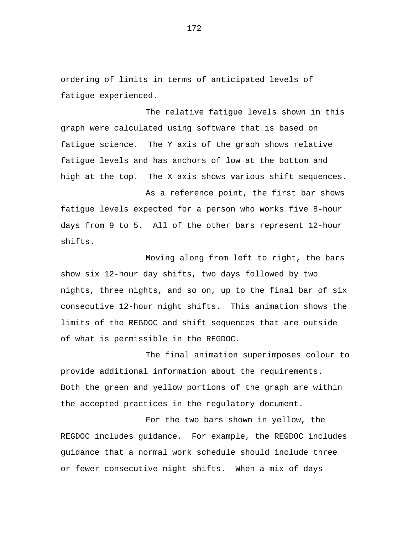ordering of limits in terms of anticipated levels of fatigue experienced.

The relative fatigue levels shown in this graph were calculated using software that is based on fatigue science. The Y axis of the graph shows relative fatigue levels and has anchors of low at the bottom and high at the top. The X axis shows various shift sequences.

As a reference point, the first bar shows fatigue levels expected for a person who works five 8-hour days from 9 to 5. All of the other bars represent 12-hour shifts.

Moving along from left to right, the bars show six 12-hour day shifts, two days followed by two nights, three nights, and so on, up to the final bar of six consecutive 12-hour night shifts. This animation shows the limits of the REGDOC and shift sequences that are outside of what is permissible in the REGDOC.

The final animation superimposes colour to provide additional information about the requirements. Both the green and yellow portions of the graph are within the accepted practices in the regulatory document.

For the two bars shown in yellow, the REGDOC includes guidance. For example, the REGDOC includes guidance that a normal work schedule should include three or fewer consecutive night shifts. When a mix of days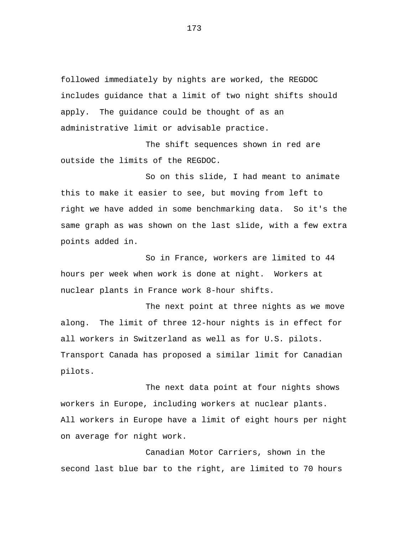followed immediately by nights are worked, the REGDOC includes guidance that a limit of two night shifts should apply. The guidance could be thought of as an administrative limit or advisable practice.

The shift sequences shown in red are outside the limits of the REGDOC.

So on this slide, I had meant to animate this to make it easier to see, but moving from left to right we have added in some benchmarking data. So it's the same graph as was shown on the last slide, with a few extra points added in.

So in France, workers are limited to 44 hours per week when work is done at night. Workers at nuclear plants in France work 8-hour shifts.

The next point at three nights as we move along. The limit of three 12-hour nights is in effect for all workers in Switzerland as well as for U.S. pilots. Transport Canada has proposed a similar limit for Canadian pilots.

The next data point at four nights shows workers in Europe, including workers at nuclear plants. All workers in Europe have a limit of eight hours per night on average for night work.

Canadian Motor Carriers, shown in the second last blue bar to the right, are limited to 70 hours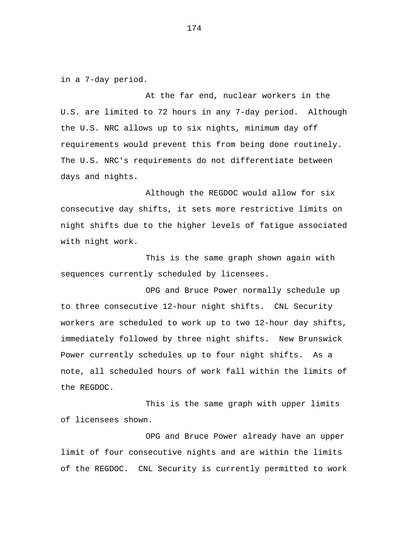in a 7-day period.

At the far end, nuclear workers in the U.S. are limited to 72 hours in any 7-day period. Although the U.S. NRC allows up to six nights, minimum day off requirements would prevent this from being done routinely. The U.S. NRC's requirements do not differentiate between days and nights.

Although the REGDOC would allow for six consecutive day shifts, it sets more restrictive limits on night shifts due to the higher levels of fatigue associated with night work.

This is the same graph shown again with sequences currently scheduled by licensees.

OPG and Bruce Power normally schedule up to three consecutive 12-hour night shifts. CNL Security workers are scheduled to work up to two 12-hour day shifts, immediately followed by three night shifts. New Brunswick Power currently schedules up to four night shifts. As a note, all scheduled hours of work fall within the limits of the REGDOC.

This is the same graph with upper limits of licensees shown.

OPG and Bruce Power already have an upper limit of four consecutive nights and are within the limits of the REGDOC. CNL Security is currently permitted to work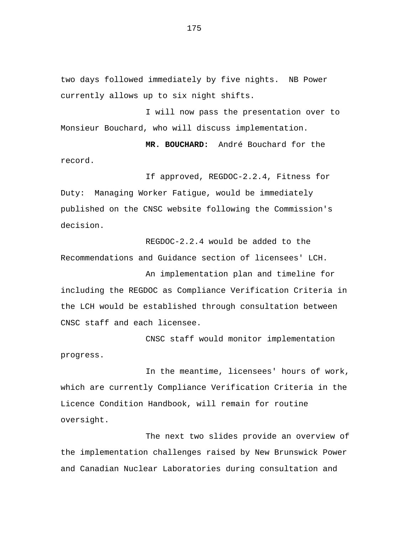two days followed immediately by five nights. NB Power currently allows up to six night shifts.

I will now pass the presentation over to Monsieur Bouchard, who will discuss implementation.

**MR. BOUCHARD:** André Bouchard for the record.

If approved, REGDOC-2.2.4, Fitness for Duty: Managing Worker Fatigue, would be immediately published on the CNSC website following the Commission's decision.

REGDOC-2.2.4 would be added to the Recommendations and Guidance section of licensees' LCH.

An implementation plan and timeline for including the REGDOC as Compliance Verification Criteria in the LCH would be established through consultation between CNSC staff and each licensee.

CNSC staff would monitor implementation progress.

In the meantime, licensees' hours of work, which are currently Compliance Verification Criteria in the Licence Condition Handbook, will remain for routine oversight.

The next two slides provide an overview of the implementation challenges raised by New Brunswick Power and Canadian Nuclear Laboratories during consultation and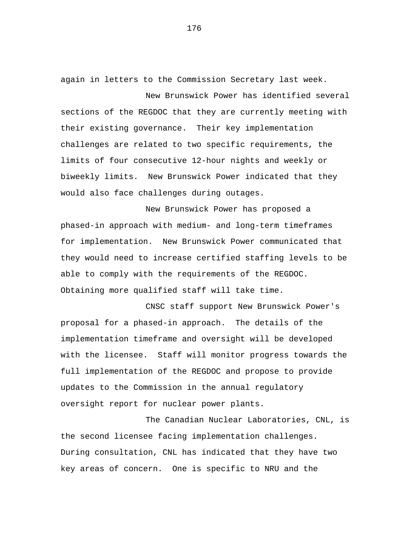again in letters to the Commission Secretary last week.

New Brunswick Power has identified several sections of the REGDOC that they are currently meeting with their existing governance. Their key implementation challenges are related to two specific requirements, the limits of four consecutive 12-hour nights and weekly or biweekly limits. New Brunswick Power indicated that they would also face challenges during outages.

New Brunswick Power has proposed a phased-in approach with medium- and long-term timeframes for implementation. New Brunswick Power communicated that they would need to increase certified staffing levels to be able to comply with the requirements of the REGDOC. Obtaining more qualified staff will take time.

CNSC staff support New Brunswick Power's proposal for a phased-in approach. The details of the implementation timeframe and oversight will be developed with the licensee. Staff will monitor progress towards the full implementation of the REGDOC and propose to provide updates to the Commission in the annual regulatory oversight report for nuclear power plants.

The Canadian Nuclear Laboratories, CNL, is the second licensee facing implementation challenges. During consultation, CNL has indicated that they have two key areas of concern. One is specific to NRU and the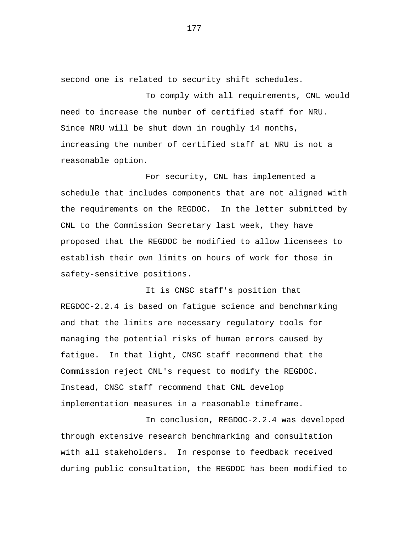second one is related to security shift schedules.

To comply with all requirements, CNL would need to increase the number of certified staff for NRU. Since NRU will be shut down in roughly 14 months, increasing the number of certified staff at NRU is not a reasonable option.

For security, CNL has implemented a schedule that includes components that are not aligned with the requirements on the REGDOC. In the letter submitted by CNL to the Commission Secretary last week, they have proposed that the REGDOC be modified to allow licensees to establish their own limits on hours of work for those in safety-sensitive positions.

It is CNSC staff's position that REGDOC-2.2.4 is based on fatigue science and benchmarking and that the limits are necessary regulatory tools for managing the potential risks of human errors caused by fatigue. In that light, CNSC staff recommend that the Commission reject CNL's request to modify the REGDOC. Instead, CNSC staff recommend that CNL develop implementation measures in a reasonable timeframe.

In conclusion, REGDOC-2.2.4 was developed through extensive research benchmarking and consultation with all stakeholders. In response to feedback received during public consultation, the REGDOC has been modified to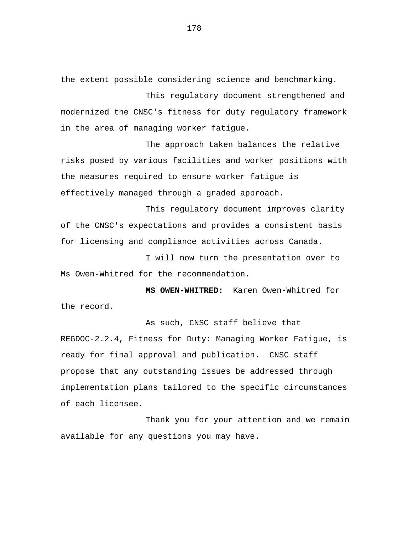the extent possible considering science and benchmarking.

This regulatory document strengthened and modernized the CNSC's fitness for duty regulatory framework in the area of managing worker fatigue.

The approach taken balances the relative risks posed by various facilities and worker positions with the measures required to ensure worker fatigue is effectively managed through a graded approach.

This regulatory document improves clarity of the CNSC's expectations and provides a consistent basis for licensing and compliance activities across Canada.

I will now turn the presentation over to Ms Owen-Whitred for the recommendation.

**MS OWEN-WHITRED:** Karen Owen-Whitred for the record.

As such, CNSC staff believe that REGDOC-2.2.4, Fitness for Duty: Managing Worker Fatigue, is ready for final approval and publication. CNSC staff propose that any outstanding issues be addressed through implementation plans tailored to the specific circumstances of each licensee.

Thank you for your attention and we remain available for any questions you may have.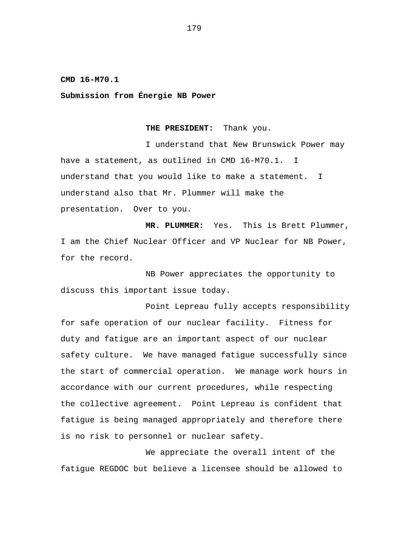**CMD 16-M70.1** 

**Submission from Énergie NB Power** 

#### **THE PRESIDENT:** Thank you.

I understand that New Brunswick Power may have a statement, as outlined in CMD 16-M70.1. I understand that you would like to make a statement. I understand also that Mr. Plummer will make the presentation. Over to you.

**MR. PLUMMER:** Yes. This is Brett Plummer, I am the Chief Nuclear Officer and VP Nuclear for NB Power, for the record.

NB Power appreciates the opportunity to discuss this important issue today.

Point Lepreau fully accepts responsibility for safe operation of our nuclear facility. Fitness for duty and fatigue are an important aspect of our nuclear safety culture. We have managed fatigue successfully since the start of commercial operation. We manage work hours in accordance with our current procedures, while respecting the collective agreement. Point Lepreau is confident that fatigue is being managed appropriately and therefore there is no risk to personnel or nuclear safety.

We appreciate the overall intent of the fatigue REGDOC but believe a licensee should be allowed to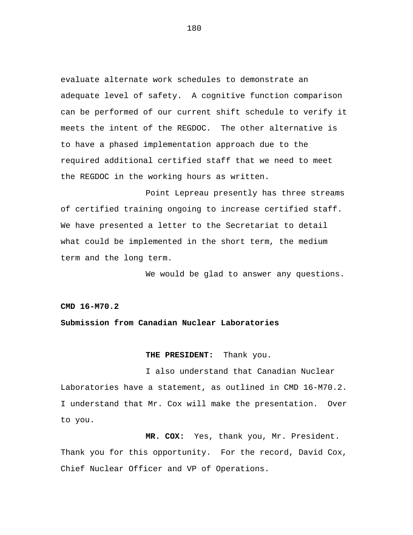evaluate alternate work schedules to demonstrate an adequate level of safety. A cognitive function comparison can be performed of our current shift schedule to verify it meets the intent of the REGDOC. The other alternative is to have a phased implementation approach due to the required additional certified staff that we need to meet the REGDOC in the working hours as written.

Point Lepreau presently has three streams of certified training ongoing to increase certified staff. We have presented a letter to the Secretariat to detail what could be implemented in the short term, the medium term and the long term.

We would be glad to answer any questions.

**CMD 16-M70.2** 

# **Submission from Canadian Nuclear Laboratories**

## **THE PRESIDENT:** Thank you.

I also understand that Canadian Nuclear Laboratories have a statement, as outlined in CMD 16-M70.2. I understand that Mr. Cox will make the presentation. Over to you.

**MR. COX:** Yes, thank you, Mr. President. Thank you for this opportunity. For the record, David Cox, Chief Nuclear Officer and VP of Operations.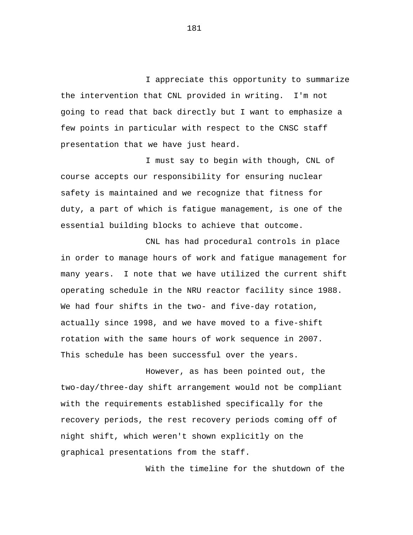I appreciate this opportunity to summarize the intervention that CNL provided in writing. I'm not going to read that back directly but I want to emphasize a few points in particular with respect to the CNSC staff presentation that we have just heard.

I must say to begin with though, CNL of course accepts our responsibility for ensuring nuclear safety is maintained and we recognize that fitness for duty, a part of which is fatigue management, is one of the essential building blocks to achieve that outcome.

CNL has had procedural controls in place in order to manage hours of work and fatigue management for many years. I note that we have utilized the current shift operating schedule in the NRU reactor facility since 1988. We had four shifts in the two- and five-day rotation, actually since 1998, and we have moved to a five-shift rotation with the same hours of work sequence in 2007. This schedule has been successful over the years.

However, as has been pointed out, the two-day/three-day shift arrangement would not be compliant with the requirements established specifically for the recovery periods, the rest recovery periods coming off of night shift, which weren't shown explicitly on the graphical presentations from the staff.

With the timeline for the shutdown of the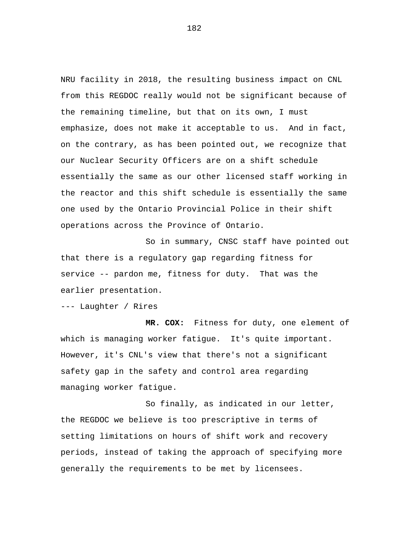NRU facility in 2018, the resulting business impact on CNL from this REGDOC really would not be significant because of the remaining timeline, but that on its own, I must emphasize, does not make it acceptable to us. And in fact, on the contrary, as has been pointed out, we recognize that our Nuclear Security Officers are on a shift schedule essentially the same as our other licensed staff working in the reactor and this shift schedule is essentially the same one used by the Ontario Provincial Police in their shift operations across the Province of Ontario.

So in summary, CNSC staff have pointed out that there is a regulatory gap regarding fitness for service -- pardon me, fitness for duty. That was the earlier presentation.

--- Laughter / Rires

**MR. COX:** Fitness for duty, one element of which is managing worker fatigue. It's quite important. However, it's CNL's view that there's not a significant safety gap in the safety and control area regarding managing worker fatigue.

So finally, as indicated in our letter, the REGDOC we believe is too prescriptive in terms of setting limitations on hours of shift work and recovery periods, instead of taking the approach of specifying more generally the requirements to be met by licensees.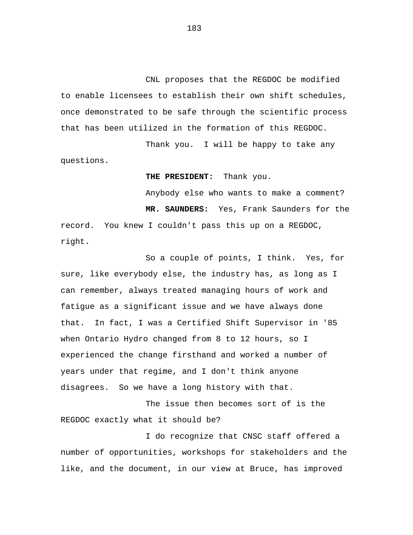CNL proposes that the REGDOC be modified to enable licensees to establish their own shift schedules, once demonstrated to be safe through the scientific process that has been utilized in the formation of this REGDOC.

Thank you. I will be happy to take any questions.

**THE PRESIDENT:** Thank you.

Anybody else who wants to make a comment? **MR. SAUNDERS:** Yes, Frank Saunders for the record. You knew I couldn't pass this up on a REGDOC, right.

So a couple of points, I think. Yes, for sure, like everybody else, the industry has, as long as I can remember, always treated managing hours of work and fatigue as a significant issue and we have always done that. In fact, I was a Certified Shift Supervisor in '85 when Ontario Hydro changed from 8 to 12 hours, so I experienced the change firsthand and worked a number of years under that regime, and I don't think anyone disagrees. So we have a long history with that.

The issue then becomes sort of is the REGDOC exactly what it should be?

I do recognize that CNSC staff offered a number of opportunities, workshops for stakeholders and the like, and the document, in our view at Bruce, has improved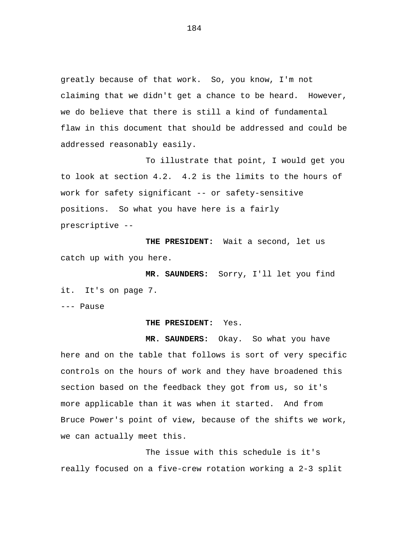greatly because of that work. So, you know, I'm not claiming that we didn't get a chance to be heard. However, we do believe that there is still a kind of fundamental flaw in this document that should be addressed and could be addressed reasonably easily.

To illustrate that point, I would get you to look at section 4.2. 4.2 is the limits to the hours of work for safety significant -- or safety-sensitive positions. So what you have here is a fairly prescriptive --

**THE PRESIDENT:** Wait a second, let us catch up with you here.

**MR. SAUNDERS:** Sorry, I'll let you find it. It's on page 7.

--- Pause

## **THE PRESIDENT:** Yes.

**MR. SAUNDERS:** Okay. So what you have here and on the table that follows is sort of very specific controls on the hours of work and they have broadened this section based on the feedback they got from us, so it's more applicable than it was when it started. And from Bruce Power's point of view, because of the shifts we work, we can actually meet this.

The issue with this schedule is it's really focused on a five-crew rotation working a 2-3 split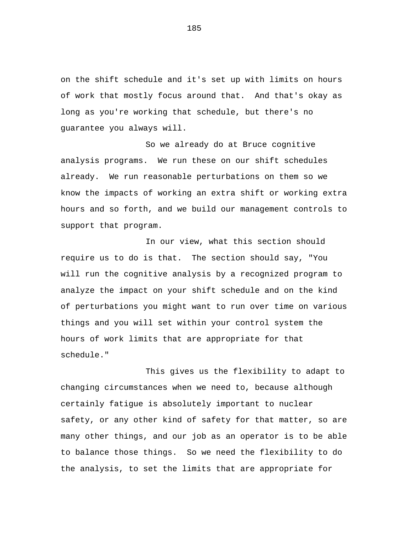on the shift schedule and it's set up with limits on hours of work that mostly focus around that. And that's okay as long as you're working that schedule, but there's no guarantee you always will.

So we already do at Bruce cognitive analysis programs. We run these on our shift schedules already. We run reasonable perturbations on them so we know the impacts of working an extra shift or working extra hours and so forth, and we build our management controls to support that program.

In our view, what this section should require us to do is that. The section should say, "You will run the cognitive analysis by a recognized program to analyze the impact on your shift schedule and on the kind of perturbations you might want to run over time on various things and you will set within your control system the hours of work limits that are appropriate for that schedule."

This gives us the flexibility to adapt to changing circumstances when we need to, because although certainly fatigue is absolutely important to nuclear safety, or any other kind of safety for that matter, so are many other things, and our job as an operator is to be able to balance those things. So we need the flexibility to do the analysis, to set the limits that are appropriate for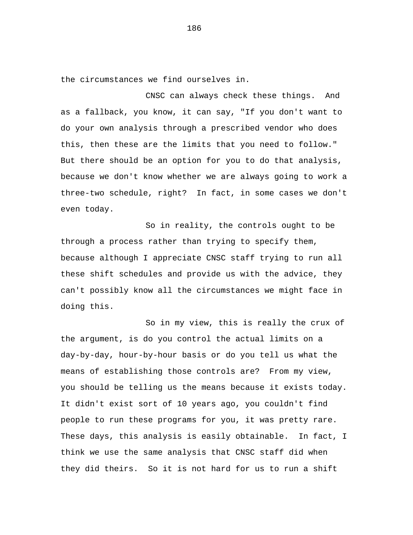the circumstances we find ourselves in.

CNSC can always check these things. And as a fallback, you know, it can say, "If you don't want to do your own analysis through a prescribed vendor who does this, then these are the limits that you need to follow." But there should be an option for you to do that analysis, because we don't know whether we are always going to work a three-two schedule, right? In fact, in some cases we don't even today.

So in reality, the controls ought to be through a process rather than trying to specify them, because although I appreciate CNSC staff trying to run all these shift schedules and provide us with the advice, they can't possibly know all the circumstances we might face in doing this.

So in my view, this is really the crux of the argument, is do you control the actual limits on a day-by-day, hour-by-hour basis or do you tell us what the means of establishing those controls are? From my view, you should be telling us the means because it exists today. It didn't exist sort of 10 years ago, you couldn't find people to run these programs for you, it was pretty rare. These days, this analysis is easily obtainable. In fact, I think we use the same analysis that CNSC staff did when they did theirs. So it is not hard for us to run a shift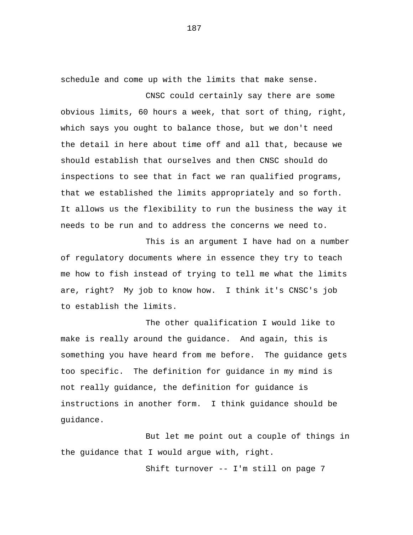schedule and come up with the limits that make sense.

CNSC could certainly say there are some obvious limits, 60 hours a week, that sort of thing, right, which says you ought to balance those, but we don't need the detail in here about time off and all that, because we should establish that ourselves and then CNSC should do inspections to see that in fact we ran qualified programs, that we established the limits appropriately and so forth. It allows us the flexibility to run the business the way it needs to be run and to address the concerns we need to.

This is an argument I have had on a number of regulatory documents where in essence they try to teach me how to fish instead of trying to tell me what the limits are, right? My job to know how. I think it's CNSC's job to establish the limits.

The other qualification I would like to make is really around the guidance. And again, this is something you have heard from me before. The guidance gets too specific. The definition for guidance in my mind is not really guidance, the definition for guidance is instructions in another form. I think guidance should be guidance.

But let me point out a couple of things in the guidance that I would argue with, right.

Shift turnover -- I'm still on page 7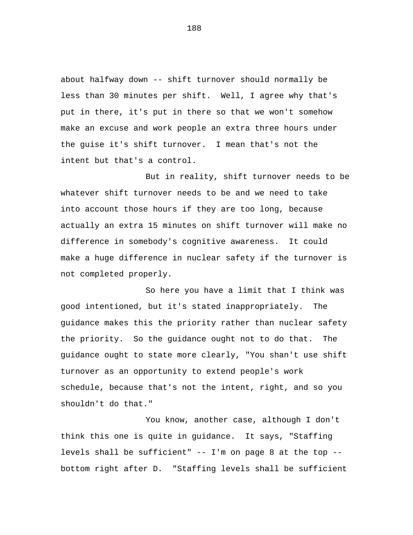about halfway down -- shift turnover should normally be less than 30 minutes per shift. Well, I agree why that's put in there, it's put in there so that we won't somehow make an excuse and work people an extra three hours under the guise it's shift turnover. I mean that's not the intent but that's a control.

But in reality, shift turnover needs to be whatever shift turnover needs to be and we need to take into account those hours if they are too long, because actually an extra 15 minutes on shift turnover will make no difference in somebody's cognitive awareness. It could make a huge difference in nuclear safety if the turnover is not completed properly.

So here you have a limit that I think was good intentioned, but it's stated inappropriately. The guidance makes this the priority rather than nuclear safety the priority. So the guidance ought not to do that. The guidance ought to state more clearly, "You shan't use shift turnover as an opportunity to extend people's work schedule, because that's not the intent, right, and so you shouldn't do that."

You know, another case, although I don't think this one is quite in guidance. It says, "Staffing levels shall be sufficient" -- I'm on page 8 at the top - bottom right after D. "Staffing levels shall be sufficient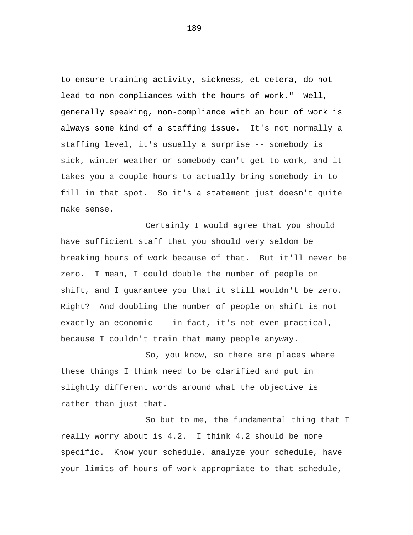to ensure training activity, sickness, et cetera, do not lead to non-compliances with the hours of work." Well, generally speaking, non-compliance with an hour of work is always some kind of a staffing issue. It's not normally a staffing level, it's usually a surprise -- somebody is sick, winter weather or somebody can't get to work, and it takes you a couple hours to actually bring somebody in to fill in that spot. So it's a statement just doesn't quite make sense.

Certainly I would agree that you should have sufficient staff that you should very seldom be breaking hours of work because of that. But it'll never be zero. I mean, I could double the number of people on shift, and I guarantee you that it still wouldn't be zero. Right? And doubling the number of people on shift is not exactly an economic -- in fact, it's not even practical, because I couldn't train that many people anyway.

So, you know, so there are places where these things I think need to be clarified and put in slightly different words around what the objective is rather than just that.

So but to me, the fundamental thing that I really worry about is 4.2. I think 4.2 should be more specific. Know your schedule, analyze your schedule, have your limits of hours of work appropriate to that schedule,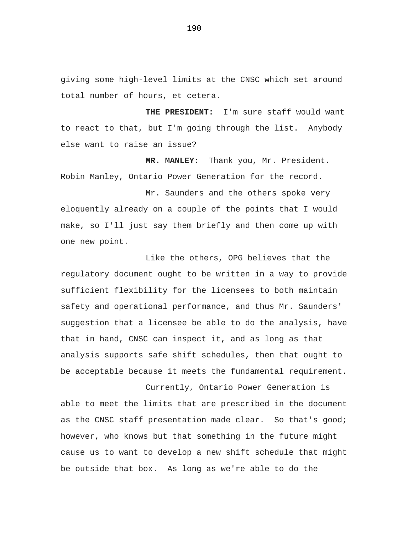giving some high-level limits at the CNSC which set around total number of hours, et cetera.

**THE PRESIDENT:** I'm sure staff would want to react to that, but I'm going through the list. Anybody else want to raise an issue?

**MR. MANLEY**: Thank you, Mr. President. Robin Manley, Ontario Power Generation for the record.

Mr. Saunders and the others spoke very eloquently already on a couple of the points that I would make, so I'll just say them briefly and then come up with one new point.

Like the others, OPG believes that the regulatory document ought to be written in a way to provide sufficient flexibility for the licensees to both maintain safety and operational performance, and thus Mr. Saunders' suggestion that a licensee be able to do the analysis, have that in hand, CNSC can inspect it, and as long as that analysis supports safe shift schedules, then that ought to be acceptable because it meets the fundamental requirement.

Currently, Ontario Power Generation is able to meet the limits that are prescribed in the document as the CNSC staff presentation made clear. So that's good; however, who knows but that something in the future might cause us to want to develop a new shift schedule that might be outside that box. As long as we're able to do the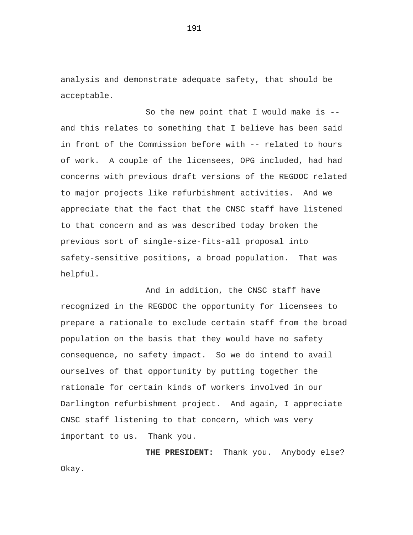analysis and demonstrate adequate safety, that should be acceptable.

So the new point that I would make is - and this relates to something that I believe has been said in front of the Commission before with -- related to hours of work. A couple of the licensees, OPG included, had had concerns with previous draft versions of the REGDOC related to major projects like refurbishment activities. And we appreciate that the fact that the CNSC staff have listened to that concern and as was described today broken the previous sort of single-size-fits-all proposal into safety-sensitive positions, a broad population. That was helpful.

And in addition, the CNSC staff have recognized in the REGDOC the opportunity for licensees to prepare a rationale to exclude certain staff from the broad population on the basis that they would have no safety consequence, no safety impact. So we do intend to avail ourselves of that opportunity by putting together the rationale for certain kinds of workers involved in our Darlington refurbishment project. And again, I appreciate CNSC staff listening to that concern, which was very important to us. Thank you.

**THE PRESIDENT:** Thank you. Anybody else? Okay.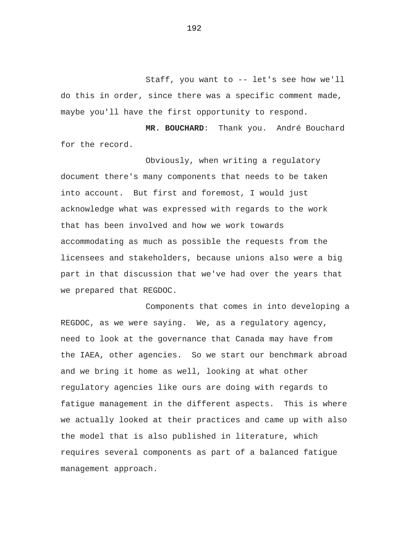Staff, you want to -- let's see how we'll do this in order, since there was a specific comment made, maybe you'll have the first opportunity to respond.

**MR. BOUCHARD**: Thank you. André Bouchard for the record.

Obviously, when writing a regulatory document there's many components that needs to be taken into account. But first and foremost, I would just acknowledge what was expressed with regards to the work that has been involved and how we work towards accommodating as much as possible the requests from the licensees and stakeholders, because unions also were a big part in that discussion that we've had over the years that we prepared that REGDOC.

Components that comes in into developing a REGDOC, as we were saying. We, as a regulatory agency, need to look at the governance that Canada may have from the IAEA, other agencies. So we start our benchmark abroad and we bring it home as well, looking at what other regulatory agencies like ours are doing with regards to fatigue management in the different aspects. This is where we actually looked at their practices and came up with also the model that is also published in literature, which requires several components as part of a balanced fatigue management approach.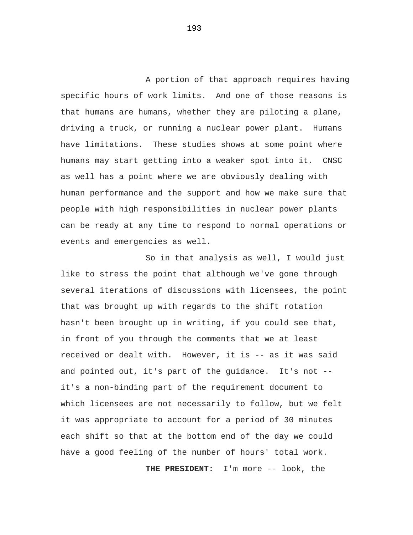A portion of that approach requires having specific hours of work limits. And one of those reasons is that humans are humans, whether they are piloting a plane, driving a truck, or running a nuclear power plant. Humans have limitations. These studies shows at some point where humans may start getting into a weaker spot into it. CNSC as well has a point where we are obviously dealing with human performance and the support and how we make sure that people with high responsibilities in nuclear power plants can be ready at any time to respond to normal operations or events and emergencies as well.

So in that analysis as well, I would just like to stress the point that although we've gone through several iterations of discussions with licensees, the point that was brought up with regards to the shift rotation hasn't been brought up in writing, if you could see that, in front of you through the comments that we at least received or dealt with. However, it is -- as it was said and pointed out, it's part of the guidance. It's not - it's a non-binding part of the requirement document to which licensees are not necessarily to follow, but we felt it was appropriate to account for a period of 30 minutes each shift so that at the bottom end of the day we could have a good feeling of the number of hours' total work.

**THE PRESIDENT:** I'm more -- look, the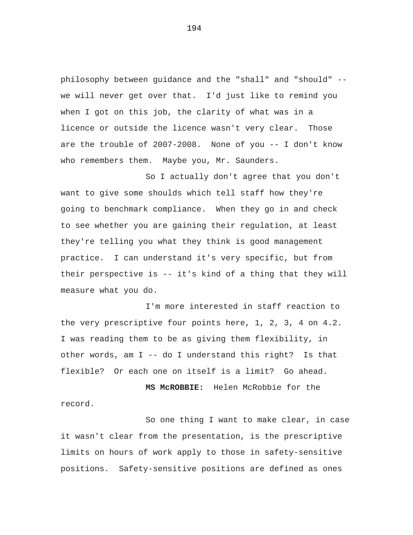philosophy between guidance and the "shall" and "should" - we will never get over that. I'd just like to remind you when I got on this job, the clarity of what was in a licence or outside the licence wasn't very clear. Those are the trouble of 2007-2008. None of you -- I don't know who remembers them. Maybe you, Mr. Saunders.

So I actually don't agree that you don't want to give some shoulds which tell staff how they're going to benchmark compliance. When they go in and check to see whether you are gaining their regulation, at least they're telling you what they think is good management practice. I can understand it's very specific, but from their perspective is -- it's kind of a thing that they will measure what you do.

I'm more interested in staff reaction to the very prescriptive four points here, 1, 2, 3, 4 on 4.2. I was reading them to be as giving them flexibility, in other words, am I -- do I understand this right? Is that flexible? Or each one on itself is a limit? Go ahead.

**MS McROBBIE:** Helen McRobbie for the record.

So one thing I want to make clear, in case it wasn't clear from the presentation, is the prescriptive limits on hours of work apply to those in safety-sensitive positions. Safety-sensitive positions are defined as ones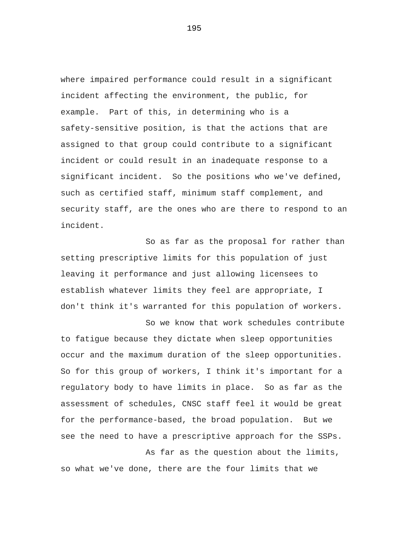where impaired performance could result in a significant incident affecting the environment, the public, for example. Part of this, in determining who is a safety-sensitive position, is that the actions that are assigned to that group could contribute to a significant incident or could result in an inadequate response to a significant incident. So the positions who we've defined, such as certified staff, minimum staff complement, and security staff, are the ones who are there to respond to an incident.

So as far as the proposal for rather than setting prescriptive limits for this population of just leaving it performance and just allowing licensees to establish whatever limits they feel are appropriate, I don't think it's warranted for this population of workers.

So we know that work schedules contribute to fatigue because they dictate when sleep opportunities occur and the maximum duration of the sleep opportunities. So for this group of workers, I think it's important for a regulatory body to have limits in place. So as far as the assessment of schedules, CNSC staff feel it would be great for the performance-based, the broad population. But we see the need to have a prescriptive approach for the SSPs.

As far as the question about the limits, so what we've done, there are the four limits that we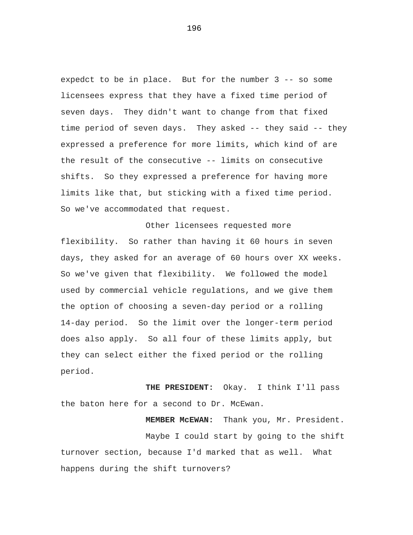expedct to be in place. But for the number 3 -- so some licensees express that they have a fixed time period of seven days. They didn't want to change from that fixed time period of seven days. They asked -- they said -- they expressed a preference for more limits, which kind of are the result of the consecutive -- limits on consecutive shifts. So they expressed a preference for having more limits like that, but sticking with a fixed time period. So we've accommodated that request.

Other licensees requested more flexibility. So rather than having it 60 hours in seven days, they asked for an average of 60 hours over XX weeks. So we've given that flexibility. We followed the model used by commercial vehicle regulations, and we give them the option of choosing a seven-day period or a rolling 14-day period. So the limit over the longer-term period does also apply. So all four of these limits apply, but they can select either the fixed period or the rolling period.

**THE PRESIDENT:** Okay. I think I'll pass the baton here for a second to Dr. McEwan.

**MEMBER McEWAN:** Thank you, Mr. President. Maybe I could start by going to the shift turnover section, because I'd marked that as well. What happens during the shift turnovers?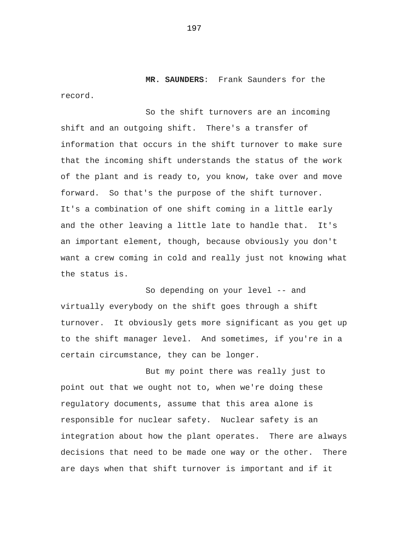**MR. SAUNDERS**: Frank Saunders for the record.

So the shift turnovers are an incoming shift and an outgoing shift. There's a transfer of information that occurs in the shift turnover to make sure that the incoming shift understands the status of the work of the plant and is ready to, you know, take over and move forward. So that's the purpose of the shift turnover. It's a combination of one shift coming in a little early and the other leaving a little late to handle that. It's an important element, though, because obviously you don't want a crew coming in cold and really just not knowing what the status is.

So depending on your level -- and virtually everybody on the shift goes through a shift turnover. It obviously gets more significant as you get up to the shift manager level. And sometimes, if you're in a certain circumstance, they can be longer.

But my point there was really just to point out that we ought not to, when we're doing these regulatory documents, assume that this area alone is responsible for nuclear safety. Nuclear safety is an integration about how the plant operates. There are always decisions that need to be made one way or the other. There are days when that shift turnover is important and if it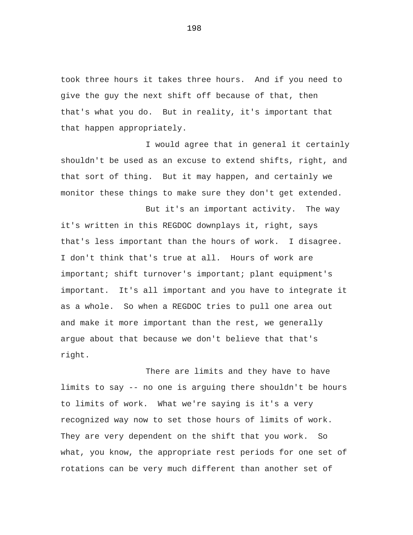took three hours it takes three hours. And if you need to give the guy the next shift off because of that, then that's what you do. But in reality, it's important that that happen appropriately.

I would agree that in general it certainly shouldn't be used as an excuse to extend shifts, right, and that sort of thing. But it may happen, and certainly we monitor these things to make sure they don't get extended.

But it's an important activity. The way it's written in this REGDOC downplays it, right, says that's less important than the hours of work. I disagree. I don't think that's true at all. Hours of work are important; shift turnover's important; plant equipment's important. It's all important and you have to integrate it as a whole. So when a REGDOC tries to pull one area out and make it more important than the rest, we generally argue about that because we don't believe that that's right.

There are limits and they have to have limits to say -- no one is arguing there shouldn't be hours to limits of work. What we're saying is it's a very recognized way now to set those hours of limits of work. They are very dependent on the shift that you work. So what, you know, the appropriate rest periods for one set of rotations can be very much different than another set of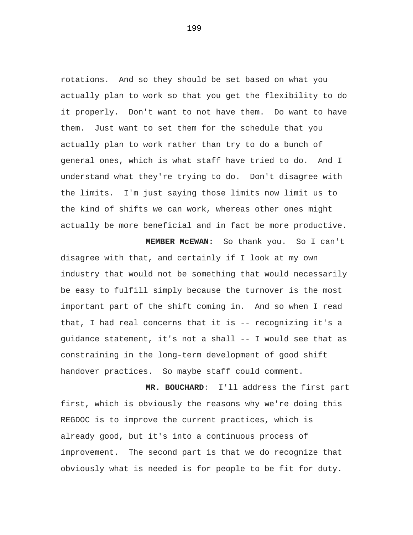rotations. And so they should be set based on what you actually plan to work so that you get the flexibility to do it properly. Don't want to not have them. Do want to have them. Just want to set them for the schedule that you actually plan to work rather than try to do a bunch of general ones, which is what staff have tried to do. And I understand what they're trying to do. Don't disagree with the limits. I'm just saying those limits now limit us to the kind of shifts we can work, whereas other ones might actually be more beneficial and in fact be more productive.

**MEMBER McEWAN:** So thank you. So I can't disagree with that, and certainly if I look at my own industry that would not be something that would necessarily be easy to fulfill simply because the turnover is the most important part of the shift coming in. And so when I read that, I had real concerns that it is -- recognizing it's a guidance statement, it's not a shall -- I would see that as constraining in the long-term development of good shift handover practices. So maybe staff could comment.

**MR. BOUCHARD**: I'll address the first part first, which is obviously the reasons why we're doing this REGDOC is to improve the current practices, which is already good, but it's into a continuous process of improvement. The second part is that we do recognize that obviously what is needed is for people to be fit for duty.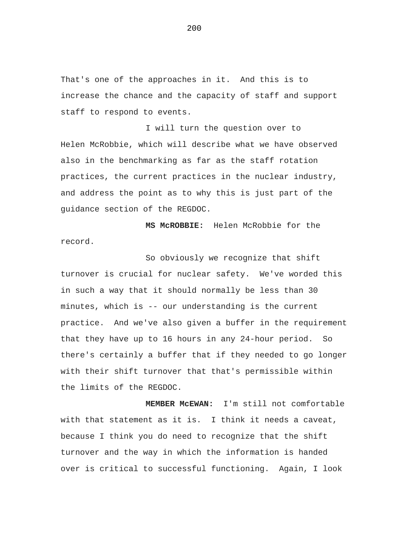That's one of the approaches in it. And this is to increase the chance and the capacity of staff and support staff to respond to events.

I will turn the question over to Helen McRobbie, which will describe what we have observed also in the benchmarking as far as the staff rotation practices, the current practices in the nuclear industry, and address the point as to why this is just part of the guidance section of the REGDOC.

**MS McROBBIE:** Helen McRobbie for the record.

So obviously we recognize that shift turnover is crucial for nuclear safety. We've worded this in such a way that it should normally be less than 30 minutes, which is -- our understanding is the current practice. And we've also given a buffer in the requirement that they have up to 16 hours in any 24-hour period. So there's certainly a buffer that if they needed to go longer with their shift turnover that that's permissible within the limits of the REGDOC.

**MEMBER McEWAN:** I'm still not comfortable with that statement as it is. I think it needs a caveat, because I think you do need to recognize that the shift turnover and the way in which the information is handed over is critical to successful functioning. Again, I look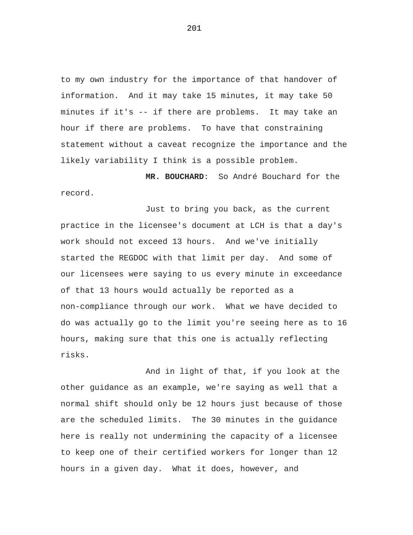to my own industry for the importance of that handover of information. And it may take 15 minutes, it may take 50 minutes if it's -- if there are problems. It may take an hour if there are problems. To have that constraining statement without a caveat recognize the importance and the likely variability I think is a possible problem.

**MR. BOUCHARD**: So André Bouchard for the record.

Just to bring you back, as the current practice in the licensee's document at LCH is that a day's work should not exceed 13 hours. And we've initially started the REGDOC with that limit per day. And some of our licensees were saying to us every minute in exceedance of that 13 hours would actually be reported as a non-compliance through our work. What we have decided to do was actually go to the limit you're seeing here as to 16 hours, making sure that this one is actually reflecting risks.

And in light of that, if you look at the other guidance as an example, we're saying as well that a normal shift should only be 12 hours just because of those are the scheduled limits. The 30 minutes in the guidance here is really not undermining the capacity of a licensee to keep one of their certified workers for longer than 12 hours in a given day. What it does, however, and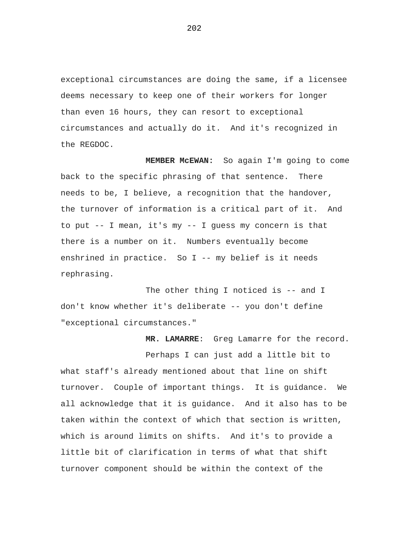exceptional circumstances are doing the same, if a licensee deems necessary to keep one of their workers for longer than even 16 hours, they can resort to exceptional circumstances and actually do it. And it's recognized in the REGDOC.

**MEMBER McEWAN:** So again I'm going to come back to the specific phrasing of that sentence. There needs to be, I believe, a recognition that the handover, the turnover of information is a critical part of it. And to put -- I mean, it's my -- I guess my concern is that there is a number on it. Numbers eventually become enshrined in practice. So I -- my belief is it needs rephrasing.

The other thing I noticed is -- and I don't know whether it's deliberate -- you don't define "exceptional circumstances."

**MR. LAMARRE**: Greg Lamarre for the record.

Perhaps I can just add a little bit to what staff's already mentioned about that line on shift turnover. Couple of important things. It is guidance. We all acknowledge that it is guidance. And it also has to be taken within the context of which that section is written, which is around limits on shifts. And it's to provide a little bit of clarification in terms of what that shift turnover component should be within the context of the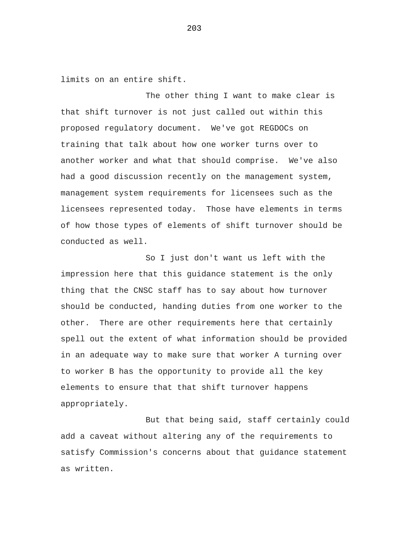limits on an entire shift.

The other thing I want to make clear is that shift turnover is not just called out within this proposed regulatory document. We've got REGDOCs on training that talk about how one worker turns over to another worker and what that should comprise. We've also had a good discussion recently on the management system, management system requirements for licensees such as the licensees represented today. Those have elements in terms of how those types of elements of shift turnover should be conducted as well.

So I just don't want us left with the impression here that this guidance statement is the only thing that the CNSC staff has to say about how turnover should be conducted, handing duties from one worker to the other. There are other requirements here that certainly spell out the extent of what information should be provided in an adequate way to make sure that worker A turning over to worker B has the opportunity to provide all the key elements to ensure that that shift turnover happens appropriately.

But that being said, staff certainly could add a caveat without altering any of the requirements to satisfy Commission's concerns about that guidance statement as written.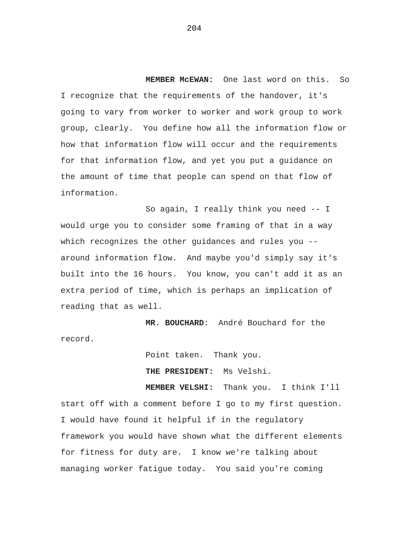**MEMBER McEWAN:** One last word on this. So I recognize that the requirements of the handover, it's going to vary from worker to worker and work group to work group, clearly. You define how all the information flow or how that information flow will occur and the requirements for that information flow, and yet you put a guidance on the amount of time that people can spend on that flow of information.

So again, I really think you need -- I would urge you to consider some framing of that in a way which recognizes the other guidances and rules you - around information flow. And maybe you'd simply say it's built into the 16 hours. You know, you can't add it as an extra period of time, which is perhaps an implication of reading that as well.

**MR. BOUCHARD**: André Bouchard for the record.

Point taken. Thank you.

**THE PRESIDENT:** Ms Velshi.

**MEMBER VELSHI:** Thank you. I think I'll start off with a comment before I go to my first question. I would have found it helpful if in the regulatory framework you would have shown what the different elements for fitness for duty are. I know we're talking about managing worker fatigue today. You said you're coming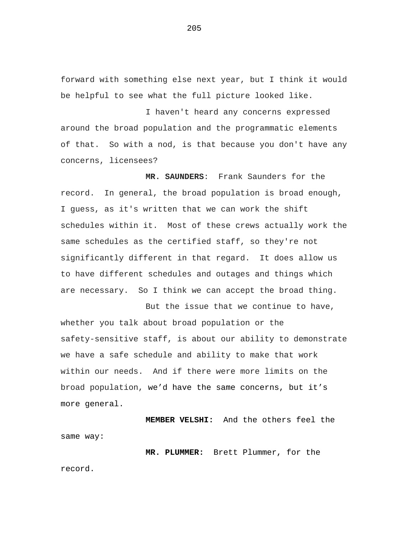forward with something else next year, but I think it would be helpful to see what the full picture looked like.

I haven't heard any concerns expressed around the broad population and the programmatic elements of that. So with a nod, is that because you don't have any concerns, licensees?

**MR. SAUNDERS**: Frank Saunders for the record. In general, the broad population is broad enough, I guess, as it's written that we can work the shift schedules within it. Most of these crews actually work the same schedules as the certified staff, so they're not significantly different in that regard. It does allow us to have different schedules and outages and things which are necessary. So I think we can accept the broad thing.

But the issue that we continue to have, whether you talk about broad population or the safety-sensitive staff, is about our ability to demonstrate we have a safe schedule and ability to make that work within our needs. And if there were more limits on the broad population, we'd have the same concerns, but it's more general.

**MEMBER VELSHI:** And the others feel the same way:

**MR. PLUMMER:** Brett Plummer, for the record.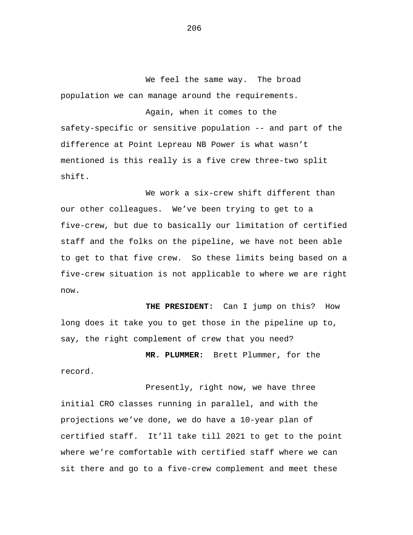We feel the same way. The broad population we can manage around the requirements.

Again, when it comes to the safety-specific or sensitive population -- and part of the difference at Point Lepreau NB Power is what wasn't mentioned is this really is a five crew three-two split shift.

We work a six-crew shift different than our other colleagues. We've been trying to get to a five-crew, but due to basically our limitation of certified staff and the folks on the pipeline, we have not been able to get to that five crew. So these limits being based on a five-crew situation is not applicable to where we are right now.

**THE PRESIDENT:** Can I jump on this? How long does it take you to get those in the pipeline up to, say, the right complement of crew that you need?

**MR. PLUMMER:** Brett Plummer, for the record.

Presently, right now, we have three initial CRO classes running in parallel, and with the projections we've done, we do have a 10-year plan of certified staff. It'll take till 2021 to get to the point where we're comfortable with certified staff where we can sit there and go to a five-crew complement and meet these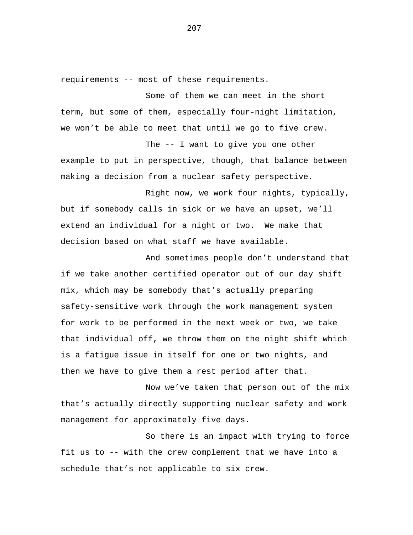requirements -- most of these requirements.

Some of them we can meet in the short term, but some of them, especially four-night limitation, we won't be able to meet that until we go to five crew.

The -- I want to give you one other example to put in perspective, though, that balance between making a decision from a nuclear safety perspective.

Right now, we work four nights, typically, but if somebody calls in sick or we have an upset, we'll extend an individual for a night or two. We make that decision based on what staff we have available.

And sometimes people don't understand that if we take another certified operator out of our day shift mix, which may be somebody that's actually preparing safety-sensitive work through the work management system for work to be performed in the next week or two, we take that individual off, we throw them on the night shift which is a fatigue issue in itself for one or two nights, and then we have to give them a rest period after that.

Now we've taken that person out of the mix that's actually directly supporting nuclear safety and work management for approximately five days.

So there is an impact with trying to force fit us to -- with the crew complement that we have into a schedule that's not applicable to six crew.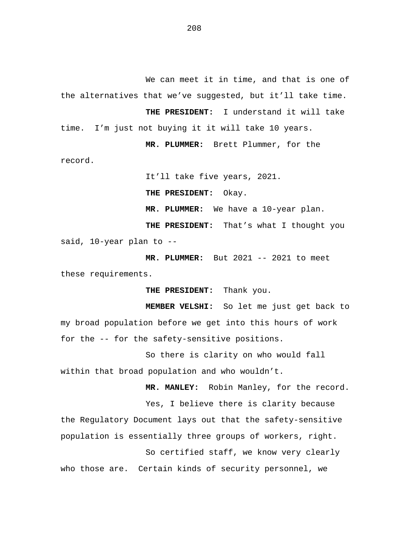We can meet it in time, and that is one of the alternatives that we've suggested, but it'll take time.

**THE PRESIDENT:** I understand it will take time. I'm just not buying it it will take 10 years.

**MR. PLUMMER:** Brett Plummer, for the

record.

It'll take five years, 2021.

**THE PRESIDENT:** Okay.

**MR. PLUMMER:** We have a 10-year plan.

**THE PRESIDENT:** That's what I thought you said, 10-year plan to --

**MR. PLUMMER:** But 2021 -- 2021 to meet these requirements.

**THE PRESIDENT:** Thank you.

**MEMBER VELSHI:** So let me just get back to my broad population before we get into this hours of work for the -- for the safety-sensitive positions.

So there is clarity on who would fall within that broad population and who wouldn't.

**MR. MANLEY:** Robin Manley, for the record.

Yes, I believe there is clarity because the Regulatory Document lays out that the safety-sensitive population is essentially three groups of workers, right.

So certified staff, we know very clearly who those are. Certain kinds of security personnel, we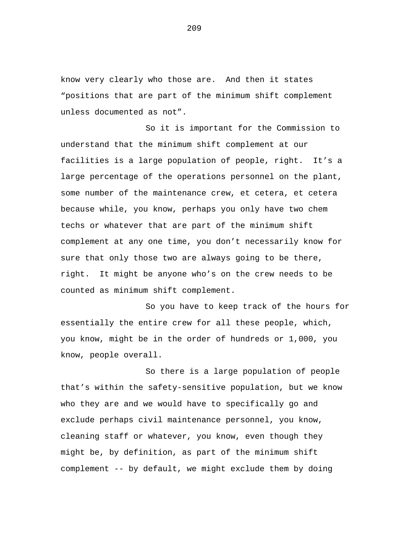know very clearly who those are. And then it states "positions that are part of the minimum shift complement unless documented as not".

So it is important for the Commission to understand that the minimum shift complement at our facilities is a large population of people, right. It's a large percentage of the operations personnel on the plant, some number of the maintenance crew, et cetera, et cetera because while, you know, perhaps you only have two chem techs or whatever that are part of the minimum shift complement at any one time, you don't necessarily know for sure that only those two are always going to be there, right. It might be anyone who's on the crew needs to be counted as minimum shift complement.

So you have to keep track of the hours for essentially the entire crew for all these people, which, you know, might be in the order of hundreds or 1,000, you know, people overall.

So there is a large population of people that's within the safety-sensitive population, but we know who they are and we would have to specifically go and exclude perhaps civil maintenance personnel, you know, cleaning staff or whatever, you know, even though they might be, by definition, as part of the minimum shift complement -- by default, we might exclude them by doing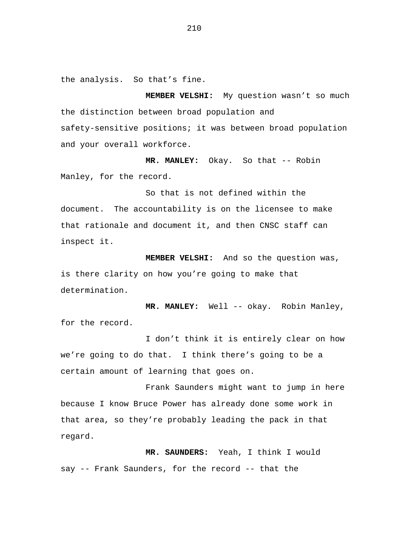the analysis. So that's fine.

**MEMBER VELSHI:** My question wasn't so much the distinction between broad population and safety-sensitive positions; it was between broad population and your overall workforce.

**MR. MANLEY:** Okay. So that -- Robin Manley, for the record.

So that is not defined within the document. The accountability is on the licensee to make that rationale and document it, and then CNSC staff can inspect it.

**MEMBER VELSHI:** And so the question was, is there clarity on how you're going to make that determination.

**MR. MANLEY:** Well -- okay. Robin Manley, for the record.

I don't think it is entirely clear on how we're going to do that. I think there's going to be a certain amount of learning that goes on.

Frank Saunders might want to jump in here because I know Bruce Power has already done some work in that area, so they're probably leading the pack in that regard.

**MR. SAUNDERS:** Yeah, I think I would say -- Frank Saunders, for the record -- that the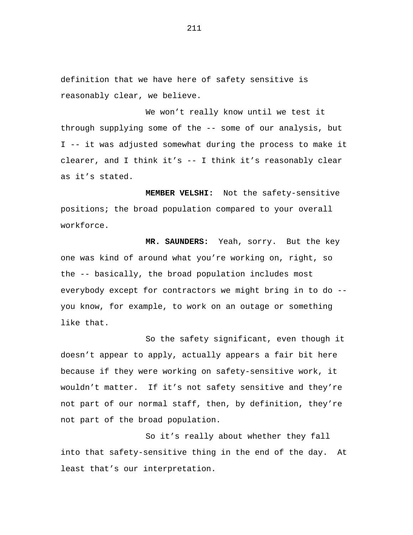definition that we have here of safety sensitive is reasonably clear, we believe.

We won't really know until we test it through supplying some of the -- some of our analysis, but I -- it was adjusted somewhat during the process to make it clearer, and I think it's -- I think it's reasonably clear as it's stated.

**MEMBER VELSHI:** Not the safety-sensitive positions; the broad population compared to your overall workforce.

**MR. SAUNDERS:** Yeah, sorry. But the key one was kind of around what you're working on, right, so the -- basically, the broad population includes most everybody except for contractors we might bring in to do - you know, for example, to work on an outage or something like that.

So the safety significant, even though it doesn't appear to apply, actually appears a fair bit here because if they were working on safety-sensitive work, it wouldn't matter. If it's not safety sensitive and they're not part of our normal staff, then, by definition, they're not part of the broad population.

So it's really about whether they fall into that safety-sensitive thing in the end of the day. At least that's our interpretation.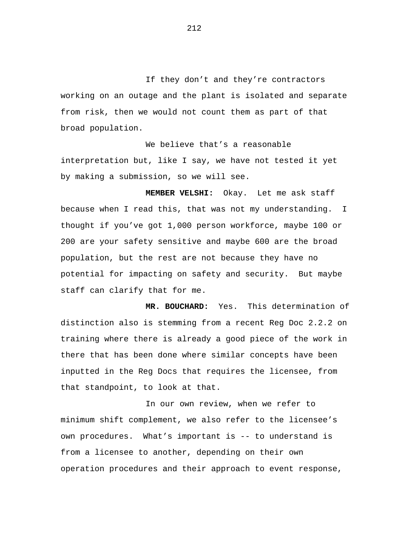If they don't and they're contractors working on an outage and the plant is isolated and separate from risk, then we would not count them as part of that broad population.

We believe that's a reasonable interpretation but, like I say, we have not tested it yet by making a submission, so we will see.

**MEMBER VELSHI:** Okay. Let me ask staff because when I read this, that was not my understanding. I thought if you've got 1,000 person workforce, maybe 100 or 200 are your safety sensitive and maybe 600 are the broad population, but the rest are not because they have no potential for impacting on safety and security. But maybe staff can clarify that for me.

**MR. BOUCHARD:** Yes. This determination of distinction also is stemming from a recent Reg Doc 2.2.2 on training where there is already a good piece of the work in there that has been done where similar concepts have been inputted in the Reg Docs that requires the licensee, from that standpoint, to look at that.

In our own review, when we refer to minimum shift complement, we also refer to the licensee's own procedures. What's important is -- to understand is from a licensee to another, depending on their own operation procedures and their approach to event response,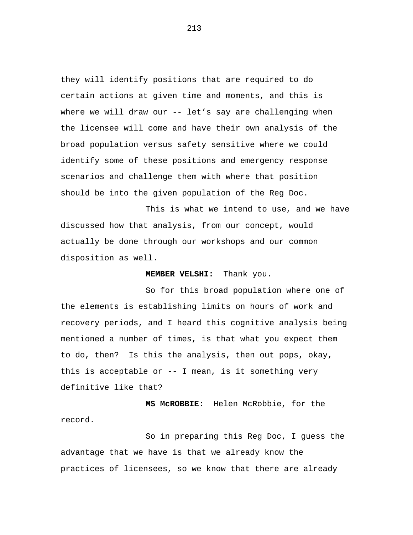they will identify positions that are required to do certain actions at given time and moments, and this is where we will draw our -- let's say are challenging when the licensee will come and have their own analysis of the broad population versus safety sensitive where we could identify some of these positions and emergency response scenarios and challenge them with where that position should be into the given population of the Reg Doc.

This is what we intend to use, and we have discussed how that analysis, from our concept, would actually be done through our workshops and our common disposition as well.

#### **MEMBER VELSHI:** Thank you.

So for this broad population where one of the elements is establishing limits on hours of work and recovery periods, and I heard this cognitive analysis being mentioned a number of times, is that what you expect them to do, then? Is this the analysis, then out pops, okay, this is acceptable or -- I mean, is it something very definitive like that?

**MS McROBBIE:** Helen McRobbie, for the record.

So in preparing this Reg Doc, I guess the advantage that we have is that we already know the practices of licensees, so we know that there are already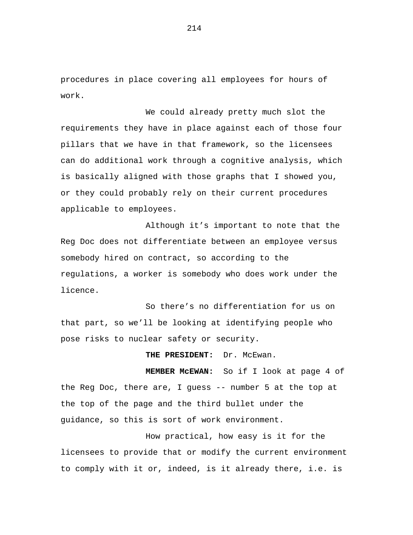procedures in place covering all employees for hours of work.

We could already pretty much slot the requirements they have in place against each of those four pillars that we have in that framework, so the licensees can do additional work through a cognitive analysis, which is basically aligned with those graphs that I showed you, or they could probably rely on their current procedures applicable to employees.

Although it's important to note that the Reg Doc does not differentiate between an employee versus somebody hired on contract, so according to the regulations, a worker is somebody who does work under the licence.

So there's no differentiation for us on that part, so we'll be looking at identifying people who pose risks to nuclear safety or security.

THE PRESIDENT: Dr. McEwan.

**MEMBER McEWAN:** So if I look at page 4 of the Reg Doc, there are, I guess -- number 5 at the top at the top of the page and the third bullet under the guidance, so this is sort of work environment.

How practical, how easy is it for the licensees to provide that or modify the current environment to comply with it or, indeed, is it already there, i.e. is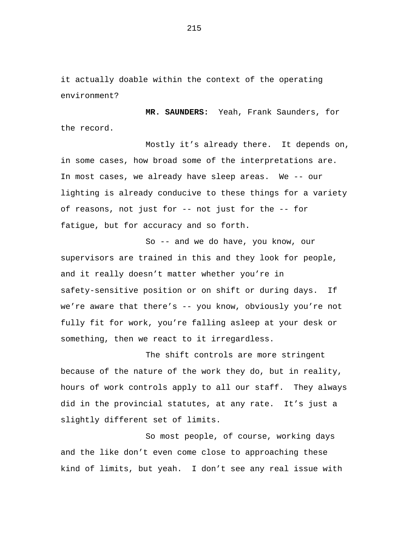it actually doable within the context of the operating environment?

**MR. SAUNDERS:** Yeah, Frank Saunders, for the record.

Mostly it's already there. It depends on, in some cases, how broad some of the interpretations are. In most cases, we already have sleep areas. We -- our lighting is already conducive to these things for a variety of reasons, not just for -- not just for the -- for fatigue, but for accuracy and so forth.

So -- and we do have, you know, our supervisors are trained in this and they look for people, and it really doesn't matter whether you're in safety-sensitive position or on shift or during days. If we're aware that there's -- you know, obviously you're not fully fit for work, you're falling asleep at your desk or something, then we react to it irregardless.

The shift controls are more stringent because of the nature of the work they do, but in reality, hours of work controls apply to all our staff. They always did in the provincial statutes, at any rate. It's just a slightly different set of limits.

So most people, of course, working days and the like don't even come close to approaching these kind of limits, but yeah. I don't see any real issue with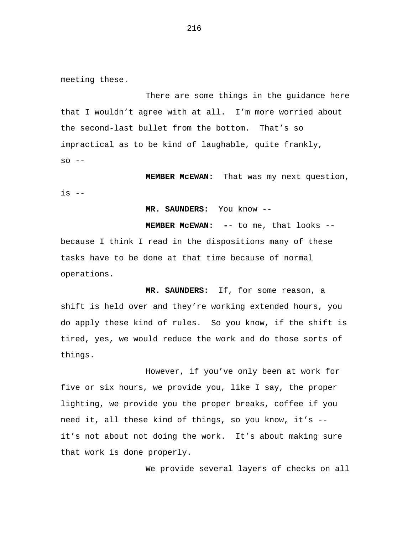meeting these.

There are some things in the guidance here that I wouldn't agree with at all. I'm more worried about the second-last bullet from the bottom. That's so impractical as to be kind of laughable, quite frankly,  $SO - -$ 

**MEMBER McEWAN:** That was my next question, is --

**MR. SAUNDERS:** You know --

**MEMBER McEWAN: -**- to me, that looks - because I think I read in the dispositions many of these tasks have to be done at that time because of normal operations.

**MR. SAUNDERS:** If, for some reason, a shift is held over and they're working extended hours, you do apply these kind of rules. So you know, if the shift is tired, yes, we would reduce the work and do those sorts of things.

However, if you've only been at work for five or six hours, we provide you, like I say, the proper lighting, we provide you the proper breaks, coffee if you need it, all these kind of things, so you know, it's - it's not about not doing the work. It's about making sure that work is done properly.

We provide several layers of checks on all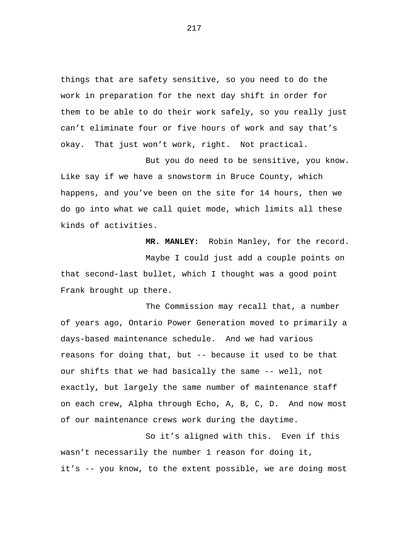things that are safety sensitive, so you need to do the work in preparation for the next day shift in order for them to be able to do their work safely, so you really just can't eliminate four or five hours of work and say that's okay. That just won't work, right. Not practical.

But you do need to be sensitive, you know. Like say if we have a snowstorm in Bruce County, which happens, and you've been on the site for 14 hours, then we do go into what we call quiet mode, which limits all these kinds of activities.

**MR. MANLEY:** Robin Manley, for the record. Maybe I could just add a couple points on that second-last bullet, which I thought was a good point Frank brought up there.

The Commission may recall that, a number of years ago, Ontario Power Generation moved to primarily a days-based maintenance schedule. And we had various reasons for doing that, but -- because it used to be that our shifts that we had basically the same -- well, not exactly, but largely the same number of maintenance staff on each crew, Alpha through Echo, A, B, C, D. And now most of our maintenance crews work during the daytime.

So it's aligned with this. Even if this wasn't necessarily the number 1 reason for doing it, it's -- you know, to the extent possible, we are doing most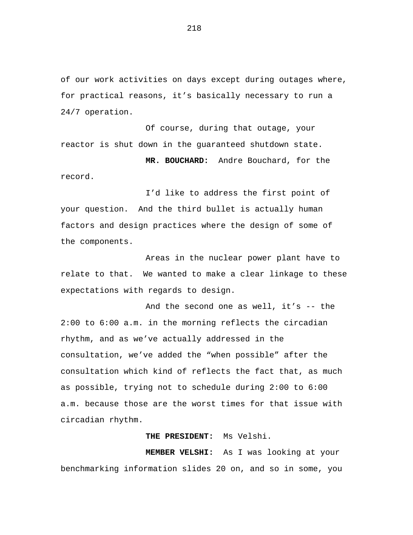of our work activities on days except during outages where, for practical reasons, it's basically necessary to run a 24/7 operation.

Of course, during that outage, your reactor is shut down in the guaranteed shutdown state.

**MR. BOUCHARD:** Andre Bouchard, for the record.

I'd like to address the first point of your question. And the third bullet is actually human factors and design practices where the design of some of the components.

Areas in the nuclear power plant have to relate to that. We wanted to make a clear linkage to these expectations with regards to design.

And the second one as well, it's -- the 2:00 to 6:00 a.m. in the morning reflects the circadian rhythm, and as we've actually addressed in the consultation, we've added the "when possible" after the consultation which kind of reflects the fact that, as much as possible, trying not to schedule during 2:00 to 6:00 a.m. because those are the worst times for that issue with circadian rhythm.

## **THE PRESIDENT:** Ms Velshi.

**MEMBER VELSHI:** As I was looking at your benchmarking information slides 20 on, and so in some, you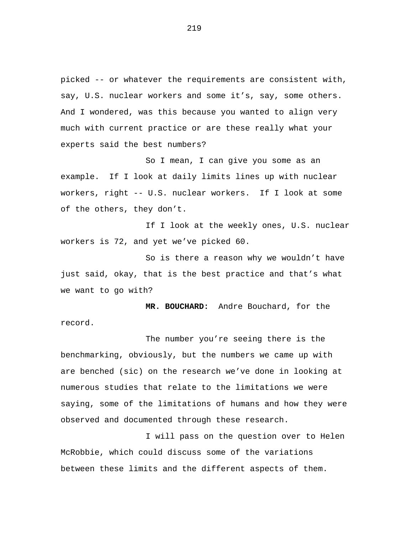picked -- or whatever the requirements are consistent with, say, U.S. nuclear workers and some it's, say, some others. And I wondered, was this because you wanted to align very much with current practice or are these really what your experts said the best numbers?

So I mean, I can give you some as an example. If I look at daily limits lines up with nuclear workers, right -- U.S. nuclear workers. If I look at some of the others, they don't.

If I look at the weekly ones, U.S. nuclear workers is 72, and yet we've picked 60.

So is there a reason why we wouldn't have just said, okay, that is the best practice and that's what we want to go with?

**MR. BOUCHARD:** Andre Bouchard, for the record.

The number you're seeing there is the benchmarking, obviously, but the numbers we came up with are benched (sic) on the research we've done in looking at numerous studies that relate to the limitations we were saying, some of the limitations of humans and how they were observed and documented through these research.

I will pass on the question over to Helen McRobbie, which could discuss some of the variations between these limits and the different aspects of them.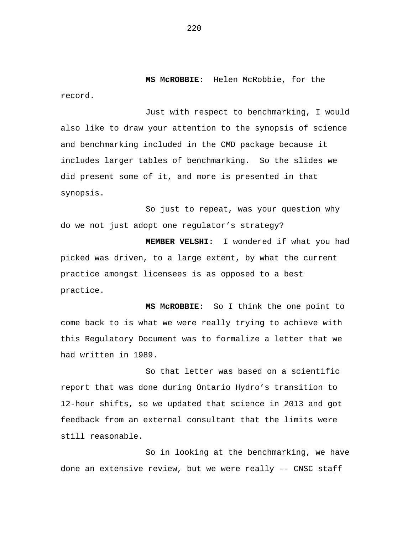**MS McROBBIE:** Helen McRobbie, for the record.

Just with respect to benchmarking, I would also like to draw your attention to the synopsis of science and benchmarking included in the CMD package because it includes larger tables of benchmarking. So the slides we did present some of it, and more is presented in that synopsis.

So just to repeat, was your question why do we not just adopt one regulator's strategy?

**MEMBER VELSHI:** I wondered if what you had picked was driven, to a large extent, by what the current practice amongst licensees is as opposed to a best practice.

**MS McROBBIE:** So I think the one point to come back to is what we were really trying to achieve with this Regulatory Document was to formalize a letter that we had written in 1989.

So that letter was based on a scientific report that was done during Ontario Hydro's transition to 12-hour shifts, so we updated that science in 2013 and got feedback from an external consultant that the limits were still reasonable.

So in looking at the benchmarking, we have done an extensive review, but we were really -- CNSC staff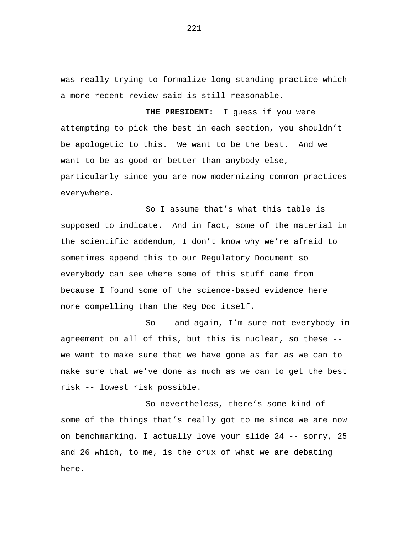was really trying to formalize long-standing practice which a more recent review said is still reasonable.

**THE PRESIDENT:** I guess if you were attempting to pick the best in each section, you shouldn't be apologetic to this. We want to be the best. And we want to be as good or better than anybody else, particularly since you are now modernizing common practices everywhere.

So I assume that's what this table is supposed to indicate. And in fact, some of the material in the scientific addendum, I don't know why we're afraid to sometimes append this to our Regulatory Document so everybody can see where some of this stuff came from because I found some of the science-based evidence here more compelling than the Reg Doc itself.

So -- and again, I'm sure not everybody in agreement on all of this, but this is nuclear, so these - we want to make sure that we have gone as far as we can to make sure that we've done as much as we can to get the best risk -- lowest risk possible.

So nevertheless, there's some kind of - some of the things that's really got to me since we are now on benchmarking, I actually love your slide 24 -- sorry, 25 and 26 which, to me, is the crux of what we are debating here.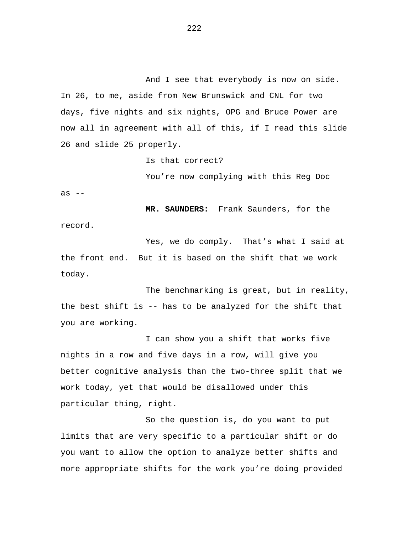And I see that everybody is now on side. In 26, to me, aside from New Brunswick and CNL for two days, five nights and six nights, OPG and Bruce Power are now all in agreement with all of this, if I read this slide 26 and slide 25 properly.

Is that correct?

as  $--$ You're now complying with this Reg Doc

record. **MR. SAUNDERS:** Frank Saunders, for the

the front end. But it is based on the shift that we work Yes, we do comply. That's what I said at today.

The benchmarking is great, but in reality, the best shift is -- has to be analyzed for the shift that you are working.

I can show you a shift that works five nights in a row and five days in a row, will give you better cognitive analysis than the two-three split that we work today, yet that would be disallowed under this particular thing, right.

So the question is, do you want to put limits that are very specific to a particular shift or do you want to allow the option to analyze better shifts and more appropriate shifts for the work you're doing provided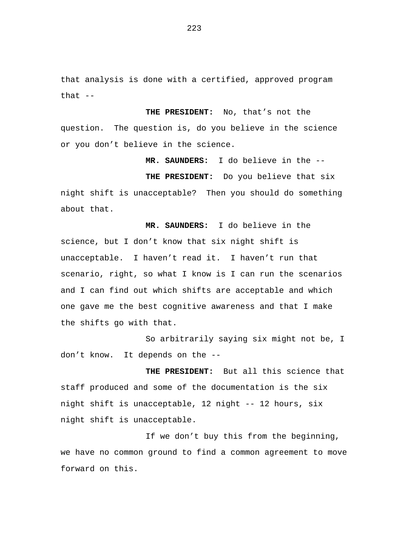that analysis is done with a certified, approved program that  $--$ 

**THE PRESIDENT:** No, that's not the question. The question is, do you believe in the science or you don't believe in the science.

**MR. SAUNDERS:** I do believe in the --

**THE PRESIDENT:** Do you believe that six night shift is unacceptable? Then you should do something about that.

**MR. SAUNDERS:** I do believe in the science, but I don't know that six night shift is unacceptable. I haven't read it. I haven't run that scenario, right, so what I know is I can run the scenarios and I can find out which shifts are acceptable and which one gave me the best cognitive awareness and that I make the shifts go with that.

So arbitrarily saying six might not be, I don't know. It depends on the --

**THE PRESIDENT:** But all this science that staff produced and some of the documentation is the six night shift is unacceptable, 12 night -- 12 hours, six night shift is unacceptable.

If we don't buy this from the beginning, we have no common ground to find a common agreement to move forward on this.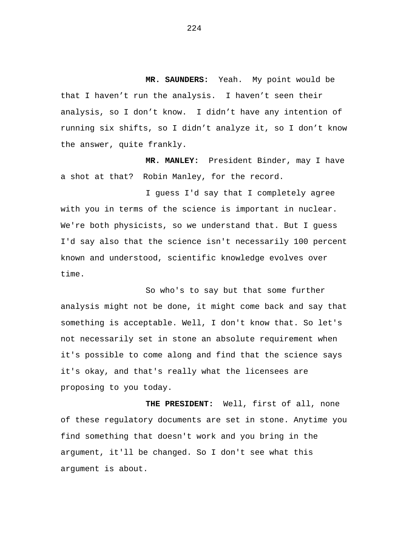**MR. SAUNDERS:** Yeah. My point would be that I haven't run the analysis. I haven't seen their analysis, so I don't know. I didn't have any intention of running six shifts, so I didn't analyze it, so I don't know the answer, quite frankly.

**MR. MANLEY:** President Binder, may I have a shot at that? Robin Manley, for the record.

I guess I'd say that I completely agree with you in terms of the science is important in nuclear. We're both physicists, so we understand that. But I guess I'd say also that the science isn't necessarily 100 percent known and understood, scientific knowledge evolves over time.

So who's to say but that some further analysis might not be done, it might come back and say that something is acceptable. Well, I don't know that. So let's not necessarily set in stone an absolute requirement when it's possible to come along and find that the science says it's okay, and that's really what the licensees are proposing to you today.

 **THE PRESIDENT:** Well, first of all, none of these regulatory documents are set in stone. Anytime you find something that doesn't work and you bring in the argument, it'll be changed. So I don't see what this argument is about.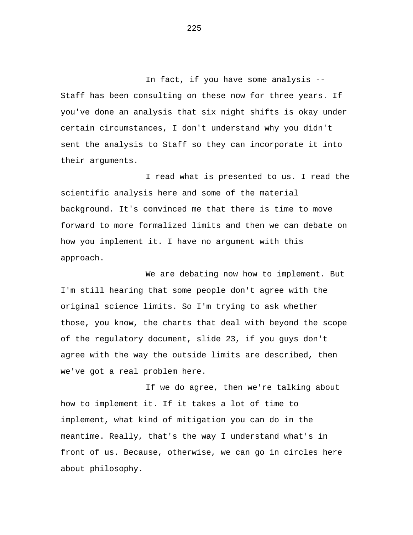In fact, if you have some analysis -- Staff has been consulting on these now for three years. If you've done an analysis that six night shifts is okay under certain circumstances, I don't understand why you didn't sent the analysis to Staff so they can incorporate it into their arguments.

I read what is presented to us. I read the scientific analysis here and some of the material background. It's convinced me that there is time to move forward to more formalized limits and then we can debate on how you implement it. I have no argument with this approach.

We are debating now how to implement. But I'm still hearing that some people don't agree with the original science limits. So I'm trying to ask whether those, you know, the charts that deal with beyond the scope of the regulatory document, slide 23, if you guys don't agree with the way the outside limits are described, then we've got a real problem here.

If we do agree, then we're talking about how to implement it. If it takes a lot of time to implement, what kind of mitigation you can do in the meantime. Really, that's the way I understand what's in front of us. Because, otherwise, we can go in circles here about philosophy.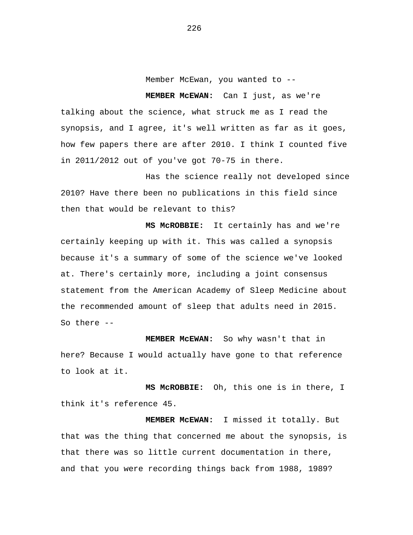Member McEwan, you wanted to --

#### **MEMBER McEWAN:** Can I just, as we're

talking about the science, what struck me as I read the synopsis, and I agree, it's well written as far as it goes, how few papers there are after 2010. I think I counted five in 2011/2012 out of you've got 70-75 in there.

Has the science really not developed since 2010? Have there been no publications in this field since then that would be relevant to this?

 **MS McROBBIE:** It certainly has and we're certainly keeping up with it. This was called a synopsis because it's a summary of some of the science we've looked at. There's certainly more, including a joint consensus statement from the American Academy of Sleep Medicine about the recommended amount of sleep that adults need in 2015. So there --

 **MEMBER McEWAN:** So why wasn't that in here? Because I would actually have gone to that reference to look at it.

 **MS McROBBIE:** Oh, this one is in there, I think it's reference 45.

 **MEMBER McEWAN:** I missed it totally. But that was the thing that concerned me about the synopsis, is that there was so little current documentation in there, and that you were recording things back from 1988, 1989?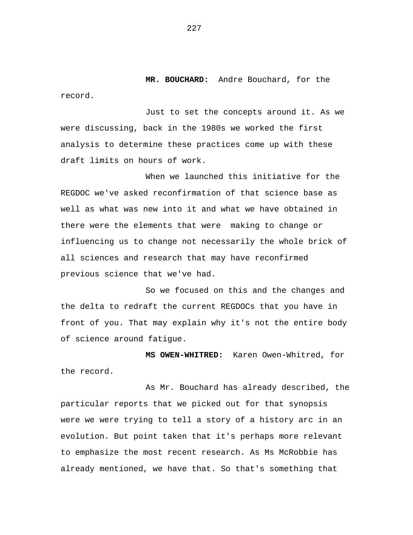**MR. BOUCHARD:** Andre Bouchard, for the record.

Just to set the concepts around it. As we were discussing, back in the 1980s we worked the first analysis to determine these practices come up with these draft limits on hours of work.

When we launched this initiative for the REGDOC we've asked reconfirmation of that science base as well as what was new into it and what we have obtained in there were the elements that were making to change or influencing us to change not necessarily the whole brick of all sciences and research that may have reconfirmed previous science that we've had.

So we focused on this and the changes and the delta to redraft the current REGDOCs that you have in front of you. That may explain why it's not the entire body of science around fatigue.

 **MS OWEN-WHITRED:** Karen Owen-Whitred, for the record.

As Mr. Bouchard has already described, the particular reports that we picked out for that synopsis were we were trying to tell a story of a history arc in an evolution. But point taken that it's perhaps more relevant to emphasize the most recent research. As Ms McRobbie has already mentioned, we have that. So that's something that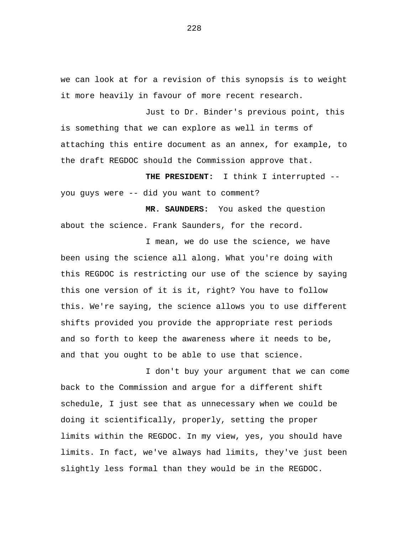we can look at for a revision of this synopsis is to weight it more heavily in favour of more recent research.

Just to Dr. Binder's previous point, this is something that we can explore as well in terms of attaching this entire document as an annex, for example, to the draft REGDOC should the Commission approve that.

 **THE PRESIDENT:** I think I interrupted - you guys were -- did you want to comment?

 **MR. SAUNDERS:** You asked the question about the science. Frank Saunders, for the record.

I mean, we do use the science, we have been using the science all along. What you're doing with this REGDOC is restricting our use of the science by saying this one version of it is it, right? You have to follow this. We're saying, the science allows you to use different shifts provided you provide the appropriate rest periods and so forth to keep the awareness where it needs to be, and that you ought to be able to use that science.

I don't buy your argument that we can come back to the Commission and argue for a different shift schedule, I just see that as unnecessary when we could be doing it scientifically, properly, setting the proper limits within the REGDOC. In my view, yes, you should have limits. In fact, we've always had limits, they've just been slightly less formal than they would be in the REGDOC.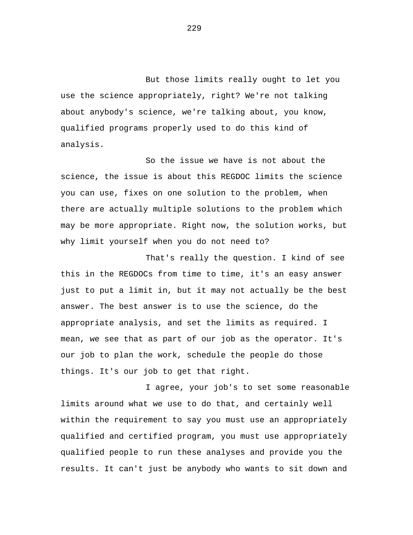But those limits really ought to let you use the science appropriately, right? We're not talking about anybody's science, we're talking about, you know, qualified programs properly used to do this kind of analysis.

So the issue we have is not about the science, the issue is about this REGDOC limits the science you can use, fixes on one solution to the problem, when there are actually multiple solutions to the problem which may be more appropriate. Right now, the solution works, but why limit yourself when you do not need to?

That's really the question. I kind of see this in the REGDOCs from time to time, it's an easy answer just to put a limit in, but it may not actually be the best answer. The best answer is to use the science, do the appropriate analysis, and set the limits as required. I mean, we see that as part of our job as the operator. It's our job to plan the work, schedule the people do those things. It's our job to get that right.

I agree, your job's to set some reasonable limits around what we use to do that, and certainly well within the requirement to say you must use an appropriately qualified and certified program, you must use appropriately qualified people to run these analyses and provide you the results. It can't just be anybody who wants to sit down and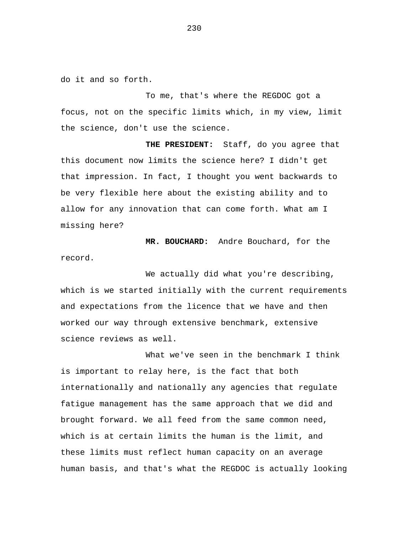do it and so forth.

To me, that's where the REGDOC got a focus, not on the specific limits which, in my view, limit the science, don't use the science.

 **THE PRESIDENT:** Staff, do you agree that this document now limits the science here? I didn't get that impression. In fact, I thought you went backwards to be very flexible here about the existing ability and to allow for any innovation that can come forth. What am I missing here?

 **MR. BOUCHARD:** Andre Bouchard, for the record.

We actually did what you're describing, which is we started initially with the current requirements and expectations from the licence that we have and then worked our way through extensive benchmark, extensive science reviews as well.

What we've seen in the benchmark I think is important to relay here, is the fact that both internationally and nationally any agencies that regulate fatigue management has the same approach that we did and brought forward. We all feed from the same common need, which is at certain limits the human is the limit, and these limits must reflect human capacity on an average human basis, and that's what the REGDOC is actually looking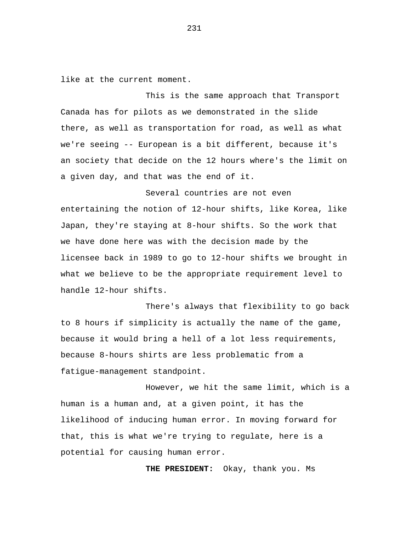like at the current moment.

This is the same approach that Transport Canada has for pilots as we demonstrated in the slide there, as well as transportation for road, as well as what we're seeing -- European is a bit different, because it's an society that decide on the 12 hours where's the limit on a given day, and that was the end of it.

Several countries are not even entertaining the notion of 12-hour shifts, like Korea, like Japan, they're staying at 8-hour shifts. So the work that we have done here was with the decision made by the licensee back in 1989 to go to 12-hour shifts we brought in what we believe to be the appropriate requirement level to handle 12-hour shifts.

There's always that flexibility to go back to 8 hours if simplicity is actually the name of the game, because it would bring a hell of a lot less requirements, because 8-hours shirts are less problematic from a fatigue-management standpoint.

However, we hit the same limit, which is a human is a human and, at a given point, it has the likelihood of inducing human error. In moving forward for that, this is what we're trying to regulate, here is a potential for causing human error.

 **THE PRESIDENT:** Okay, thank you. Ms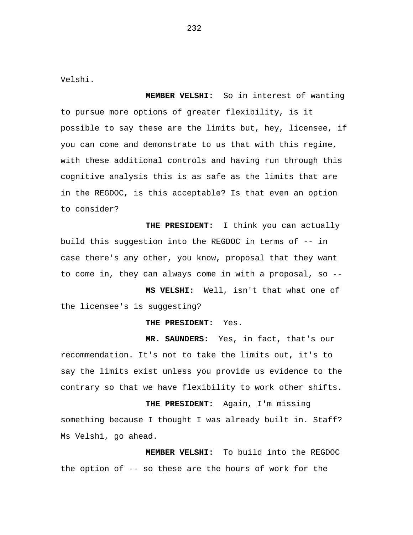Velshi.

 **MEMBER VELSHI:** So in interest of wanting to pursue more options of greater flexibility, is it possible to say these are the limits but, hey, licensee, if you can come and demonstrate to us that with this regime, with these additional controls and having run through this cognitive analysis this is as safe as the limits that are in the REGDOC, is this acceptable? Is that even an option to consider?

 **THE PRESIDENT:** I think you can actually build this suggestion into the REGDOC in terms of -- in case there's any other, you know, proposal that they want to come in, they can always come in with a proposal, so --

**MS VELSHI:** Well, isn't that what one of the licensee's is suggesting?

**THE PRESIDENT:** Yes.

 **MR. SAUNDERS:** Yes, in fact, that's our recommendation. It's not to take the limits out, it's to say the limits exist unless you provide us evidence to the contrary so that we have flexibility to work other shifts.

**THE PRESIDENT:** Again, I'm missing something because I thought I was already built in. Staff? Ms Velshi, go ahead.

 **MEMBER VELSHI:** To build into the REGDOC the option of -- so these are the hours of work for the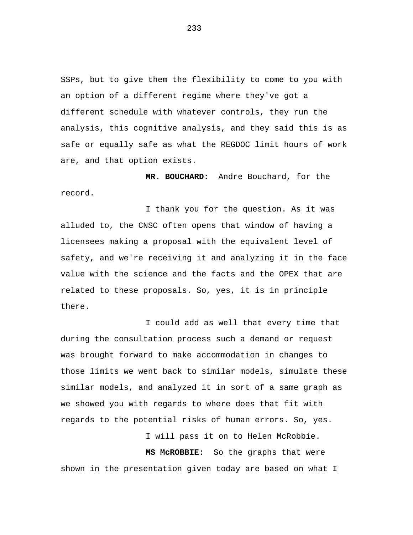SSPs, but to give them the flexibility to come to you with an option of a different regime where they've got a different schedule with whatever controls, they run the analysis, this cognitive analysis, and they said this is as safe or equally safe as what the REGDOC limit hours of work are, and that option exists.

 **MR. BOUCHARD:** Andre Bouchard, for the record.

I thank you for the question. As it was alluded to, the CNSC often opens that window of having a licensees making a proposal with the equivalent level of safety, and we're receiving it and analyzing it in the face value with the science and the facts and the OPEX that are related to these proposals. So, yes, it is in principle there.

I could add as well that every time that during the consultation process such a demand or request was brought forward to make accommodation in changes to those limits we went back to similar models, simulate these similar models, and analyzed it in sort of a same graph as we showed you with regards to where does that fit with regards to the potential risks of human errors. So, yes.

I will pass it on to Helen McRobbie.  **MS McROBBIE:** So the graphs that were shown in the presentation given today are based on what I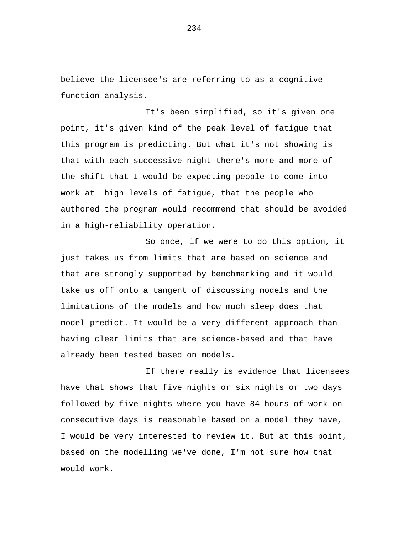believe the licensee's are referring to as a cognitive function analysis.

It's been simplified, so it's given one point, it's given kind of the peak level of fatigue that this program is predicting. But what it's not showing is that with each successive night there's more and more of the shift that I would be expecting people to come into work at high levels of fatigue, that the people who authored the program would recommend that should be avoided in a high-reliability operation.

So once, if we were to do this option, it just takes us from limits that are based on science and that are strongly supported by benchmarking and it would take us off onto a tangent of discussing models and the limitations of the models and how much sleep does that model predict. It would be a very different approach than having clear limits that are science-based and that have already been tested based on models.

If there really is evidence that licensees have that shows that five nights or six nights or two days followed by five nights where you have 84 hours of work on consecutive days is reasonable based on a model they have, I would be very interested to review it. But at this point, based on the modelling we've done, I'm not sure how that would work.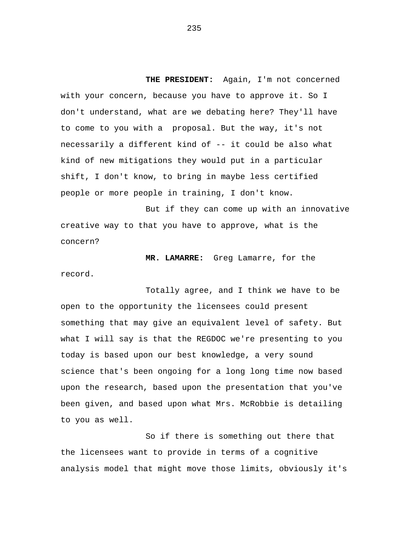**THE PRESIDENT:** Again, I'm not concerned with your concern, because you have to approve it. So I don't understand, what are we debating here? They'll have to come to you with a proposal. But the way, it's not necessarily a different kind of -- it could be also what kind of new mitigations they would put in a particular shift, I don't know, to bring in maybe less certified people or more people in training, I don't know.

But if they can come up with an innovative creative way to that you have to approve, what is the concern?

 **MR. LAMARRE:** Greg Lamarre, for the record.

Totally agree, and I think we have to be open to the opportunity the licensees could present something that may give an equivalent level of safety. But what I will say is that the REGDOC we're presenting to you today is based upon our best knowledge, a very sound science that's been ongoing for a long long time now based upon the research, based upon the presentation that you've been given, and based upon what Mrs. McRobbie is detailing to you as well.

So if there is something out there that the licensees want to provide in terms of a cognitive analysis model that might move those limits, obviously it's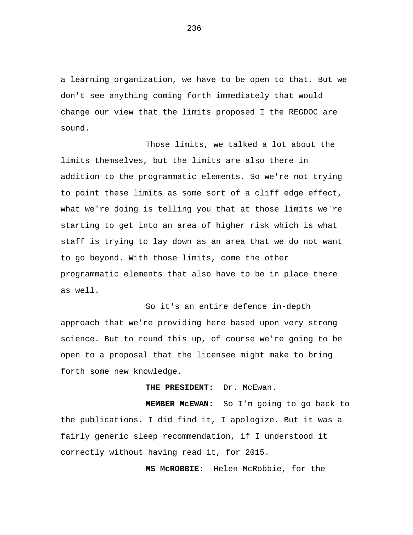a learning organization, we have to be open to that. But we don't see anything coming forth immediately that would change our view that the limits proposed I the REGDOC are sound.

Those limits, we talked a lot about the limits themselves, but the limits are also there in addition to the programmatic elements. So we're not trying to point these limits as some sort of a cliff edge effect, what we're doing is telling you that at those limits we're starting to get into an area of higher risk which is what staff is trying to lay down as an area that we do not want to go beyond. With those limits, come the other programmatic elements that also have to be in place there as well.

So it's an entire defence in-depth approach that we're providing here based upon very strong science. But to round this up, of course we're going to be open to a proposal that the licensee might make to bring forth some new knowledge.

 **THE PRESIDENT:** Dr. McEwan.

 **MEMBER McEWAN:** So I'm going to go back to the publications. I did find it, I apologize. But it was a fairly generic sleep recommendation, if I understood it correctly without having read it, for 2015.

 **MS McROBBIE:** Helen McRobbie, for the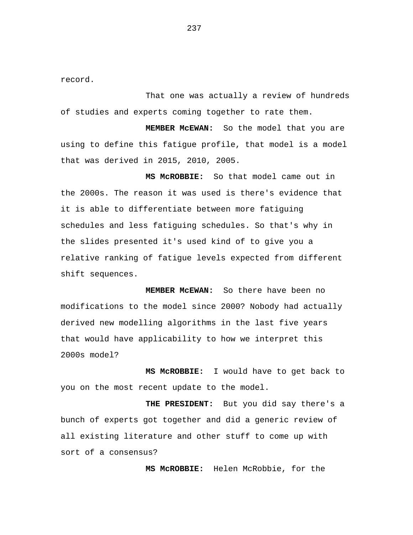record.

That one was actually a review of hundreds of studies and experts coming together to rate them.

 **MEMBER McEWAN:** So the model that you are using to define this fatigue profile, that model is a model that was derived in 2015, 2010, 2005.

**MS McROBBIE:** So that model came out in the 2000s. The reason it was used is there's evidence that it is able to differentiate between more fatiguing schedules and less fatiguing schedules. So that's why in the slides presented it's used kind of to give you a relative ranking of fatigue levels expected from different shift sequences.

**MEMBER McEWAN:** So there have been no modifications to the model since 2000? Nobody had actually derived new modelling algorithms in the last five years that would have applicability to how we interpret this 2000s model?

 **MS McROBBIE:** I would have to get back to you on the most recent update to the model.

 **THE PRESIDENT:** But you did say there's a bunch of experts got together and did a generic review of all existing literature and other stuff to come up with sort of a consensus?

**MS McROBBIE:** Helen McRobbie, for the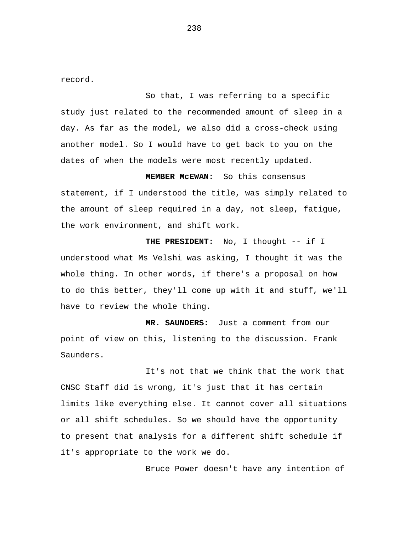record.

So that, I was referring to a specific study just related to the recommended amount of sleep in a day. As far as the model, we also did a cross-check using another model. So I would have to get back to you on the dates of when the models were most recently updated.

**MEMBER McEWAN:** So this consensus statement, if I understood the title, was simply related to the amount of sleep required in a day, not sleep, fatigue, the work environment, and shift work.

**THE PRESIDENT:** No, I thought -- if I understood what Ms Velshi was asking, I thought it was the whole thing. In other words, if there's a proposal on how to do this better, they'll come up with it and stuff, we'll have to review the whole thing.

 **MR. SAUNDERS:** Just a comment from our point of view on this, listening to the discussion. Frank Saunders.

It's not that we think that the work that CNSC Staff did is wrong, it's just that it has certain limits like everything else. It cannot cover all situations or all shift schedules. So we should have the opportunity to present that analysis for a different shift schedule if it's appropriate to the work we do.

Bruce Power doesn't have any intention of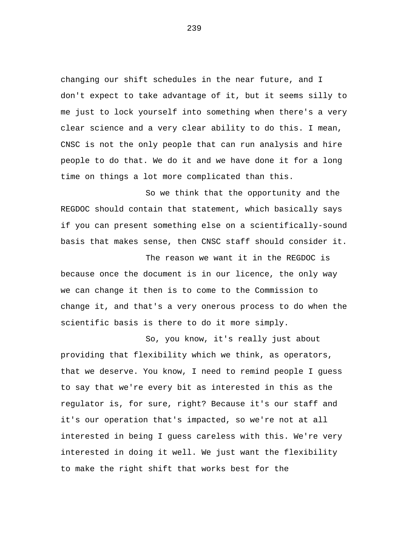changing our shift schedules in the near future, and I don't expect to take advantage of it, but it seems silly to me just to lock yourself into something when there's a very clear science and a very clear ability to do this. I mean, CNSC is not the only people that can run analysis and hire people to do that. We do it and we have done it for a long time on things a lot more complicated than this.

So we think that the opportunity and the REGDOC should contain that statement, which basically says if you can present something else on a scientifically-sound basis that makes sense, then CNSC staff should consider it.

The reason we want it in the REGDOC is because once the document is in our licence, the only way we can change it then is to come to the Commission to change it, and that's a very onerous process to do when the scientific basis is there to do it more simply.

So, you know, it's really just about providing that flexibility which we think, as operators, that we deserve. You know, I need to remind people I guess to say that we're every bit as interested in this as the regulator is, for sure, right? Because it's our staff and it's our operation that's impacted, so we're not at all interested in being I guess careless with this. We're very interested in doing it well. We just want the flexibility to make the right shift that works best for the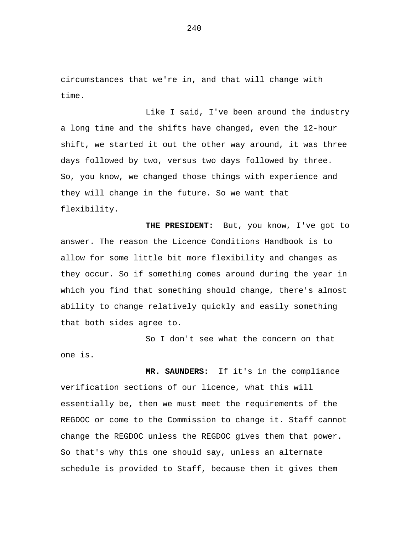circumstances that we're in, and that will change with time.

Like I said, I've been around the industry a long time and the shifts have changed, even the 12-hour shift, we started it out the other way around, it was three days followed by two, versus two days followed by three. So, you know, we changed those things with experience and they will change in the future. So we want that flexibility.

 **THE PRESIDENT:** But, you know, I've got to answer. The reason the Licence Conditions Handbook is to allow for some little bit more flexibility and changes as they occur. So if something comes around during the year in which you find that something should change, there's almost ability to change relatively quickly and easily something that both sides agree to.

So I don't see what the concern on that one is.

 **MR. SAUNDERS:** If it's in the compliance verification sections of our licence, what this will essentially be, then we must meet the requirements of the REGDOC or come to the Commission to change it. Staff cannot change the REGDOC unless the REGDOC gives them that power. So that's why this one should say, unless an alternate schedule is provided to Staff, because then it gives them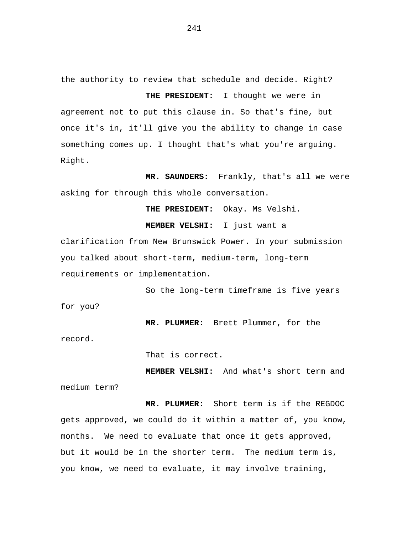the authority to review that schedule and decide. Right?

 **THE PRESIDENT:** I thought we were in agreement not to put this clause in. So that's fine, but once it's in, it'll give you the ability to change in case something comes up. I thought that's what you're arguing. Right.

 **MR. SAUNDERS:** Frankly, that's all we were asking for through this whole conversation.

**THE PRESIDENT:** Okay. Ms Velshi.

**MEMBER VELSHI:** I just want a

clarification from New Brunswick Power. In your submission you talked about short-term, medium-term, long-term requirements or implementation.

So the long-term timeframe is five years for you?

**MR. PLUMMER:** Brett Plummer, for the

record.

That is correct.

**MEMBER VELSHI:** And what's short term and medium term?

**MR. PLUMMER:** Short term is if the REGDOC gets approved, we could do it within a matter of, you know, months. We need to evaluate that once it gets approved, but it would be in the shorter term. The medium term is, you know, we need to evaluate, it may involve training,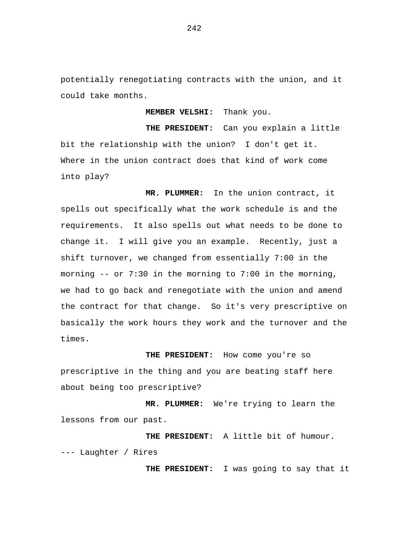potentially renegotiating contracts with the union, and it could take months.

**MEMBER VELSHI:** Thank you.

**THE PRESIDENT:** Can you explain a little bit the relationship with the union? I don't get it. Where in the union contract does that kind of work come into play?

**MR. PLUMMER:** In the union contract, it spells out specifically what the work schedule is and the requirements. It also spells out what needs to be done to change it. I will give you an example. Recently, just a shift turnover, we changed from essentially 7:00 in the morning -- or 7:30 in the morning to 7:00 in the morning, we had to go back and renegotiate with the union and amend the contract for that change. So it's very prescriptive on basically the work hours they work and the turnover and the times.

**THE PRESIDENT:** How come you're so prescriptive in the thing and you are beating staff here about being too prescriptive?

**MR. PLUMMER:** We're trying to learn the lessons from our past.

**THE PRESIDENT:** A little bit of humour. --- Laughter / Rires

**THE PRESIDENT:** I was going to say that it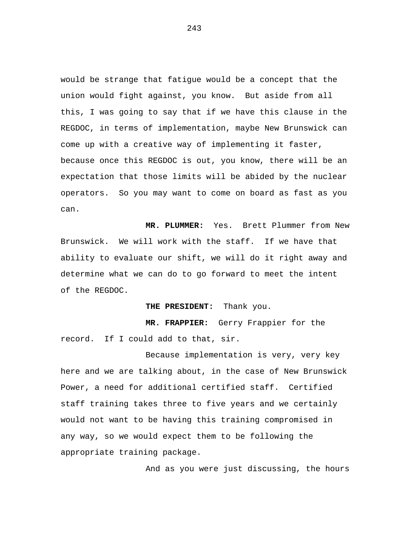would be strange that fatigue would be a concept that the union would fight against, you know. But aside from all this, I was going to say that if we have this clause in the REGDOC, in terms of implementation, maybe New Brunswick can come up with a creative way of implementing it faster, because once this REGDOC is out, you know, there will be an expectation that those limits will be abided by the nuclear operators. So you may want to come on board as fast as you can.

**MR. PLUMMER:** Yes. Brett Plummer from New Brunswick. We will work with the staff. If we have that ability to evaluate our shift, we will do it right away and determine what we can do to go forward to meet the intent of the REGDOC.

**THE PRESIDENT:** Thank you.

**MR. FRAPPIER:** Gerry Frappier for the record. If I could add to that, sir.

Because implementation is very, very key here and we are talking about, in the case of New Brunswick Power, a need for additional certified staff. Certified staff training takes three to five years and we certainly would not want to be having this training compromised in any way, so we would expect them to be following the appropriate training package.

And as you were just discussing, the hours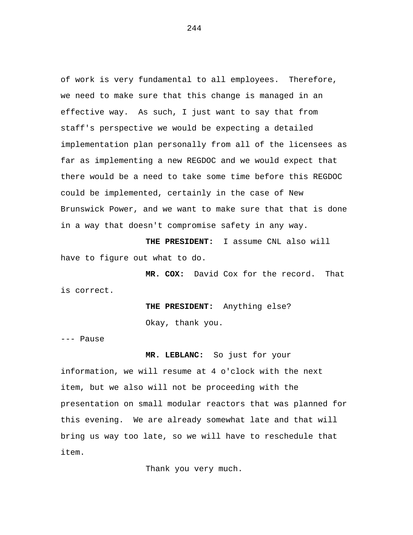of work is very fundamental to all employees. Therefore, we need to make sure that this change is managed in an effective way. As such, I just want to say that from staff's perspective we would be expecting a detailed implementation plan personally from all of the licensees as far as implementing a new REGDOC and we would expect that there would be a need to take some time before this REGDOC could be implemented, certainly in the case of New Brunswick Power, and we want to make sure that that is done in a way that doesn't compromise safety in any way.

**THE PRESIDENT:** I assume CNL also will have to figure out what to do.

**MR. COX:** David Cox for the record. That is correct.

**THE PRESIDENT:** Anything else?

Okay, thank you.

--- Pause

### **MR. LEBLANC:** So just for your

information, we will resume at 4 o'clock with the next item, but we also will not be proceeding with the presentation on small modular reactors that was planned for this evening. We are already somewhat late and that will bring us way too late, so we will have to reschedule that item.

Thank you very much.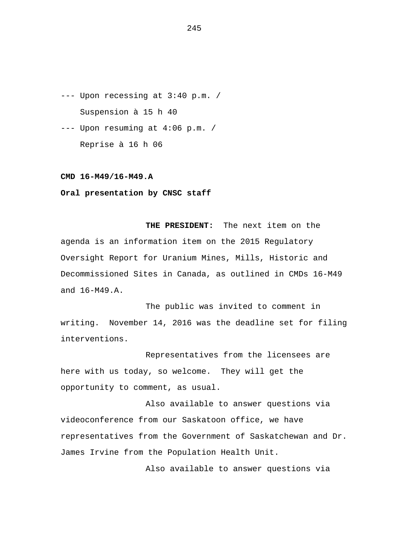--- Upon recessing at 3:40 p.m. / Suspension à 15 h 40

--- Upon resuming at 4:06 p.m. / Reprise à 16 h 06

#### **CMD 16-M49/16-M49.A**

# **Oral presentation by CNSC staff**

**THE PRESIDENT:** The next item on the agenda is an information item on the 2015 Regulatory Oversight Report for Uranium Mines, Mills, Historic and Decommissioned Sites in Canada, as outlined in CMDs 16-M49 and 16-M49.A.

The public was invited to comment in writing. November 14, 2016 was the deadline set for filing interventions.

Representatives from the licensees are here with us today, so welcome. They will get the opportunity to comment, as usual.

Also available to answer questions via videoconference from our Saskatoon office, we have representatives from the Government of Saskatchewan and Dr. James Irvine from the Population Health Unit.

Also available to answer questions via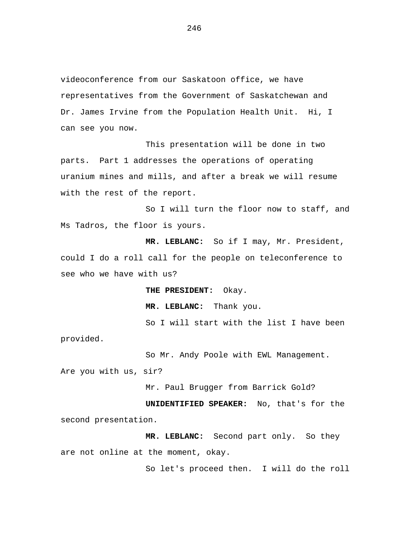videoconference from our Saskatoon office, we have representatives from the Government of Saskatchewan and Dr. James Irvine from the Population Health Unit. Hi, I can see you now.

This presentation will be done in two parts. Part 1 addresses the operations of operating uranium mines and mills, and after a break we will resume with the rest of the report.

So I will turn the floor now to staff, and Ms Tadros, the floor is yours.

**MR. LEBLANC:** So if I may, Mr. President, could I do a roll call for the people on teleconference to see who we have with us?

**THE PRESIDENT:** Okay.

**MR. LEBLANC:** Thank you.

So I will start with the list I have been provided.

So Mr. Andy Poole with EWL Management. Are you with us, sir?

Mr. Paul Brugger from Barrick Gold?

**UNIDENTIFIED SPEAKER:** No, that's for the second presentation.

**MR. LEBLANC:** Second part only. So they are not online at the moment, okay.

So let's proceed then. I will do the roll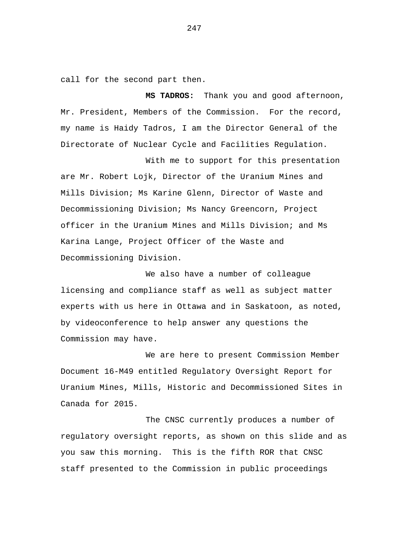call for the second part then.

**MS TADROS:** Thank you and good afternoon, Mr. President, Members of the Commission. For the record, my name is Haidy Tadros, I am the Director General of the Directorate of Nuclear Cycle and Facilities Regulation.

With me to support for this presentation are Mr. Robert Lojk, Director of the Uranium Mines and Mills Division; Ms Karine Glenn, Director of Waste and Decommissioning Division; Ms Nancy Greencorn, Project officer in the Uranium Mines and Mills Division; and Ms Karina Lange, Project Officer of the Waste and Decommissioning Division.

We also have a number of colleague licensing and compliance staff as well as subject matter experts with us here in Ottawa and in Saskatoon, as noted, by videoconference to help answer any questions the Commission may have.

We are here to present Commission Member Document 16-M49 entitled Regulatory Oversight Report for Uranium Mines, Mills, Historic and Decommissioned Sites in Canada for 2015.

The CNSC currently produces a number of regulatory oversight reports, as shown on this slide and as you saw this morning. This is the fifth ROR that CNSC staff presented to the Commission in public proceedings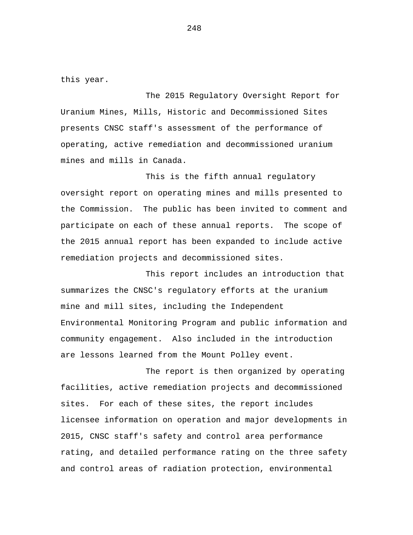this year.

The 2015 Regulatory Oversight Report for Uranium Mines, Mills, Historic and Decommissioned Sites presents CNSC staff's assessment of the performance of operating, active remediation and decommissioned uranium mines and mills in Canada.

This is the fifth annual regulatory oversight report on operating mines and mills presented to the Commission. The public has been invited to comment and participate on each of these annual reports. The scope of the 2015 annual report has been expanded to include active remediation projects and decommissioned sites.

This report includes an introduction that summarizes the CNSC's regulatory efforts at the uranium mine and mill sites, including the Independent Environmental Monitoring Program and public information and community engagement. Also included in the introduction are lessons learned from the Mount Polley event.

The report is then organized by operating facilities, active remediation projects and decommissioned sites. For each of these sites, the report includes licensee information on operation and major developments in 2015, CNSC staff's safety and control area performance rating, and detailed performance rating on the three safety and control areas of radiation protection, environmental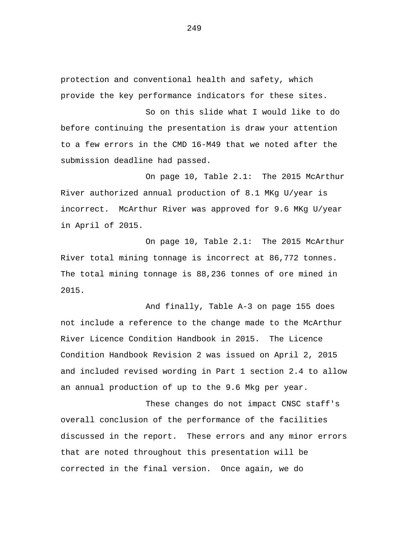protection and conventional health and safety, which provide the key performance indicators for these sites.

So on this slide what I would like to do before continuing the presentation is draw your attention to a few errors in the CMD 16-M49 that we noted after the submission deadline had passed.

On page 10, Table 2.1: The 2015 McArthur River authorized annual production of 8.1 MKg U/year is incorrect. McArthur River was approved for 9.6 MKg U/year in April of 2015.

On page 10, Table 2.1: The 2015 McArthur River total mining tonnage is incorrect at 86,772 tonnes. The total mining tonnage is 88,236 tonnes of ore mined in 2015.

And finally, Table A-3 on page 155 does not include a reference to the change made to the McArthur River Licence Condition Handbook in 2015. The Licence Condition Handbook Revision 2 was issued on April 2, 2015 and included revised wording in Part 1 section 2.4 to allow an annual production of up to the 9.6 Mkg per year.

These changes do not impact CNSC staff's overall conclusion of the performance of the facilities discussed in the report. These errors and any minor errors that are noted throughout this presentation will be corrected in the final version. Once again, we do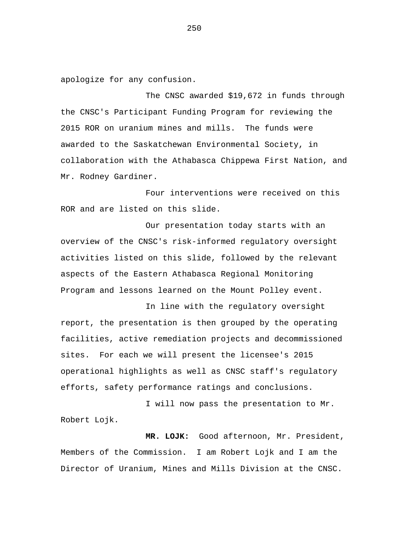apologize for any confusion.

The CNSC awarded \$19,672 in funds through the CNSC's Participant Funding Program for reviewing the 2015 ROR on uranium mines and mills. The funds were awarded to the Saskatchewan Environmental Society, in collaboration with the Athabasca Chippewa First Nation, and Mr. Rodney Gardiner.

Four interventions were received on this ROR and are listed on this slide.

Our presentation today starts with an overview of the CNSC's risk-informed regulatory oversight activities listed on this slide, followed by the relevant aspects of the Eastern Athabasca Regional Monitoring Program and lessons learned on the Mount Polley event.

In line with the regulatory oversight report, the presentation is then grouped by the operating facilities, active remediation projects and decommissioned sites. For each we will present the licensee's 2015 operational highlights as well as CNSC staff's regulatory efforts, safety performance ratings and conclusions.

I will now pass the presentation to Mr. Robert Lojk.

**MR. LOJK:** Good afternoon, Mr. President, Members of the Commission. I am Robert Lojk and I am the Director of Uranium, Mines and Mills Division at the CNSC.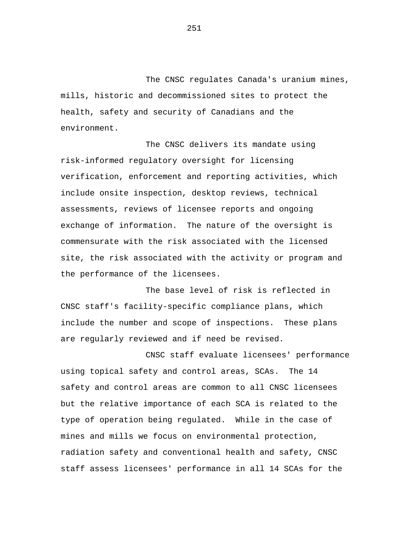The CNSC regulates Canada's uranium mines, mills, historic and decommissioned sites to protect the health, safety and security of Canadians and the environment.

The CNSC delivers its mandate using risk-informed regulatory oversight for licensing verification, enforcement and reporting activities, which include onsite inspection, desktop reviews, technical assessments, reviews of licensee reports and ongoing exchange of information. The nature of the oversight is commensurate with the risk associated with the licensed site, the risk associated with the activity or program and the performance of the licensees.

The base level of risk is reflected in CNSC staff's facility-specific compliance plans, which include the number and scope of inspections. These plans are regularly reviewed and if need be revised.

CNSC staff evaluate licensees' performance using topical safety and control areas, SCAs. The 14 safety and control areas are common to all CNSC licensees but the relative importance of each SCA is related to the type of operation being regulated. While in the case of mines and mills we focus on environmental protection, radiation safety and conventional health and safety, CNSC staff assess licensees' performance in all 14 SCAs for the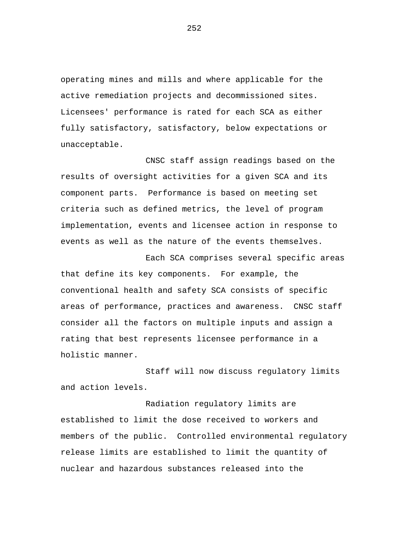operating mines and mills and where applicable for the active remediation projects and decommissioned sites. Licensees' performance is rated for each SCA as either fully satisfactory, satisfactory, below expectations or unacceptable.

CNSC staff assign readings based on the results of oversight activities for a given SCA and its component parts. Performance is based on meeting set criteria such as defined metrics, the level of program implementation, events and licensee action in response to events as well as the nature of the events themselves.

Each SCA comprises several specific areas that define its key components. For example, the conventional health and safety SCA consists of specific areas of performance, practices and awareness. CNSC staff consider all the factors on multiple inputs and assign a rating that best represents licensee performance in a holistic manner.

Staff will now discuss regulatory limits and action levels.

Radiation regulatory limits are established to limit the dose received to workers and members of the public. Controlled environmental regulatory release limits are established to limit the quantity of nuclear and hazardous substances released into the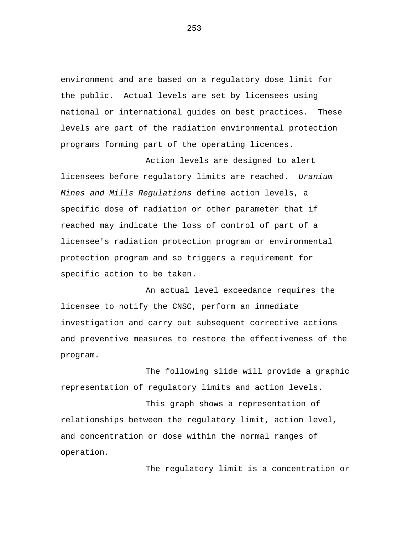environment and are based on a regulatory dose limit for the public. Actual levels are set by licensees using national or international guides on best practices. These levels are part of the radiation environmental protection programs forming part of the operating licences.

Action levels are designed to alert licensees before regulatory limits are reached. *Uranium Mines and Mills Regulations* define action levels, a specific dose of radiation or other parameter that if reached may indicate the loss of control of part of a licensee's radiation protection program or environmental protection program and so triggers a requirement for specific action to be taken.

An actual level exceedance requires the licensee to notify the CNSC, perform an immediate investigation and carry out subsequent corrective actions and preventive measures to restore the effectiveness of the program.

The following slide will provide a graphic representation of regulatory limits and action levels.

This graph shows a representation of relationships between the regulatory limit, action level, and concentration or dose within the normal ranges of operation.

The regulatory limit is a concentration or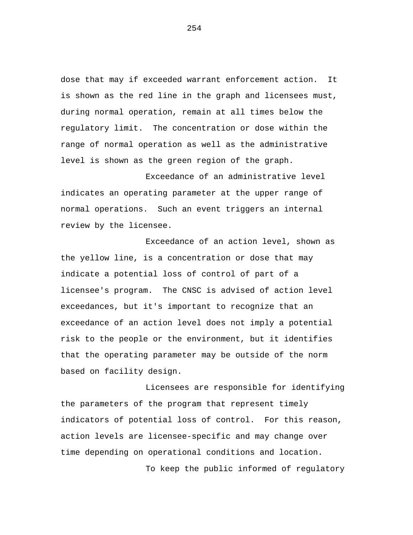dose that may if exceeded warrant enforcement action. It is shown as the red line in the graph and licensees must, during normal operation, remain at all times below the regulatory limit. The concentration or dose within the range of normal operation as well as the administrative level is shown as the green region of the graph.

Exceedance of an administrative level indicates an operating parameter at the upper range of normal operations. Such an event triggers an internal review by the licensee.

Exceedance of an action level, shown as the yellow line, is a concentration or dose that may indicate a potential loss of control of part of a licensee's program. The CNSC is advised of action level exceedances, but it's important to recognize that an exceedance of an action level does not imply a potential risk to the people or the environment, but it identifies that the operating parameter may be outside of the norm based on facility design.

Licensees are responsible for identifying the parameters of the program that represent timely indicators of potential loss of control. For this reason, action levels are licensee-specific and may change over time depending on operational conditions and location.

To keep the public informed of regulatory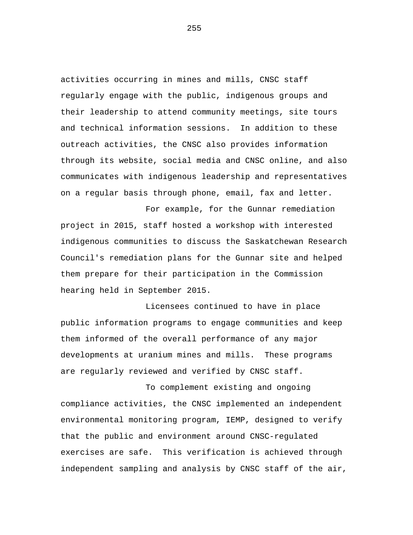activities occurring in mines and mills, CNSC staff regularly engage with the public, indigenous groups and their leadership to attend community meetings, site tours and technical information sessions. In addition to these outreach activities, the CNSC also provides information through its website, social media and CNSC online, and also communicates with indigenous leadership and representatives on a regular basis through phone, email, fax and letter.

For example, for the Gunnar remediation project in 2015, staff hosted a workshop with interested indigenous communities to discuss the Saskatchewan Research Council's remediation plans for the Gunnar site and helped them prepare for their participation in the Commission hearing held in September 2015.

Licensees continued to have in place public information programs to engage communities and keep them informed of the overall performance of any major developments at uranium mines and mills. These programs are regularly reviewed and verified by CNSC staff.

To complement existing and ongoing compliance activities, the CNSC implemented an independent environmental monitoring program, IEMP, designed to verify that the public and environment around CNSC-regulated exercises are safe. This verification is achieved through independent sampling and analysis by CNSC staff of the air,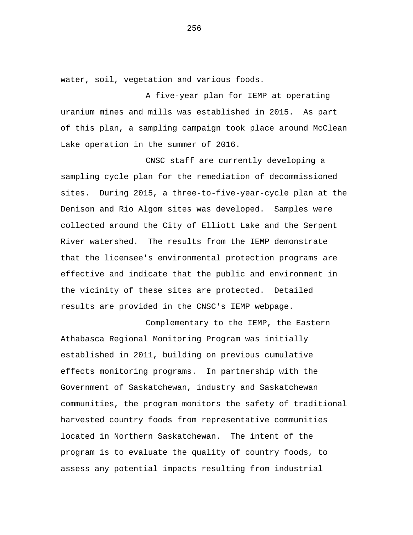water, soil, vegetation and various foods.

A five-year plan for IEMP at operating uranium mines and mills was established in 2015. As part of this plan, a sampling campaign took place around McClean Lake operation in the summer of 2016.

CNSC staff are currently developing a sampling cycle plan for the remediation of decommissioned sites. During 2015, a three-to-five-year-cycle plan at the Denison and Rio Algom sites was developed. Samples were collected around the City of Elliott Lake and the Serpent River watershed. The results from the IEMP demonstrate that the licensee's environmental protection programs are effective and indicate that the public and environment in the vicinity of these sites are protected. Detailed results are provided in the CNSC's IEMP webpage.

Complementary to the IEMP, the Eastern Athabasca Regional Monitoring Program was initially established in 2011, building on previous cumulative effects monitoring programs. In partnership with the Government of Saskatchewan, industry and Saskatchewan communities, the program monitors the safety of traditional harvested country foods from representative communities located in Northern Saskatchewan. The intent of the program is to evaluate the quality of country foods, to assess any potential impacts resulting from industrial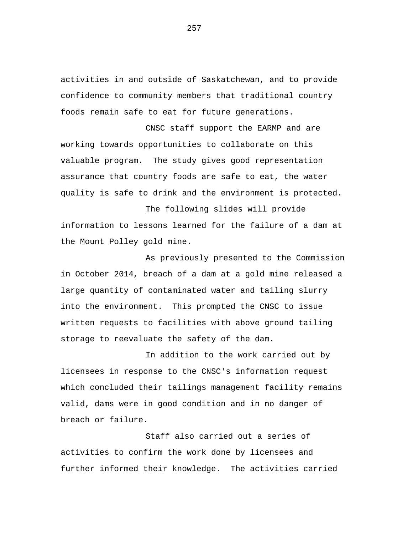activities in and outside of Saskatchewan, and to provide confidence to community members that traditional country foods remain safe to eat for future generations.

CNSC staff support the EARMP and are working towards opportunities to collaborate on this valuable program. The study gives good representation assurance that country foods are safe to eat, the water quality is safe to drink and the environment is protected.

The following slides will provide information to lessons learned for the failure of a dam at the Mount Polley gold mine.

As previously presented to the Commission in October 2014, breach of a dam at a gold mine released a large quantity of contaminated water and tailing slurry into the environment. This prompted the CNSC to issue written requests to facilities with above ground tailing storage to reevaluate the safety of the dam.

In addition to the work carried out by licensees in response to the CNSC's information request which concluded their tailings management facility remains valid, dams were in good condition and in no danger of breach or failure.

Staff also carried out a series of activities to confirm the work done by licensees and further informed their knowledge. The activities carried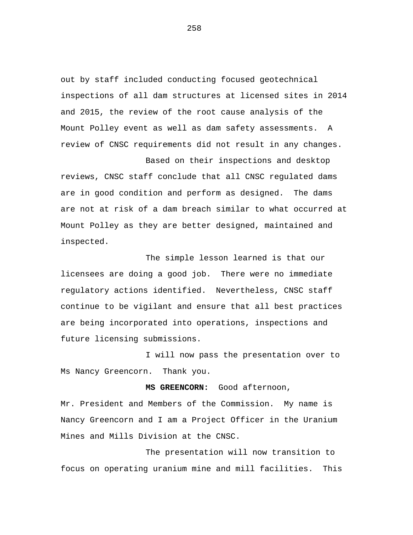out by staff included conducting focused geotechnical inspections of all dam structures at licensed sites in 2014 and 2015, the review of the root cause analysis of the Mount Polley event as well as dam safety assessments. A review of CNSC requirements did not result in any changes.

Based on their inspections and desktop reviews, CNSC staff conclude that all CNSC regulated dams are in good condition and perform as designed. The dams are not at risk of a dam breach similar to what occurred at Mount Polley as they are better designed, maintained and inspected.

The simple lesson learned is that our licensees are doing a good job. There were no immediate regulatory actions identified. Nevertheless, CNSC staff continue to be vigilant and ensure that all best practices are being incorporated into operations, inspections and future licensing submissions.

I will now pass the presentation over to Ms Nancy Greencorn. Thank you.

**MS GREENCORN:** Good afternoon,

Mr. President and Members of the Commission. My name is Nancy Greencorn and I am a Project Officer in the Uranium Mines and Mills Division at the CNSC.

The presentation will now transition to focus on operating uranium mine and mill facilities. This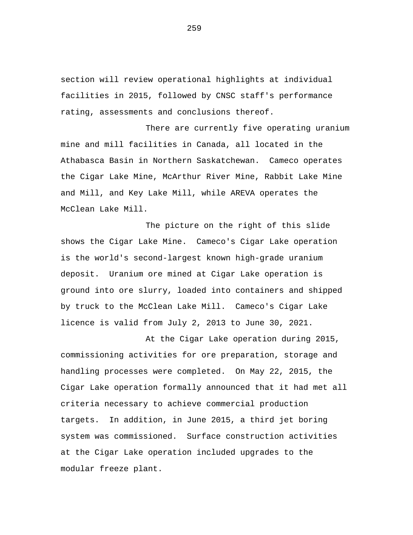section will review operational highlights at individual facilities in 2015, followed by CNSC staff's performance rating, assessments and conclusions thereof.

There are currently five operating uranium mine and mill facilities in Canada, all located in the Athabasca Basin in Northern Saskatchewan. Cameco operates the Cigar Lake Mine, McArthur River Mine, Rabbit Lake Mine and Mill, and Key Lake Mill, while AREVA operates the McClean Lake Mill.

The picture on the right of this slide shows the Cigar Lake Mine. Cameco's Cigar Lake operation is the world's second-largest known high-grade uranium deposit. Uranium ore mined at Cigar Lake operation is ground into ore slurry, loaded into containers and shipped by truck to the McClean Lake Mill. Cameco's Cigar Lake licence is valid from July 2, 2013 to June 30, 2021.

At the Cigar Lake operation during 2015, commissioning activities for ore preparation, storage and handling processes were completed. On May 22, 2015, the Cigar Lake operation formally announced that it had met all criteria necessary to achieve commercial production targets. In addition, in June 2015, a third jet boring system was commissioned. Surface construction activities at the Cigar Lake operation included upgrades to the modular freeze plant.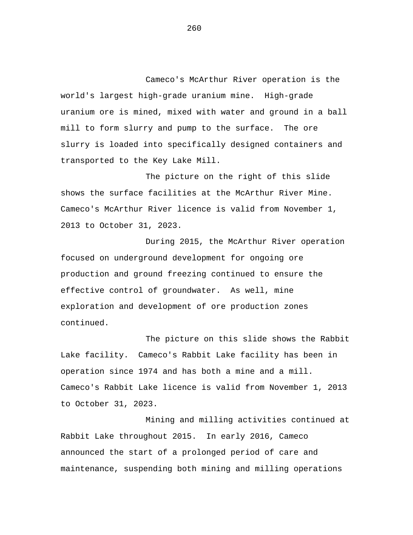Cameco's McArthur River operation is the world's largest high-grade uranium mine. High-grade uranium ore is mined, mixed with water and ground in a ball mill to form slurry and pump to the surface. The ore slurry is loaded into specifically designed containers and transported to the Key Lake Mill.

The picture on the right of this slide shows the surface facilities at the McArthur River Mine. Cameco's McArthur River licence is valid from November 1, 2013 to October 31, 2023.

During 2015, the McArthur River operation focused on underground development for ongoing ore production and ground freezing continued to ensure the effective control of groundwater. As well, mine exploration and development of ore production zones continued.

The picture on this slide shows the Rabbit Lake facility. Cameco's Rabbit Lake facility has been in operation since 1974 and has both a mine and a mill. Cameco's Rabbit Lake licence is valid from November 1, 2013 to October 31, 2023.

Mining and milling activities continued at Rabbit Lake throughout 2015. In early 2016, Cameco announced the start of a prolonged period of care and maintenance, suspending both mining and milling operations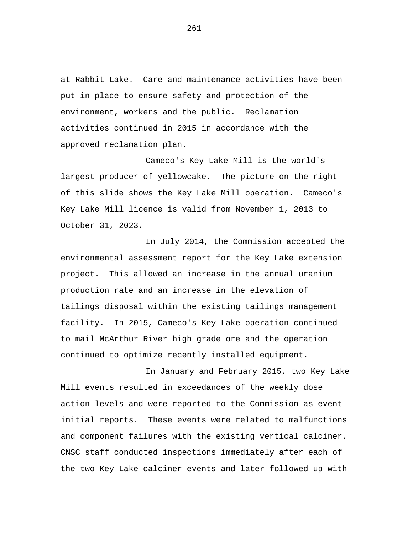at Rabbit Lake. Care and maintenance activities have been put in place to ensure safety and protection of the environment, workers and the public. Reclamation activities continued in 2015 in accordance with the approved reclamation plan.

Cameco's Key Lake Mill is the world's largest producer of yellowcake. The picture on the right of this slide shows the Key Lake Mill operation. Cameco's Key Lake Mill licence is valid from November 1, 2013 to October 31, 2023.

In July 2014, the Commission accepted the environmental assessment report for the Key Lake extension project. This allowed an increase in the annual uranium production rate and an increase in the elevation of tailings disposal within the existing tailings management facility. In 2015, Cameco's Key Lake operation continued to mail McArthur River high grade ore and the operation continued to optimize recently installed equipment.

In January and February 2015, two Key Lake Mill events resulted in exceedances of the weekly dose action levels and were reported to the Commission as event initial reports. These events were related to malfunctions and component failures with the existing vertical calciner. CNSC staff conducted inspections immediately after each of the two Key Lake calciner events and later followed up with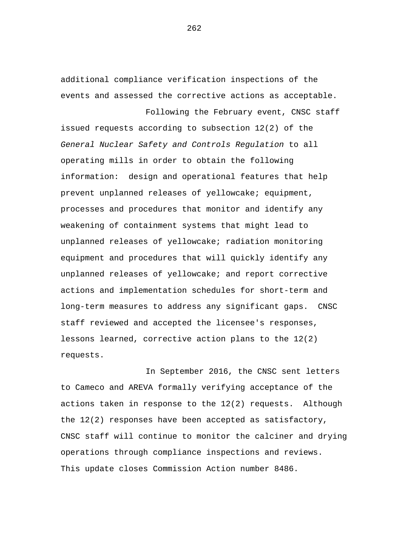additional compliance verification inspections of the events and assessed the corrective actions as acceptable. Following the February event, CNSC staff

issued requests according to subsection 12(2) of the *General Nuclear Safety and Controls Regulation* to all operating mills in order to obtain the following information: design and operational features that help prevent unplanned releases of yellowcake; equipment, processes and procedures that monitor and identify any weakening of containment systems that might lead to unplanned releases of yellowcake; radiation monitoring equipment and procedures that will quickly identify any unplanned releases of yellowcake; and report corrective actions and implementation schedules for short-term and long-term measures to address any significant gaps. CNSC staff reviewed and accepted the licensee's responses, lessons learned, corrective action plans to the 12(2) requests.

In September 2016, the CNSC sent letters to Cameco and AREVA formally verifying acceptance of the actions taken in response to the 12(2) requests. Although the 12(2) responses have been accepted as satisfactory, CNSC staff will continue to monitor the calciner and drying operations through compliance inspections and reviews. This update closes Commission Action number 8486.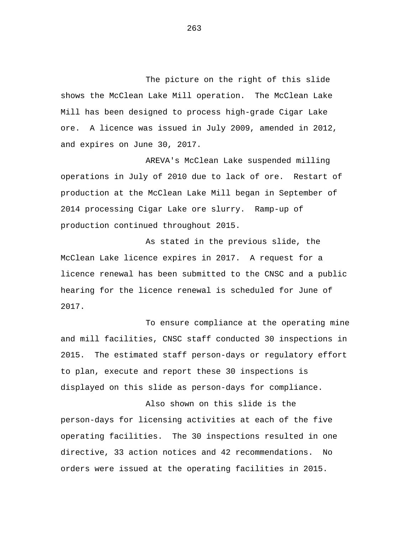The picture on the right of this slide shows the McClean Lake Mill operation. The McClean Lake Mill has been designed to process high-grade Cigar Lake ore. A licence was issued in July 2009, amended in 2012, and expires on June 30, 2017.

AREVA's McClean Lake suspended milling operations in July of 2010 due to lack of ore. Restart of production at the McClean Lake Mill began in September of 2014 processing Cigar Lake ore slurry. Ramp-up of production continued throughout 2015.

As stated in the previous slide, the McClean Lake licence expires in 2017. A request for a licence renewal has been submitted to the CNSC and a public hearing for the licence renewal is scheduled for June of 2017.

To ensure compliance at the operating mine and mill facilities, CNSC staff conducted 30 inspections in 2015. The estimated staff person-days or regulatory effort to plan, execute and report these 30 inspections is displayed on this slide as person-days for compliance.

Also shown on this slide is the person-days for licensing activities at each of the five operating facilities. The 30 inspections resulted in one directive, 33 action notices and 42 recommendations. No orders were issued at the operating facilities in 2015.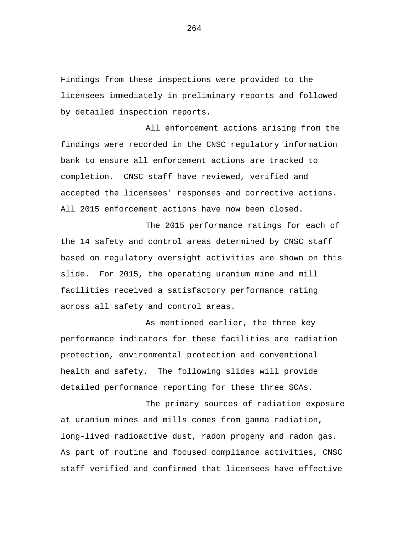Findings from these inspections were provided to the licensees immediately in preliminary reports and followed by detailed inspection reports.

All enforcement actions arising from the findings were recorded in the CNSC regulatory information bank to ensure all enforcement actions are tracked to completion. CNSC staff have reviewed, verified and accepted the licensees' responses and corrective actions. All 2015 enforcement actions have now been closed.

The 2015 performance ratings for each of the 14 safety and control areas determined by CNSC staff based on regulatory oversight activities are shown on this slide. For 2015, the operating uranium mine and mill facilities received a satisfactory performance rating across all safety and control areas.

As mentioned earlier, the three key performance indicators for these facilities are radiation protection, environmental protection and conventional health and safety. The following slides will provide detailed performance reporting for these three SCAs.

The primary sources of radiation exposure at uranium mines and mills comes from gamma radiation, long-lived radioactive dust, radon progeny and radon gas. As part of routine and focused compliance activities, CNSC staff verified and confirmed that licensees have effective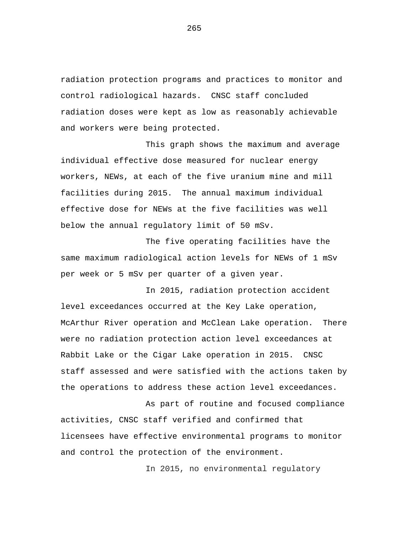radiation protection programs and practices to monitor and control radiological hazards. CNSC staff concluded radiation doses were kept as low as reasonably achievable and workers were being protected.

This graph shows the maximum and average individual effective dose measured for nuclear energy workers, NEWs, at each of the five uranium mine and mill facilities during 2015. The annual maximum individual effective dose for NEWs at the five facilities was well below the annual regulatory limit of 50 mSv.

The five operating facilities have the same maximum radiological action levels for NEWs of 1 mSv per week or 5 mSv per quarter of a given year.

In 2015, radiation protection accident level exceedances occurred at the Key Lake operation, McArthur River operation and McClean Lake operation. There were no radiation protection action level exceedances at Rabbit Lake or the Cigar Lake operation in 2015. CNSC staff assessed and were satisfied with the actions taken by the operations to address these action level exceedances.

As part of routine and focused compliance activities, CNSC staff verified and confirmed that licensees have effective environmental programs to monitor and control the protection of the environment.

In 2015, no environmental regulatory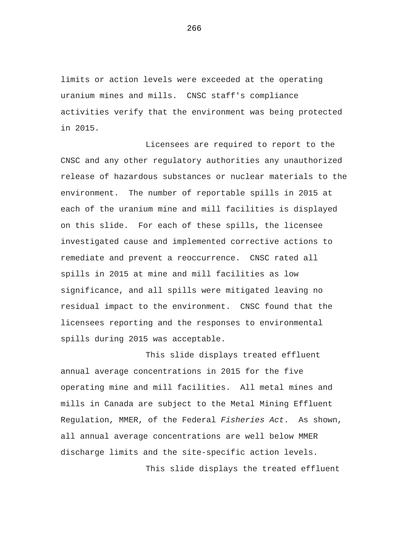limits or action levels were exceeded at the operating uranium mines and mills. CNSC staff's compliance activities verify that the environment was being protected in 2015.

Licensees are required to report to the CNSC and any other regulatory authorities any unauthorized release of hazardous substances or nuclear materials to the environment. The number of reportable spills in 2015 at each of the uranium mine and mill facilities is displayed on this slide. For each of these spills, the licensee investigated cause and implemented corrective actions to remediate and prevent a reoccurrence. CNSC rated all spills in 2015 at mine and mill facilities as low significance, and all spills were mitigated leaving no residual impact to the environment. CNSC found that the licensees reporting and the responses to environmental spills during 2015 was acceptable.

This slide displays treated effluent annual average concentrations in 2015 for the five operating mine and mill facilities. All metal mines and mills in Canada are subject to the Metal Mining Effluent Regulation, MMER, of the Federal *Fisheries Act*. As shown, all annual average concentrations are well below MMER discharge limits and the site-specific action levels.

This slide displays the treated effluent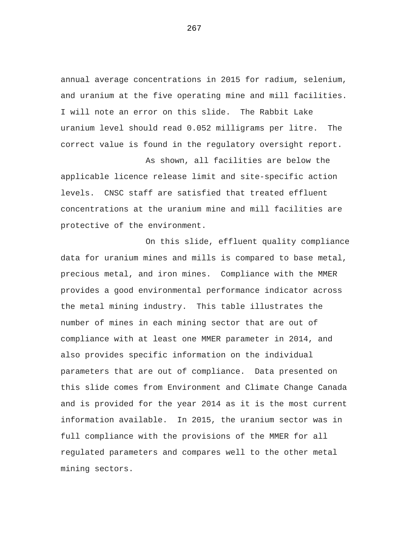annual average concentrations in 2015 for radium, selenium, and uranium at the five operating mine and mill facilities. I will note an error on this slide. The Rabbit Lake uranium level should read 0.052 milligrams per litre. The correct value is found in the regulatory oversight report.

As shown, all facilities are below the applicable licence release limit and site-specific action levels. CNSC staff are satisfied that treated effluent concentrations at the uranium mine and mill facilities are protective of the environment.

On this slide, effluent quality compliance data for uranium mines and mills is compared to base metal, precious metal, and iron mines. Compliance with the MMER provides a good environmental performance indicator across the metal mining industry. This table illustrates the number of mines in each mining sector that are out of compliance with at least one MMER parameter in 2014, and also provides specific information on the individual parameters that are out of compliance. Data presented on this slide comes from Environment and Climate Change Canada and is provided for the year 2014 as it is the most current information available. In 2015, the uranium sector was in full compliance with the provisions of the MMER for all regulated parameters and compares well to the other metal mining sectors.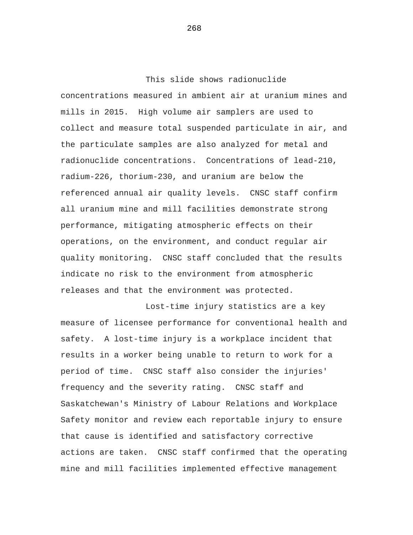This slide shows radionuclide concentrations measured in ambient air at uranium mines and mills in 2015. High volume air samplers are used to collect and measure total suspended particulate in air, and the particulate samples are also analyzed for metal and radionuclide concentrations. Concentrations of lead-210, radium-226, thorium-230, and uranium are below the referenced annual air quality levels. CNSC staff confirm all uranium mine and mill facilities demonstrate strong performance, mitigating atmospheric effects on their operations, on the environment, and conduct regular air quality monitoring. CNSC staff concluded that the results indicate no risk to the environment from atmospheric releases and that the environment was protected.

Lost-time injury statistics are a key measure of licensee performance for conventional health and safety. A lost-time injury is a workplace incident that results in a worker being unable to return to work for a period of time. CNSC staff also consider the injuries' frequency and the severity rating. CNSC staff and Saskatchewan's Ministry of Labour Relations and Workplace Safety monitor and review each reportable injury to ensure that cause is identified and satisfactory corrective actions are taken. CNSC staff confirmed that the operating mine and mill facilities implemented effective management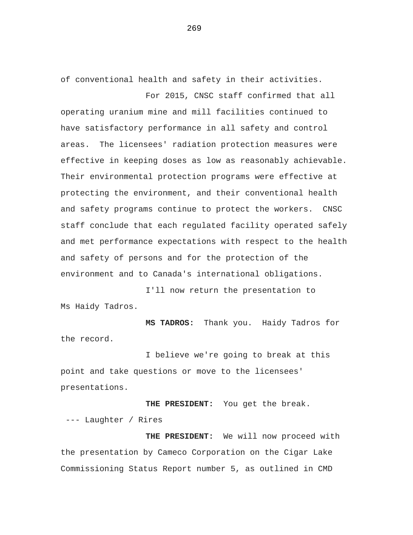of conventional health and safety in their activities.

For 2015, CNSC staff confirmed that all operating uranium mine and mill facilities continued to have satisfactory performance in all safety and control areas. The licensees' radiation protection measures were effective in keeping doses as low as reasonably achievable. Their environmental protection programs were effective at protecting the environment, and their conventional health and safety programs continue to protect the workers. CNSC staff conclude that each regulated facility operated safely and met performance expectations with respect to the health and safety of persons and for the protection of the environment and to Canada's international obligations.

Ms Haidy Tadros. I'll now return the presentation to

the record. **MS TADROS:** Thank you. Haidy Tadros for

I believe we're going to break at this point and take questions or move to the licensees' presentations.

**THE PRESIDENT:** You get the break. --- Laughter / Rires

**THE PRESIDENT:** We will now proceed with the presentation by Cameco Corporation on the Cigar Lake Commissioning Status Report number 5, as outlined in CMD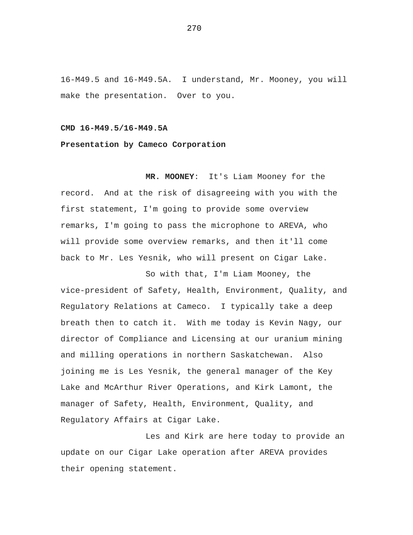16-M49.5 and 16-M49.5A. I understand, Mr. Mooney, you will make the presentation. Over to you.

## **CMD 16-M49.5/16-M49.5A**

## **Presentation by Cameco Corporation**

**MR. MOONEY**: It's Liam Mooney for the record. And at the risk of disagreeing with you with the first statement, I'm going to provide some overview remarks, I'm going to pass the microphone to AREVA, who will provide some overview remarks, and then it'll come back to Mr. Les Yesnik, who will present on Cigar Lake.

So with that, I'm Liam Mooney, the vice-president of Safety, Health, Environment, Quality, and Regulatory Relations at Cameco. I typically take a deep breath then to catch it. With me today is Kevin Nagy, our director of Compliance and Licensing at our uranium mining and milling operations in northern Saskatchewan. Also joining me is Les Yesnik, the general manager of the Key Lake and McArthur River Operations, and Kirk Lamont, the manager of Safety, Health, Environment, Quality, and Regulatory Affairs at Cigar Lake.

Les and Kirk are here today to provide an update on our Cigar Lake operation after AREVA provides their opening statement.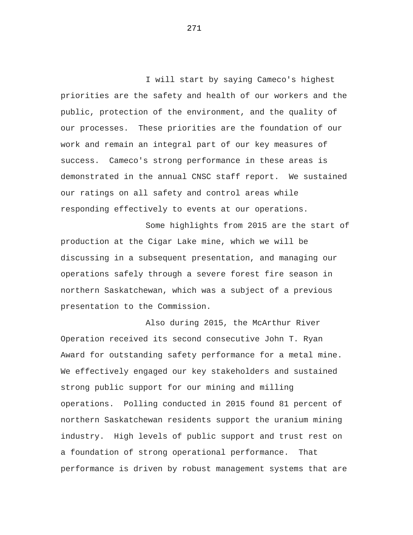I will start by saying Cameco's highest priorities are the safety and health of our workers and the public, protection of the environment, and the quality of our processes. These priorities are the foundation of our work and remain an integral part of our key measures of success. Cameco's strong performance in these areas is demonstrated in the annual CNSC staff report. We sustained our ratings on all safety and control areas while responding effectively to events at our operations.

Some highlights from 2015 are the start of production at the Cigar Lake mine, which we will be discussing in a subsequent presentation, and managing our operations safely through a severe forest fire season in northern Saskatchewan, which was a subject of a previous presentation to the Commission.

Also during 2015, the McArthur River Operation received its second consecutive John T. Ryan Award for outstanding safety performance for a metal mine. We effectively engaged our key stakeholders and sustained strong public support for our mining and milling operations. Polling conducted in 2015 found 81 percent of northern Saskatchewan residents support the uranium mining industry. High levels of public support and trust rest on a foundation of strong operational performance. That performance is driven by robust management systems that are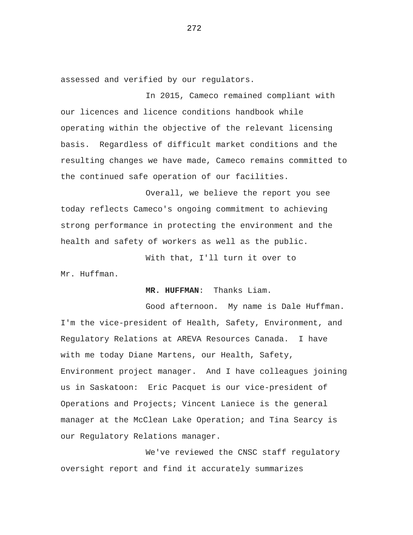assessed and verified by our regulators.

In 2015, Cameco remained compliant with our licences and licence conditions handbook while operating within the objective of the relevant licensing basis. Regardless of difficult market conditions and the resulting changes we have made, Cameco remains committed to the continued safe operation of our facilities.

Overall, we believe the report you see today reflects Cameco's ongoing commitment to achieving strong performance in protecting the environment and the health and safety of workers as well as the public.

With that, I'll turn it over to

Mr. Huffman.

## **MR. HUFFMAN**: Thanks Liam.

Good afternoon. My name is Dale Huffman. I'm the vice-president of Health, Safety, Environment, and Regulatory Relations at AREVA Resources Canada. I have with me today Diane Martens, our Health, Safety, Environment project manager. And I have colleagues joining us in Saskatoon: Eric Pacquet is our vice-president of Operations and Projects; Vincent Laniece is the general manager at the McClean Lake Operation; and Tina Searcy is our Regulatory Relations manager.

We've reviewed the CNSC staff regulatory oversight report and find it accurately summarizes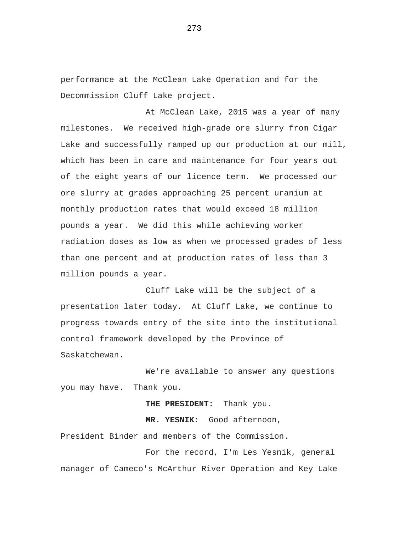performance at the McClean Lake Operation and for the Decommission Cluff Lake project.

At McClean Lake, 2015 was a year of many milestones. We received high-grade ore slurry from Cigar Lake and successfully ramped up our production at our mill, which has been in care and maintenance for four years out of the eight years of our licence term. We processed our ore slurry at grades approaching 25 percent uranium at monthly production rates that would exceed 18 million pounds a year. We did this while achieving worker radiation doses as low as when we processed grades of less than one percent and at production rates of less than 3 million pounds a year.

Cluff Lake will be the subject of a presentation later today. At Cluff Lake, we continue to progress towards entry of the site into the institutional control framework developed by the Province of Saskatchewan.

We're available to answer any questions you may have. Thank you.

**THE PRESIDENT:** Thank you.

**MR. YESNIK**: Good afternoon,

President Binder and members of the Commission.

For the record, I'm Les Yesnik, general manager of Cameco's McArthur River Operation and Key Lake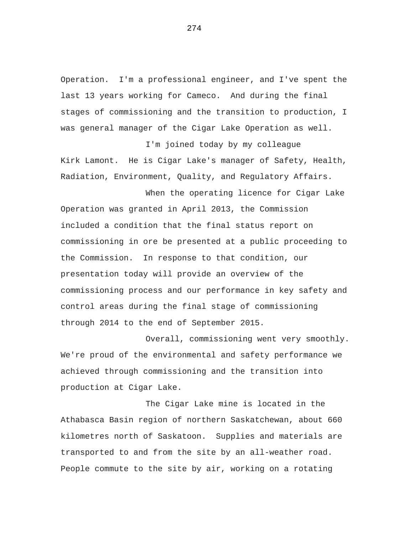Operation. I'm a professional engineer, and I've spent the last 13 years working for Cameco. And during the final stages of commissioning and the transition to production, I was general manager of the Cigar Lake Operation as well.

I'm joined today by my colleague Kirk Lamont. He is Cigar Lake's manager of Safety, Health, Radiation, Environment, Quality, and Regulatory Affairs.

When the operating licence for Cigar Lake Operation was granted in April 2013, the Commission included a condition that the final status report on commissioning in ore be presented at a public proceeding to the Commission. In response to that condition, our presentation today will provide an overview of the commissioning process and our performance in key safety and control areas during the final stage of commissioning through 2014 to the end of September 2015.

Overall, commissioning went very smoothly. We're proud of the environmental and safety performance we achieved through commissioning and the transition into production at Cigar Lake.

The Cigar Lake mine is located in the Athabasca Basin region of northern Saskatchewan, about 660 kilometres north of Saskatoon. Supplies and materials are transported to and from the site by an all-weather road. People commute to the site by air, working on a rotating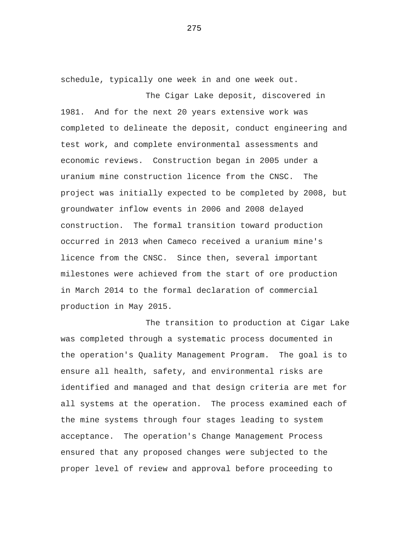schedule, typically one week in and one week out.

The Cigar Lake deposit, discovered in 1981. And for the next 20 years extensive work was completed to delineate the deposit, conduct engineering and test work, and complete environmental assessments and economic reviews. Construction began in 2005 under a uranium mine construction licence from the CNSC. The project was initially expected to be completed by 2008, but groundwater inflow events in 2006 and 2008 delayed construction. The formal transition toward production occurred in 2013 when Cameco received a uranium mine's licence from the CNSC. Since then, several important milestones were achieved from the start of ore production in March 2014 to the formal declaration of commercial production in May 2015.

The transition to production at Cigar Lake was completed through a systematic process documented in the operation's Quality Management Program. The goal is to ensure all health, safety, and environmental risks are identified and managed and that design criteria are met for all systems at the operation. The process examined each of the mine systems through four stages leading to system acceptance. The operation's Change Management Process ensured that any proposed changes were subjected to the proper level of review and approval before proceeding to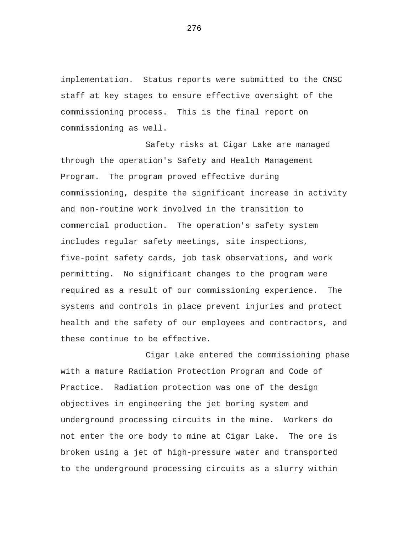implementation. Status reports were submitted to the CNSC staff at key stages to ensure effective oversight of the commissioning process. This is the final report on commissioning as well.

Safety risks at Cigar Lake are managed through the operation's Safety and Health Management Program. The program proved effective during commissioning, despite the significant increase in activity and non-routine work involved in the transition to commercial production. The operation's safety system includes regular safety meetings, site inspections, five-point safety cards, job task observations, and work permitting. No significant changes to the program were required as a result of our commissioning experience. The systems and controls in place prevent injuries and protect health and the safety of our employees and contractors, and these continue to be effective.

Cigar Lake entered the commissioning phase with a mature Radiation Protection Program and Code of Practice. Radiation protection was one of the design objectives in engineering the jet boring system and underground processing circuits in the mine. Workers do not enter the ore body to mine at Cigar Lake. The ore is broken using a jet of high-pressure water and transported to the underground processing circuits as a slurry within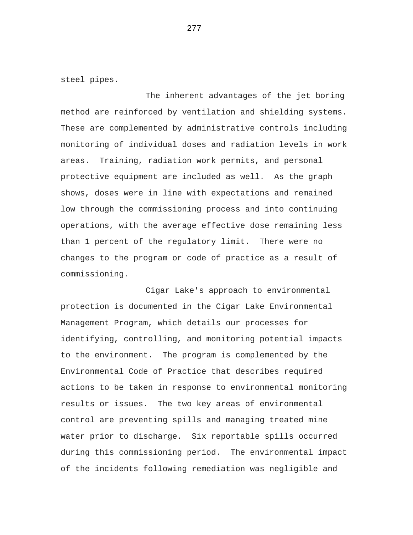steel pipes.

The inherent advantages of the jet boring method are reinforced by ventilation and shielding systems. These are complemented by administrative controls including monitoring of individual doses and radiation levels in work areas. Training, radiation work permits, and personal protective equipment are included as well. As the graph shows, doses were in line with expectations and remained low through the commissioning process and into continuing operations, with the average effective dose remaining less than 1 percent of the regulatory limit. There were no changes to the program or code of practice as a result of commissioning.

Cigar Lake's approach to environmental protection is documented in the Cigar Lake Environmental Management Program, which details our processes for identifying, controlling, and monitoring potential impacts to the environment. The program is complemented by the Environmental Code of Practice that describes required actions to be taken in response to environmental monitoring results or issues. The two key areas of environmental control are preventing spills and managing treated mine water prior to discharge. Six reportable spills occurred during this commissioning period. The environmental impact of the incidents following remediation was negligible and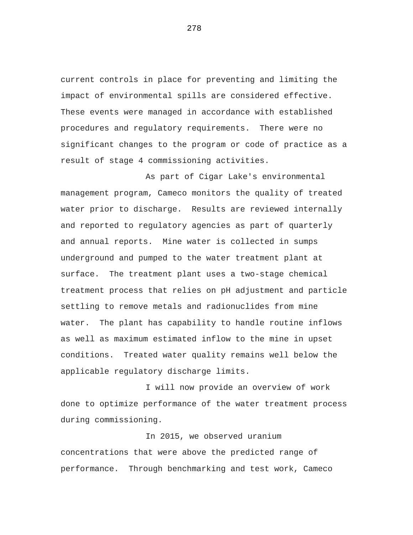current controls in place for preventing and limiting the impact of environmental spills are considered effective. These events were managed in accordance with established procedures and regulatory requirements. There were no significant changes to the program or code of practice as a result of stage 4 commissioning activities.

As part of Cigar Lake's environmental management program, Cameco monitors the quality of treated water prior to discharge. Results are reviewed internally and reported to regulatory agencies as part of quarterly and annual reports. Mine water is collected in sumps underground and pumped to the water treatment plant at surface. The treatment plant uses a two-stage chemical treatment process that relies on pH adjustment and particle settling to remove metals and radionuclides from mine water. The plant has capability to handle routine inflows as well as maximum estimated inflow to the mine in upset conditions. Treated water quality remains well below the applicable regulatory discharge limits.

I will now provide an overview of work done to optimize performance of the water treatment process during commissioning.

In 2015, we observed uranium concentrations that were above the predicted range of performance. Through benchmarking and test work, Cameco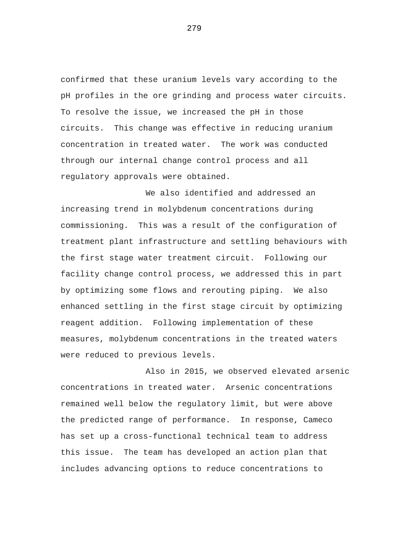confirmed that these uranium levels vary according to the pH profiles in the ore grinding and process water circuits. To resolve the issue, we increased the pH in those circuits. This change was effective in reducing uranium concentration in treated water. The work was conducted through our internal change control process and all regulatory approvals were obtained.

We also identified and addressed an increasing trend in molybdenum concentrations during commissioning. This was a result of the configuration of treatment plant infrastructure and settling behaviours with the first stage water treatment circuit. Following our facility change control process, we addressed this in part by optimizing some flows and rerouting piping. We also enhanced settling in the first stage circuit by optimizing reagent addition. Following implementation of these measures, molybdenum concentrations in the treated waters were reduced to previous levels.

Also in 2015, we observed elevated arsenic concentrations in treated water. Arsenic concentrations remained well below the regulatory limit, but were above the predicted range of performance. In response, Cameco has set up a cross-functional technical team to address this issue. The team has developed an action plan that includes advancing options to reduce concentrations to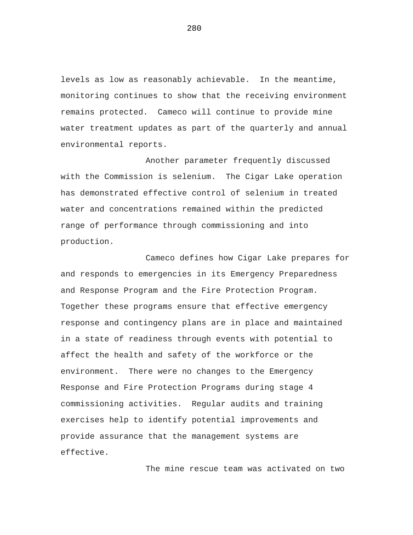levels as low as reasonably achievable. In the meantime, monitoring continues to show that the receiving environment remains protected. Cameco will continue to provide mine water treatment updates as part of the quarterly and annual environmental reports.

Another parameter frequently discussed with the Commission is selenium. The Cigar Lake operation has demonstrated effective control of selenium in treated water and concentrations remained within the predicted range of performance through commissioning and into production.

Cameco defines how Cigar Lake prepares for and responds to emergencies in its Emergency Preparedness and Response Program and the Fire Protection Program. Together these programs ensure that effective emergency response and contingency plans are in place and maintained in a state of readiness through events with potential to affect the health and safety of the workforce or the environment. There were no changes to the Emergency Response and Fire Protection Programs during stage 4 commissioning activities. Regular audits and training exercises help to identify potential improvements and provide assurance that the management systems are effective.

The mine rescue team was activated on two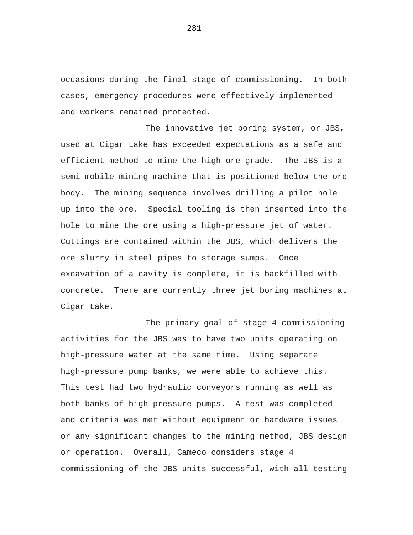occasions during the final stage of commissioning. In both cases, emergency procedures were effectively implemented and workers remained protected.

The innovative jet boring system, or JBS, used at Cigar Lake has exceeded expectations as a safe and efficient method to mine the high ore grade. The JBS is a semi-mobile mining machine that is positioned below the ore body. The mining sequence involves drilling a pilot hole up into the ore. Special tooling is then inserted into the hole to mine the ore using a high-pressure jet of water. Cuttings are contained within the JBS, which delivers the ore slurry in steel pipes to storage sumps. Once excavation of a cavity is complete, it is backfilled with concrete. There are currently three jet boring machines at Cigar Lake.

The primary goal of stage 4 commissioning activities for the JBS was to have two units operating on high-pressure water at the same time. Using separate high-pressure pump banks, we were able to achieve this. This test had two hydraulic conveyors running as well as both banks of high-pressure pumps. A test was completed and criteria was met without equipment or hardware issues or any significant changes to the mining method, JBS design or operation. Overall, Cameco considers stage 4 commissioning of the JBS units successful, with all testing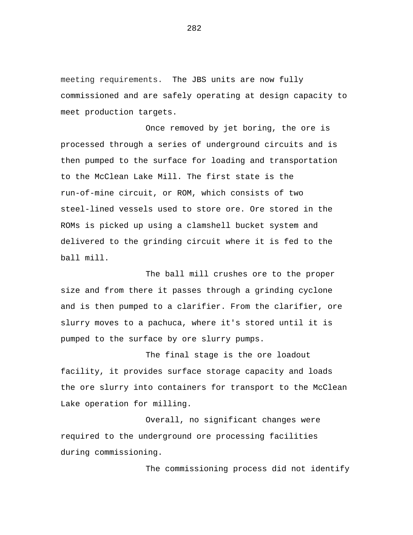meeting requirements. The JBS units are now fully commissioned and are safely operating at design capacity to meet production targets.

Once removed by jet boring, the ore is processed through a series of underground circuits and is then pumped to the surface for loading and transportation to the McClean Lake Mill. The first state is the run-of-mine circuit, or ROM, which consists of two steel-lined vessels used to store ore. Ore stored in the ROMs is picked up using a clamshell bucket system and delivered to the grinding circuit where it is fed to the ball mill.

The ball mill crushes ore to the proper size and from there it passes through a grinding cyclone and is then pumped to a clarifier. From the clarifier, ore slurry moves to a pachuca, where it's stored until it is pumped to the surface by ore slurry pumps.

The final stage is the ore loadout facility, it provides surface storage capacity and loads the ore slurry into containers for transport to the McClean Lake operation for milling.

Overall, no significant changes were required to the underground ore processing facilities during commissioning.

The commissioning process did not identify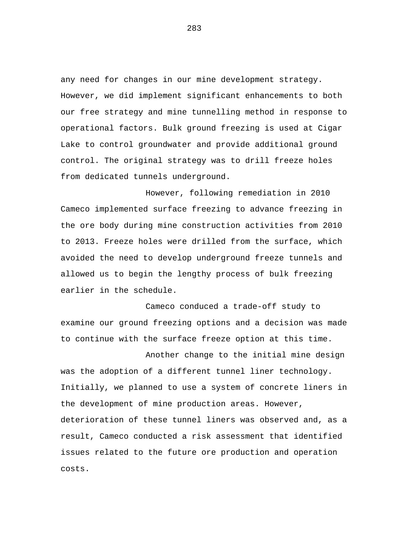any need for changes in our mine development strategy. However, we did implement significant enhancements to both our free strategy and mine tunnelling method in response to operational factors. Bulk ground freezing is used at Cigar Lake to control groundwater and provide additional ground control. The original strategy was to drill freeze holes from dedicated tunnels underground.

However, following remediation in 2010 Cameco implemented surface freezing to advance freezing in the ore body during mine construction activities from 2010 to 2013. Freeze holes were drilled from the surface, which avoided the need to develop underground freeze tunnels and allowed us to begin the lengthy process of bulk freezing earlier in the schedule.

Cameco conduced a trade-off study to examine our ground freezing options and a decision was made to continue with the surface freeze option at this time.

Another change to the initial mine design was the adoption of a different tunnel liner technology. Initially, we planned to use a system of concrete liners in the development of mine production areas. However, deterioration of these tunnel liners was observed and, as a result, Cameco conducted a risk assessment that identified issues related to the future ore production and operation costs.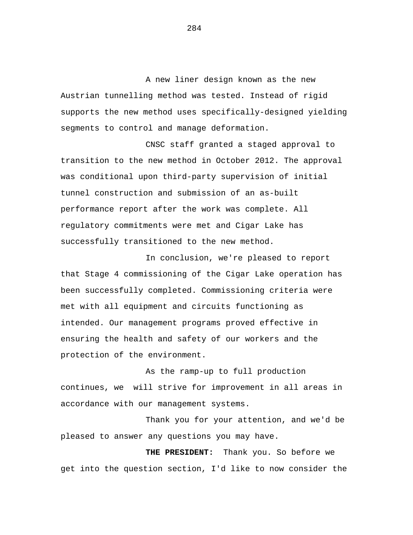A new liner design known as the new Austrian tunnelling method was tested. Instead of rigid supports the new method uses specifically-designed yielding segments to control and manage deformation.

CNSC staff granted a staged approval to transition to the new method in October 2012. The approval was conditional upon third-party supervision of initial tunnel construction and submission of an as-built performance report after the work was complete. All regulatory commitments were met and Cigar Lake has successfully transitioned to the new method.

In conclusion, we're pleased to report that Stage 4 commissioning of the Cigar Lake operation has been successfully completed. Commissioning criteria were met with all equipment and circuits functioning as intended. Our management programs proved effective in ensuring the health and safety of our workers and the protection of the environment.

As the ramp-up to full production continues, we will strive for improvement in all areas in accordance with our management systems.

Thank you for your attention, and we'd be pleased to answer any questions you may have.

 **THE PRESIDENT:** Thank you. So before we get into the question section, I'd like to now consider the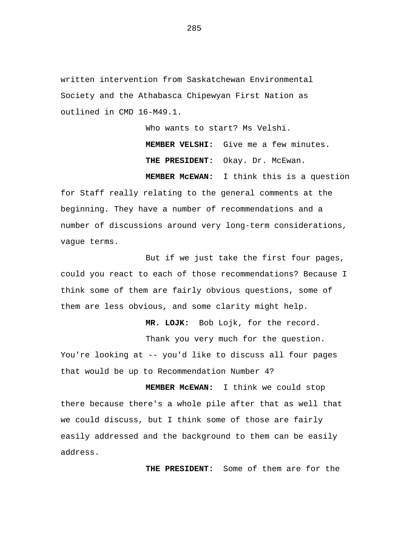written intervention from Saskatchewan Environmental Society and the Athabasca Chipewyan First Nation as outlined in CMD 16-M49.1.

Who wants to start? Ms Velshi.

 **MEMBER VELSHI:** Give me a few minutes. THE PRESIDENT: Okay. Dr. McEwan.  **MEMBER McEWAN:** I think this is a question

for Staff really relating to the general comments at the beginning. They have a number of recommendations and a number of discussions around very long-term considerations, vague terms.

But if we just take the first four pages, could you react to each of those recommendations? Because I think some of them are fairly obvious questions, some of them are less obvious, and some clarity might help.

 **MR. LOJK:** Bob Lojk, for the record.

Thank you very much for the question.

You're looking at -- you'd like to discuss all four pages that would be up to Recommendation Number 4?

 **MEMBER McEWAN:** I think we could stop there because there's a whole pile after that as well that we could discuss, but I think some of those are fairly easily addressed and the background to them can be easily address.

 **THE PRESIDENT:** Some of them are for the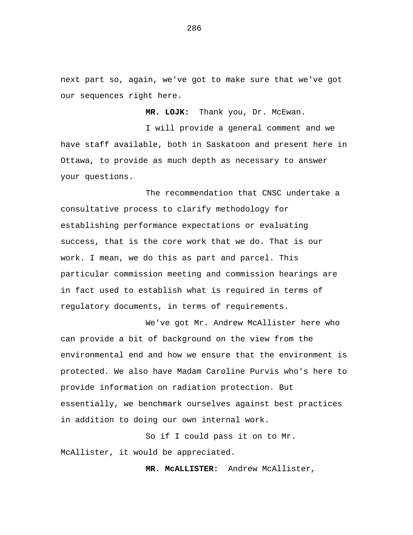next part so, again, we've got to make sure that we've got our sequences right here.

 **MR. LOJK:** Thank you, Dr. McEwan.

I will provide a general comment and we have staff available, both in Saskatoon and present here in Ottawa, to provide as much depth as necessary to answer your questions.

The recommendation that CNSC undertake a consultative process to clarify methodology for establishing performance expectations or evaluating success, that is the core work that we do. That is our work. I mean, we do this as part and parcel. This particular commission meeting and commission hearings are in fact used to establish what is required in terms of regulatory documents, in terms of requirements.

We've got Mr. Andrew McAllister here who can provide a bit of background on the view from the environmental end and how we ensure that the environment is protected. We also have Madam Caroline Purvis who's here to provide information on radiation protection. But essentially, we benchmark ourselves against best practices in addition to doing our own internal work.

So if I could pass it on to Mr. McAllister, it would be appreciated.

 **MR. McALLISTER:** Andrew McAllister,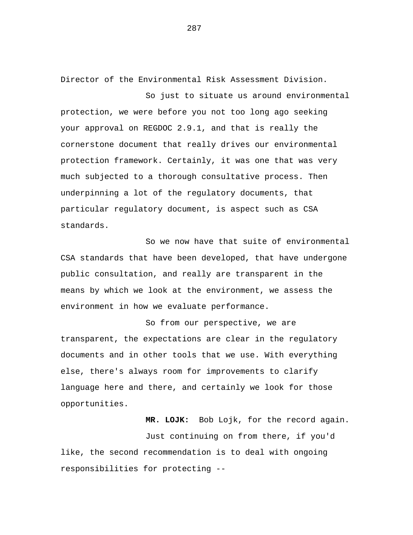Director of the Environmental Risk Assessment Division.

So just to situate us around environmental protection, we were before you not too long ago seeking your approval on REGDOC 2.9.1, and that is really the cornerstone document that really drives our environmental protection framework. Certainly, it was one that was very much subjected to a thorough consultative process. Then underpinning a lot of the regulatory documents, that particular regulatory document, is aspect such as CSA standards.

So we now have that suite of environmental CSA standards that have been developed, that have undergone public consultation, and really are transparent in the means by which we look at the environment, we assess the environment in how we evaluate performance.

So from our perspective, we are transparent, the expectations are clear in the regulatory documents and in other tools that we use. With everything else, there's always room for improvements to clarify language here and there, and certainly we look for those opportunities.

 **MR. LOJK:** Bob Lojk, for the record again.

Just continuing on from there, if you'd like, the second recommendation is to deal with ongoing responsibilities for protecting --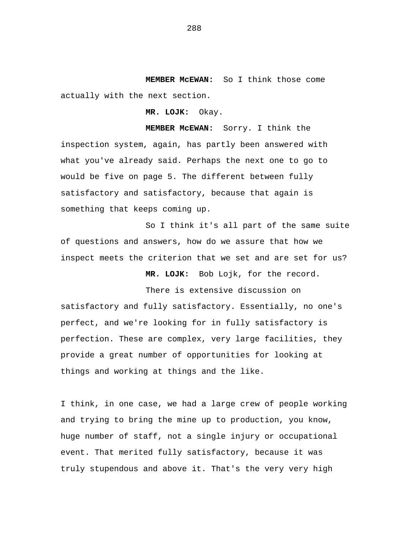**MEMBER McEWAN:** So I think those come actually with the next section.

 **MR. LOJK:** Okay.

 **MEMBER McEWAN:** Sorry. I think the inspection system, again, has partly been answered with what you've already said. Perhaps the next one to go to would be five on page 5. The different between fully satisfactory and satisfactory, because that again is something that keeps coming up.

So I think it's all part of the same suite of questions and answers, how do we assure that how we inspect meets the criterion that we set and are set for us?

 **MR. LOJK:** Bob Lojk, for the record.

There is extensive discussion on

satisfactory and fully satisfactory. Essentially, no one's perfect, and we're looking for in fully satisfactory is perfection. These are complex, very large facilities, they provide a great number of opportunities for looking at things and working at things and the like.

I think, in one case, we had a large crew of people working and trying to bring the mine up to production, you know, huge number of staff, not a single injury or occupational event. That merited fully satisfactory, because it was truly stupendous and above it. That's the very very high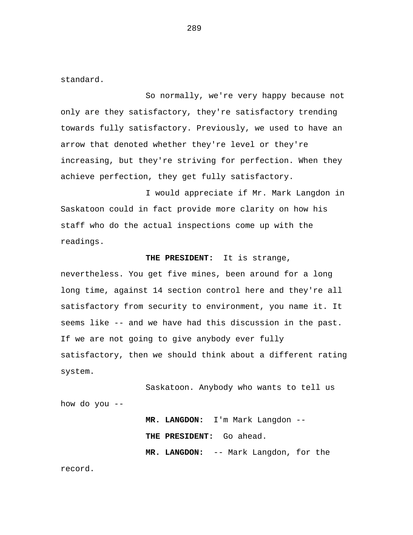standard.

So normally, we're very happy because not only are they satisfactory, they're satisfactory trending towards fully satisfactory. Previously, we used to have an arrow that denoted whether they're level or they're increasing, but they're striving for perfection. When they achieve perfection, they get fully satisfactory.

I would appreciate if Mr. Mark Langdon in Saskatoon could in fact provide more clarity on how his staff who do the actual inspections come up with the readings.

## **THE PRESIDENT:** It is strange,

nevertheless. You get five mines, been around for a long long time, against 14 section control here and they're all satisfactory from security to environment, you name it. It seems like -- and we have had this discussion in the past. If we are not going to give anybody ever fully satisfactory, then we should think about a different rating system.

Saskatoon. Anybody who wants to tell us how do you --

> **MR. LANGDON:** I'm Mark Langdon --  **THE PRESIDENT:** Go ahead.  **MR. LANGDON:** -- Mark Langdon, for the

record.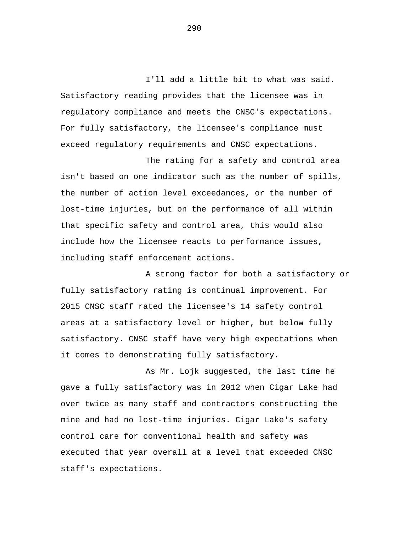I'll add a little bit to what was said. Satisfactory reading provides that the licensee was in regulatory compliance and meets the CNSC's expectations. For fully satisfactory, the licensee's compliance must exceed regulatory requirements and CNSC expectations.

The rating for a safety and control area isn't based on one indicator such as the number of spills, the number of action level exceedances, or the number of lost-time injuries, but on the performance of all within that specific safety and control area, this would also include how the licensee reacts to performance issues, including staff enforcement actions.

A strong factor for both a satisfactory or fully satisfactory rating is continual improvement. For 2015 CNSC staff rated the licensee's 14 safety control areas at a satisfactory level or higher, but below fully satisfactory. CNSC staff have very high expectations when it comes to demonstrating fully satisfactory.

As Mr. Lojk suggested, the last time he gave a fully satisfactory was in 2012 when Cigar Lake had over twice as many staff and contractors constructing the mine and had no lost-time injuries. Cigar Lake's safety control care for conventional health and safety was executed that year overall at a level that exceeded CNSC staff's expectations.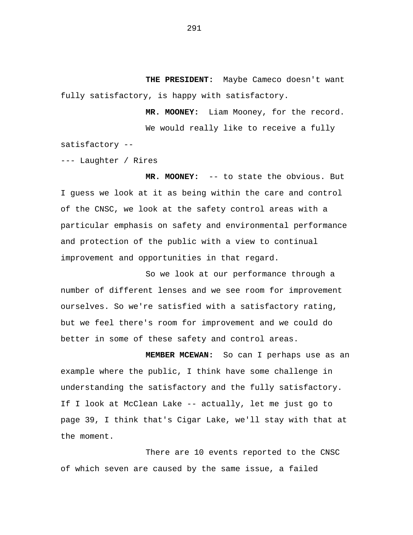**THE PRESIDENT:** Maybe Cameco doesn't want fully satisfactory, is happy with satisfactory.

> **MR. MOONEY:** Liam Mooney, for the record. We would really like to receive a fully

satisfactory --

--- Laughter / Rires

 **MR. MOONEY:** -- to state the obvious. But I guess we look at it as being within the care and control of the CNSC, we look at the safety control areas with a particular emphasis on safety and environmental performance and protection of the public with a view to continual improvement and opportunities in that regard.

So we look at our performance through a number of different lenses and we see room for improvement ourselves. So we're satisfied with a satisfactory rating, but we feel there's room for improvement and we could do better in some of these safety and control areas.

 **MEMBER MCEWAN:** So can I perhaps use as an example where the public, I think have some challenge in understanding the satisfactory and the fully satisfactory. If I look at McClean Lake -- actually, let me just go to page 39, I think that's Cigar Lake, we'll stay with that at the moment.

There are 10 events reported to the CNSC of which seven are caused by the same issue, a failed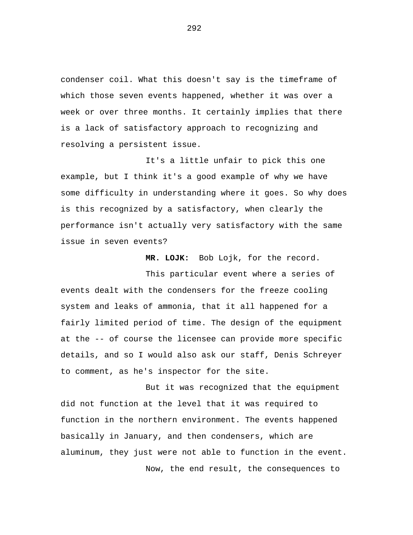condenser coil. What this doesn't say is the timeframe of which those seven events happened, whether it was over a week or over three months. It certainly implies that there is a lack of satisfactory approach to recognizing and resolving a persistent issue.

It's a little unfair to pick this one example, but I think it's a good example of why we have some difficulty in understanding where it goes. So why does is this recognized by a satisfactory, when clearly the performance isn't actually very satisfactory with the same issue in seven events?

 **MR. LOJK:** Bob Lojk, for the record.

This particular event where a series of events dealt with the condensers for the freeze cooling system and leaks of ammonia, that it all happened for a fairly limited period of time. The design of the equipment at the -- of course the licensee can provide more specific details, and so I would also ask our staff, Denis Schreyer to comment, as he's inspector for the site.

But it was recognized that the equipment did not function at the level that it was required to function in the northern environment. The events happened basically in January, and then condensers, which are aluminum, they just were not able to function in the event. Now, the end result, the consequences to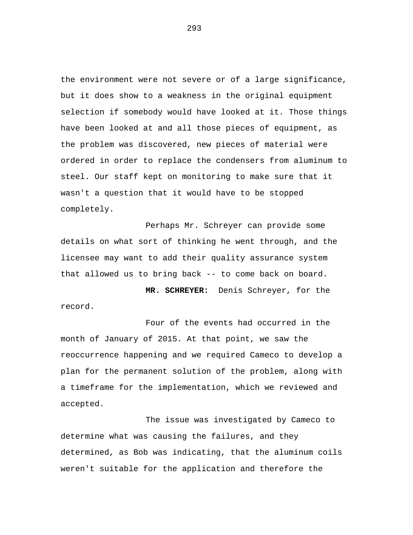the environment were not severe or of a large significance, but it does show to a weakness in the original equipment selection if somebody would have looked at it. Those things have been looked at and all those pieces of equipment, as the problem was discovered, new pieces of material were ordered in order to replace the condensers from aluminum to steel. Our staff kept on monitoring to make sure that it wasn't a question that it would have to be stopped completely.

Perhaps Mr. Schreyer can provide some details on what sort of thinking he went through, and the licensee may want to add their quality assurance system that allowed us to bring back -- to come back on board.

 **MR. SCHREYER:** Denis Schreyer, for the record.

Four of the events had occurred in the month of January of 2015. At that point, we saw the reoccurrence happening and we required Cameco to develop a plan for the permanent solution of the problem, along with a timeframe for the implementation, which we reviewed and accepted.

The issue was investigated by Cameco to determine what was causing the failures, and they determined, as Bob was indicating, that the aluminum coils weren't suitable for the application and therefore the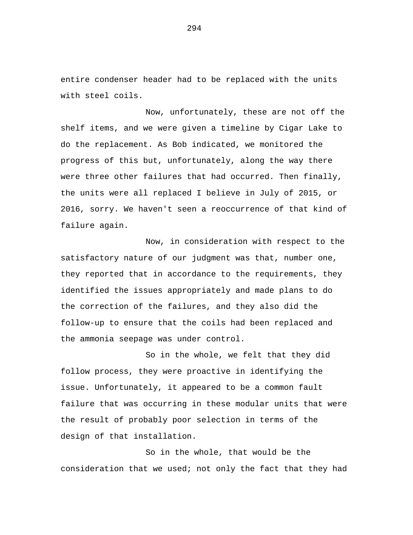entire condenser header had to be replaced with the units with steel coils.

Now, unfortunately, these are not off the shelf items, and we were given a timeline by Cigar Lake to do the replacement. As Bob indicated, we monitored the progress of this but, unfortunately, along the way there were three other failures that had occurred. Then finally, the units were all replaced I believe in July of 2015, or 2016, sorry. We haven't seen a reoccurrence of that kind of failure again.

Now, in consideration with respect to the satisfactory nature of our judgment was that, number one, they reported that in accordance to the requirements, they identified the issues appropriately and made plans to do the correction of the failures, and they also did the follow-up to ensure that the coils had been replaced and the ammonia seepage was under control.

So in the whole, we felt that they did follow process, they were proactive in identifying the issue. Unfortunately, it appeared to be a common fault failure that was occurring in these modular units that were the result of probably poor selection in terms of the design of that installation.

So in the whole, that would be the consideration that we used; not only the fact that they had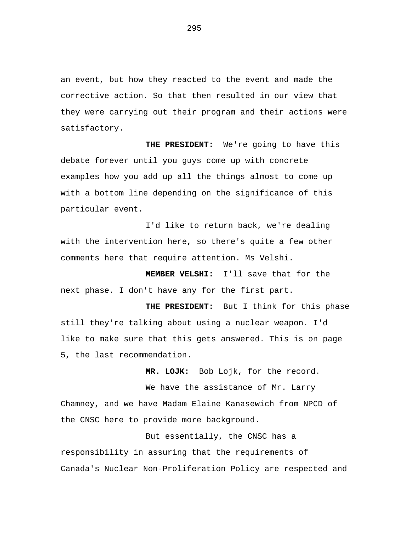an event, but how they reacted to the event and made the corrective action. So that then resulted in our view that they were carrying out their program and their actions were satisfactory.

 **THE PRESIDENT:** We're going to have this debate forever until you guys come up with concrete examples how you add up all the things almost to come up with a bottom line depending on the significance of this particular event.

I'd like to return back, we're dealing with the intervention here, so there's quite a few other comments here that require attention. Ms Velshi.

 **MEMBER VELSHI:** I'll save that for the next phase. I don't have any for the first part.

 **THE PRESIDENT:** But I think for this phase still they're talking about using a nuclear weapon. I'd like to make sure that this gets answered. This is on page 5, the last recommendation.

 **MR. LOJK:** Bob Lojk, for the record.

We have the assistance of Mr. Larry Chamney, and we have Madam Elaine Kanasewich from NPCD of the CNSC here to provide more background.

But essentially, the CNSC has a responsibility in assuring that the requirements of Canada's Nuclear Non-Proliferation Policy are respected and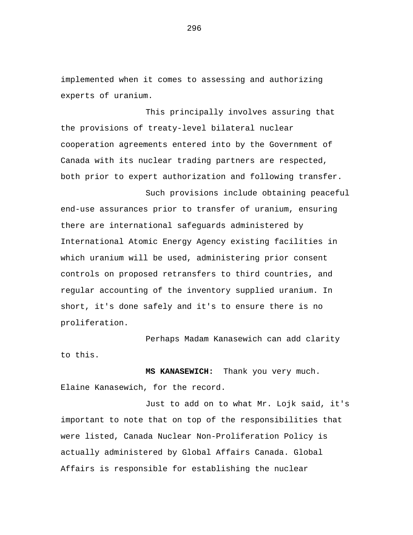implemented when it comes to assessing and authorizing experts of uranium.

This principally involves assuring that the provisions of treaty-level bilateral nuclear cooperation agreements entered into by the Government of Canada with its nuclear trading partners are respected, both prior to expert authorization and following transfer.

Such provisions include obtaining peaceful end-use assurances prior to transfer of uranium, ensuring there are international safeguards administered by International Atomic Energy Agency existing facilities in which uranium will be used, administering prior consent controls on proposed retransfers to third countries, and regular accounting of the inventory supplied uranium. In short, it's done safely and it's to ensure there is no proliferation.

Perhaps Madam Kanasewich can add clarity to this.

 **MS KANASEWICH:** Thank you very much. Elaine Kanasewich, for the record.

Just to add on to what Mr. Lojk said, it's important to note that on top of the responsibilities that were listed, Canada Nuclear Non-Proliferation Policy is actually administered by Global Affairs Canada. Global Affairs is responsible for establishing the nuclear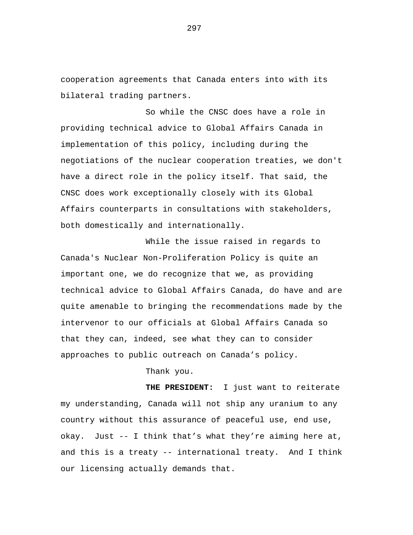cooperation agreements that Canada enters into with its bilateral trading partners.

So while the CNSC does have a role in providing technical advice to Global Affairs Canada in implementation of this policy, including during the negotiations of the nuclear cooperation treaties, we don't have a direct role in the policy itself. That said, the CNSC does work exceptionally closely with its Global Affairs counterparts in consultations with stakeholders, both domestically and internationally.

While the issue raised in regards to Canada's Nuclear Non-Proliferation Policy is quite an important one, we do recognize that we, as providing technical advice to Global Affairs Canada, do have and are quite amenable to bringing the recommendations made by the intervenor to our officials at Global Affairs Canada so that they can, indeed, see what they can to consider approaches to public outreach on Canada's policy.

Thank you.

**THE PRESIDENT:** I just want to reiterate my understanding, Canada will not ship any uranium to any country without this assurance of peaceful use, end use, okay. Just -- I think that's what they're aiming here at, and this is a treaty -- international treaty. And I think our licensing actually demands that.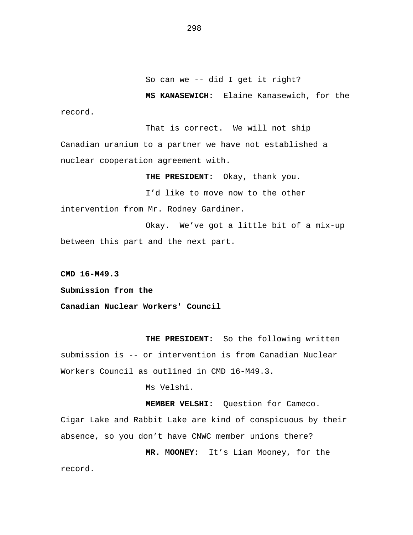**MS KANASEWICH:** Elaine Kanasewich, for the record.

That is correct. We will not ship Canadian uranium to a partner we have not established a nuclear cooperation agreement with.

**THE PRESIDENT:** Okay, thank you.

I'd like to move now to the other intervention from Mr. Rodney Gardiner.

Okay. We've got a little bit of a mix-up between this part and the next part.

**CMD 16-M49.3** 

**Submission from the** 

**Canadian Nuclear Workers' Council** 

**THE PRESIDENT:** So the following written submission is -- or intervention is from Canadian Nuclear Workers Council as outlined in CMD 16-M49.3.

Ms Velshi.

**MEMBER VELSHI:** Question for Cameco. Cigar Lake and Rabbit Lake are kind of conspicuous by their absence, so you don't have CNWC member unions there?

**MR. MOONEY:** It's Liam Mooney, for the record.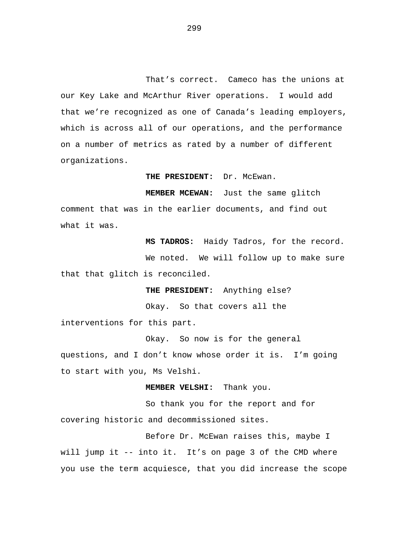That's correct. Cameco has the unions at our Key Lake and McArthur River operations. I would add that we're recognized as one of Canada's leading employers, which is across all of our operations, and the performance on a number of metrics as rated by a number of different organizations.

**THE PRESIDENT:** Dr. McEwan.

**MEMBER MCEWAN:** Just the same glitch comment that was in the earlier documents, and find out what it was.

**MS TADROS:** Haidy Tadros, for the record. We noted. We will follow up to make sure that that glitch is reconciled.

**THE PRESIDENT:** Anything else?

Okay. So that covers all the

interventions for this part.

Okay. So now is for the general questions, and I don't know whose order it is. I'm going to start with you, Ms Velshi.

**MEMBER VELSHI:** Thank you.

So thank you for the report and for covering historic and decommissioned sites.

Before Dr. McEwan raises this, maybe I will jump it -- into it. It's on page 3 of the CMD where you use the term acquiesce, that you did increase the scope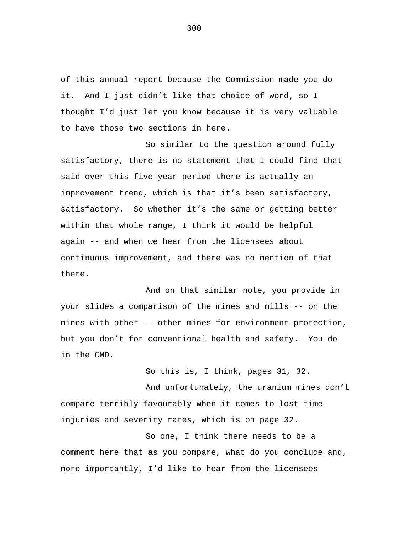of this annual report because the Commission made you do it. And I just didn't like that choice of word, so I thought I'd just let you know because it is very valuable to have those two sections in here.

So similar to the question around fully satisfactory, there is no statement that I could find that said over this five-year period there is actually an improvement trend, which is that it's been satisfactory, satisfactory. So whether it's the same or getting better within that whole range, I think it would be helpful again -- and when we hear from the licensees about continuous improvement, and there was no mention of that there.

And on that similar note, you provide in your slides a comparison of the mines and mills -- on the mines with other -- other mines for environment protection, but you don't for conventional health and safety. You do in the CMD.

So this is, I think, pages 31, 32.

And unfortunately, the uranium mines don't compare terribly favourably when it comes to lost time injuries and severity rates, which is on page 32.

So one, I think there needs to be a comment here that as you compare, what do you conclude and, more importantly, I'd like to hear from the licensees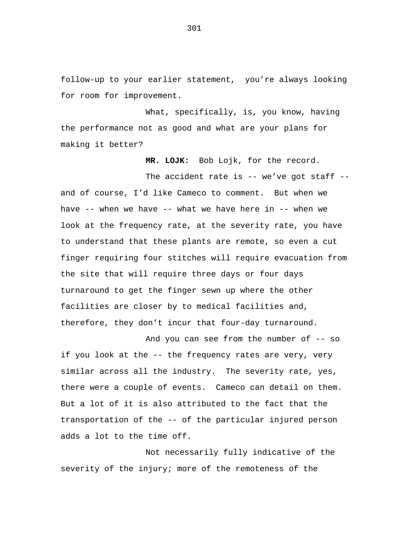follow-up to your earlier statement, you're always looking for room for improvement.

What, specifically, is, you know, having the performance not as good and what are your plans for making it better?

**MR. LOJK:** Bob Lojk, for the record.

The accident rate is  $--$  we've got staff  $-$ and of course, I'd like Cameco to comment. But when we have -- when we have -- what we have here in -- when we look at the frequency rate, at the severity rate, you have to understand that these plants are remote, so even a cut finger requiring four stitches will require evacuation from the site that will require three days or four days turnaround to get the finger sewn up where the other facilities are closer by to medical facilities and, therefore, they don't incur that four-day turnaround.

And you can see from the number of -- so if you look at the -- the frequency rates are very, very similar across all the industry. The severity rate, yes, there were a couple of events. Cameco can detail on them. But a lot of it is also attributed to the fact that the transportation of the -- of the particular injured person adds a lot to the time off.

Not necessarily fully indicative of the severity of the injury; more of the remoteness of the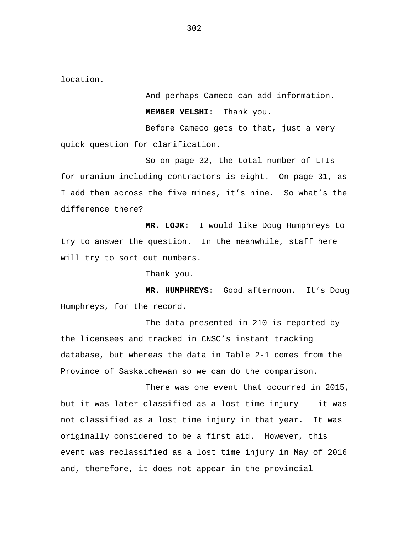location.

And perhaps Cameco can add information. **MEMBER VELSHI:** Thank you.

Before Cameco gets to that, just a very quick question for clarification.

So on page 32, the total number of LTIs for uranium including contractors is eight. On page 31, as I add them across the five mines, it's nine. So what's the difference there?

**MR. LOJK:** I would like Doug Humphreys to try to answer the question. In the meanwhile, staff here will try to sort out numbers.

Thank you.

**MR. HUMPHREYS:** Good afternoon. It's Doug Humphreys, for the record.

The data presented in 210 is reported by the licensees and tracked in CNSC's instant tracking database, but whereas the data in Table 2-1 comes from the Province of Saskatchewan so we can do the comparison.

There was one event that occurred in 2015, but it was later classified as a lost time injury -- it was not classified as a lost time injury in that year. It was originally considered to be a first aid. However, this event was reclassified as a lost time injury in May of 2016 and, therefore, it does not appear in the provincial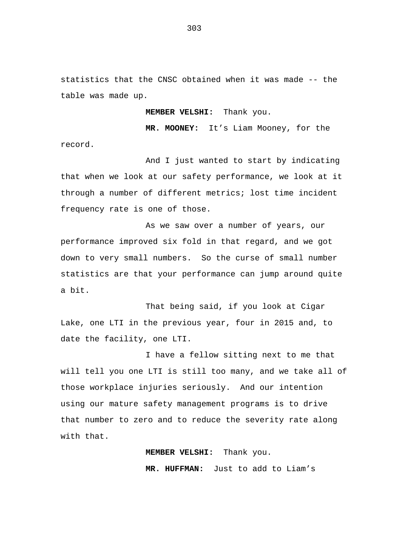statistics that the CNSC obtained when it was made -- the table was made up.

**MEMBER VELSHI:** Thank you.

**MR. MOONEY:** It's Liam Mooney, for the record.

And I just wanted to start by indicating that when we look at our safety performance, we look at it through a number of different metrics; lost time incident frequency rate is one of those.

As we saw over a number of years, our performance improved six fold in that regard, and we got down to very small numbers. So the curse of small number statistics are that your performance can jump around quite a bit.

That being said, if you look at Cigar Lake, one LTI in the previous year, four in 2015 and, to date the facility, one LTI.

I have a fellow sitting next to me that will tell you one LTI is still too many, and we take all of those workplace injuries seriously. And our intention using our mature safety management programs is to drive that number to zero and to reduce the severity rate along with that.

**MEMBER VELSHI:** Thank you.

**MR. HUFFMAN:** Just to add to Liam's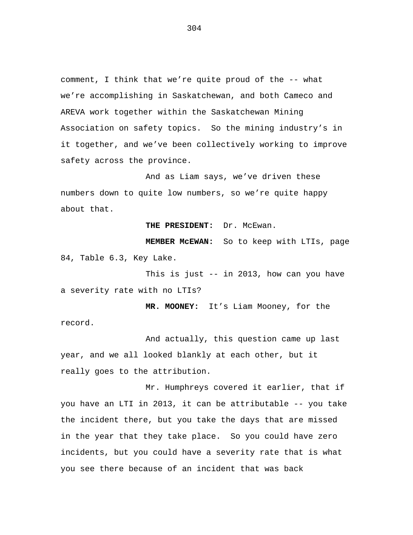comment, I think that we're quite proud of the -- what we're accomplishing in Saskatchewan, and both Cameco and AREVA work together within the Saskatchewan Mining Association on safety topics. So the mining industry's in it together, and we've been collectively working to improve safety across the province.

And as Liam says, we've driven these numbers down to quite low numbers, so we're quite happy about that.

**THE PRESIDENT:** Dr. McEwan.

**MEMBER McEWAN:** So to keep with LTIs, page 84, Table 6.3, Key Lake.

This is just -- in 2013, how can you have a severity rate with no LTIs?

**MR. MOONEY:** It's Liam Mooney, for the record.

And actually, this question came up last year, and we all looked blankly at each other, but it really goes to the attribution.

Mr. Humphreys covered it earlier, that if you have an LTI in 2013, it can be attributable -- you take the incident there, but you take the days that are missed in the year that they take place. So you could have zero incidents, but you could have a severity rate that is what you see there because of an incident that was back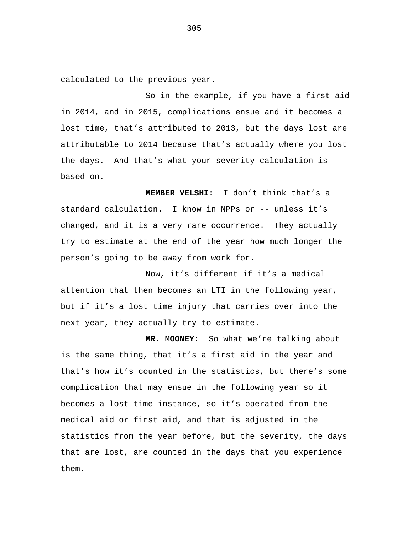calculated to the previous year.

So in the example, if you have a first aid in 2014, and in 2015, complications ensue and it becomes a lost time, that's attributed to 2013, but the days lost are attributable to 2014 because that's actually where you lost the days. And that's what your severity calculation is based on.

**MEMBER VELSHI:** I don't think that's a standard calculation. I know in NPPs or -- unless it's changed, and it is a very rare occurrence. They actually try to estimate at the end of the year how much longer the person's going to be away from work for.

Now, it's different if it's a medical attention that then becomes an LTI in the following year, but if it's a lost time injury that carries over into the next year, they actually try to estimate.

**MR. MOONEY:** So what we're talking about is the same thing, that it's a first aid in the year and that's how it's counted in the statistics, but there's some complication that may ensue in the following year so it becomes a lost time instance, so it's operated from the medical aid or first aid, and that is adjusted in the statistics from the year before, but the severity, the days that are lost, are counted in the days that you experience them.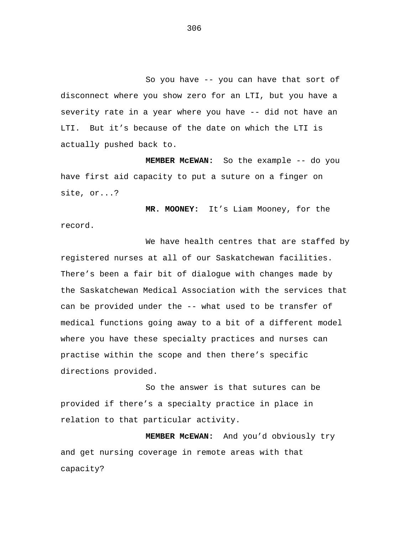So you have -- you can have that sort of disconnect where you show zero for an LTI, but you have a severity rate in a year where you have -- did not have an LTI. But it's because of the date on which the LTI is actually pushed back to.

**MEMBER McEWAN:** So the example -- do you have first aid capacity to put a suture on a finger on site, or...?

**MR. MOONEY:** It's Liam Mooney, for the record.

We have health centres that are staffed by registered nurses at all of our Saskatchewan facilities. There's been a fair bit of dialogue with changes made by the Saskatchewan Medical Association with the services that can be provided under the -- what used to be transfer of medical functions going away to a bit of a different model where you have these specialty practices and nurses can practise within the scope and then there's specific directions provided.

So the answer is that sutures can be provided if there's a specialty practice in place in relation to that particular activity.

**MEMBER McEWAN:** And you'd obviously try and get nursing coverage in remote areas with that capacity?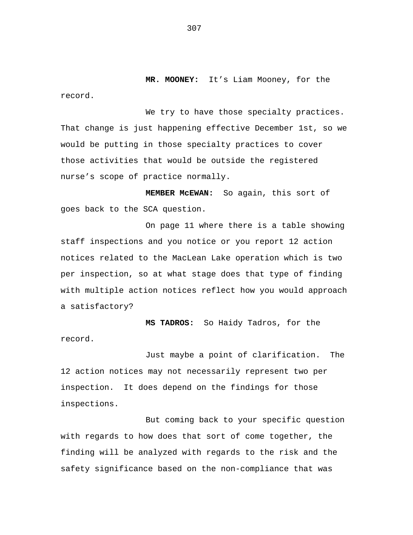**MR. MOONEY:** It's Liam Mooney, for the record.

We try to have those specialty practices. That change is just happening effective December 1st, so we would be putting in those specialty practices to cover those activities that would be outside the registered nurse's scope of practice normally.

**MEMBER McEWAN:** So again, this sort of goes back to the SCA question.

On page 11 where there is a table showing staff inspections and you notice or you report 12 action notices related to the MacLean Lake operation which is two per inspection, so at what stage does that type of finding with multiple action notices reflect how you would approach a satisfactory?

**MS TADROS:** So Haidy Tadros, for the record.

Just maybe a point of clarification. The 12 action notices may not necessarily represent two per inspection. It does depend on the findings for those inspections.

But coming back to your specific question with regards to how does that sort of come together, the finding will be analyzed with regards to the risk and the safety significance based on the non-compliance that was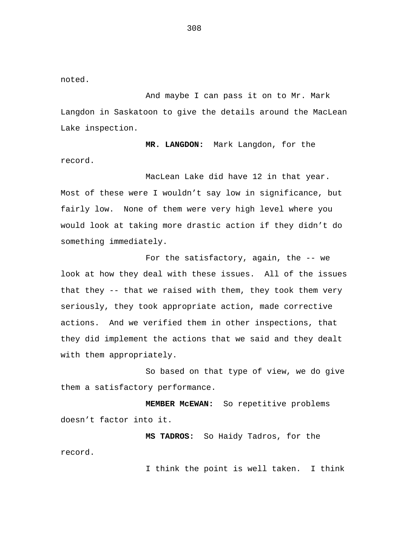noted.

And maybe I can pass it on to Mr. Mark Langdon in Saskatoon to give the details around the MacLean Lake inspection.

**MR. LANGDON:** Mark Langdon, for the record.

MacLean Lake did have 12 in that year. Most of these were I wouldn't say low in significance, but fairly low. None of them were very high level where you would look at taking more drastic action if they didn't do something immediately.

For the satisfactory, again, the -- we look at how they deal with these issues. All of the issues that they -- that we raised with them, they took them very seriously, they took appropriate action, made corrective actions. And we verified them in other inspections, that they did implement the actions that we said and they dealt with them appropriately.

So based on that type of view, we do give them a satisfactory performance.

**MEMBER McEWAN:** So repetitive problems doesn't factor into it.

**MS TADROS:** So Haidy Tadros, for the record.

I think the point is well taken. I think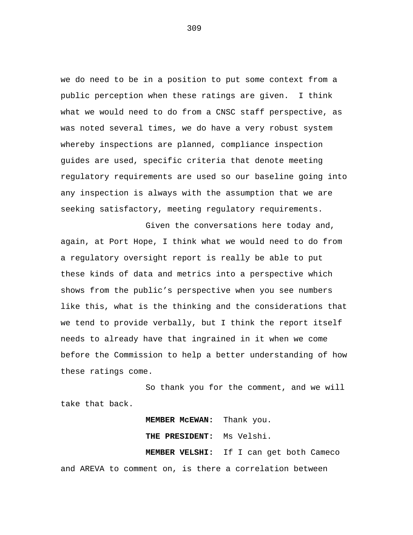we do need to be in a position to put some context from a public perception when these ratings are given. I think what we would need to do from a CNSC staff perspective, as was noted several times, we do have a very robust system whereby inspections are planned, compliance inspection guides are used, specific criteria that denote meeting regulatory requirements are used so our baseline going into any inspection is always with the assumption that we are seeking satisfactory, meeting regulatory requirements.

Given the conversations here today and, again, at Port Hope, I think what we would need to do from a regulatory oversight report is really be able to put these kinds of data and metrics into a perspective which shows from the public's perspective when you see numbers like this, what is the thinking and the considerations that we tend to provide verbally, but I think the report itself needs to already have that ingrained in it when we come before the Commission to help a better understanding of how these ratings come.

So thank you for the comment, and we will take that back.

**MEMBER McEWAN:** Thank you.

**THE PRESIDENT:** Ms Velshi. **MEMBER VELSHI:** If I can get both Cameco and AREVA to comment on, is there a correlation between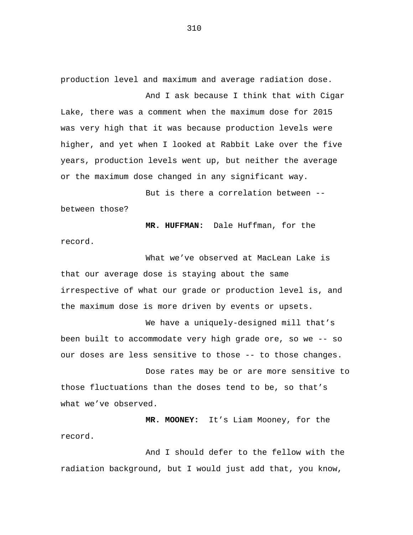production level and maximum and average radiation dose.

And I ask because I think that with Cigar Lake, there was a comment when the maximum dose for 2015 was very high that it was because production levels were higher, and yet when I looked at Rabbit Lake over the five years, production levels went up, but neither the average or the maximum dose changed in any significant way.

But is there a correlation between - between those?

**MR. HUFFMAN:** Dale Huffman, for the record.

What we've observed at MacLean Lake is that our average dose is staying about the same irrespective of what our grade or production level is, and the maximum dose is more driven by events or upsets.

We have a uniquely-designed mill that's been built to accommodate very high grade ore, so we -- so our doses are less sensitive to those -- to those changes.

Dose rates may be or are more sensitive to those fluctuations than the doses tend to be, so that's what we've observed.

**MR. MOONEY:** It's Liam Mooney, for the record.

And I should defer to the fellow with the radiation background, but I would just add that, you know,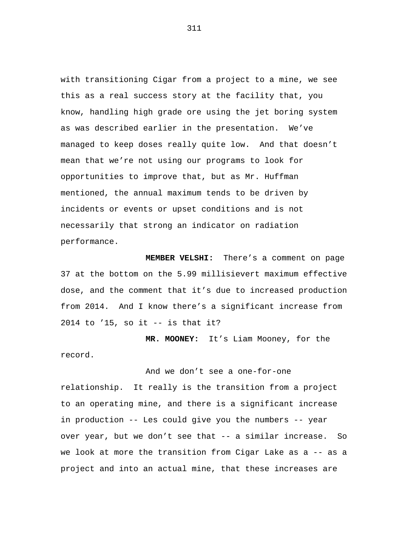with transitioning Cigar from a project to a mine, we see this as a real success story at the facility that, you know, handling high grade ore using the jet boring system as was described earlier in the presentation. We've managed to keep doses really quite low. And that doesn't mean that we're not using our programs to look for opportunities to improve that, but as Mr. Huffman mentioned, the annual maximum tends to be driven by incidents or events or upset conditions and is not necessarily that strong an indicator on radiation performance.

**MEMBER VELSHI:** There's a comment on page 37 at the bottom on the 5.99 millisievert maximum effective dose, and the comment that it's due to increased production from 2014. And I know there's a significant increase from 2014 to '15, so it -- is that it?

**MR. MOONEY:** It's Liam Mooney, for the record.

And we don't see a one-for-one

relationship. It really is the transition from a project to an operating mine, and there is a significant increase in production -- Les could give you the numbers -- year over year, but we don't see that -- a similar increase. So we look at more the transition from Cigar Lake as a -- as a project and into an actual mine, that these increases are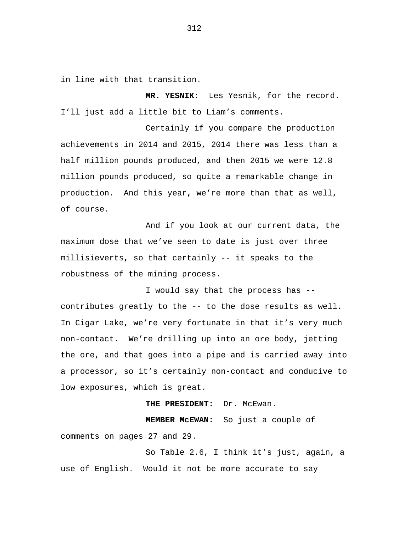in line with that transition.

**MR. YESNIK:** Les Yesnik, for the record. I'll just add a little bit to Liam's comments.

Certainly if you compare the production achievements in 2014 and 2015, 2014 there was less than a half million pounds produced, and then 2015 we were 12.8 million pounds produced, so quite a remarkable change in production. And this year, we're more than that as well, of course.

And if you look at our current data, the maximum dose that we've seen to date is just over three millisieverts, so that certainly -- it speaks to the robustness of the mining process.

I would say that the process has - contributes greatly to the -- to the dose results as well. In Cigar Lake, we're very fortunate in that it's very much non-contact. We're drilling up into an ore body, jetting the ore, and that goes into a pipe and is carried away into a processor, so it's certainly non-contact and conducive to low exposures, which is great.

**THE PRESIDENT:** Dr. McEwan.

**MEMBER McEWAN:** So just a couple of comments on pages 27 and 29.

So Table 2.6, I think it's just, again, a use of English. Would it not be more accurate to say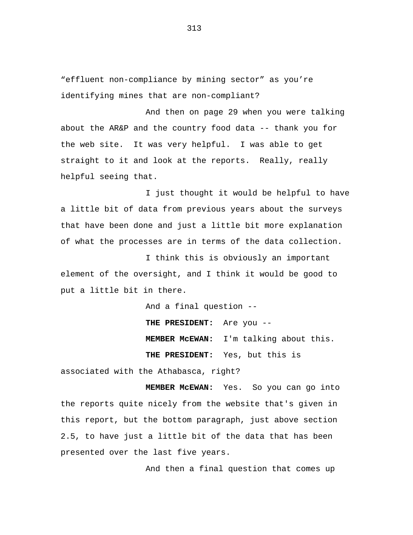"effluent non-compliance by mining sector" as you're identifying mines that are non-compliant?

And then on page 29 when you were talking about the AR&P and the country food data  $-$ - thank you for the web site. It was very helpful. I was able to get straight to it and look at the reports. Really, really helpful seeing that.

I just thought it would be helpful to have a little bit of data from previous years about the surveys that have been done and just a little bit more explanation of what the processes are in terms of the data collection.

I think this is obviously an important element of the oversight, and I think it would be good to put a little bit in there.

And a final question --

**THE PRESIDENT:** Are you --

**MEMBER McEWAN:** I'm talking about this.

**THE PRESIDENT:** Yes, but this is

associated with the Athabasca, right?

**MEMBER McEWAN:** Yes. So you can go into the reports quite nicely from the website that's given in this report, but the bottom paragraph, just above section 2.5, to have just a little bit of the data that has been presented over the last five years.

And then a final question that comes up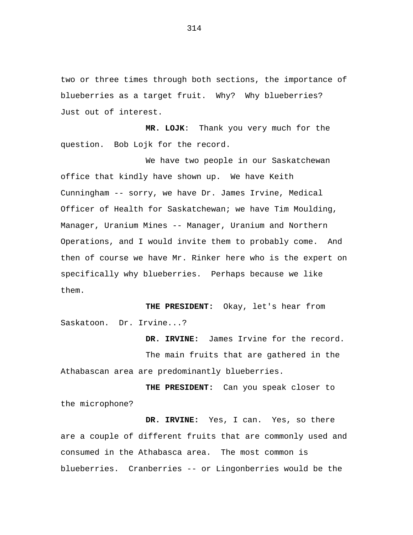two or three times through both sections, the importance of blueberries as a target fruit. Why? Why blueberries? Just out of interest.

**MR. LOJK**: Thank you very much for the question. Bob Lojk for the record.

We have two people in our Saskatchewan office that kindly have shown up. We have Keith Cunningham -- sorry, we have Dr. James Irvine, Medical Officer of Health for Saskatchewan; we have Tim Moulding, Manager, Uranium Mines -- Manager, Uranium and Northern Operations, and I would invite them to probably come. And then of course we have Mr. Rinker here who is the expert on specifically why blueberries. Perhaps because we like them.

**THE PRESIDENT:** Okay, let's hear from Saskatoon. Dr. Irvine...?

**DR. IRVINE:** James Irvine for the record. The main fruits that are gathered in the Athabascan area are predominantly blueberries.

**THE PRESIDENT:** Can you speak closer to the microphone?

**DR. IRVINE:** Yes, I can. Yes, so there are a couple of different fruits that are commonly used and consumed in the Athabasca area. The most common is blueberries. Cranberries -- or Lingonberries would be the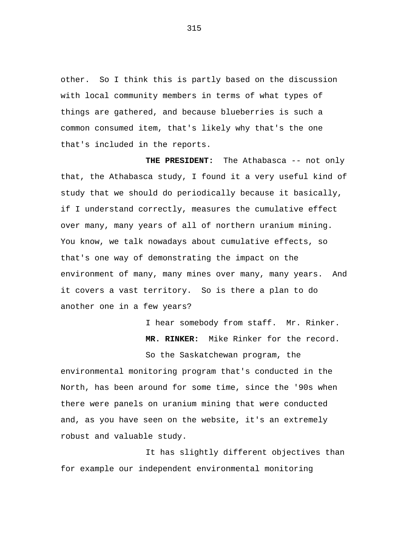other. So I think this is partly based on the discussion with local community members in terms of what types of things are gathered, and because blueberries is such a common consumed item, that's likely why that's the one that's included in the reports.

**THE PRESIDENT:** The Athabasca -- not only that, the Athabasca study, I found it a very useful kind of study that we should do periodically because it basically, if I understand correctly, measures the cumulative effect over many, many years of all of northern uranium mining. You know, we talk nowadays about cumulative effects, so that's one way of demonstrating the impact on the environment of many, many mines over many, many years. And it covers a vast territory. So is there a plan to do another one in a few years?

> I hear somebody from staff. Mr. Rinker. **MR. RINKER:** Mike Rinker for the record.

So the Saskatchewan program, the environmental monitoring program that's conducted in the North, has been around for some time, since the '90s when there were panels on uranium mining that were conducted and, as you have seen on the website, it's an extremely robust and valuable study.

It has slightly different objectives than for example our independent environmental monitoring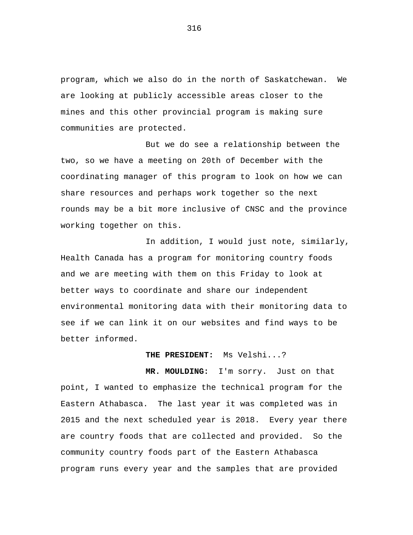program, which we also do in the north of Saskatchewan. We are looking at publicly accessible areas closer to the mines and this other provincial program is making sure communities are protected.

But we do see a relationship between the two, so we have a meeting on 20th of December with the coordinating manager of this program to look on how we can share resources and perhaps work together so the next rounds may be a bit more inclusive of CNSC and the province working together on this.

In addition, I would just note, similarly, Health Canada has a program for monitoring country foods and we are meeting with them on this Friday to look at better ways to coordinate and share our independent environmental monitoring data with their monitoring data to see if we can link it on our websites and find ways to be better informed.

**THE PRESIDENT:** Ms Velshi...?

**MR. MOULDING:** I'm sorry. Just on that point, I wanted to emphasize the technical program for the Eastern Athabasca. The last year it was completed was in 2015 and the next scheduled year is 2018. Every year there are country foods that are collected and provided. So the community country foods part of the Eastern Athabasca program runs every year and the samples that are provided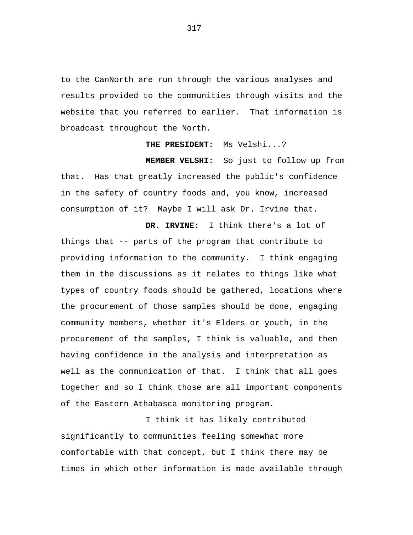to the CanNorth are run through the various analyses and results provided to the communities through visits and the website that you referred to earlier. That information is broadcast throughout the North.

**THE PRESIDENT:** Ms Velshi...?

**MEMBER VELSHI:** So just to follow up from that. Has that greatly increased the public's confidence in the safety of country foods and, you know, increased consumption of it? Maybe I will ask Dr. Irvine that.

**DR. IRVINE:** I think there's a lot of things that -- parts of the program that contribute to providing information to the community. I think engaging them in the discussions as it relates to things like what types of country foods should be gathered, locations where the procurement of those samples should be done, engaging community members, whether it's Elders or youth, in the procurement of the samples, I think is valuable, and then having confidence in the analysis and interpretation as well as the communication of that. I think that all goes together and so I think those are all important components of the Eastern Athabasca monitoring program.

I think it has likely contributed significantly to communities feeling somewhat more comfortable with that concept, but I think there may be times in which other information is made available through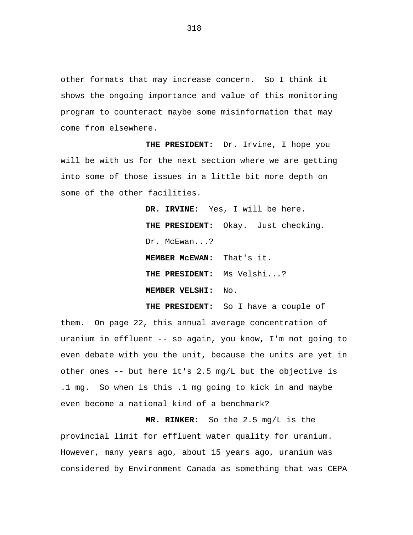other formats that may increase concern. So I think it shows the ongoing importance and value of this monitoring program to counteract maybe some misinformation that may come from elsewhere.

**THE PRESIDENT:** Dr. Irvine, I hope you will be with us for the next section where we are getting into some of those issues in a little bit more depth on some of the other facilities.

> **DR. IRVINE:** Yes, I will be here. **THE PRESIDENT:** Okay. Just checking. Dr. McEwan...? **MEMBER McEWAN:** That's it. **THE PRESIDENT:** Ms Velshi...? **MEMBER VELSHI:** No.

**THE PRESIDENT:** So I have a couple of them. On page 22, this annual average concentration of uranium in effluent -- so again, you know, I'm not going to even debate with you the unit, because the units are yet in other ones -- but here it's 2.5 mg/L but the objective is .1 mg. So when is this .1 mg going to kick in and maybe even become a national kind of a benchmark?

**MR. RINKER:** So the 2.5 mg/L is the provincial limit for effluent water quality for uranium. However, many years ago, about 15 years ago, uranium was considered by Environment Canada as something that was CEPA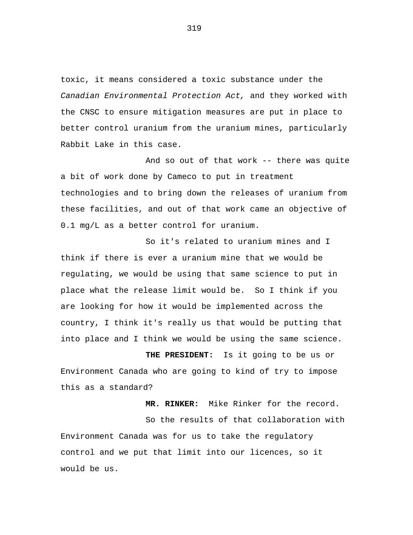toxic, it means considered a toxic substance under the *Canadian Environmental Protection Act,* and they worked with the CNSC to ensure mitigation measures are put in place to better control uranium from the uranium mines, particularly Rabbit Lake in this case.

And so out of that work -- there was quite a bit of work done by Cameco to put in treatment technologies and to bring down the releases of uranium from these facilities, and out of that work came an objective of 0.1 mg/L as a better control for uranium.

So it's related to uranium mines and I think if there is ever a uranium mine that we would be regulating, we would be using that same science to put in place what the release limit would be. So I think if you are looking for how it would be implemented across the country, I think it's really us that would be putting that into place and I think we would be using the same science.

**THE PRESIDENT:** Is it going to be us or Environment Canada who are going to kind of try to impose this as a standard?

**MR. RINKER:** Mike Rinker for the record. So the results of that collaboration with Environment Canada was for us to take the regulatory control and we put that limit into our licences, so it would be us.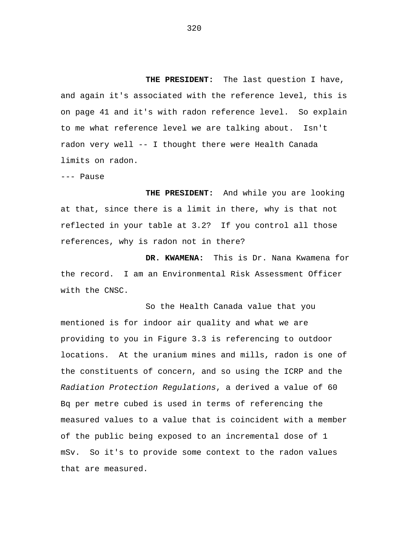**THE PRESIDENT:** The last question I have, and again it's associated with the reference level, this is on page 41 and it's with radon reference level. So explain to me what reference level we are talking about. Isn't radon very well -- I thought there were Health Canada limits on radon.

--- Pause

**THE PRESIDENT:** And while you are looking at that, since there is a limit in there, why is that not reflected in your table at 3.2? If you control all those references, why is radon not in there?

**DR. KWAMENA:** This is Dr. Nana Kwamena for the record. I am an Environmental Risk Assessment Officer with the CNSC.

So the Health Canada value that you mentioned is for indoor air quality and what we are providing to you in Figure 3.3 is referencing to outdoor locations. At the uranium mines and mills, radon is one of the constituents of concern, and so using the ICRP and the *Radiation Protection Regulations*, a derived a value of 60 Bq per metre cubed is used in terms of referencing the measured values to a value that is coincident with a member of the public being exposed to an incremental dose of 1 mSv. So it's to provide some context to the radon values that are measured.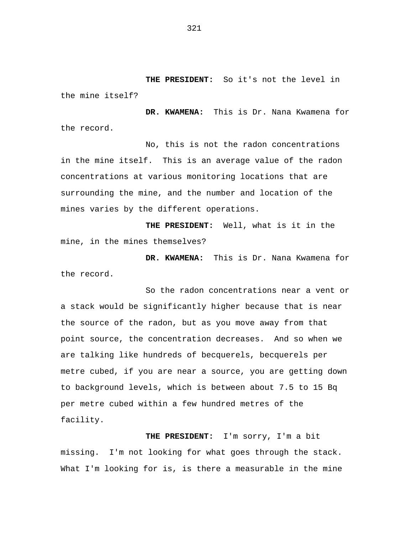**THE PRESIDENT:** So it's not the level in the mine itself?

**DR. KWAMENA:** This is Dr. Nana Kwamena for the record.

No, this is not the radon concentrations in the mine itself. This is an average value of the radon concentrations at various monitoring locations that are surrounding the mine, and the number and location of the mines varies by the different operations.

**THE PRESIDENT:** Well, what is it in the mine, in the mines themselves?

**DR. KWAMENA:** This is Dr. Nana Kwamena for the record.

So the radon concentrations near a vent or a stack would be significantly higher because that is near the source of the radon, but as you move away from that point source, the concentration decreases. And so when we are talking like hundreds of becquerels, becquerels per metre cubed, if you are near a source, you are getting down to background levels, which is between about 7.5 to 15 Bq per metre cubed within a few hundred metres of the facility.

**THE PRESIDENT:** I'm sorry, I'm a bit missing. I'm not looking for what goes through the stack. What I'm looking for is, is there a measurable in the mine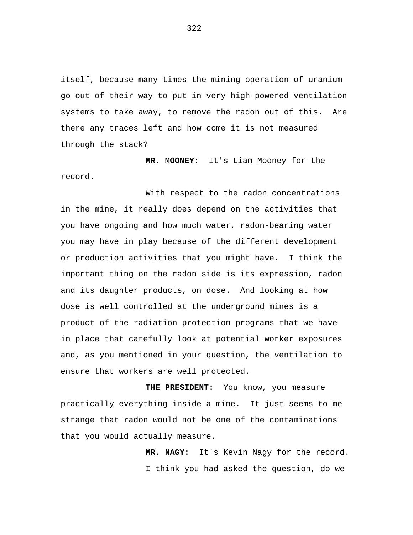itself, because many times the mining operation of uranium go out of their way to put in very high-powered ventilation systems to take away, to remove the radon out of this. Are there any traces left and how come it is not measured through the stack?

**MR. MOONEY:** It's Liam Mooney for the record.

With respect to the radon concentrations in the mine, it really does depend on the activities that you have ongoing and how much water, radon-bearing water you may have in play because of the different development or production activities that you might have. I think the important thing on the radon side is its expression, radon and its daughter products, on dose. And looking at how dose is well controlled at the underground mines is a product of the radiation protection programs that we have in place that carefully look at potential worker exposures and, as you mentioned in your question, the ventilation to ensure that workers are well protected.

**THE PRESIDENT:** You know, you measure practically everything inside a mine. It just seems to me strange that radon would not be one of the contaminations that you would actually measure.

> **MR. NAGY:** It's Kevin Nagy for the record. I think you had asked the question, do we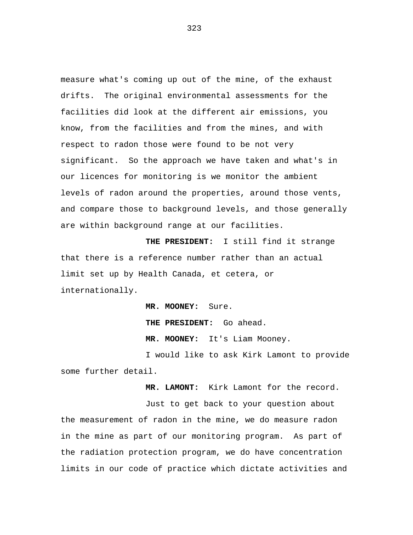measure what's coming up out of the mine, of the exhaust drifts. The original environmental assessments for the facilities did look at the different air emissions, you know, from the facilities and from the mines, and with respect to radon those were found to be not very significant. So the approach we have taken and what's in our licences for monitoring is we monitor the ambient levels of radon around the properties, around those vents, and compare those to background levels, and those generally are within background range at our facilities.

**THE PRESIDENT:** I still find it strange that there is a reference number rather than an actual limit set up by Health Canada, et cetera, or internationally.

> **MR. MOONEY:** Sure. **THE PRESIDENT:** Go ahead. **MR. MOONEY:** It's Liam Mooney.

I would like to ask Kirk Lamont to provide some further detail.

**MR. LAMONT:** Kirk Lamont for the record.

Just to get back to your question about the measurement of radon in the mine, we do measure radon in the mine as part of our monitoring program. As part of the radiation protection program, we do have concentration limits in our code of practice which dictate activities and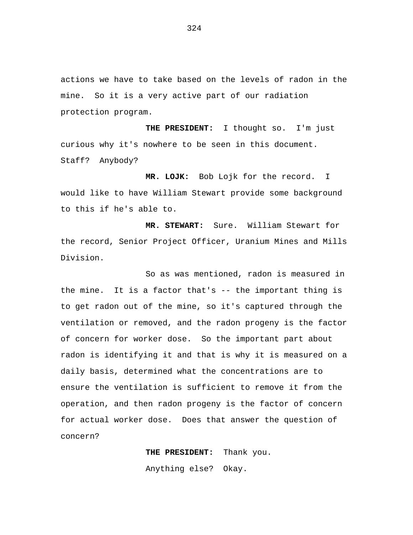actions we have to take based on the levels of radon in the mine. So it is a very active part of our radiation protection program.

**THE PRESIDENT:** I thought so. I'm just curious why it's nowhere to be seen in this document. Staff? Anybody?

**MR. LOJK:** Bob Lojk for the record. I would like to have William Stewart provide some background to this if he's able to.

**MR. STEWART:** Sure. William Stewart for the record, Senior Project Officer, Uranium Mines and Mills Division.

So as was mentioned, radon is measured in the mine. It is a factor that's -- the important thing is to get radon out of the mine, so it's captured through the ventilation or removed, and the radon progeny is the factor of concern for worker dose. So the important part about radon is identifying it and that is why it is measured on a daily basis, determined what the concentrations are to ensure the ventilation is sufficient to remove it from the operation, and then radon progeny is the factor of concern for actual worker dose. Does that answer the question of concern?

> **THE PRESIDENT:** Thank you. Anything else? Okay.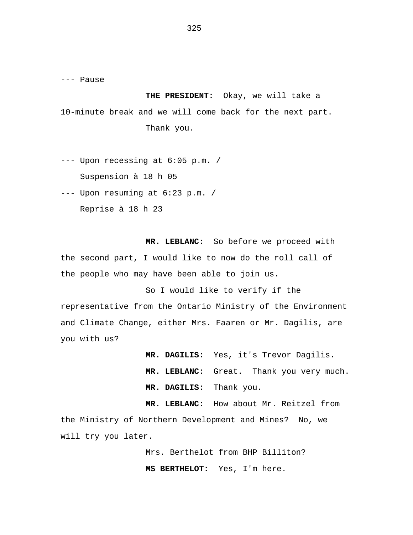--- Pause

**THE PRESIDENT:** Okay, we will take a 10-minute break and we will come back for the next part. Thank you.

--- Upon recessing at 6:05 p.m. / Suspension à 18 h 05

--- Upon resuming at 6:23 p.m. /

Reprise à 18 h 23

**MR. LEBLANC:** So before we proceed with the second part, I would like to now do the roll call of the people who may have been able to join us.

So I would like to verify if the representative from the Ontario Ministry of the Environment and Climate Change, either Mrs. Faaren or Mr. Dagilis, are you with us?

> **MR. DAGILIS:** Yes, it's Trevor Dagilis. **MR. LEBLANC:** Great. Thank you very much. **MR. DAGILIS:** Thank you.

**MR. LEBLANC:** How about Mr. Reitzel from the Ministry of Northern Development and Mines? No, we will try you later.

> Mrs. Berthelot from BHP Billiton? **MS BERTHELOT:** Yes, I'm here.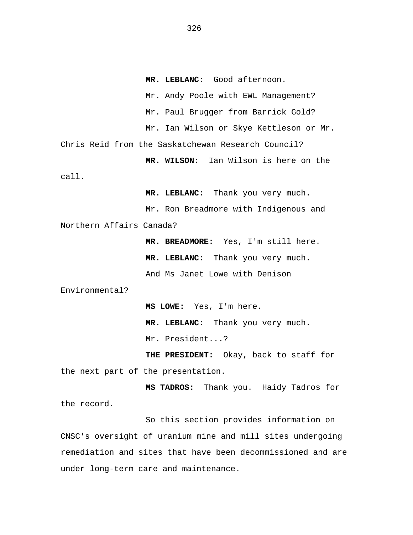**MR. LEBLANC:** Good afternoon. Mr. Andy Poole with EWL Management? Mr. Paul Brugger from Barrick Gold? Mr. Ian Wilson or Skye Kettleson or Mr. Chris Reid from the Saskatchewan Research Council? **MR. WILSON:** Ian Wilson is here on the call. **MR. LEBLANC:** Thank you very much. Mr. Ron Breadmore with Indigenous and Northern Affairs Canada? **MR. BREADMORE:** Yes, I'm still here.

**MR. LEBLANC:** Thank you very much. And Ms Janet Lowe with Denison

Environmental?

**MS LOWE:** Yes, I'm here. **MR. LEBLANC:** Thank you very much. Mr. President...?

**THE PRESIDENT:** Okay, back to staff for the next part of the presentation.

**MS TADROS:** Thank you. Haidy Tadros for the record.

So this section provides information on CNSC's oversight of uranium mine and mill sites undergoing remediation and sites that have been decommissioned and are under long-term care and maintenance.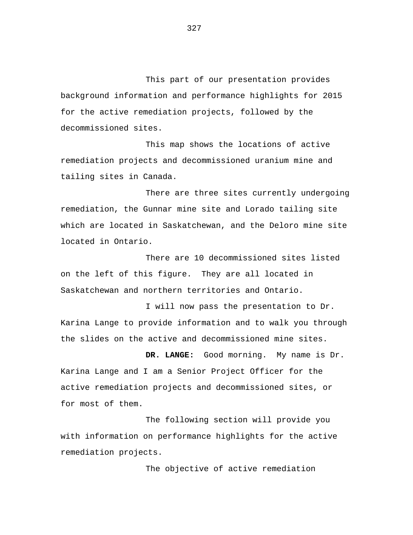This part of our presentation provides background information and performance highlights for 2015 for the active remediation projects, followed by the decommissioned sites.

This map shows the locations of active remediation projects and decommissioned uranium mine and tailing sites in Canada.

There are three sites currently undergoing remediation, the Gunnar mine site and Lorado tailing site which are located in Saskatchewan, and the Deloro mine site located in Ontario.

There are 10 decommissioned sites listed on the left of this figure. They are all located in Saskatchewan and northern territories and Ontario.

I will now pass the presentation to Dr. Karina Lange to provide information and to walk you through the slides on the active and decommissioned mine sites.

**DR. LANGE:** Good morning. My name is Dr. Karina Lange and I am a Senior Project Officer for the active remediation projects and decommissioned sites, or for most of them.

The following section will provide you with information on performance highlights for the active remediation projects.

The objective of active remediation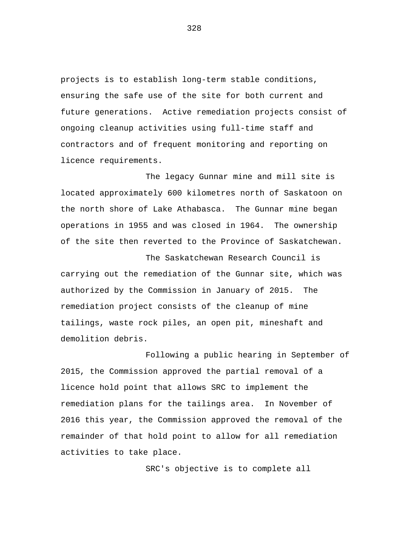projects is to establish long-term stable conditions, ensuring the safe use of the site for both current and future generations. Active remediation projects consist of ongoing cleanup activities using full-time staff and contractors and of frequent monitoring and reporting on licence requirements.

The legacy Gunnar mine and mill site is located approximately 600 kilometres north of Saskatoon on the north shore of Lake Athabasca. The Gunnar mine began operations in 1955 and was closed in 1964. The ownership of the site then reverted to the Province of Saskatchewan.

The Saskatchewan Research Council is carrying out the remediation of the Gunnar site, which was authorized by the Commission in January of 2015. The remediation project consists of the cleanup of mine tailings, waste rock piles, an open pit, mineshaft and demolition debris.

Following a public hearing in September of 2015, the Commission approved the partial removal of a licence hold point that allows SRC to implement the remediation plans for the tailings area. In November of 2016 this year, the Commission approved the removal of the remainder of that hold point to allow for all remediation activities to take place.

SRC's objective is to complete all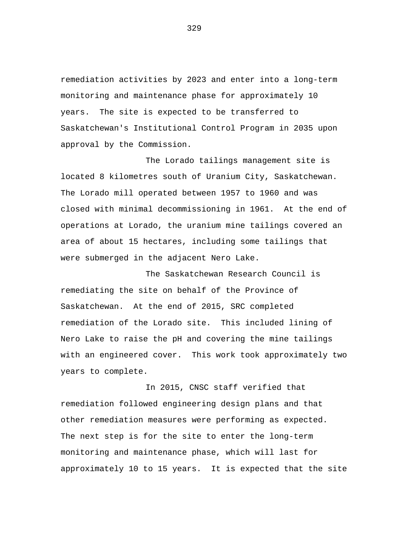remediation activities by 2023 and enter into a long-term monitoring and maintenance phase for approximately 10 years. The site is expected to be transferred to Saskatchewan's Institutional Control Program in 2035 upon approval by the Commission.

The Lorado tailings management site is located 8 kilometres south of Uranium City, Saskatchewan. The Lorado mill operated between 1957 to 1960 and was closed with minimal decommissioning in 1961. At the end of operations at Lorado, the uranium mine tailings covered an area of about 15 hectares, including some tailings that were submerged in the adjacent Nero Lake.

The Saskatchewan Research Council is remediating the site on behalf of the Province of Saskatchewan. At the end of 2015, SRC completed remediation of the Lorado site. This included lining of Nero Lake to raise the pH and covering the mine tailings with an engineered cover. This work took approximately two years to complete.

In 2015, CNSC staff verified that remediation followed engineering design plans and that other remediation measures were performing as expected. The next step is for the site to enter the long-term monitoring and maintenance phase, which will last for approximately 10 to 15 years. It is expected that the site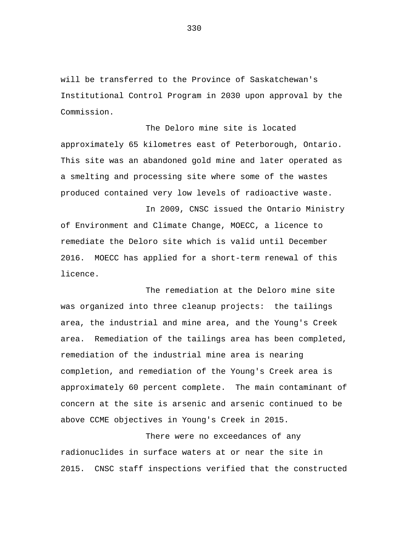will be transferred to the Province of Saskatchewan's Institutional Control Program in 2030 upon approval by the Commission.

The Deloro mine site is located approximately 65 kilometres east of Peterborough, Ontario. This site was an abandoned gold mine and later operated as a smelting and processing site where some of the wastes produced contained very low levels of radioactive waste.

In 2009, CNSC issued the Ontario Ministry of Environment and Climate Change, MOECC, a licence to remediate the Deloro site which is valid until December 2016. MOECC has applied for a short-term renewal of this licence.

The remediation at the Deloro mine site was organized into three cleanup projects: the tailings area, the industrial and mine area, and the Young's Creek area. Remediation of the tailings area has been completed, remediation of the industrial mine area is nearing completion, and remediation of the Young's Creek area is approximately 60 percent complete. The main contaminant of concern at the site is arsenic and arsenic continued to be above CCME objectives in Young's Creek in 2015.

There were no exceedances of any radionuclides in surface waters at or near the site in 2015. CNSC staff inspections verified that the constructed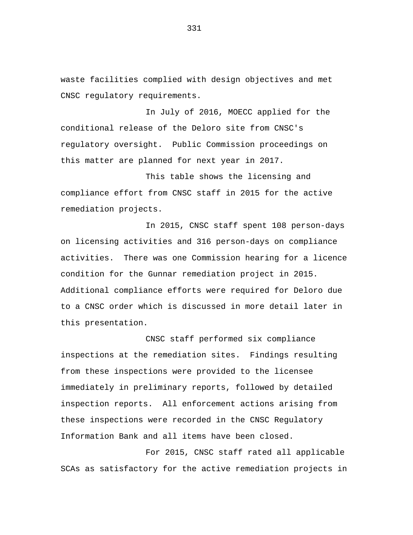waste facilities complied with design objectives and met CNSC regulatory requirements.

In July of 2016, MOECC applied for the conditional release of the Deloro site from CNSC's regulatory oversight. Public Commission proceedings on this matter are planned for next year in 2017.

This table shows the licensing and compliance effort from CNSC staff in 2015 for the active remediation projects.

In 2015, CNSC staff spent 108 person-days on licensing activities and 316 person-days on compliance activities. There was one Commission hearing for a licence condition for the Gunnar remediation project in 2015. Additional compliance efforts were required for Deloro due to a CNSC order which is discussed in more detail later in this presentation.

CNSC staff performed six compliance inspections at the remediation sites. Findings resulting from these inspections were provided to the licensee immediately in preliminary reports, followed by detailed inspection reports. All enforcement actions arising from these inspections were recorded in the CNSC Regulatory Information Bank and all items have been closed.

For 2015, CNSC staff rated all applicable SCAs as satisfactory for the active remediation projects in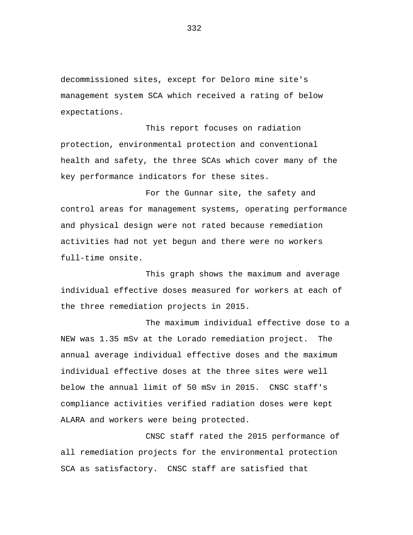decommissioned sites, except for Deloro mine site's management system SCA which received a rating of below expectations.

This report focuses on radiation protection, environmental protection and conventional health and safety, the three SCAs which cover many of the key performance indicators for these sites.

For the Gunnar site, the safety and control areas for management systems, operating performance and physical design were not rated because remediation activities had not yet begun and there were no workers full-time onsite.

This graph shows the maximum and average individual effective doses measured for workers at each of the three remediation projects in 2015.

The maximum individual effective dose to a NEW was 1.35 mSv at the Lorado remediation project. The annual average individual effective doses and the maximum individual effective doses at the three sites were well below the annual limit of 50 mSv in 2015. CNSC staff's compliance activities verified radiation doses were kept ALARA and workers were being protected.

CNSC staff rated the 2015 performance of all remediation projects for the environmental protection SCA as satisfactory. CNSC staff are satisfied that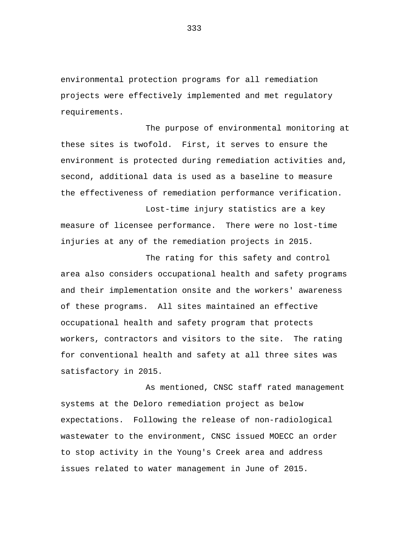environmental protection programs for all remediation projects were effectively implemented and met regulatory requirements.

The purpose of environmental monitoring at these sites is twofold. First, it serves to ensure the environment is protected during remediation activities and, second, additional data is used as a baseline to measure the effectiveness of remediation performance verification.

Lost-time injury statistics are a key measure of licensee performance. There were no lost-time injuries at any of the remediation projects in 2015.

The rating for this safety and control area also considers occupational health and safety programs and their implementation onsite and the workers' awareness of these programs. All sites maintained an effective occupational health and safety program that protects workers, contractors and visitors to the site. The rating for conventional health and safety at all three sites was satisfactory in 2015.

As mentioned, CNSC staff rated management systems at the Deloro remediation project as below expectations. Following the release of non-radiological wastewater to the environment, CNSC issued MOECC an order to stop activity in the Young's Creek area and address issues related to water management in June of 2015.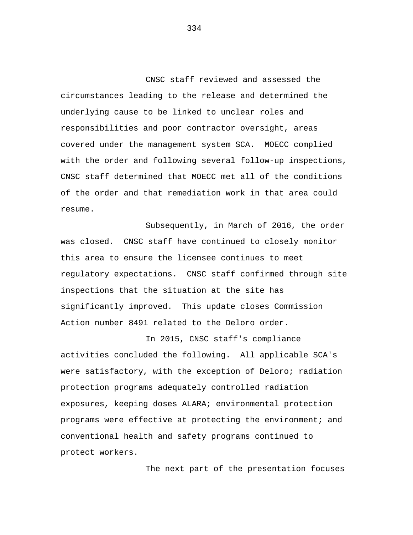CNSC staff reviewed and assessed the circumstances leading to the release and determined the underlying cause to be linked to unclear roles and responsibilities and poor contractor oversight, areas covered under the management system SCA. MOECC complied with the order and following several follow-up inspections, CNSC staff determined that MOECC met all of the conditions of the order and that remediation work in that area could resume.

Subsequently, in March of 2016, the order was closed. CNSC staff have continued to closely monitor this area to ensure the licensee continues to meet regulatory expectations. CNSC staff confirmed through site inspections that the situation at the site has significantly improved. This update closes Commission Action number 8491 related to the Deloro order.

In 2015, CNSC staff's compliance activities concluded the following. All applicable SCA's were satisfactory, with the exception of Deloro; radiation protection programs adequately controlled radiation exposures, keeping doses ALARA; environmental protection programs were effective at protecting the environment; and conventional health and safety programs continued to protect workers.

The next part of the presentation focuses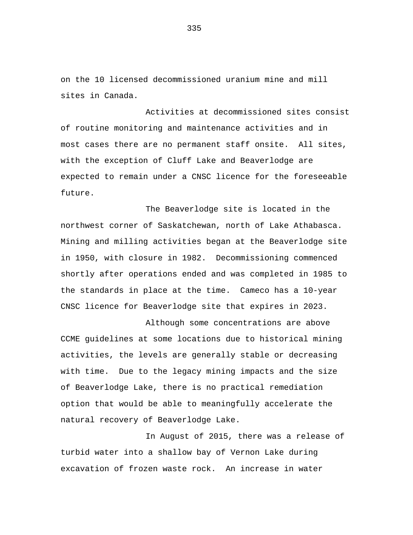on the 10 licensed decommissioned uranium mine and mill sites in Canada.

Activities at decommissioned sites consist of routine monitoring and maintenance activities and in most cases there are no permanent staff onsite. All sites, with the exception of Cluff Lake and Beaverlodge are expected to remain under a CNSC licence for the foreseeable future.

The Beaverlodge site is located in the northwest corner of Saskatchewan, north of Lake Athabasca. Mining and milling activities began at the Beaverlodge site in 1950, with closure in 1982. Decommissioning commenced shortly after operations ended and was completed in 1985 to the standards in place at the time. Cameco has a 10-year CNSC licence for Beaverlodge site that expires in 2023.

Although some concentrations are above CCME guidelines at some locations due to historical mining activities, the levels are generally stable or decreasing with time. Due to the legacy mining impacts and the size of Beaverlodge Lake, there is no practical remediation option that would be able to meaningfully accelerate the natural recovery of Beaverlodge Lake.

In August of 2015, there was a release of turbid water into a shallow bay of Vernon Lake during excavation of frozen waste rock. An increase in water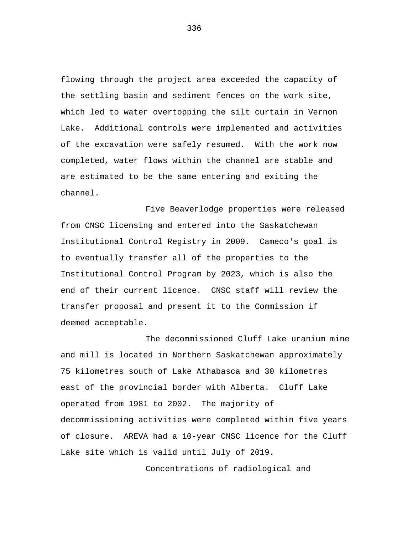flowing through the project area exceeded the capacity of the settling basin and sediment fences on the work site, which led to water overtopping the silt curtain in Vernon Lake. Additional controls were implemented and activities of the excavation were safely resumed. With the work now completed, water flows within the channel are stable and are estimated to be the same entering and exiting the channel.

Five Beaverlodge properties were released from CNSC licensing and entered into the Saskatchewan Institutional Control Registry in 2009. Cameco's goal is to eventually transfer all of the properties to the Institutional Control Program by 2023, which is also the end of their current licence. CNSC staff will review the transfer proposal and present it to the Commission if deemed acceptable.

The decommissioned Cluff Lake uranium mine and mill is located in Northern Saskatchewan approximately 75 kilometres south of Lake Athabasca and 30 kilometres east of the provincial border with Alberta. Cluff Lake operated from 1981 to 2002. The majority of decommissioning activities were completed within five years of closure. AREVA had a 10-year CNSC licence for the Cluff Lake site which is valid until July of 2019.

Concentrations of radiological and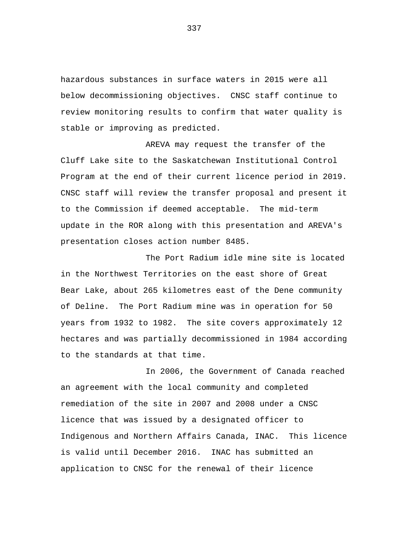hazardous substances in surface waters in 2015 were all below decommissioning objectives. CNSC staff continue to review monitoring results to confirm that water quality is stable or improving as predicted.

AREVA may request the transfer of the Cluff Lake site to the Saskatchewan Institutional Control Program at the end of their current licence period in 2019. CNSC staff will review the transfer proposal and present it to the Commission if deemed acceptable. The mid-term update in the ROR along with this presentation and AREVA's presentation closes action number 8485.

The Port Radium idle mine site is located in the Northwest Territories on the east shore of Great Bear Lake, about 265 kilometres east of the Dene community of Deline. The Port Radium mine was in operation for 50 years from 1932 to 1982. The site covers approximately 12 hectares and was partially decommissioned in 1984 according to the standards at that time.

In 2006, the Government of Canada reached an agreement with the local community and completed remediation of the site in 2007 and 2008 under a CNSC licence that was issued by a designated officer to Indigenous and Northern Affairs Canada, INAC. This licence is valid until December 2016. INAC has submitted an application to CNSC for the renewal of their licence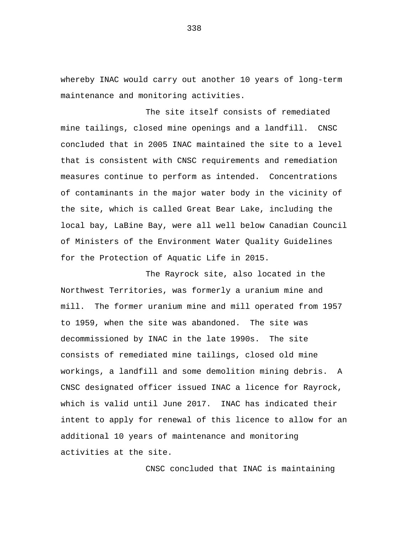whereby INAC would carry out another 10 years of long-term maintenance and monitoring activities.

The site itself consists of remediated mine tailings, closed mine openings and a landfill. CNSC concluded that in 2005 INAC maintained the site to a level that is consistent with CNSC requirements and remediation measures continue to perform as intended. Concentrations of contaminants in the major water body in the vicinity of the site, which is called Great Bear Lake, including the local bay, LaBine Bay, were all well below Canadian Council of Ministers of the Environment Water Quality Guidelines for the Protection of Aquatic Life in 2015.

The Rayrock site, also located in the Northwest Territories, was formerly a uranium mine and mill. The former uranium mine and mill operated from 1957 to 1959, when the site was abandoned. The site was decommissioned by INAC in the late 1990s. The site consists of remediated mine tailings, closed old mine workings, a landfill and some demolition mining debris. A CNSC designated officer issued INAC a licence for Rayrock, which is valid until June 2017. INAC has indicated their intent to apply for renewal of this licence to allow for an additional 10 years of maintenance and monitoring activities at the site.

CNSC concluded that INAC is maintaining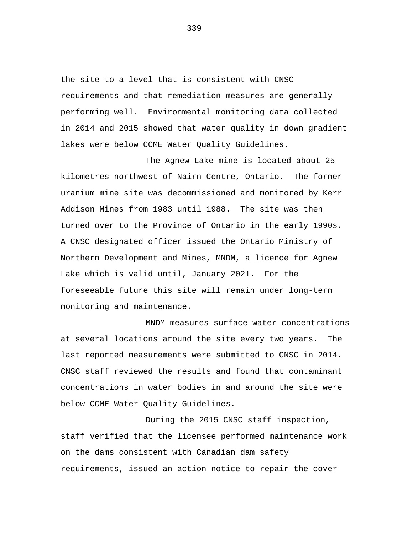the site to a level that is consistent with CNSC requirements and that remediation measures are generally performing well. Environmental monitoring data collected in 2014 and 2015 showed that water quality in down gradient lakes were below CCME Water Quality Guidelines.

The Agnew Lake mine is located about 25 kilometres northwest of Nairn Centre, Ontario. The former uranium mine site was decommissioned and monitored by Kerr Addison Mines from 1983 until 1988. The site was then turned over to the Province of Ontario in the early 1990s. A CNSC designated officer issued the Ontario Ministry of Northern Development and Mines, MNDM, a licence for Agnew Lake which is valid until, January 2021. For the foreseeable future this site will remain under long-term monitoring and maintenance.

MNDM measures surface water concentrations at several locations around the site every two years. The last reported measurements were submitted to CNSC in 2014. CNSC staff reviewed the results and found that contaminant concentrations in water bodies in and around the site were below CCME Water Quality Guidelines.

During the 2015 CNSC staff inspection, staff verified that the licensee performed maintenance work on the dams consistent with Canadian dam safety requirements, issued an action notice to repair the cover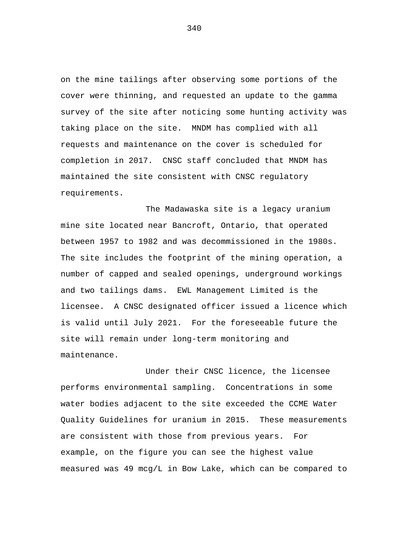on the mine tailings after observing some portions of the cover were thinning, and requested an update to the gamma survey of the site after noticing some hunting activity was taking place on the site. MNDM has complied with all requests and maintenance on the cover is scheduled for completion in 2017. CNSC staff concluded that MNDM has maintained the site consistent with CNSC regulatory requirements.

The Madawaska site is a legacy uranium mine site located near Bancroft, Ontario, that operated between 1957 to 1982 and was decommissioned in the 1980s. The site includes the footprint of the mining operation, a number of capped and sealed openings, underground workings and two tailings dams. EWL Management Limited is the licensee. A CNSC designated officer issued a licence which is valid until July 2021. For the foreseeable future the site will remain under long-term monitoring and maintenance.

Under their CNSC licence, the licensee performs environmental sampling. Concentrations in some water bodies adjacent to the site exceeded the CCME Water Quality Guidelines for uranium in 2015. These measurements are consistent with those from previous years. For example, on the figure you can see the highest value measured was 49 mcg/L in Bow Lake, which can be compared to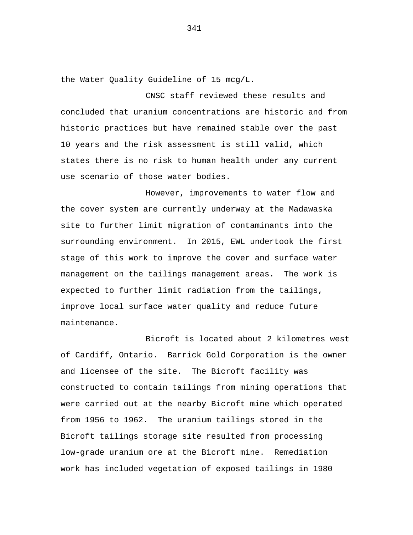the Water Quality Guideline of 15 mcg/L.

CNSC staff reviewed these results and concluded that uranium concentrations are historic and from historic practices but have remained stable over the past 10 years and the risk assessment is still valid, which states there is no risk to human health under any current use scenario of those water bodies.

However, improvements to water flow and the cover system are currently underway at the Madawaska site to further limit migration of contaminants into the surrounding environment. In 2015, EWL undertook the first stage of this work to improve the cover and surface water management on the tailings management areas. The work is expected to further limit radiation from the tailings, improve local surface water quality and reduce future maintenance.

Bicroft is located about 2 kilometres west of Cardiff, Ontario. Barrick Gold Corporation is the owner and licensee of the site. The Bicroft facility was constructed to contain tailings from mining operations that were carried out at the nearby Bicroft mine which operated from 1956 to 1962. The uranium tailings stored in the Bicroft tailings storage site resulted from processing low-grade uranium ore at the Bicroft mine. Remediation work has included vegetation of exposed tailings in 1980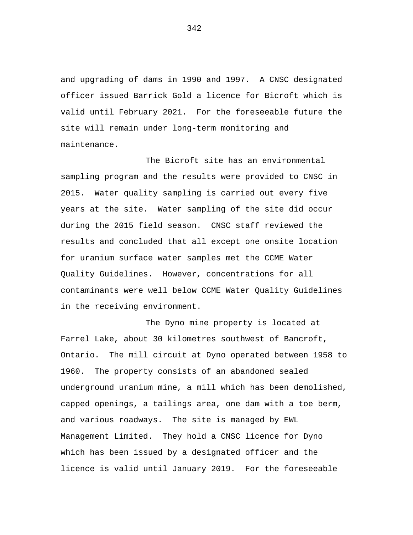and upgrading of dams in 1990 and 1997. A CNSC designated officer issued Barrick Gold a licence for Bicroft which is valid until February 2021. For the foreseeable future the site will remain under long-term monitoring and maintenance.

The Bicroft site has an environmental sampling program and the results were provided to CNSC in 2015. Water quality sampling is carried out every five years at the site. Water sampling of the site did occur during the 2015 field season. CNSC staff reviewed the results and concluded that all except one onsite location for uranium surface water samples met the CCME Water Quality Guidelines. However, concentrations for all contaminants were well below CCME Water Quality Guidelines in the receiving environment.

The Dyno mine property is located at Farrel Lake, about 30 kilometres southwest of Bancroft, Ontario. The mill circuit at Dyno operated between 1958 to 1960. The property consists of an abandoned sealed underground uranium mine, a mill which has been demolished, capped openings, a tailings area, one dam with a toe berm, and various roadways. The site is managed by EWL Management Limited. They hold a CNSC licence for Dyno which has been issued by a designated officer and the licence is valid until January 2019. For the foreseeable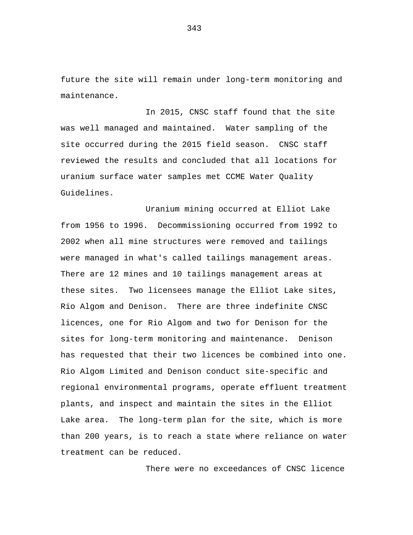future the site will remain under long-term monitoring and maintenance.

In 2015, CNSC staff found that the site was well managed and maintained. Water sampling of the site occurred during the 2015 field season. CNSC staff reviewed the results and concluded that all locations for uranium surface water samples met CCME Water Quality Guidelines.

Uranium mining occurred at Elliot Lake from 1956 to 1996. Decommissioning occurred from 1992 to 2002 when all mine structures were removed and tailings were managed in what's called tailings management areas. There are 12 mines and 10 tailings management areas at these sites. Two licensees manage the Elliot Lake sites, Rio Algom and Denison. There are three indefinite CNSC licences, one for Rio Algom and two for Denison for the sites for long-term monitoring and maintenance. Denison has requested that their two licences be combined into one. Rio Algom Limited and Denison conduct site-specific and regional environmental programs, operate effluent treatment plants, and inspect and maintain the sites in the Elliot Lake area. The long-term plan for the site, which is more than 200 years, is to reach a state where reliance on water treatment can be reduced.

There were no exceedances of CNSC licence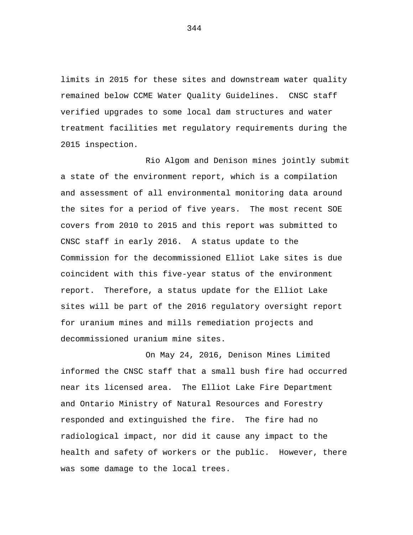limits in 2015 for these sites and downstream water quality remained below CCME Water Quality Guidelines. CNSC staff verified upgrades to some local dam structures and water treatment facilities met regulatory requirements during the 2015 inspection.

Rio Algom and Denison mines jointly submit a state of the environment report, which is a compilation and assessment of all environmental monitoring data around the sites for a period of five years. The most recent SOE covers from 2010 to 2015 and this report was submitted to CNSC staff in early 2016. A status update to the Commission for the decommissioned Elliot Lake sites is due coincident with this five-year status of the environment report. Therefore, a status update for the Elliot Lake sites will be part of the 2016 regulatory oversight report for uranium mines and mills remediation projects and decommissioned uranium mine sites.

On May 24, 2016, Denison Mines Limited informed the CNSC staff that a small bush fire had occurred near its licensed area. The Elliot Lake Fire Department and Ontario Ministry of Natural Resources and Forestry responded and extinguished the fire. The fire had no radiological impact, nor did it cause any impact to the health and safety of workers or the public. However, there was some damage to the local trees.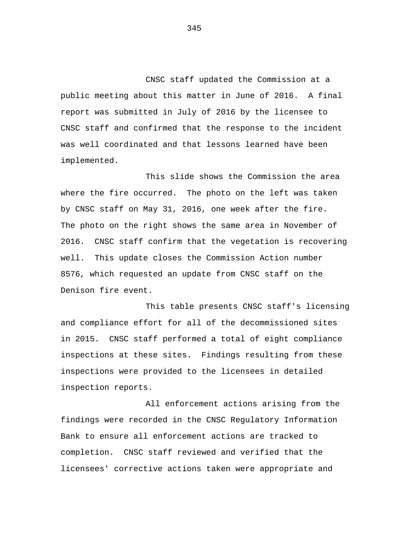CNSC staff updated the Commission at a public meeting about this matter in June of 2016. A final report was submitted in July of 2016 by the licensee to CNSC staff and confirmed that the response to the incident was well coordinated and that lessons learned have been implemented.

This slide shows the Commission the area where the fire occurred. The photo on the left was taken by CNSC staff on May 31, 2016, one week after the fire. The photo on the right shows the same area in November of 2016. CNSC staff confirm that the vegetation is recovering well. This update closes the Commission Action number 8576, which requested an update from CNSC staff on the Denison fire event.

This table presents CNSC staff's licensing and compliance effort for all of the decommissioned sites in 2015. CNSC staff performed a total of eight compliance inspections at these sites. Findings resulting from these inspections were provided to the licensees in detailed inspection reports.

All enforcement actions arising from the findings were recorded in the CNSC Regulatory Information Bank to ensure all enforcement actions are tracked to completion. CNSC staff reviewed and verified that the licensees' corrective actions taken were appropriate and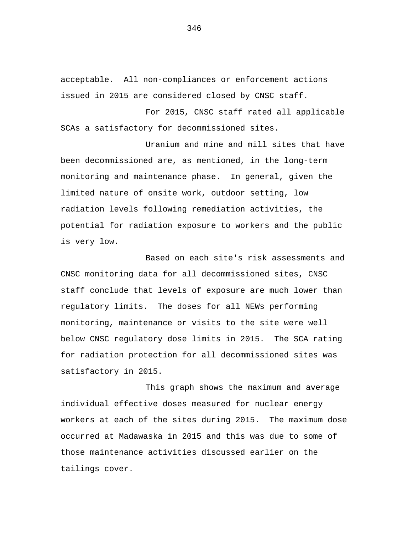acceptable. All non-compliances or enforcement actions issued in 2015 are considered closed by CNSC staff.

For 2015, CNSC staff rated all applicable SCAs a satisfactory for decommissioned sites.

Uranium and mine and mill sites that have been decommissioned are, as mentioned, in the long-term monitoring and maintenance phase. In general, given the limited nature of onsite work, outdoor setting, low radiation levels following remediation activities, the potential for radiation exposure to workers and the public is very low.

Based on each site's risk assessments and CNSC monitoring data for all decommissioned sites, CNSC staff conclude that levels of exposure are much lower than regulatory limits. The doses for all NEWs performing monitoring, maintenance or visits to the site were well below CNSC regulatory dose limits in 2015. The SCA rating for radiation protection for all decommissioned sites was satisfactory in 2015.

This graph shows the maximum and average individual effective doses measured for nuclear energy workers at each of the sites during 2015. The maximum dose occurred at Madawaska in 2015 and this was due to some of those maintenance activities discussed earlier on the tailings cover.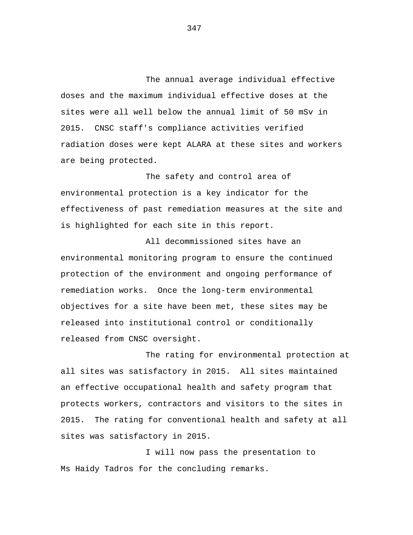The annual average individual effective doses and the maximum individual effective doses at the sites were all well below the annual limit of 50 mSv in 2015. CNSC staff's compliance activities verified radiation doses were kept ALARA at these sites and workers are being protected.

The safety and control area of environmental protection is a key indicator for the effectiveness of past remediation measures at the site and is highlighted for each site in this report.

All decommissioned sites have an environmental monitoring program to ensure the continued protection of the environment and ongoing performance of remediation works. Once the long-term environmental objectives for a site have been met, these sites may be released into institutional control or conditionally released from CNSC oversight.

The rating for environmental protection at all sites was satisfactory in 2015. All sites maintained an effective occupational health and safety program that protects workers, contractors and visitors to the sites in 2015. The rating for conventional health and safety at all sites was satisfactory in 2015.

I will now pass the presentation to Ms Haidy Tadros for the concluding remarks.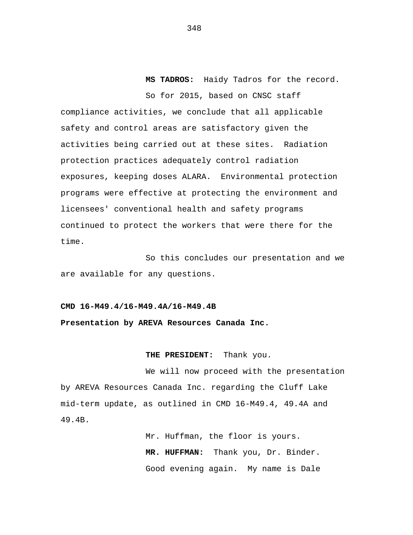**MS TADROS:** Haidy Tadros for the record. So for 2015, based on CNSC staff

compliance activities, we conclude that all applicable safety and control areas are satisfactory given the activities being carried out at these sites. Radiation protection practices adequately control radiation exposures, keeping doses ALARA. Environmental protection programs were effective at protecting the environment and licensees' conventional health and safety programs continued to protect the workers that were there for the time.

So this concludes our presentation and we are available for any questions.

## **CMD 16-M49.4/16-M49.4A/16-M49.4B**

## **Presentation by AREVA Resources Canada Inc.**

## **THE PRESIDENT:** Thank you.

We will now proceed with the presentation by AREVA Resources Canada Inc. regarding the Cluff Lake mid-term update, as outlined in CMD 16-M49.4, 49.4A and 49.4B.

> Mr. Huffman, the floor is yours. **MR. HUFFMAN:** Thank you, Dr. Binder. Good evening again. My name is Dale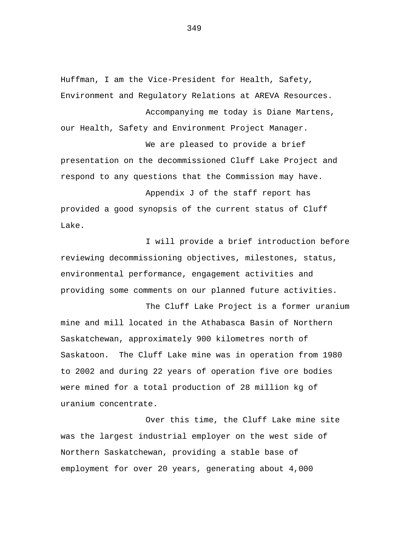Huffman, I am the Vice-President for Health, Safety, Environment and Regulatory Relations at AREVA Resources. Accompanying me today is Diane Martens, our Health, Safety and Environment Project Manager.

We are pleased to provide a brief presentation on the decommissioned Cluff Lake Project and respond to any questions that the Commission may have.

Appendix J of the staff report has provided a good synopsis of the current status of Cluff Lake.

I will provide a brief introduction before reviewing decommissioning objectives, milestones, status, environmental performance, engagement activities and providing some comments on our planned future activities.

The Cluff Lake Project is a former uranium mine and mill located in the Athabasca Basin of Northern Saskatchewan, approximately 900 kilometres north of Saskatoon. The Cluff Lake mine was in operation from 1980 to 2002 and during 22 years of operation five ore bodies were mined for a total production of 28 million kg of uranium concentrate.

Over this time, the Cluff Lake mine site was the largest industrial employer on the west side of Northern Saskatchewan, providing a stable base of employment for over 20 years, generating about 4,000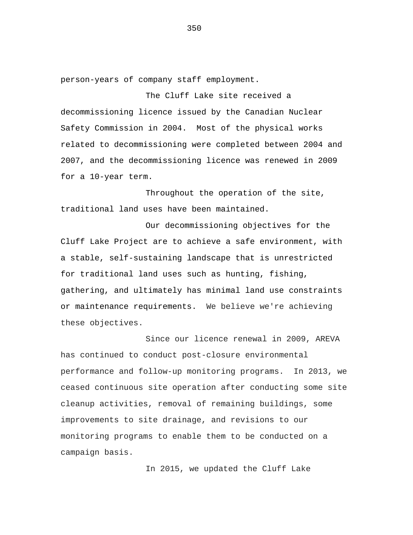person-years of company staff employment.

The Cluff Lake site received a decommissioning licence issued by the Canadian Nuclear Safety Commission in 2004. Most of the physical works related to decommissioning were completed between 2004 and 2007, and the decommissioning licence was renewed in 2009 for a 10-year term.

Throughout the operation of the site, traditional land uses have been maintained.

Our decommissioning objectives for the Cluff Lake Project are to achieve a safe environment, with a stable, self-sustaining landscape that is unrestricted for traditional land uses such as hunting, fishing, gathering, and ultimately has minimal land use constraints or maintenance requirements. We believe we're achieving these objectives.

Since our licence renewal in 2009, AREVA has continued to conduct post-closure environmental performance and follow-up monitoring programs. In 2013, we ceased continuous site operation after conducting some site cleanup activities, removal of remaining buildings, some improvements to site drainage, and revisions to our monitoring programs to enable them to be conducted on a campaign basis.

In 2015, we updated the Cluff Lake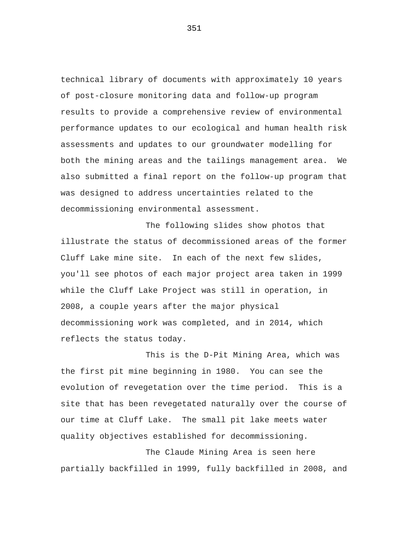technical library of documents with approximately 10 years of post-closure monitoring data and follow-up program results to provide a comprehensive review of environmental performance updates to our ecological and human health risk assessments and updates to our groundwater modelling for both the mining areas and the tailings management area. We also submitted a final report on the follow-up program that was designed to address uncertainties related to the decommissioning environmental assessment.

The following slides show photos that illustrate the status of decommissioned areas of the former Cluff Lake mine site. In each of the next few slides, you'll see photos of each major project area taken in 1999 while the Cluff Lake Project was still in operation, in 2008, a couple years after the major physical decommissioning work was completed, and in 2014, which reflects the status today.

This is the D-Pit Mining Area, which was the first pit mine beginning in 1980. You can see the evolution of revegetation over the time period. This is a site that has been revegetated naturally over the course of our time at Cluff Lake. The small pit lake meets water quality objectives established for decommissioning.

The Claude Mining Area is seen here partially backfilled in 1999, fully backfilled in 2008, and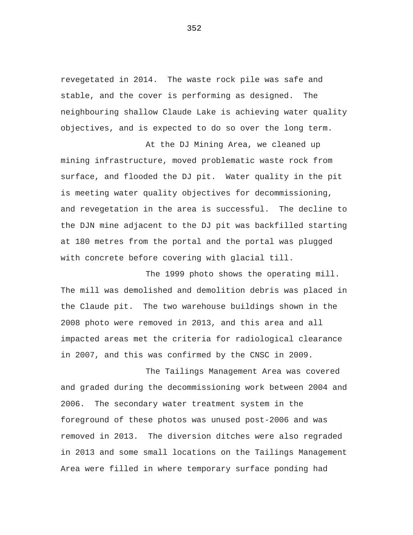revegetated in 2014. The waste rock pile was safe and stable, and the cover is performing as designed. The neighbouring shallow Claude Lake is achieving water quality objectives, and is expected to do so over the long term.

At the DJ Mining Area, we cleaned up mining infrastructure, moved problematic waste rock from surface, and flooded the DJ pit. Water quality in the pit is meeting water quality objectives for decommissioning, and revegetation in the area is successful. The decline to the DJN mine adjacent to the DJ pit was backfilled starting at 180 metres from the portal and the portal was plugged with concrete before covering with glacial till.

The 1999 photo shows the operating mill. The mill was demolished and demolition debris was placed in the Claude pit. The two warehouse buildings shown in the 2008 photo were removed in 2013, and this area and all impacted areas met the criteria for radiological clearance in 2007, and this was confirmed by the CNSC in 2009.

The Tailings Management Area was covered and graded during the decommissioning work between 2004 and 2006. The secondary water treatment system in the foreground of these photos was unused post-2006 and was removed in 2013. The diversion ditches were also regraded in 2013 and some small locations on the Tailings Management Area were filled in where temporary surface ponding had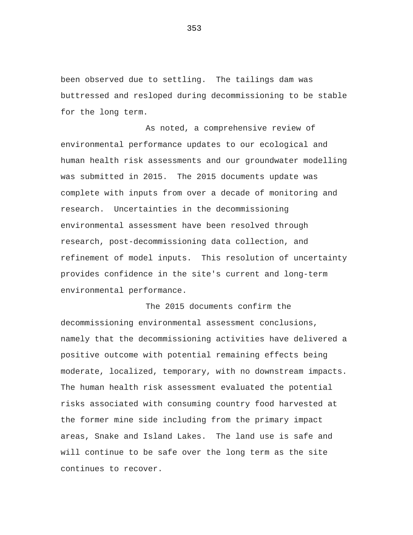been observed due to settling. The tailings dam was buttressed and resloped during decommissioning to be stable for the long term.

As noted, a comprehensive review of environmental performance updates to our ecological and human health risk assessments and our groundwater modelling was submitted in 2015. The 2015 documents update was complete with inputs from over a decade of monitoring and research. Uncertainties in the decommissioning environmental assessment have been resolved through research, post-decommissioning data collection, and refinement of model inputs. This resolution of uncertainty provides confidence in the site's current and long-term environmental performance.

The 2015 documents confirm the decommissioning environmental assessment conclusions, namely that the decommissioning activities have delivered a positive outcome with potential remaining effects being moderate, localized, temporary, with no downstream impacts. The human health risk assessment evaluated the potential risks associated with consuming country food harvested at the former mine side including from the primary impact areas, Snake and Island Lakes. The land use is safe and will continue to be safe over the long term as the site continues to recover.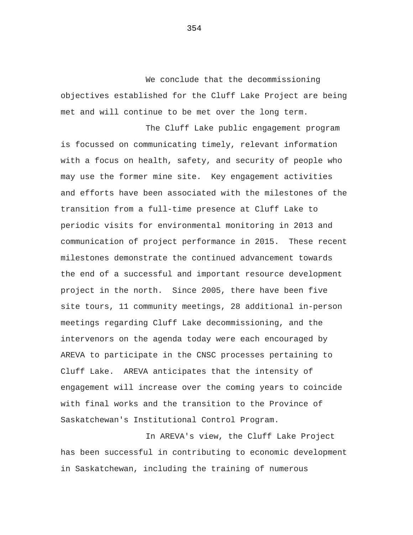We conclude that the decommissioning objectives established for the Cluff Lake Project are being met and will continue to be met over the long term.

The Cluff Lake public engagement program is focussed on communicating timely, relevant information with a focus on health, safety, and security of people who may use the former mine site. Key engagement activities and efforts have been associated with the milestones of the transition from a full-time presence at Cluff Lake to periodic visits for environmental monitoring in 2013 and communication of project performance in 2015. These recent milestones demonstrate the continued advancement towards the end of a successful and important resource development project in the north. Since 2005, there have been five site tours, 11 community meetings, 28 additional in-person meetings regarding Cluff Lake decommissioning, and the intervenors on the agenda today were each encouraged by AREVA to participate in the CNSC processes pertaining to Cluff Lake. AREVA anticipates that the intensity of engagement will increase over the coming years to coincide with final works and the transition to the Province of Saskatchewan's Institutional Control Program.

In AREVA's view, the Cluff Lake Project has been successful in contributing to economic development in Saskatchewan, including the training of numerous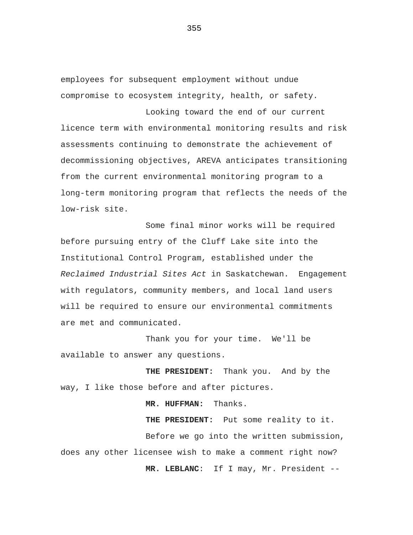employees for subsequent employment without undue compromise to ecosystem integrity, health, or safety.

Looking toward the end of our current licence term with environmental monitoring results and risk assessments continuing to demonstrate the achievement of decommissioning objectives, AREVA anticipates transitioning from the current environmental monitoring program to a long-term monitoring program that reflects the needs of the low-risk site.

Some final minor works will be required before pursuing entry of the Cluff Lake site into the Institutional Control Program, established under the *Reclaimed Industrial Sites Act* in Saskatchewan. Engagement with regulators, community members, and local land users will be required to ensure our environmental commitments are met and communicated.

Thank you for your time. We'll be available to answer any questions.

**THE PRESIDENT:** Thank you. And by the way, I like those before and after pictures.

**MR. HUFFMAN:** Thanks.

**THE PRESIDENT:** Put some reality to it. Before we go into the written submission, does any other licensee wish to make a comment right now? **MR. LEBLANC**: If I may, Mr. President --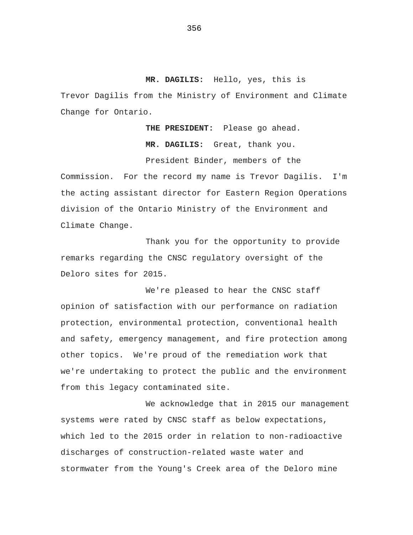**MR. DAGILIS:** Hello, yes, this is Trevor Dagilis from the Ministry of Environment and Climate Change for Ontario.

> **THE PRESIDENT:** Please go ahead. **MR. DAGILIS:** Great, thank you.

> President Binder, members of the

Commission. For the record my name is Trevor Dagilis. I'm the acting assistant director for Eastern Region Operations division of the Ontario Ministry of the Environment and Climate Change.

Thank you for the opportunity to provide remarks regarding the CNSC regulatory oversight of the Deloro sites for 2015.

We're pleased to hear the CNSC staff opinion of satisfaction with our performance on radiation protection, environmental protection, conventional health and safety, emergency management, and fire protection among other topics. We're proud of the remediation work that we're undertaking to protect the public and the environment from this legacy contaminated site.

We acknowledge that in 2015 our management systems were rated by CNSC staff as below expectations, which led to the 2015 order in relation to non-radioactive discharges of construction-related waste water and stormwater from the Young's Creek area of the Deloro mine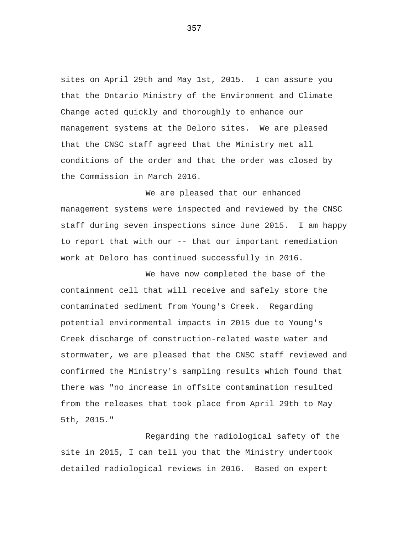sites on April 29th and May 1st, 2015. I can assure you that the Ontario Ministry of the Environment and Climate Change acted quickly and thoroughly to enhance our management systems at the Deloro sites. We are pleased that the CNSC staff agreed that the Ministry met all conditions of the order and that the order was closed by the Commission in March 2016.

We are pleased that our enhanced management systems were inspected and reviewed by the CNSC staff during seven inspections since June 2015. I am happy to report that with our -- that our important remediation work at Deloro has continued successfully in 2016.

We have now completed the base of the containment cell that will receive and safely store the contaminated sediment from Young's Creek. Regarding potential environmental impacts in 2015 due to Young's Creek discharge of construction-related waste water and stormwater, we are pleased that the CNSC staff reviewed and confirmed the Ministry's sampling results which found that there was "no increase in offsite contamination resulted from the releases that took place from April 29th to May 5th, 2015."

Regarding the radiological safety of the site in 2015, I can tell you that the Ministry undertook detailed radiological reviews in 2016. Based on expert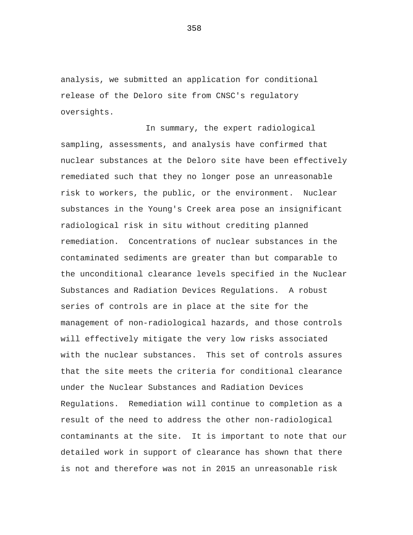analysis, we submitted an application for conditional release of the Deloro site from CNSC's regulatory oversights.

In summary, the expert radiological sampling, assessments, and analysis have confirmed that nuclear substances at the Deloro site have been effectively remediated such that they no longer pose an unreasonable risk to workers, the public, or the environment. Nuclear substances in the Young's Creek area pose an insignificant radiological risk in situ without crediting planned remediation. Concentrations of nuclear substances in the contaminated sediments are greater than but comparable to the unconditional clearance levels specified in the Nuclear Substances and Radiation Devices Regulations. A robust series of controls are in place at the site for the management of non-radiological hazards, and those controls will effectively mitigate the very low risks associated with the nuclear substances. This set of controls assures that the site meets the criteria for conditional clearance under the Nuclear Substances and Radiation Devices Regulations. Remediation will continue to completion as a result of the need to address the other non-radiological contaminants at the site. It is important to note that our detailed work in support of clearance has shown that there is not and therefore was not in 2015 an unreasonable risk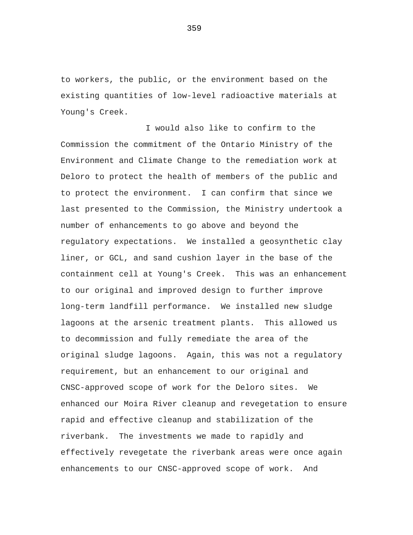to workers, the public, or the environment based on the existing quantities of low-level radioactive materials at Young's Creek.

I would also like to confirm to the Commission the commitment of the Ontario Ministry of the Environment and Climate Change to the remediation work at Deloro to protect the health of members of the public and to protect the environment. I can confirm that since we last presented to the Commission, the Ministry undertook a number of enhancements to go above and beyond the regulatory expectations. We installed a geosynthetic clay liner, or GCL, and sand cushion layer in the base of the containment cell at Young's Creek. This was an enhancement to our original and improved design to further improve long-term landfill performance. We installed new sludge lagoons at the arsenic treatment plants. This allowed us to decommission and fully remediate the area of the original sludge lagoons. Again, this was not a regulatory requirement, but an enhancement to our original and CNSC-approved scope of work for the Deloro sites. We enhanced our Moira River cleanup and revegetation to ensure rapid and effective cleanup and stabilization of the riverbank. The investments we made to rapidly and effectively revegetate the riverbank areas were once again enhancements to our CNSC-approved scope of work. And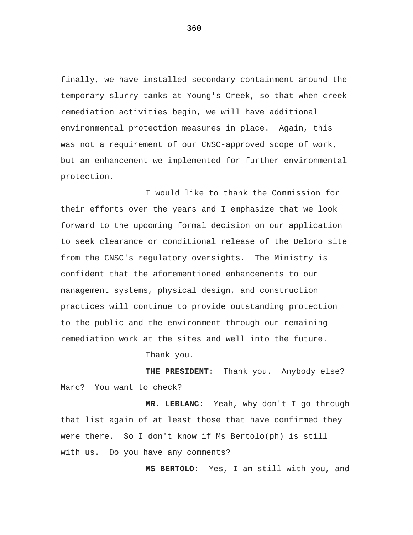finally, we have installed secondary containment around the temporary slurry tanks at Young's Creek, so that when creek remediation activities begin, we will have additional environmental protection measures in place. Again, this was not a requirement of our CNSC-approved scope of work, but an enhancement we implemented for further environmental protection.

I would like to thank the Commission for their efforts over the years and I emphasize that we look forward to the upcoming formal decision on our application to seek clearance or conditional release of the Deloro site from the CNSC's regulatory oversights. The Ministry is confident that the aforementioned enhancements to our management systems, physical design, and construction practices will continue to provide outstanding protection to the public and the environment through our remaining remediation work at the sites and well into the future.

Thank you.

**THE PRESIDENT:** Thank you. Anybody else? Marc? You want to check?

**MR. LEBLANC**: Yeah, why don't I go through that list again of at least those that have confirmed they were there. So I don't know if Ms Bertolo(ph) is still with us. Do you have any comments?

**MS BERTOLO:** Yes, I am still with you, and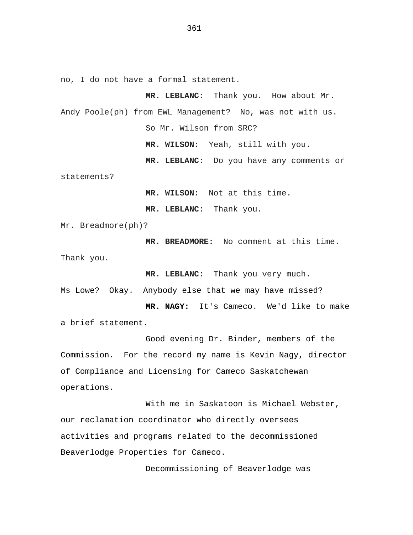no, I do not have a formal statement.

**MR. LEBLANC**: Thank you. How about Mr. Andy Poole(ph) from EWL Management? No, was not with us. So Mr. Wilson from SRC?

**MR. WILSON:** Yeah, still with you.

**MR. LEBLANC**: Do you have any comments or

statements?

**MR. WILSON:** Not at this time.

**MR. LEBLANC**: Thank you.

Mr. Breadmore(ph)?

**MR. BREADMORE:** No comment at this time. Thank you.

**MR. LEBLANC**: Thank you very much.

Ms Lowe? Okay. Anybody else that we may have missed?

**MR. NAGY:** It's Cameco. We'd like to make a brief statement.

Good evening Dr. Binder, members of the Commission. For the record my name is Kevin Nagy, director of Compliance and Licensing for Cameco Saskatchewan operations.

With me in Saskatoon is Michael Webster, our reclamation coordinator who directly oversees activities and programs related to the decommissioned Beaverlodge Properties for Cameco.

Decommissioning of Beaverlodge was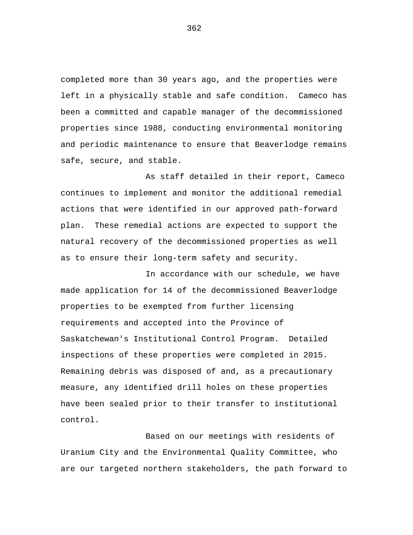completed more than 30 years ago, and the properties were left in a physically stable and safe condition. Cameco has been a committed and capable manager of the decommissioned properties since 1988, conducting environmental monitoring and periodic maintenance to ensure that Beaverlodge remains safe, secure, and stable.

As staff detailed in their report, Cameco continues to implement and monitor the additional remedial actions that were identified in our approved path-forward plan. These remedial actions are expected to support the natural recovery of the decommissioned properties as well as to ensure their long-term safety and security.

In accordance with our schedule, we have made application for 14 of the decommissioned Beaverlodge properties to be exempted from further licensing requirements and accepted into the Province of Saskatchewan's Institutional Control Program. Detailed inspections of these properties were completed in 2015. Remaining debris was disposed of and, as a precautionary measure, any identified drill holes on these properties have been sealed prior to their transfer to institutional control.

Based on our meetings with residents of Uranium City and the Environmental Quality Committee, who are our targeted northern stakeholders, the path forward to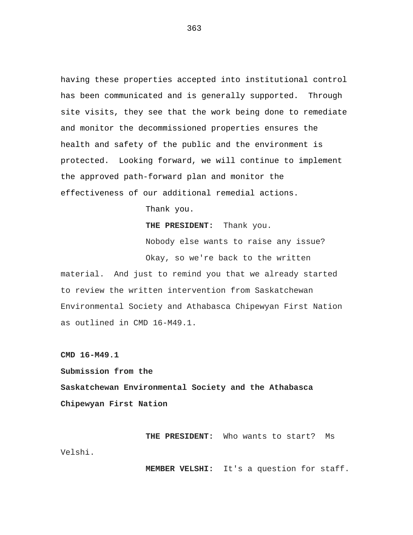having these properties accepted into institutional control has been communicated and is generally supported. Through site visits, they see that the work being done to remediate and monitor the decommissioned properties ensures the health and safety of the public and the environment is protected. Looking forward, we will continue to implement the approved path-forward plan and monitor the effectiveness of our additional remedial actions.

Thank you.

**THE PRESIDENT:** Thank you.

Nobody else wants to raise any issue? Okay, so we're back to the written material. And just to remind you that we already started to review the written intervention from Saskatchewan Environmental Society and Athabasca Chipewyan First Nation as outlined in CMD 16-M49.1.

**CMD 16-M49.1** 

**Submission from the Saskatchewan Environmental Society and the Athabasca Chipewyan First Nation** 

**THE PRESIDENT:** Who wants to start? Ms Velshi.

**MEMBER VELSHI:** It's a question for staff.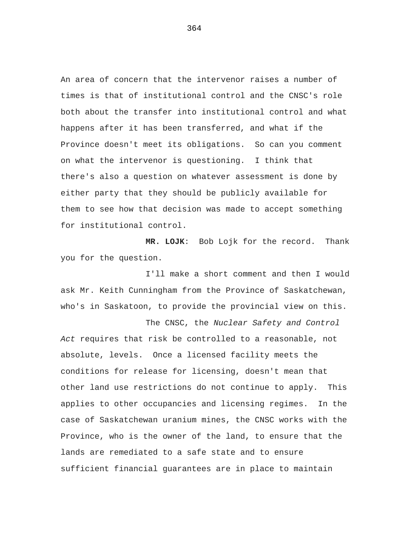An area of concern that the intervenor raises a number of times is that of institutional control and the CNSC's role both about the transfer into institutional control and what happens after it has been transferred, and what if the Province doesn't meet its obligations. So can you comment on what the intervenor is questioning. I think that there's also a question on whatever assessment is done by either party that they should be publicly available for them to see how that decision was made to accept something for institutional control.

**MR. LOJK**: Bob Lojk for the record. Thank you for the question.

I'll make a short comment and then I would ask Mr. Keith Cunningham from the Province of Saskatchewan, who's in Saskatoon, to provide the provincial view on this.

The CNSC, the *Nuclear Safety and Control Act* requires that risk be controlled to a reasonable, not absolute, levels. Once a licensed facility meets the conditions for release for licensing, doesn't mean that other land use restrictions do not continue to apply. This applies to other occupancies and licensing regimes. In the case of Saskatchewan uranium mines, the CNSC works with the Province, who is the owner of the land, to ensure that the lands are remediated to a safe state and to ensure sufficient financial guarantees are in place to maintain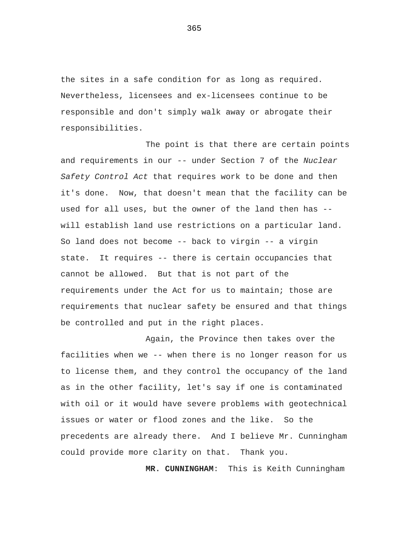the sites in a safe condition for as long as required. Nevertheless, licensees and ex-licensees continue to be responsible and don't simply walk away or abrogate their responsibilities.

The point is that there are certain points and requirements in our -- under Section 7 of the *Nuclear Safety Control Act* that requires work to be done and then it's done. Now, that doesn't mean that the facility can be used for all uses, but the owner of the land then has - will establish land use restrictions on a particular land. So land does not become -- back to virgin -- a virgin state. It requires -- there is certain occupancies that cannot be allowed. But that is not part of the requirements under the Act for us to maintain; those are requirements that nuclear safety be ensured and that things be controlled and put in the right places.

Again, the Province then takes over the facilities when we -- when there is no longer reason for us to license them, and they control the occupancy of the land as in the other facility, let's say if one is contaminated with oil or it would have severe problems with geotechnical issues or water or flood zones and the like. So the precedents are already there. And I believe Mr. Cunningham could provide more clarity on that. Thank you.

**MR. CUNNINGHAM**: This is Keith Cunningham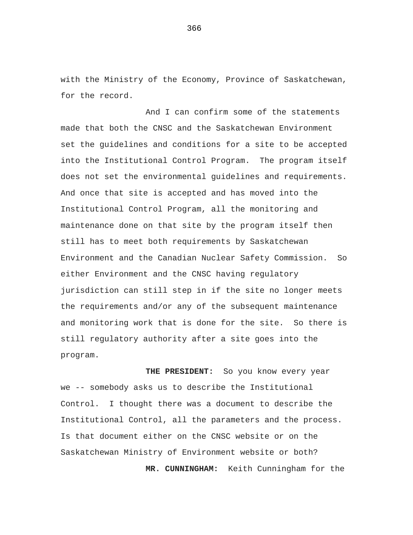with the Ministry of the Economy, Province of Saskatchewan, for the record.

And I can confirm some of the statements made that both the CNSC and the Saskatchewan Environment set the guidelines and conditions for a site to be accepted into the Institutional Control Program. The program itself does not set the environmental guidelines and requirements. And once that site is accepted and has moved into the Institutional Control Program, all the monitoring and maintenance done on that site by the program itself then still has to meet both requirements by Saskatchewan Environment and the Canadian Nuclear Safety Commission. So either Environment and the CNSC having regulatory jurisdiction can still step in if the site no longer meets the requirements and/or any of the subsequent maintenance and monitoring work that is done for the site. So there is still regulatory authority after a site goes into the program.

**THE PRESIDENT:** So you know every year we -- somebody asks us to describe the Institutional Control. I thought there was a document to describe the Institutional Control, all the parameters and the process. Is that document either on the CNSC website or on the Saskatchewan Ministry of Environment website or both? **MR. CUNNINGHAM:** Keith Cunningham for the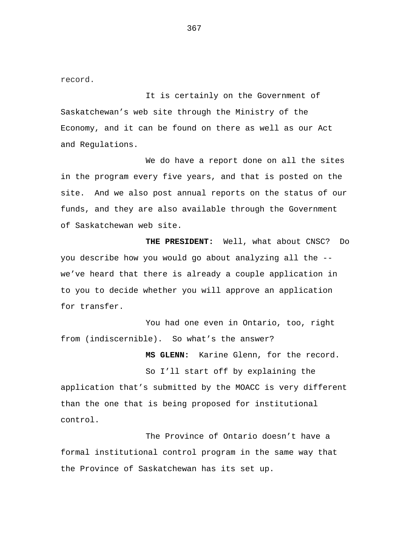record.

It is certainly on the Government of Saskatchewan's web site through the Ministry of the Economy, and it can be found on there as well as our Act and Regulations.

We do have a report done on all the sites in the program every five years, and that is posted on the site. And we also post annual reports on the status of our funds, and they are also available through the Government of Saskatchewan web site.

**THE PRESIDENT:** Well, what about CNSC? Do you describe how you would go about analyzing all the - we've heard that there is already a couple application in to you to decide whether you will approve an application for transfer.

You had one even in Ontario, too, right from (indiscernible). So what's the answer?

**MS GLENN:** Karine Glenn, for the record.

So I'll start off by explaining the application that's submitted by the MOACC is very different than the one that is being proposed for institutional control.

The Province of Ontario doesn't have a formal institutional control program in the same way that the Province of Saskatchewan has its set up.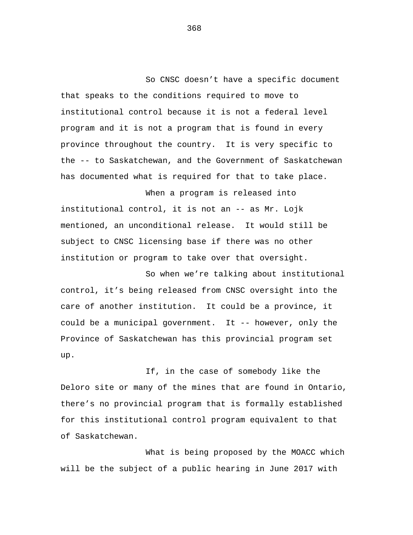So CNSC doesn't have a specific document that speaks to the conditions required to move to institutional control because it is not a federal level program and it is not a program that is found in every province throughout the country. It is very specific to the -- to Saskatchewan, and the Government of Saskatchewan has documented what is required for that to take place.

When a program is released into institutional control, it is not an -- as Mr. Lojk mentioned, an unconditional release. It would still be subject to CNSC licensing base if there was no other institution or program to take over that oversight.

So when we're talking about institutional control, it's being released from CNSC oversight into the care of another institution. It could be a province, it could be a municipal government. It -- however, only the Province of Saskatchewan has this provincial program set up.

If, in the case of somebody like the Deloro site or many of the mines that are found in Ontario, there's no provincial program that is formally established for this institutional control program equivalent to that of Saskatchewan.

What is being proposed by the MOACC which will be the subject of a public hearing in June 2017 with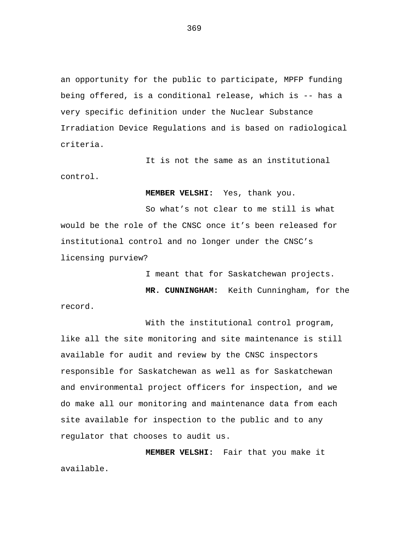an opportunity for the public to participate, MPFP funding being offered, is a conditional release, which is -- has a very specific definition under the Nuclear Substance Irradiation Device Regulations and is based on radiological criteria.

It is not the same as an institutional control.

**MEMBER VELSHI:** Yes, thank you.

So what's not clear to me still is what would be the role of the CNSC once it's been released for institutional control and no longer under the CNSC's licensing purview?

I meant that for Saskatchewan projects.

**MR. CUNNINGHAM:** Keith Cunningham, for the record.

With the institutional control program, like all the site monitoring and site maintenance is still available for audit and review by the CNSC inspectors responsible for Saskatchewan as well as for Saskatchewan and environmental project officers for inspection, and we do make all our monitoring and maintenance data from each site available for inspection to the public and to any regulator that chooses to audit us.

**MEMBER VELSHI:** Fair that you make it available.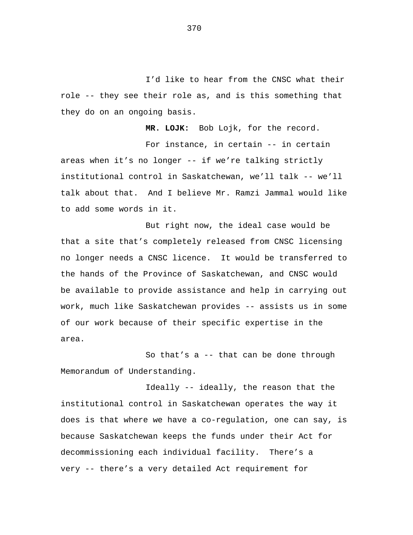I'd like to hear from the CNSC what their role -- they see their role as, and is this something that they do on an ongoing basis.

**MR. LOJK:** Bob Lojk, for the record.

For instance, in certain -- in certain areas when it's no longer -- if we're talking strictly institutional control in Saskatchewan, we'll talk -- we'll talk about that. And I believe Mr. Ramzi Jammal would like to add some words in it.

But right now, the ideal case would be that a site that's completely released from CNSC licensing no longer needs a CNSC licence. It would be transferred to the hands of the Province of Saskatchewan, and CNSC would be available to provide assistance and help in carrying out work, much like Saskatchewan provides -- assists us in some of our work because of their specific expertise in the area.

So that's a -- that can be done through Memorandum of Understanding.

Ideally -- ideally, the reason that the institutional control in Saskatchewan operates the way it does is that where we have a co-regulation, one can say, is because Saskatchewan keeps the funds under their Act for decommissioning each individual facility. There's a very -- there's a very detailed Act requirement for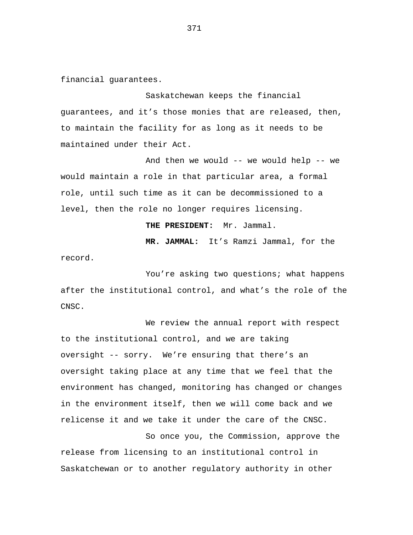financial guarantees.

Saskatchewan keeps the financial guarantees, and it's those monies that are released, then, to maintain the facility for as long as it needs to be maintained under their Act.

And then we would -- we would help -- we would maintain a role in that particular area, a formal role, until such time as it can be decommissioned to a level, then the role no longer requires licensing.

**THE PRESIDENT:** Mr. Jammal.

**MR. JAMMAL:** It's Ramzi Jammal, for the record.

You're asking two questions; what happens after the institutional control, and what's the role of the CNSC.

We review the annual report with respect to the institutional control, and we are taking oversight -- sorry. We're ensuring that there's an oversight taking place at any time that we feel that the environment has changed, monitoring has changed or changes in the environment itself, then we will come back and we relicense it and we take it under the care of the CNSC.

So once you, the Commission, approve the release from licensing to an institutional control in Saskatchewan or to another regulatory authority in other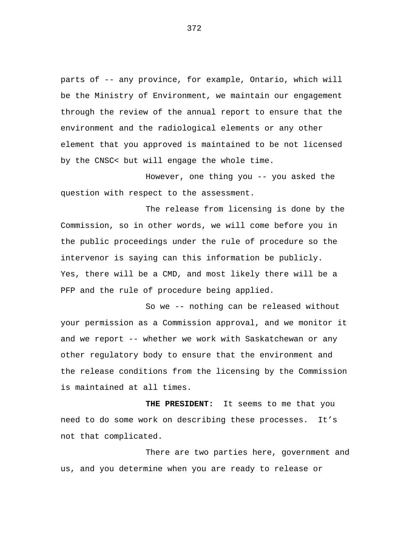parts of -- any province, for example, Ontario, which will be the Ministry of Environment, we maintain our engagement through the review of the annual report to ensure that the environment and the radiological elements or any other element that you approved is maintained to be not licensed by the CNSC< but will engage the whole time.

However, one thing you -- you asked the question with respect to the assessment.

The release from licensing is done by the Commission, so in other words, we will come before you in the public proceedings under the rule of procedure so the intervenor is saying can this information be publicly. Yes, there will be a CMD, and most likely there will be a PFP and the rule of procedure being applied.

So we -- nothing can be released without your permission as a Commission approval, and we monitor it and we report -- whether we work with Saskatchewan or any other regulatory body to ensure that the environment and the release conditions from the licensing by the Commission is maintained at all times.

**THE PRESIDENT:** It seems to me that you need to do some work on describing these processes. It's not that complicated.

There are two parties here, government and us, and you determine when you are ready to release or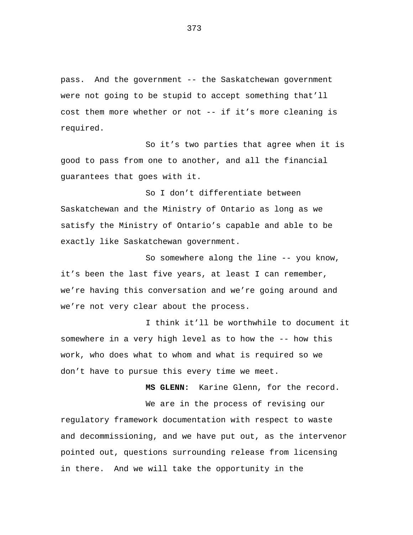pass. And the government -- the Saskatchewan government were not going to be stupid to accept something that'll cost them more whether or not -- if it's more cleaning is required.

So it's two parties that agree when it is good to pass from one to another, and all the financial guarantees that goes with it.

So I don't differentiate between Saskatchewan and the Ministry of Ontario as long as we satisfy the Ministry of Ontario's capable and able to be exactly like Saskatchewan government.

So somewhere along the line -- you know, it's been the last five years, at least I can remember, we're having this conversation and we're going around and we're not very clear about the process.

I think it'll be worthwhile to document it somewhere in a very high level as to how the -- how this work, who does what to whom and what is required so we don't have to pursue this every time we meet.

**MS GLENN:** Karine Glenn, for the record.

We are in the process of revising our regulatory framework documentation with respect to waste and decommissioning, and we have put out, as the intervenor pointed out, questions surrounding release from licensing in there. And we will take the opportunity in the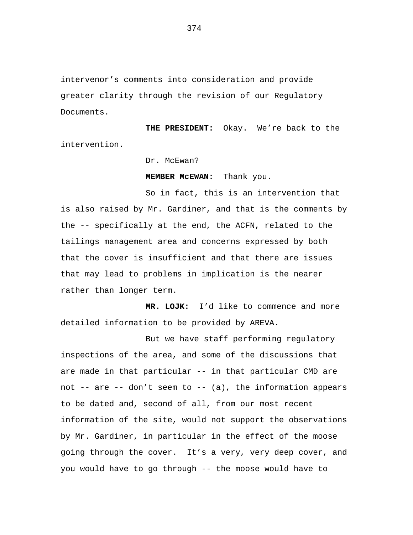intervenor's comments into consideration and provide greater clarity through the revision of our Regulatory Documents.

**THE PRESIDENT:** Okay. We're back to the intervention.

Dr. McEwan?

**MEMBER McEWAN:** Thank you.

So in fact, this is an intervention that is also raised by Mr. Gardiner, and that is the comments by the -- specifically at the end, the ACFN, related to the tailings management area and concerns expressed by both that the cover is insufficient and that there are issues that may lead to problems in implication is the nearer rather than longer term.

**MR. LOJK:** I'd like to commence and more detailed information to be provided by AREVA.

But we have staff performing regulatory inspections of the area, and some of the discussions that are made in that particular -- in that particular CMD are not  $--$  are  $--$  don't seem to  $--$  (a), the information appears to be dated and, second of all, from our most recent information of the site, would not support the observations by Mr. Gardiner, in particular in the effect of the moose going through the cover. It's a very, very deep cover, and you would have to go through -- the moose would have to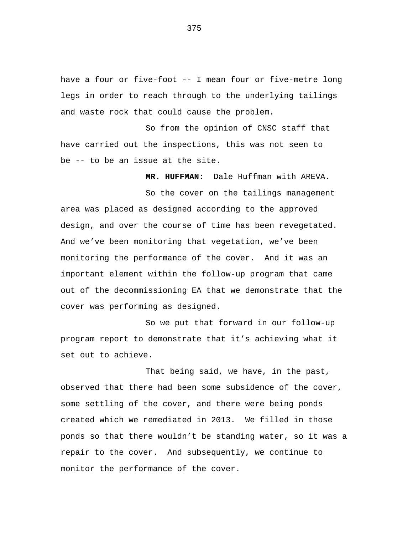have a four or five-foot -- I mean four or five-metre long legs in order to reach through to the underlying tailings and waste rock that could cause the problem.

So from the opinion of CNSC staff that have carried out the inspections, this was not seen to be -- to be an issue at the site.

**MR. HUFFMAN:** Dale Huffman with AREVA.

So the cover on the tailings management area was placed as designed according to the approved design, and over the course of time has been revegetated. And we've been monitoring that vegetation, we've been monitoring the performance of the cover. And it was an important element within the follow-up program that came out of the decommissioning EA that we demonstrate that the cover was performing as designed.

So we put that forward in our follow-up program report to demonstrate that it's achieving what it set out to achieve.

That being said, we have, in the past, observed that there had been some subsidence of the cover, some settling of the cover, and there were being ponds created which we remediated in 2013. We filled in those ponds so that there wouldn't be standing water, so it was a repair to the cover. And subsequently, we continue to monitor the performance of the cover.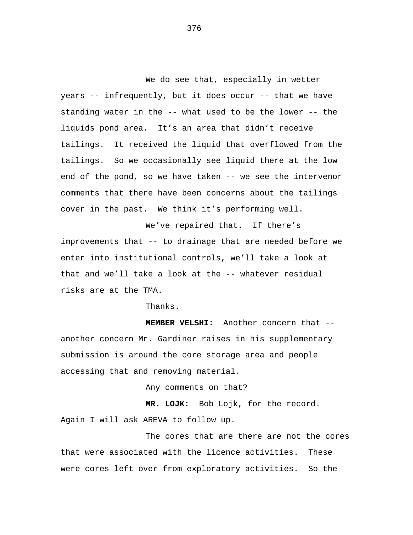We do see that, especially in wetter years -- infrequently, but it does occur -- that we have standing water in the -- what used to be the lower -- the liquids pond area. It's an area that didn't receive tailings. It received the liquid that overflowed from the tailings. So we occasionally see liquid there at the low end of the pond, so we have taken -- we see the intervenor comments that there have been concerns about the tailings cover in the past. We think it's performing well.

We've repaired that. If there's improvements that -- to drainage that are needed before we enter into institutional controls, we'll take a look at that and we'll take a look at the -- whatever residual risks are at the TMA.

Thanks.

**MEMBER VELSHI:** Another concern that - another concern Mr. Gardiner raises in his supplementary submission is around the core storage area and people accessing that and removing material.

Any comments on that?

**MR. LOJK:** Bob Lojk, for the record. Again I will ask AREVA to follow up.

The cores that are there are not the cores that were associated with the licence activities. These were cores left over from exploratory activities. So the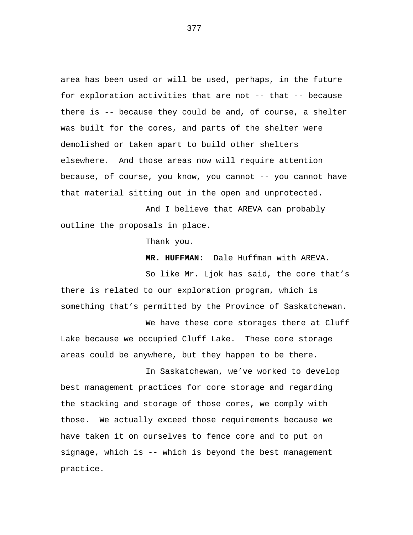area has been used or will be used, perhaps, in the future for exploration activities that are not -- that -- because there is -- because they could be and, of course, a shelter was built for the cores, and parts of the shelter were demolished or taken apart to build other shelters elsewhere. And those areas now will require attention because, of course, you know, you cannot -- you cannot have that material sitting out in the open and unprotected.

And I believe that AREVA can probably outline the proposals in place.

Thank you.

**MR. HUFFMAN:** Dale Huffman with AREVA.

So like Mr. Ljok has said, the core that's there is related to our exploration program, which is something that's permitted by the Province of Saskatchewan.

We have these core storages there at Cluff Lake because we occupied Cluff Lake. These core storage areas could be anywhere, but they happen to be there.

In Saskatchewan, we've worked to develop best management practices for core storage and regarding the stacking and storage of those cores, we comply with those. We actually exceed those requirements because we have taken it on ourselves to fence core and to put on signage, which is -- which is beyond the best management practice.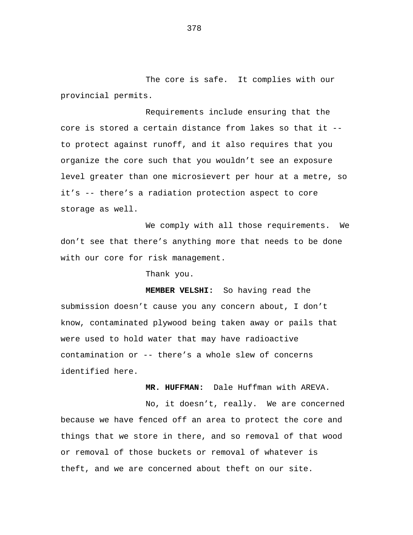The core is safe. It complies with our provincial permits.

Requirements include ensuring that the core is stored a certain distance from lakes so that it - to protect against runoff, and it also requires that you organize the core such that you wouldn't see an exposure level greater than one microsievert per hour at a metre, so it's -- there's a radiation protection aspect to core storage as well.

We comply with all those requirements. We don't see that there's anything more that needs to be done with our core for risk management.

Thank you.

**MEMBER VELSHI:** So having read the submission doesn't cause you any concern about, I don't know, contaminated plywood being taken away or pails that were used to hold water that may have radioactive contamination or -- there's a whole slew of concerns identified here.

**MR. HUFFMAN:** Dale Huffman with AREVA.

No, it doesn't, really. We are concerned because we have fenced off an area to protect the core and things that we store in there, and so removal of that wood or removal of those buckets or removal of whatever is theft, and we are concerned about theft on our site.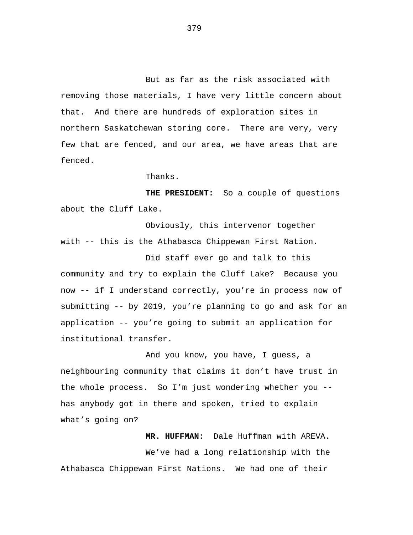But as far as the risk associated with removing those materials, I have very little concern about that. And there are hundreds of exploration sites in northern Saskatchewan storing core. There are very, very few that are fenced, and our area, we have areas that are fenced.

## Thanks.

**THE PRESIDENT:** So a couple of questions about the Cluff Lake.

Obviously, this intervenor together with -- this is the Athabasca Chippewan First Nation.

Did staff ever go and talk to this community and try to explain the Cluff Lake? Because you now -- if I understand correctly, you're in process now of submitting -- by 2019, you're planning to go and ask for an application -- you're going to submit an application for institutional transfer.

And you know, you have, I guess, a neighbouring community that claims it don't have trust in the whole process. So I'm just wondering whether you - has anybody got in there and spoken, tried to explain what's going on?

**MR. HUFFMAN:** Dale Huffman with AREVA. We've had a long relationship with the Athabasca Chippewan First Nations. We had one of their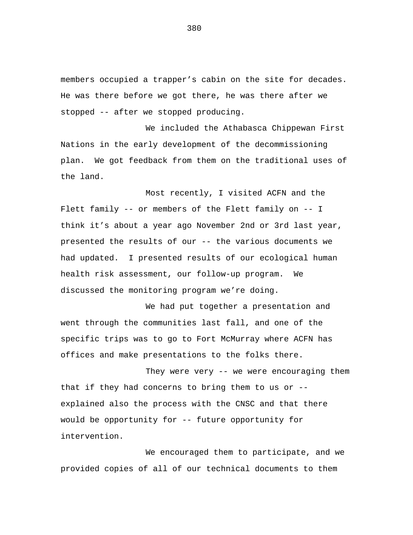members occupied a trapper's cabin on the site for decades. He was there before we got there, he was there after we stopped -- after we stopped producing.

We included the Athabasca Chippewan First Nations in the early development of the decommissioning plan. We got feedback from them on the traditional uses of the land.

Most recently, I visited ACFN and the Flett family -- or members of the Flett family on -- I think it's about a year ago November 2nd or 3rd last year, presented the results of our -- the various documents we had updated. I presented results of our ecological human health risk assessment, our follow-up program. We discussed the monitoring program we're doing.

We had put together a presentation and went through the communities last fall, and one of the specific trips was to go to Fort McMurray where ACFN has offices and make presentations to the folks there.

They were very -- we were encouraging them that if they had concerns to bring them to us or - explained also the process with the CNSC and that there would be opportunity for -- future opportunity for intervention.

We encouraged them to participate, and we provided copies of all of our technical documents to them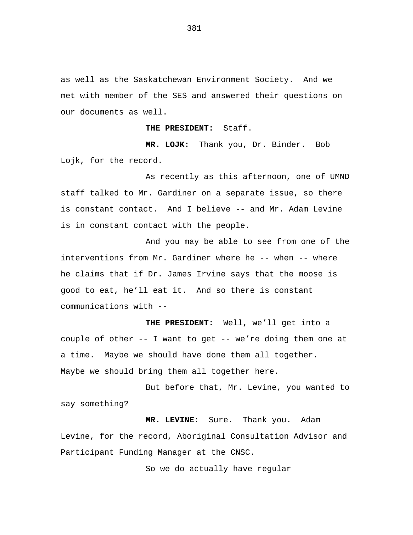as well as the Saskatchewan Environment Society. And we met with member of the SES and answered their questions on our documents as well.

**THE PRESIDENT:** Staff.

**MR. LOJK:** Thank you, Dr. Binder. Bob Lojk, for the record.

As recently as this afternoon, one of UMND staff talked to Mr. Gardiner on a separate issue, so there is constant contact. And I believe -- and Mr. Adam Levine is in constant contact with the people.

And you may be able to see from one of the interventions from Mr. Gardiner where he -- when -- where he claims that if Dr. James Irvine says that the moose is good to eat, he'll eat it. And so there is constant communications with --

**THE PRESIDENT:** Well, we'll get into a couple of other -- I want to get -- we're doing them one at a time. Maybe we should have done them all together. Maybe we should bring them all together here.

But before that, Mr. Levine, you wanted to say something?

**MR. LEVINE:** Sure. Thank you. Adam Levine, for the record, Aboriginal Consultation Advisor and Participant Funding Manager at the CNSC.

So we do actually have regular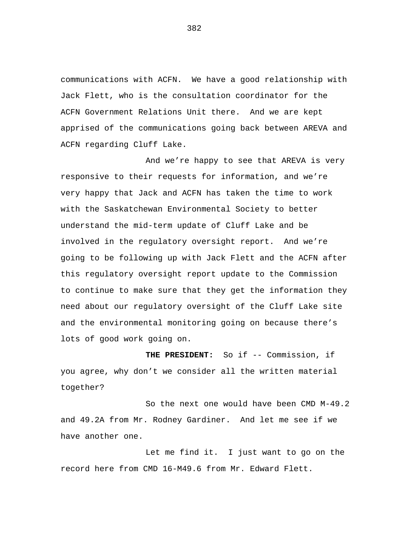communications with ACFN. We have a good relationship with Jack Flett, who is the consultation coordinator for the ACFN Government Relations Unit there. And we are kept apprised of the communications going back between AREVA and ACFN regarding Cluff Lake.

And we're happy to see that AREVA is very responsive to their requests for information, and we're very happy that Jack and ACFN has taken the time to work with the Saskatchewan Environmental Society to better understand the mid-term update of Cluff Lake and be involved in the regulatory oversight report. And we're going to be following up with Jack Flett and the ACFN after this regulatory oversight report update to the Commission to continue to make sure that they get the information they need about our regulatory oversight of the Cluff Lake site and the environmental monitoring going on because there's lots of good work going on.

**THE PRESIDENT:** So if -- Commission, if you agree, why don't we consider all the written material together?

So the next one would have been CMD M-49.2 and 49.2A from Mr. Rodney Gardiner. And let me see if we have another one.

Let me find it. I just want to go on the record here from CMD 16-M49.6 from Mr. Edward Flett.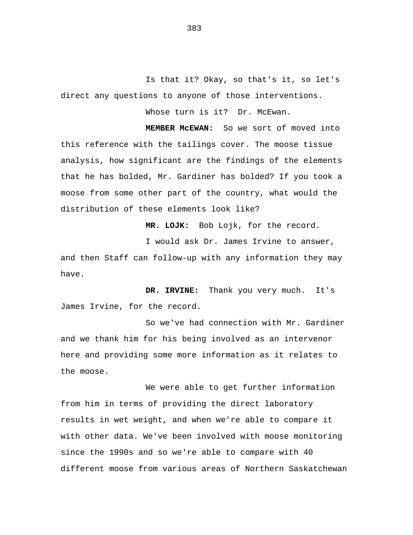Is that it? Okay, so that's it, so let's direct any questions to anyone of those interventions.

Whose turn is it? Dr. McEwan.

 **MEMBER McEWAN:** So we sort of moved into this reference with the tailings cover. The moose tissue analysis, how significant are the findings of the elements that he has bolded, Mr. Gardiner has bolded? If you took a moose from some other part of the country, what would the distribution of these elements look like?

 **MR. LOJK:** Bob Lojk, for the record.

I would ask Dr. James Irvine to answer,

and then Staff can follow-up with any information they may have.

 **DR. IRVINE:** Thank you very much. It's James Irvine, for the record.

So we've had connection with Mr. Gardiner and we thank him for his being involved as an intervenor here and providing some more information as it relates to the moose.

We were able to get further information from him in terms of providing the direct laboratory results in wet weight, and when we're able to compare it with other data. We've been involved with moose monitoring since the 1990s and so we're able to compare with 40 different moose from various areas of Northern Saskatchewan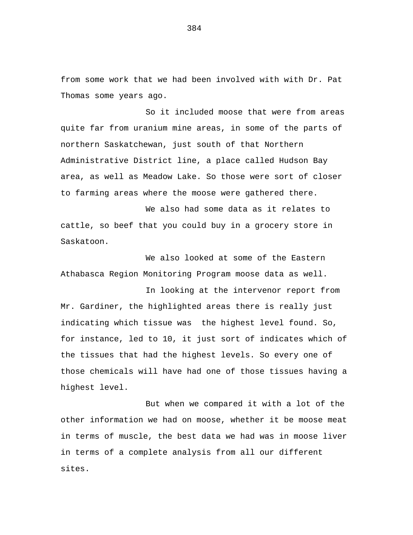from some work that we had been involved with with Dr. Pat Thomas some years ago.

So it included moose that were from areas quite far from uranium mine areas, in some of the parts of northern Saskatchewan, just south of that Northern Administrative District line, a place called Hudson Bay area, as well as Meadow Lake. So those were sort of closer to farming areas where the moose were gathered there.

We also had some data as it relates to cattle, so beef that you could buy in a grocery store in Saskatoon.

We also looked at some of the Eastern Athabasca Region Monitoring Program moose data as well.

In looking at the intervenor report from Mr. Gardiner, the highlighted areas there is really just indicating which tissue was the highest level found. So, for instance, led to 10, it just sort of indicates which of the tissues that had the highest levels. So every one of those chemicals will have had one of those tissues having a highest level.

But when we compared it with a lot of the other information we had on moose, whether it be moose meat in terms of muscle, the best data we had was in moose liver in terms of a complete analysis from all our different sites.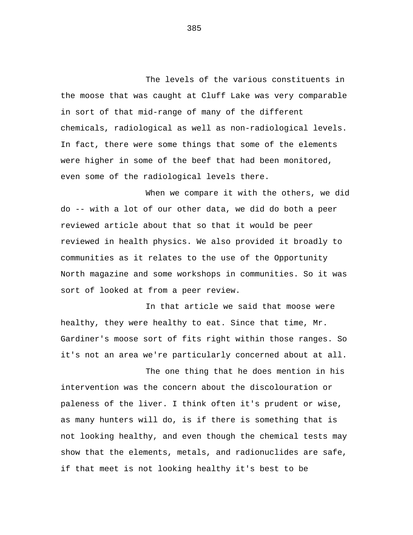The levels of the various constituents in the moose that was caught at Cluff Lake was very comparable in sort of that mid-range of many of the different chemicals, radiological as well as non-radiological levels. In fact, there were some things that some of the elements were higher in some of the beef that had been monitored, even some of the radiological levels there.

When we compare it with the others, we did do -- with a lot of our other data, we did do both a peer reviewed article about that so that it would be peer reviewed in health physics. We also provided it broadly to communities as it relates to the use of the Opportunity North magazine and some workshops in communities. So it was sort of looked at from a peer review.

In that article we said that moose were healthy, they were healthy to eat. Since that time, Mr. Gardiner's moose sort of fits right within those ranges. So it's not an area we're particularly concerned about at all.

The one thing that he does mention in his intervention was the concern about the discolouration or paleness of the liver. I think often it's prudent or wise, as many hunters will do, is if there is something that is not looking healthy, and even though the chemical tests may show that the elements, metals, and radionuclides are safe, if that meet is not looking healthy it's best to be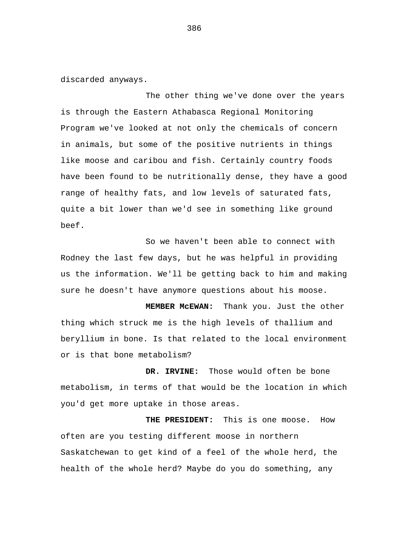discarded anyways.

The other thing we've done over the years is through the Eastern Athabasca Regional Monitoring Program we've looked at not only the chemicals of concern in animals, but some of the positive nutrients in things like moose and caribou and fish. Certainly country foods have been found to be nutritionally dense, they have a good range of healthy fats, and low levels of saturated fats, quite a bit lower than we'd see in something like ground beef.

So we haven't been able to connect with Rodney the last few days, but he was helpful in providing us the information. We'll be getting back to him and making sure he doesn't have anymore questions about his moose.

 **MEMBER McEWAN:** Thank you. Just the other thing which struck me is the high levels of thallium and beryllium in bone. Is that related to the local environment or is that bone metabolism?

 **DR. IRVINE:** Those would often be bone metabolism, in terms of that would be the location in which you'd get more uptake in those areas.

 **THE PRESIDENT:** This is one moose. How often are you testing different moose in northern Saskatchewan to get kind of a feel of the whole herd, the health of the whole herd? Maybe do you do something, any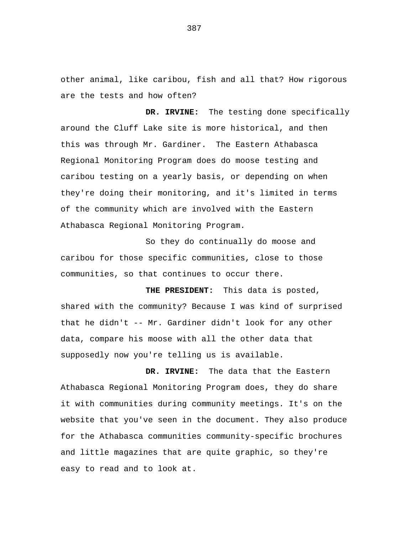other animal, like caribou, fish and all that? How rigorous are the tests and how often?

 **DR. IRVINE:** The testing done specifically around the Cluff Lake site is more historical, and then this was through Mr. Gardiner. The Eastern Athabasca Regional Monitoring Program does do moose testing and caribou testing on a yearly basis, or depending on when they're doing their monitoring, and it's limited in terms of the community which are involved with the Eastern Athabasca Regional Monitoring Program.

So they do continually do moose and caribou for those specific communities, close to those communities, so that continues to occur there.

 **THE PRESIDENT:** This data is posted, shared with the community? Because I was kind of surprised that he didn't -- Mr. Gardiner didn't look for any other data, compare his moose with all the other data that supposedly now you're telling us is available.

 **DR. IRVINE:** The data that the Eastern Athabasca Regional Monitoring Program does, they do share it with communities during community meetings. It's on the website that you've seen in the document. They also produce for the Athabasca communities community-specific brochures and little magazines that are quite graphic, so they're easy to read and to look at.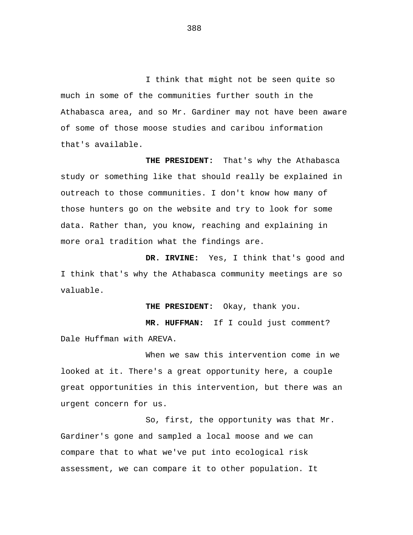I think that might not be seen quite so much in some of the communities further south in the Athabasca area, and so Mr. Gardiner may not have been aware of some of those moose studies and caribou information that's available.

 **THE PRESIDENT:** That's why the Athabasca study or something like that should really be explained in outreach to those communities. I don't know how many of those hunters go on the website and try to look for some data. Rather than, you know, reaching and explaining in more oral tradition what the findings are.

 **DR. IRVINE:** Yes, I think that's good and I think that's why the Athabasca community meetings are so valuable.

**THE PRESIDENT:** Okay, thank you.

 **MR. HUFFMAN:** If I could just comment? Dale Huffman with AREVA.

When we saw this intervention come in we looked at it. There's a great opportunity here, a couple great opportunities in this intervention, but there was an urgent concern for us.

So, first, the opportunity was that Mr. Gardiner's gone and sampled a local moose and we can compare that to what we've put into ecological risk assessment, we can compare it to other population. It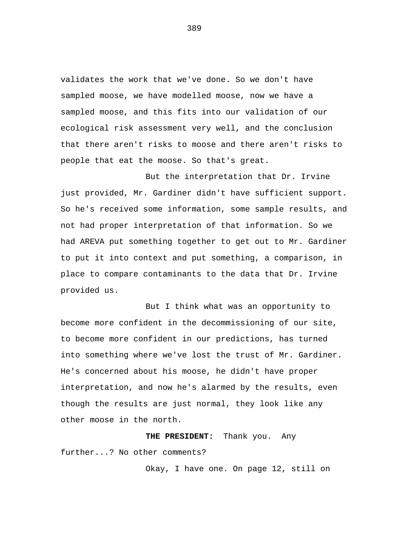validates the work that we've done. So we don't have sampled moose, we have modelled moose, now we have a sampled moose, and this fits into our validation of our ecological risk assessment very well, and the conclusion that there aren't risks to moose and there aren't risks to people that eat the moose. So that's great.

But the interpretation that Dr. Irvine just provided, Mr. Gardiner didn't have sufficient support. So he's received some information, some sample results, and not had proper interpretation of that information. So we had AREVA put something together to get out to Mr. Gardiner to put it into context and put something, a comparison, in place to compare contaminants to the data that Dr. Irvine provided us.

But I think what was an opportunity to become more confident in the decommissioning of our site, to become more confident in our predictions, has turned into something where we've lost the trust of Mr. Gardiner. He's concerned about his moose, he didn't have proper interpretation, and now he's alarmed by the results, even though the results are just normal, they look like any other moose in the north.

 **THE PRESIDENT:** Thank you. Any further...? No other comments?

Okay, I have one. On page 12, still on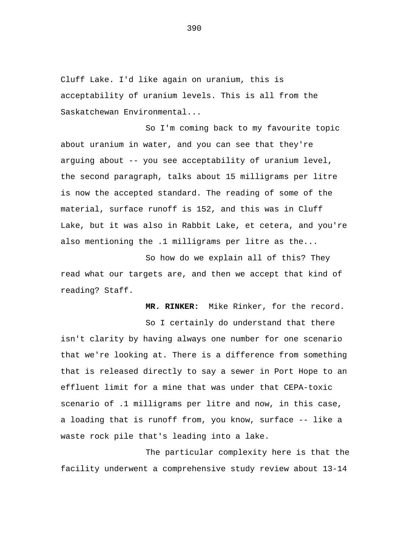Cluff Lake. I'd like again on uranium, this is acceptability of uranium levels. This is all from the Saskatchewan Environmental...

So I'm coming back to my favourite topic about uranium in water, and you can see that they're arguing about -- you see acceptability of uranium level, the second paragraph, talks about 15 milligrams per litre is now the accepted standard. The reading of some of the material, surface runoff is 152, and this was in Cluff Lake, but it was also in Rabbit Lake, et cetera, and you're also mentioning the .1 milligrams per litre as the...

So how do we explain all of this? They read what our targets are, and then we accept that kind of reading? Staff.

 **MR. RINKER:** Mike Rinker, for the record.

So I certainly do understand that there isn't clarity by having always one number for one scenario that we're looking at. There is a difference from something that is released directly to say a sewer in Port Hope to an effluent limit for a mine that was under that CEPA-toxic scenario of .1 milligrams per litre and now, in this case, a loading that is runoff from, you know, surface -- like a waste rock pile that's leading into a lake.

The particular complexity here is that the facility underwent a comprehensive study review about 13-14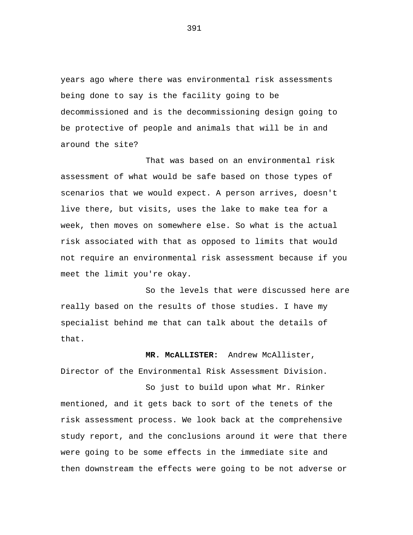years ago where there was environmental risk assessments being done to say is the facility going to be decommissioned and is the decommissioning design going to be protective of people and animals that will be in and around the site?

That was based on an environmental risk assessment of what would be safe based on those types of scenarios that we would expect. A person arrives, doesn't live there, but visits, uses the lake to make tea for a week, then moves on somewhere else. So what is the actual risk associated with that as opposed to limits that would not require an environmental risk assessment because if you meet the limit you're okay.

So the levels that were discussed here are really based on the results of those studies. I have my specialist behind me that can talk about the details of that.

 **MR. McALLISTER:** Andrew McAllister, Director of the Environmental Risk Assessment Division.

So just to build upon what Mr. Rinker mentioned, and it gets back to sort of the tenets of the risk assessment process. We look back at the comprehensive study report, and the conclusions around it were that there were going to be some effects in the immediate site and then downstream the effects were going to be not adverse or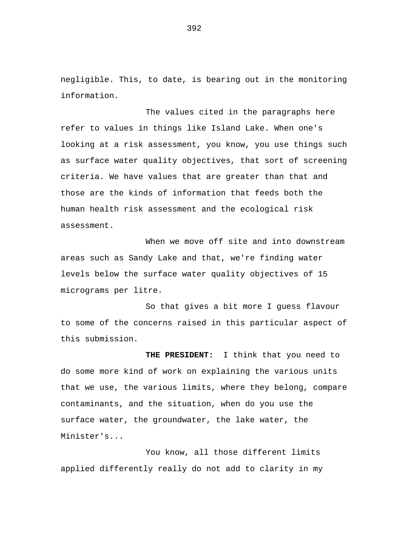negligible. This, to date, is bearing out in the monitoring information.

The values cited in the paragraphs here refer to values in things like Island Lake. When one's looking at a risk assessment, you know, you use things such as surface water quality objectives, that sort of screening criteria. We have values that are greater than that and those are the kinds of information that feeds both the human health risk assessment and the ecological risk assessment.

When we move off site and into downstream areas such as Sandy Lake and that, we're finding water levels below the surface water quality objectives of 15 micrograms per litre.

So that gives a bit more I guess flavour to some of the concerns raised in this particular aspect of this submission.

 **THE PRESIDENT:** I think that you need to do some more kind of work on explaining the various units that we use, the various limits, where they belong, compare contaminants, and the situation, when do you use the surface water, the groundwater, the lake water, the Minister's...

You know, all those different limits applied differently really do not add to clarity in my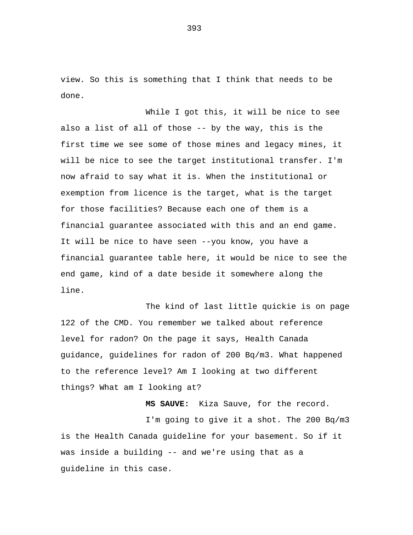view. So this is something that I think that needs to be done.

While I got this, it will be nice to see also a list of all of those -- by the way, this is the first time we see some of those mines and legacy mines, it will be nice to see the target institutional transfer. I'm now afraid to say what it is. When the institutional or exemption from licence is the target, what is the target for those facilities? Because each one of them is a financial guarantee associated with this and an end game. It will be nice to have seen --you know, you have a financial guarantee table here, it would be nice to see the end game, kind of a date beside it somewhere along the line.

The kind of last little quickie is on page 122 of the CMD. You remember we talked about reference level for radon? On the page it says, Health Canada guidance, guidelines for radon of 200 Bq/m3. What happened to the reference level? Am I looking at two different things? What am I looking at?

 **MS SAUVE:** Kiza Sauve, for the record. I'm going to give it a shot. The 200 Bq/m3 is the Health Canada guideline for your basement. So if it was inside a building -- and we're using that as a guideline in this case.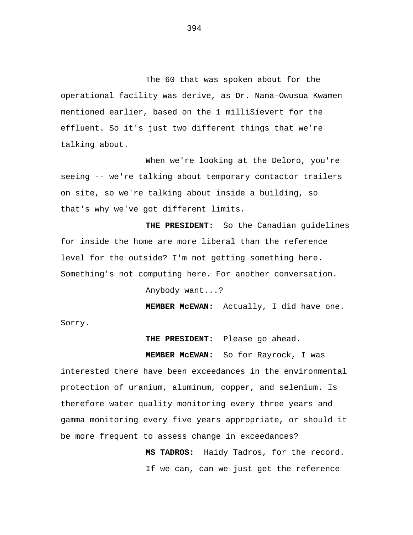The 60 that was spoken about for the operational facility was derive, as Dr. Nana-Owusua Kwamen mentioned earlier, based on the 1 milliSievert for the effluent. So it's just two different things that we're talking about.

When we're looking at the Deloro, you're seeing -- we're talking about temporary contactor trailers on site, so we're talking about inside a building, so that's why we've got different limits.

 **THE PRESIDENT:** So the Canadian guidelines for inside the home are more liberal than the reference level for the outside? I'm not getting something here. Something's not computing here. For another conversation.

Anybody want...?

 **MEMBER McEWAN:** Actually, I did have one.

Sorry.

 **THE PRESIDENT:** Please go ahead.

 **MEMBER McEWAN:** So for Rayrock, I was interested there have been exceedances in the environmental protection of uranium, aluminum, copper, and selenium. Is therefore water quality monitoring every three years and gamma monitoring every five years appropriate, or should it be more frequent to assess change in exceedances?

> **MS TADROS:** Haidy Tadros, for the record. If we can, can we just get the reference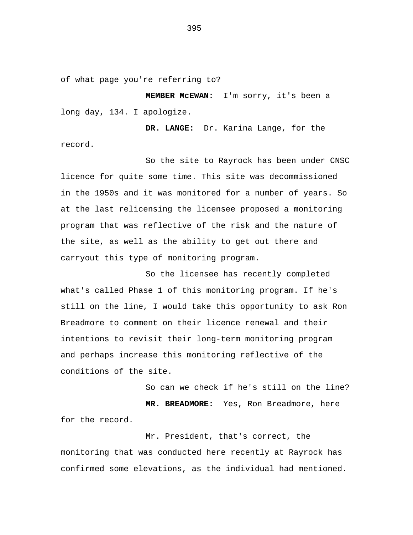of what page you're referring to?

 **MEMBER McEWAN:** I'm sorry, it's been a long day, 134. I apologize.

 **DR. LANGE:** Dr. Karina Lange, for the record.

So the site to Rayrock has been under CNSC licence for quite some time. This site was decommissioned in the 1950s and it was monitored for a number of years. So at the last relicensing the licensee proposed a monitoring program that was reflective of the risk and the nature of the site, as well as the ability to get out there and carryout this type of monitoring program.

So the licensee has recently completed what's called Phase 1 of this monitoring program. If he's still on the line, I would take this opportunity to ask Ron Breadmore to comment on their licence renewal and their intentions to revisit their long-term monitoring program and perhaps increase this monitoring reflective of the conditions of the site.

So can we check if he's still on the line?  **MR. BREADMORE:** Yes, Ron Breadmore, here for the record.

Mr. President, that's correct, the monitoring that was conducted here recently at Rayrock has confirmed some elevations, as the individual had mentioned.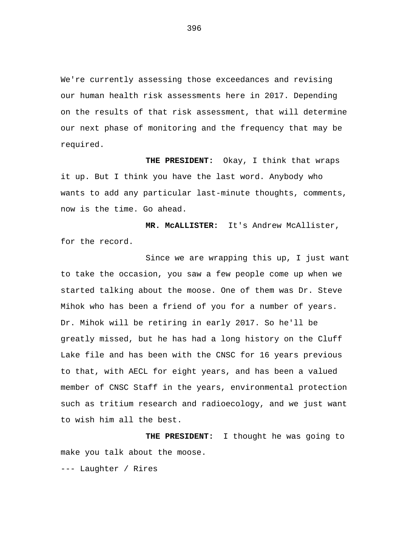We're currently assessing those exceedances and revising our human health risk assessments here in 2017. Depending on the results of that risk assessment, that will determine our next phase of monitoring and the frequency that may be required.

 **THE PRESIDENT:** Okay, I think that wraps it up. But I think you have the last word. Anybody who wants to add any particular last-minute thoughts, comments, now is the time. Go ahead.

 **MR. McALLISTER:** It's Andrew McAllister, for the record.

Since we are wrapping this up, I just want to take the occasion, you saw a few people come up when we started talking about the moose. One of them was Dr. Steve Mihok who has been a friend of you for a number of years. Dr. Mihok will be retiring in early 2017. So he'll be greatly missed, but he has had a long history on the Cluff Lake file and has been with the CNSC for 16 years previous to that, with AECL for eight years, and has been a valued member of CNSC Staff in the years, environmental protection such as tritium research and radioecology, and we just want to wish him all the best.

 **THE PRESIDENT:** I thought he was going to make you talk about the moose.

--- Laughter / Rires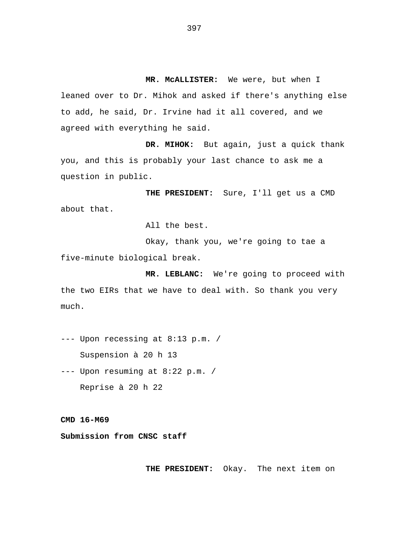**MR. McALLISTER:** We were, but when I leaned over to Dr. Mihok and asked if there's anything else to add, he said, Dr. Irvine had it all covered, and we agreed with everything he said.

 **DR. MIHOK:** But again, just a quick thank you, and this is probably your last chance to ask me a question in public.

 **THE PRESIDENT:** Sure, I'll get us a CMD about that.

All the best.

Okay, thank you, we're going to tae a five-minute biological break.

 **MR. LEBLANC:** We're going to proceed with the two EIRs that we have to deal with. So thank you very much.

--- Upon recessing at 8:13 p.m. / Suspension à 20 h 13

--- Upon resuming at 8:22 p.m. / Reprise à 20 h 22

**CMD 16-M69** 

**Submission from CNSC staff** 

**THE PRESIDENT:** Okay. The next item on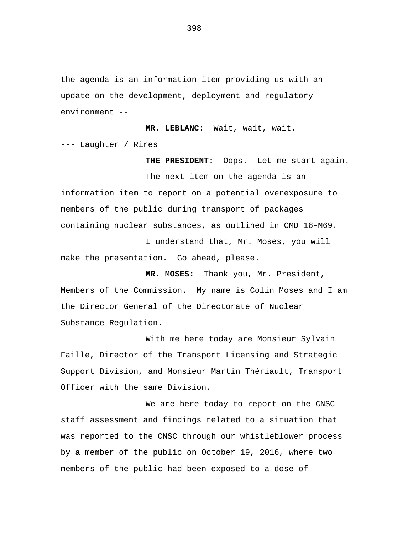the agenda is an information item providing us with an update on the development, deployment and regulatory environment --

**MR. LEBLANC:** Wait, wait, wait. --- Laughter / Rires

**THE PRESIDENT:** Oops. Let me start again.

The next item on the agenda is an information item to report on a potential overexposure to members of the public during transport of packages containing nuclear substances, as outlined in CMD 16-M69.

I understand that, Mr. Moses, you will make the presentation. Go ahead, please.

**MR. MOSES:** Thank you, Mr. President, Members of the Commission. My name is Colin Moses and I am the Director General of the Directorate of Nuclear Substance Regulation.

With me here today are Monsieur Sylvain Faille, Director of the Transport Licensing and Strategic Support Division, and Monsieur Martin Thériault, Transport Officer with the same Division.

We are here today to report on the CNSC staff assessment and findings related to a situation that was reported to the CNSC through our whistleblower process by a member of the public on October 19, 2016, where two members of the public had been exposed to a dose of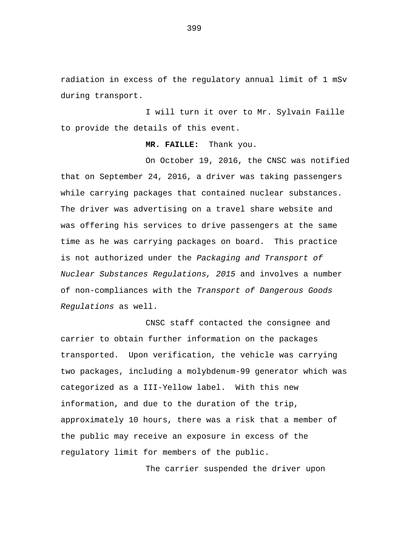radiation in excess of the regulatory annual limit of 1 mSv during transport.

I will turn it over to Mr. Sylvain Faille to provide the details of this event.

## **MR. FAILLE:** Thank you.

On October 19, 2016, the CNSC was notified that on September 24, 2016, a driver was taking passengers while carrying packages that contained nuclear substances. The driver was advertising on a travel share website and was offering his services to drive passengers at the same time as he was carrying packages on board. This practice is not authorized under the *Packaging and Transport of Nuclear Substances Regulations, 2015* and involves a number of non-compliances with the *Transport of Dangerous Goods Regulations* as well.

CNSC staff contacted the consignee and carrier to obtain further information on the packages transported. Upon verification, the vehicle was carrying two packages, including a molybdenum-99 generator which was categorized as a III-Yellow label. With this new information, and due to the duration of the trip, approximately 10 hours, there was a risk that a member of the public may receive an exposure in excess of the regulatory limit for members of the public.

The carrier suspended the driver upon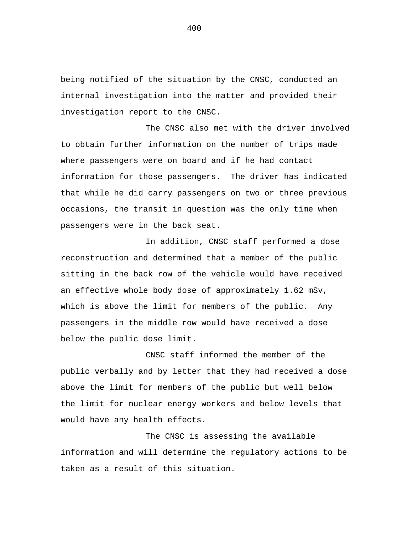being notified of the situation by the CNSC, conducted an internal investigation into the matter and provided their investigation report to the CNSC.

The CNSC also met with the driver involved to obtain further information on the number of trips made where passengers were on board and if he had contact information for those passengers. The driver has indicated that while he did carry passengers on two or three previous occasions, the transit in question was the only time when passengers were in the back seat.

In addition, CNSC staff performed a dose reconstruction and determined that a member of the public sitting in the back row of the vehicle would have received an effective whole body dose of approximately 1.62 mSv, which is above the limit for members of the public. Any passengers in the middle row would have received a dose below the public dose limit.

CNSC staff informed the member of the public verbally and by letter that they had received a dose above the limit for members of the public but well below the limit for nuclear energy workers and below levels that would have any health effects.

The CNSC is assessing the available information and will determine the regulatory actions to be taken as a result of this situation.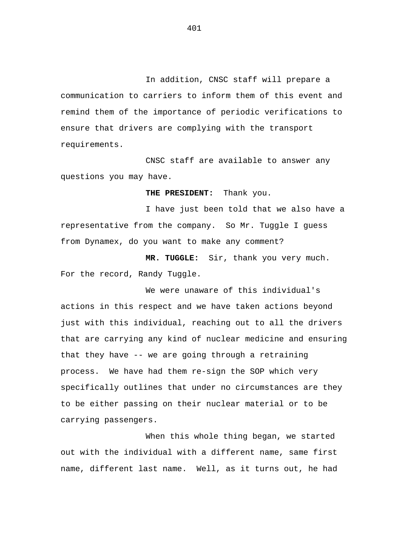In addition, CNSC staff will prepare a communication to carriers to inform them of this event and remind them of the importance of periodic verifications to ensure that drivers are complying with the transport requirements.

CNSC staff are available to answer any questions you may have.

**THE PRESIDENT:** Thank you.

I have just been told that we also have a representative from the company. So Mr. Tuggle I guess from Dynamex, do you want to make any comment?

**MR. TUGGLE:** Sir, thank you very much. For the record, Randy Tuggle.

We were unaware of this individual's actions in this respect and we have taken actions beyond just with this individual, reaching out to all the drivers that are carrying any kind of nuclear medicine and ensuring that they have -- we are going through a retraining process. We have had them re-sign the SOP which very specifically outlines that under no circumstances are they to be either passing on their nuclear material or to be carrying passengers.

When this whole thing began, we started out with the individual with a different name, same first name, different last name. Well, as it turns out, he had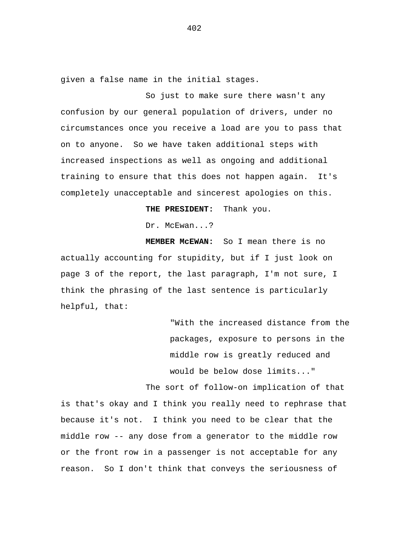given a false name in the initial stages.

So just to make sure there wasn't any confusion by our general population of drivers, under no circumstances once you receive a load are you to pass that on to anyone. So we have taken additional steps with increased inspections as well as ongoing and additional training to ensure that this does not happen again. It's completely unacceptable and sincerest apologies on this.

**THE PRESIDENT:** Thank you.

Dr. McEwan...?

**MEMBER McEWAN:** So I mean there is no actually accounting for stupidity, but if I just look on page 3 of the report, the last paragraph, I'm not sure, I think the phrasing of the last sentence is particularly helpful, that:

> "With the increased distance from the packages, exposure to persons in the middle row is greatly reduced and would be below dose limits..."

The sort of follow-on implication of that is that's okay and I think you really need to rephrase that because it's not. I think you need to be clear that the middle row -- any dose from a generator to the middle row or the front row in a passenger is not acceptable for any reason. So I don't think that conveys the seriousness of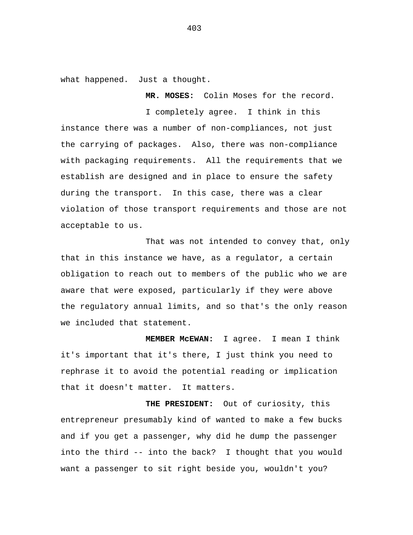what happened. Just a thought.

**MR. MOSES:** Colin Moses for the record.

I completely agree. I think in this instance there was a number of non-compliances, not just the carrying of packages. Also, there was non-compliance with packaging requirements. All the requirements that we establish are designed and in place to ensure the safety during the transport. In this case, there was a clear violation of those transport requirements and those are not acceptable to us.

That was not intended to convey that, only that in this instance we have, as a regulator, a certain obligation to reach out to members of the public who we are aware that were exposed, particularly if they were above the regulatory annual limits, and so that's the only reason we included that statement.

**MEMBER McEWAN:** I agree. I mean I think it's important that it's there, I just think you need to rephrase it to avoid the potential reading or implication that it doesn't matter. It matters.

**THE PRESIDENT:** Out of curiosity, this entrepreneur presumably kind of wanted to make a few bucks and if you get a passenger, why did he dump the passenger into the third -- into the back? I thought that you would want a passenger to sit right beside you, wouldn't you?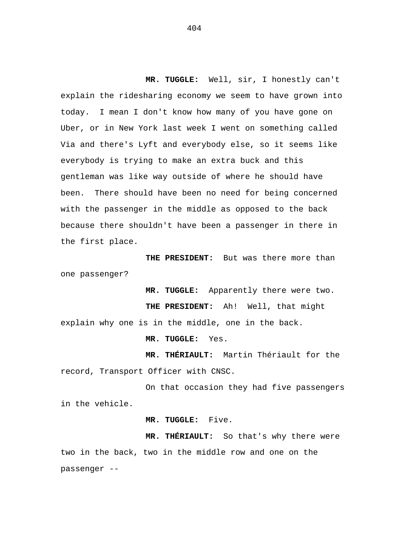**MR. TUGGLE:** Well, sir, I honestly can't explain the ridesharing economy we seem to have grown into today. I mean I don't know how many of you have gone on Uber, or in New York last week I went on something called Via and there's Lyft and everybody else, so it seems like everybody is trying to make an extra buck and this gentleman was like way outside of where he should have been. There should have been no need for being concerned with the passenger in the middle as opposed to the back because there shouldn't have been a passenger in there in the first place.

**THE PRESIDENT:** But was there more than one passenger?

**MR. TUGGLE:** Apparently there were two. **THE PRESIDENT:** Ah! Well, that might explain why one is in the middle, one in the back.

**MR. TUGGLE:** Yes.

**MR. THÉRIAULT:** Martin Thériault for the record, Transport Officer with CNSC.

On that occasion they had five passengers in the vehicle.

**MR. TUGGLE:** Five.

**MR. THÉRIAULT:** So that's why there were two in the back, two in the middle row and one on the passenger --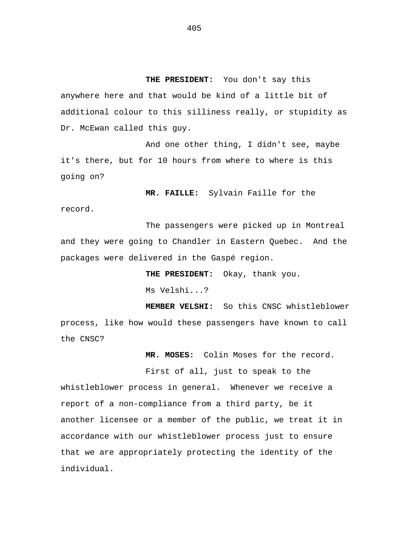**THE PRESIDENT:** You don't say this anywhere here and that would be kind of a little bit of additional colour to this silliness really, or stupidity as Dr. McEwan called this guy.

And one other thing, I didn't see, maybe it's there, but for 10 hours from where to where is this going on?

**MR. FAILLE:** Sylvain Faille for the

The passengers were picked up in Montreal and they were going to Chandler in Eastern Quebec. And the packages were delivered in the Gaspé region.

**THE PRESIDENT:** Okay, thank you.

Ms Velshi...?

record.

**MEMBER VELSHI:** So this CNSC whistleblower process, like how would these passengers have known to call the CNSC?

**MR. MOSES:** Colin Moses for the record.

First of all, just to speak to the whistleblower process in general. Whenever we receive a report of a non-compliance from a third party, be it another licensee or a member of the public, we treat it in accordance with our whistleblower process just to ensure that we are appropriately protecting the identity of the individual.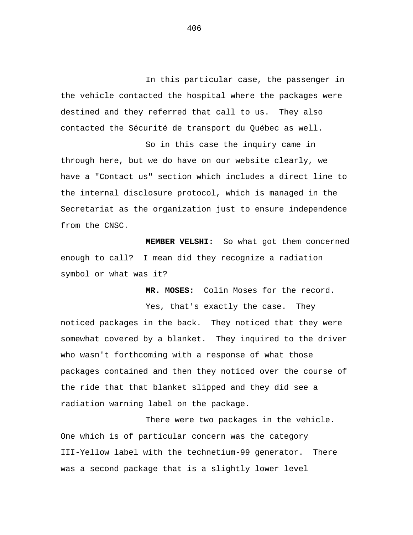In this particular case, the passenger in the vehicle contacted the hospital where the packages were destined and they referred that call to us. They also contacted the Sécurité de transport du Québec as well.

So in this case the inquiry came in through here, but we do have on our website clearly, we have a "Contact us" section which includes a direct line to the internal disclosure protocol, which is managed in the Secretariat as the organization just to ensure independence from the CNSC.

**MEMBER VELSHI:** So what got them concerned enough to call? I mean did they recognize a radiation symbol or what was it?

**MR. MOSES:** Colin Moses for the record.

Yes, that's exactly the case. They noticed packages in the back. They noticed that they were somewhat covered by a blanket. They inquired to the driver who wasn't forthcoming with a response of what those packages contained and then they noticed over the course of the ride that that blanket slipped and they did see a radiation warning label on the package.

There were two packages in the vehicle. One which is of particular concern was the category III-Yellow label with the technetium-99 generator. There was a second package that is a slightly lower level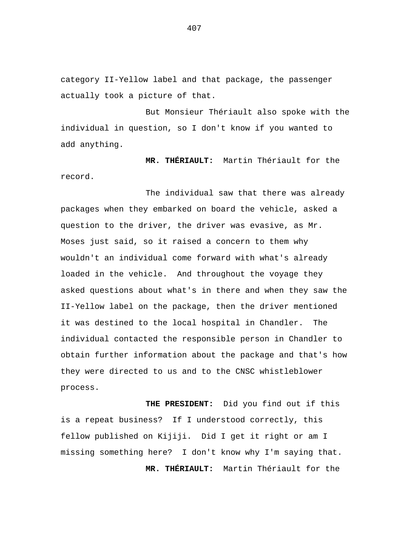category II-Yellow label and that package, the passenger actually took a picture of that.

But Monsieur Thériault also spoke with the individual in question, so I don't know if you wanted to add anything.

**MR. THÉRIAULT:** Martin Thériault for the record.

The individual saw that there was already packages when they embarked on board the vehicle, asked a question to the driver, the driver was evasive, as Mr. Moses just said, so it raised a concern to them why wouldn't an individual come forward with what's already loaded in the vehicle. And throughout the voyage they asked questions about what's in there and when they saw the II-Yellow label on the package, then the driver mentioned it was destined to the local hospital in Chandler. The individual contacted the responsible person in Chandler to obtain further information about the package and that's how they were directed to us and to the CNSC whistleblower process.

**THE PRESIDENT:** Did you find out if this is a repeat business? If I understood correctly, this fellow published on Kijiji. Did I get it right or am I missing something here? I don't know why I'm saying that. **MR. THÉRIAULT:** Martin Thériault for the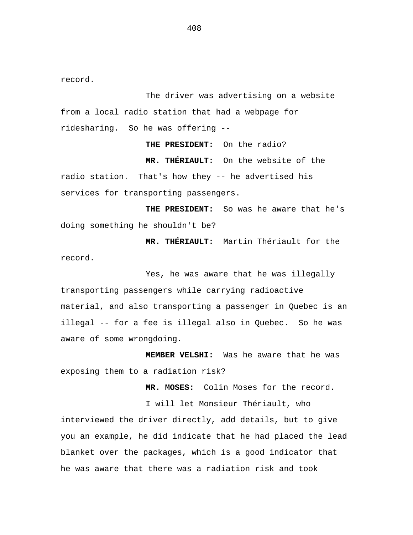record.

The driver was advertising on a website from a local radio station that had a webpage for ridesharing. So he was offering --

**THE PRESIDENT:** On the radio?

**MR. THÉRIAULT:** On the website of the radio station. That's how they -- he advertised his services for transporting passengers.

**THE PRESIDENT:** So was he aware that he's doing something he shouldn't be?

**MR. THÉRIAULT:** Martin Thériault for the record.

Yes, he was aware that he was illegally transporting passengers while carrying radioactive material, and also transporting a passenger in Quebec is an illegal -- for a fee is illegal also in Quebec. So he was aware of some wrongdoing.

**MEMBER VELSHI:** Was he aware that he was exposing them to a radiation risk?

**MR. MOSES:** Colin Moses for the record.

I will let Monsieur Thériault, who interviewed the driver directly, add details, but to give you an example, he did indicate that he had placed the lead blanket over the packages, which is a good indicator that he was aware that there was a radiation risk and took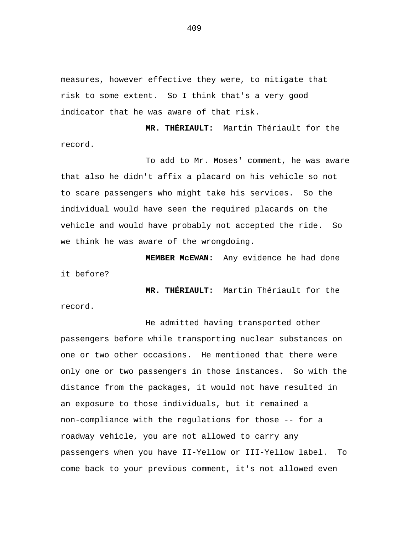measures, however effective they were, to mitigate that risk to some extent. So I think that's a very good indicator that he was aware of that risk.

**MR. THÉRIAULT:** Martin Thériault for the record.

To add to Mr. Moses' comment, he was aware that also he didn't affix a placard on his vehicle so not to scare passengers who might take his services. So the individual would have seen the required placards on the vehicle and would have probably not accepted the ride. So we think he was aware of the wrongdoing.

**MEMBER McEWAN:** Any evidence he had done it before?

**MR. THÉRIAULT:** Martin Thériault for the record.

He admitted having transported other passengers before while transporting nuclear substances on one or two other occasions. He mentioned that there were only one or two passengers in those instances. So with the distance from the packages, it would not have resulted in an exposure to those individuals, but it remained a non-compliance with the regulations for those -- for a roadway vehicle, you are not allowed to carry any passengers when you have II-Yellow or III-Yellow label. To come back to your previous comment, it's not allowed even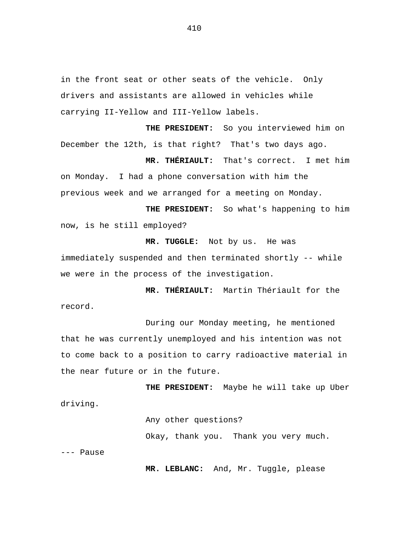in the front seat or other seats of the vehicle. Only drivers and assistants are allowed in vehicles while carrying II-Yellow and III-Yellow labels.

**THE PRESIDENT:** So you interviewed him on December the 12th, is that right? That's two days ago.

**MR. THÉRIAULT:** That's correct. I met him on Monday. I had a phone conversation with him the previous week and we arranged for a meeting on Monday.

**THE PRESIDENT:** So what's happening to him now, is he still employed?

**MR. TUGGLE:** Not by us. He was immediately suspended and then terminated shortly -- while we were in the process of the investigation.

**MR. THÉRIAULT:** Martin Thériault for the record.

During our Monday meeting, he mentioned that he was currently unemployed and his intention was not to come back to a position to carry radioactive material in the near future or in the future.

**THE PRESIDENT:** Maybe he will take up Uber driving.

Any other questions?

Okay, thank you. Thank you very much.

--- Pause

**MR. LEBLANC:** And, Mr. Tuggle, please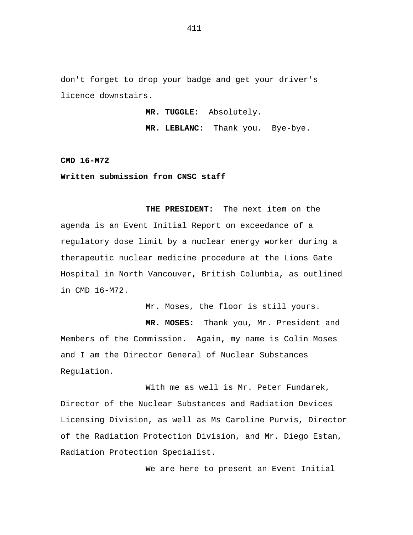don't forget to drop your badge and get your driver's licence downstairs.

**MR. TUGGLE:** Absolutely.

**MR. LEBLANC:** Thank you. Bye-bye.

**CMD 16-M72** 

**Written submission from CNSC staff** 

**THE PRESIDENT:** The next item on the agenda is an Event Initial Report on exceedance of a regulatory dose limit by a nuclear energy worker during a therapeutic nuclear medicine procedure at the Lions Gate Hospital in North Vancouver, British Columbia, as outlined in CMD 16-M72.

Mr. Moses, the floor is still yours.

**MR. MOSES:** Thank you, Mr. President and Members of the Commission. Again, my name is Colin Moses and I am the Director General of Nuclear Substances Regulation.

With me as well is Mr. Peter Fundarek, Director of the Nuclear Substances and Radiation Devices Licensing Division, as well as Ms Caroline Purvis, Director of the Radiation Protection Division, and Mr. Diego Estan, Radiation Protection Specialist.

We are here to present an Event Initial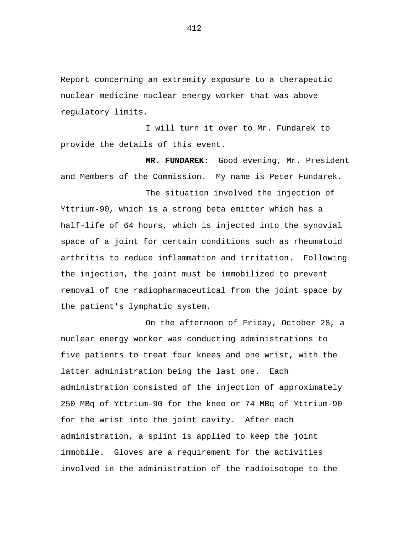Report concerning an extremity exposure to a therapeutic nuclear medicine nuclear energy worker that was above regulatory limits.

I will turn it over to Mr. Fundarek to provide the details of this event.

**MR. FUNDAREK:** Good evening, Mr. President and Members of the Commission. My name is Peter Fundarek.

The situation involved the injection of Yttrium-90, which is a strong beta emitter which has a half-life of 64 hours, which is injected into the synovial space of a joint for certain conditions such as rheumatoid arthritis to reduce inflammation and irritation. Following the injection, the joint must be immobilized to prevent removal of the radiopharmaceutical from the joint space by the patient's lymphatic system.

On the afternoon of Friday, October 28, a nuclear energy worker was conducting administrations to five patients to treat four knees and one wrist, with the latter administration being the last one. Each administration consisted of the injection of approximately 250 MBq of Yttrium-90 for the knee or 74 MBq of Yttrium-90 for the wrist into the joint cavity. After each administration, a splint is applied to keep the joint immobile. Gloves are a requirement for the activities involved in the administration of the radioisotope to the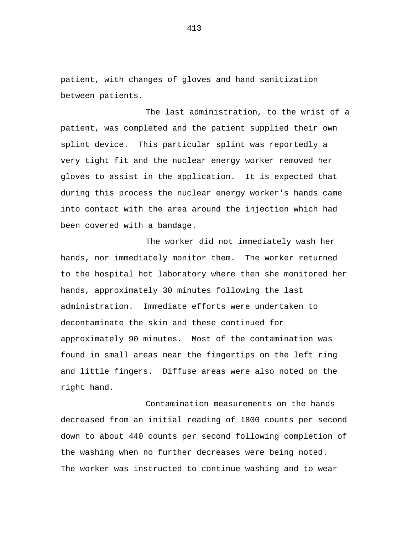patient, with changes of gloves and hand sanitization between patients.

The last administration, to the wrist of a patient, was completed and the patient supplied their own splint device. This particular splint was reportedly a very tight fit and the nuclear energy worker removed her gloves to assist in the application. It is expected that during this process the nuclear energy worker's hands came into contact with the area around the injection which had been covered with a bandage.

The worker did not immediately wash her hands, nor immediately monitor them. The worker returned to the hospital hot laboratory where then she monitored her hands, approximately 30 minutes following the last administration. Immediate efforts were undertaken to decontaminate the skin and these continued for approximately 90 minutes. Most of the contamination was found in small areas near the fingertips on the left ring and little fingers. Diffuse areas were also noted on the right hand.

Contamination measurements on the hands decreased from an initial reading of 1800 counts per second down to about 440 counts per second following completion of the washing when no further decreases were being noted. The worker was instructed to continue washing and to wear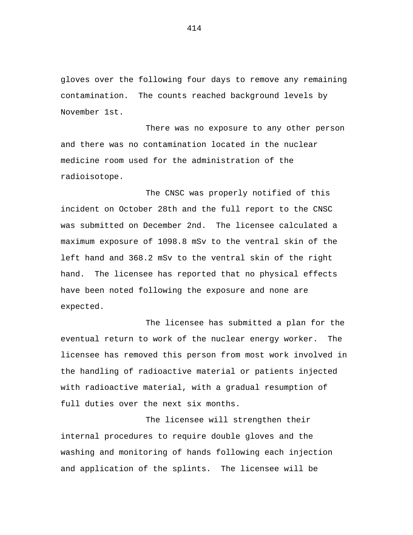gloves over the following four days to remove any remaining contamination. The counts reached background levels by November 1st.

There was no exposure to any other person and there was no contamination located in the nuclear medicine room used for the administration of the radioisotope.

The CNSC was properly notified of this incident on October 28th and the full report to the CNSC was submitted on December 2nd. The licensee calculated a maximum exposure of 1098.8 mSv to the ventral skin of the left hand and 368.2 mSv to the ventral skin of the right hand. The licensee has reported that no physical effects have been noted following the exposure and none are expected.

The licensee has submitted a plan for the eventual return to work of the nuclear energy worker. The licensee has removed this person from most work involved in the handling of radioactive material or patients injected with radioactive material, with a gradual resumption of full duties over the next six months.

The licensee will strengthen their internal procedures to require double gloves and the washing and monitoring of hands following each injection and application of the splints. The licensee will be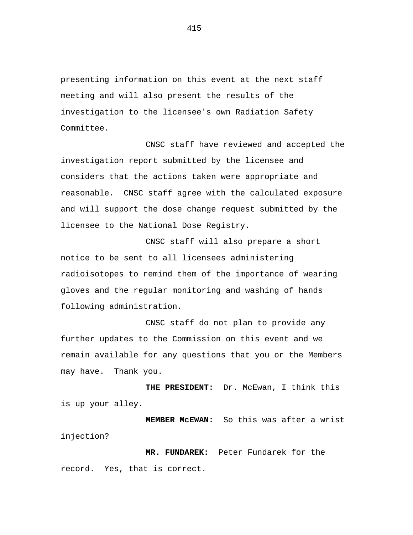presenting information on this event at the next staff meeting and will also present the results of the investigation to the licensee's own Radiation Safety Committee.

CNSC staff have reviewed and accepted the investigation report submitted by the licensee and considers that the actions taken were appropriate and reasonable. CNSC staff agree with the calculated exposure and will support the dose change request submitted by the licensee to the National Dose Registry.

CNSC staff will also prepare a short notice to be sent to all licensees administering radioisotopes to remind them of the importance of wearing gloves and the regular monitoring and washing of hands following administration.

CNSC staff do not plan to provide any further updates to the Commission on this event and we remain available for any questions that you or the Members may have. Thank you.

**THE PRESIDENT:** Dr. McEwan, I think this is up your alley.

**MEMBER McEWAN:** So this was after a wrist injection?

**MR. FUNDAREK:** Peter Fundarek for the record. Yes, that is correct.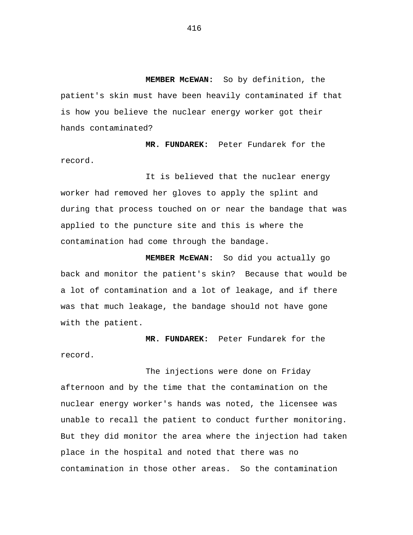**MEMBER McEWAN:** So by definition, the patient's skin must have been heavily contaminated if that is how you believe the nuclear energy worker got their hands contaminated?

**MR. FUNDAREK:** Peter Fundarek for the record.

It is believed that the nuclear energy worker had removed her gloves to apply the splint and during that process touched on or near the bandage that was applied to the puncture site and this is where the contamination had come through the bandage.

**MEMBER McEWAN:** So did you actually go back and monitor the patient's skin? Because that would be a lot of contamination and a lot of leakage, and if there was that much leakage, the bandage should not have gone with the patient.

**MR. FUNDAREK:** Peter Fundarek for the record.

The injections were done on Friday afternoon and by the time that the contamination on the nuclear energy worker's hands was noted, the licensee was unable to recall the patient to conduct further monitoring. But they did monitor the area where the injection had taken place in the hospital and noted that there was no contamination in those other areas. So the contamination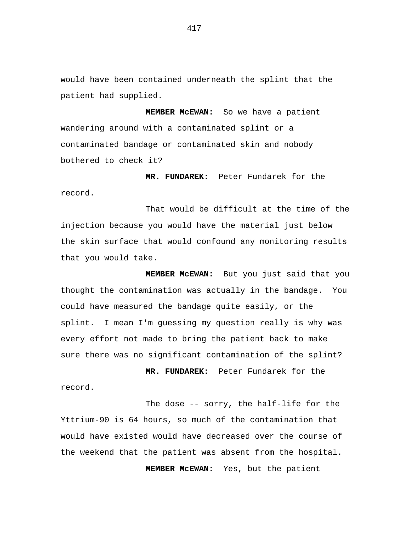would have been contained underneath the splint that the patient had supplied.

**MEMBER McEWAN:** So we have a patient wandering around with a contaminated splint or a contaminated bandage or contaminated skin and nobody bothered to check it?

**MR. FUNDAREK:** Peter Fundarek for the record.

That would be difficult at the time of the injection because you would have the material just below the skin surface that would confound any monitoring results that you would take.

**MEMBER McEWAN:** But you just said that you thought the contamination was actually in the bandage. You could have measured the bandage quite easily, or the splint. I mean I'm guessing my question really is why was every effort not made to bring the patient back to make sure there was no significant contamination of the splint?

**MR. FUNDAREK:** Peter Fundarek for the record.

The dose -- sorry, the half-life for the Yttrium-90 is 64 hours, so much of the contamination that would have existed would have decreased over the course of the weekend that the patient was absent from the hospital. **MEMBER McEWAN:** Yes, but the patient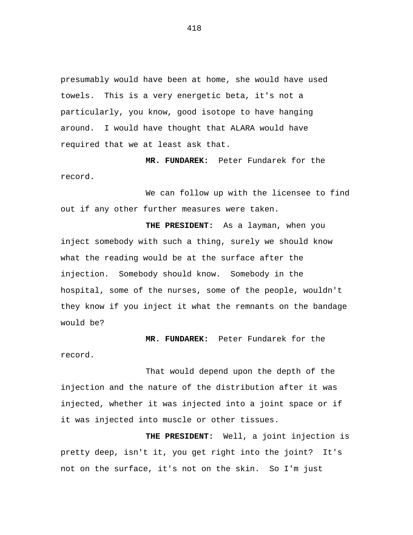presumably would have been at home, she would have used towels. This is a very energetic beta, it's not a particularly, you know, good isotope to have hanging around. I would have thought that ALARA would have required that we at least ask that.

**MR. FUNDAREK:** Peter Fundarek for the record.

We can follow up with the licensee to find out if any other further measures were taken.

**THE PRESIDENT:** As a layman, when you inject somebody with such a thing, surely we should know what the reading would be at the surface after the injection. Somebody should know. Somebody in the hospital, some of the nurses, some of the people, wouldn't they know if you inject it what the remnants on the bandage would be?

**MR. FUNDAREK:** Peter Fundarek for the

record.

That would depend upon the depth of the injection and the nature of the distribution after it was injected, whether it was injected into a joint space or if it was injected into muscle or other tissues.

**THE PRESIDENT:** Well, a joint injection is pretty deep, isn't it, you get right into the joint? It's not on the surface, it's not on the skin. So I'm just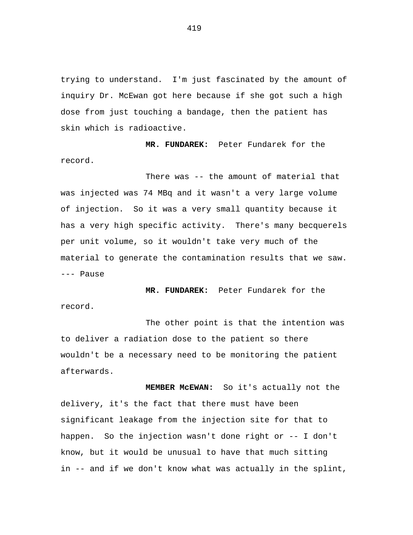trying to understand. I'm just fascinated by the amount of inquiry Dr. McEwan got here because if she got such a high dose from just touching a bandage, then the patient has skin which is radioactive.

**MR. FUNDAREK:** Peter Fundarek for the record.

There was -- the amount of material that was injected was 74 MBq and it wasn't a very large volume of injection. So it was a very small quantity because it has a very high specific activity. There's many becquerels per unit volume, so it wouldn't take very much of the material to generate the contamination results that we saw. --- Pause

**MR. FUNDAREK:** Peter Fundarek for the record.

The other point is that the intention was to deliver a radiation dose to the patient so there wouldn't be a necessary need to be monitoring the patient afterwards.

**MEMBER McEWAN:** So it's actually not the delivery, it's the fact that there must have been significant leakage from the injection site for that to happen. So the injection wasn't done right or -- I don't know, but it would be unusual to have that much sitting in -- and if we don't know what was actually in the splint,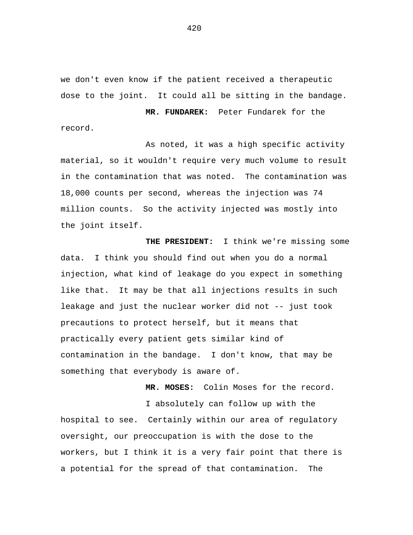we don't even know if the patient received a therapeutic dose to the joint. It could all be sitting in the bandage.

record.

**MR. FUNDAREK:** Peter Fundarek for the

As noted, it was a high specific activity material, so it wouldn't require very much volume to result in the contamination that was noted. The contamination was 18,000 counts per second, whereas the injection was 74 million counts. So the activity injected was mostly into the joint itself.

**THE PRESIDENT:** I think we're missing some data. I think you should find out when you do a normal injection, what kind of leakage do you expect in something like that. It may be that all injections results in such leakage and just the nuclear worker did not -- just took precautions to protect herself, but it means that practically every patient gets similar kind of contamination in the bandage. I don't know, that may be something that everybody is aware of.

**MR. MOSES:** Colin Moses for the record.

I absolutely can follow up with the hospital to see. Certainly within our area of regulatory oversight, our preoccupation is with the dose to the workers, but I think it is a very fair point that there is a potential for the spread of that contamination. The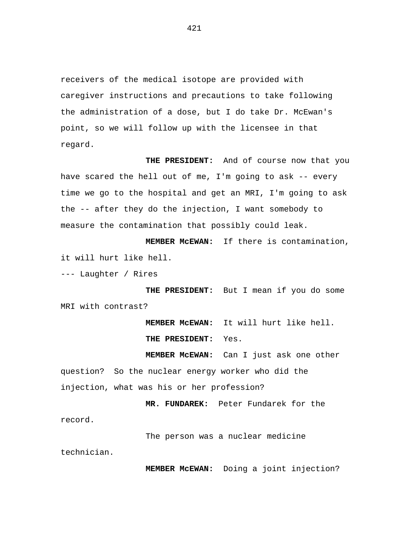receivers of the medical isotope are provided with caregiver instructions and precautions to take following the administration of a dose, but I do take Dr. McEwan's point, so we will follow up with the licensee in that regard.

**THE PRESIDENT:** And of course now that you have scared the hell out of me, I'm going to ask -- every time we go to the hospital and get an MRI, I'm going to ask the -- after they do the injection, I want somebody to measure the contamination that possibly could leak.

**MEMBER McEWAN:** If there is contamination, it will hurt like hell.

--- Laughter / Rires

**THE PRESIDENT:** But I mean if you do some MRI with contrast?

> **MEMBER McEWAN:** It will hurt like hell. **THE PRESIDENT:** Yes.

**MEMBER McEWAN:** Can I just ask one other question? So the nuclear energy worker who did the injection, what was his or her profession?

**MR. FUNDAREK:** Peter Fundarek for the

The person was a nuclear medicine

technician.

record.

**MEMBER McEWAN:** Doing a joint injection?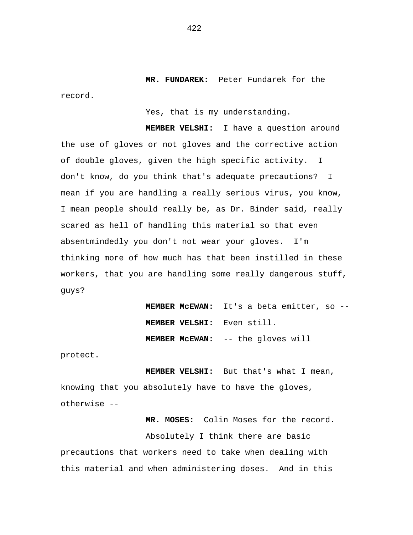**MR. FUNDAREK:** Peter Fundarek for the record.

Yes, that is my understanding.

**MEMBER VELSHI:** I have a question around the use of gloves or not gloves and the corrective action of double gloves, given the high specific activity. I don't know, do you think that's adequate precautions? I mean if you are handling a really serious virus, you know, I mean people should really be, as Dr. Binder said, really scared as hell of handling this material so that even absentmindedly you don't not wear your gloves. I'm thinking more of how much has that been instilled in these workers, that you are handling some really dangerous stuff, guys?

> **MEMBER McEWAN:** It's a beta emitter, so -- **MEMBER VELSHI:** Even still. **MEMBER McEWAN:** -- the gloves will

protect.

**MEMBER VELSHI:** But that's what I mean, knowing that you absolutely have to have the gloves, otherwise --

**MR. MOSES:** Colin Moses for the record. Absolutely I think there are basic precautions that workers need to take when dealing with this material and when administering doses. And in this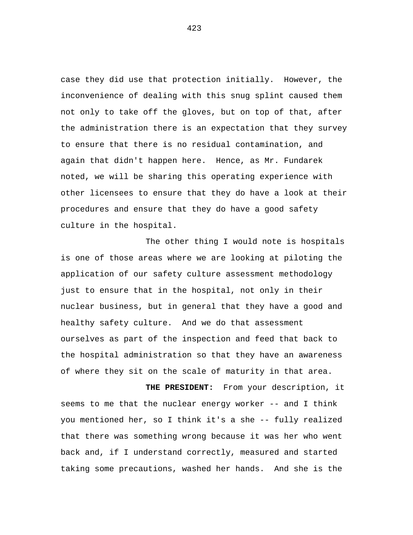case they did use that protection initially. However, the inconvenience of dealing with this snug splint caused them not only to take off the gloves, but on top of that, after the administration there is an expectation that they survey to ensure that there is no residual contamination, and again that didn't happen here. Hence, as Mr. Fundarek noted, we will be sharing this operating experience with other licensees to ensure that they do have a look at their procedures and ensure that they do have a good safety culture in the hospital.

The other thing I would note is hospitals is one of those areas where we are looking at piloting the application of our safety culture assessment methodology just to ensure that in the hospital, not only in their nuclear business, but in general that they have a good and healthy safety culture. And we do that assessment ourselves as part of the inspection and feed that back to the hospital administration so that they have an awareness of where they sit on the scale of maturity in that area.

**THE PRESIDENT:** From your description, it seems to me that the nuclear energy worker -- and I think you mentioned her, so I think it's a she -- fully realized that there was something wrong because it was her who went back and, if I understand correctly, measured and started taking some precautions, washed her hands. And she is the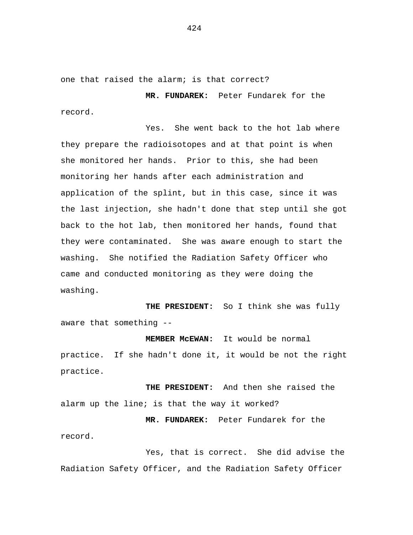one that raised the alarm; is that correct?

**MR. FUNDAREK:** Peter Fundarek for the record.

Yes. She went back to the hot lab where they prepare the radioisotopes and at that point is when she monitored her hands. Prior to this, she had been monitoring her hands after each administration and application of the splint, but in this case, since it was the last injection, she hadn't done that step until she got back to the hot lab, then monitored her hands, found that they were contaminated. She was aware enough to start the washing. She notified the Radiation Safety Officer who came and conducted monitoring as they were doing the washing.

**THE PRESIDENT:** So I think she was fully aware that something --

practice. If she hadn't done it, it would be not the right practice.

**MEMBER McEWAN:** It would be normal

**THE PRESIDENT:** And then she raised the alarm up the line; is that the way it worked?

**MR. FUNDAREK:** Peter Fundarek for the record.

Yes, that is correct. She did advise the Radiation Safety Officer, and the Radiation Safety Officer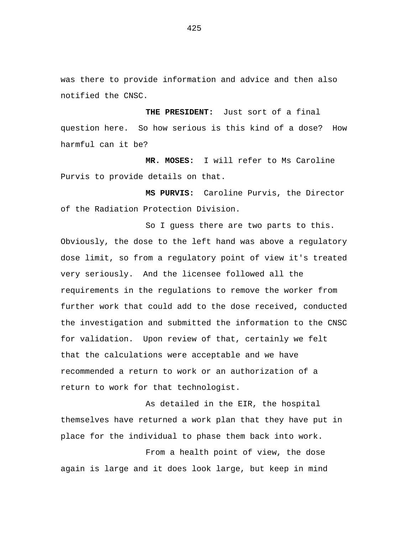was there to provide information and advice and then also notified the CNSC.

**THE PRESIDENT:** Just sort of a final question here. So how serious is this kind of a dose? How harmful can it be?

**MR. MOSES:** I will refer to Ms Caroline Purvis to provide details on that.

**MS PURVIS:** Caroline Purvis, the Director of the Radiation Protection Division.

So I guess there are two parts to this. Obviously, the dose to the left hand was above a regulatory dose limit, so from a regulatory point of view it's treated very seriously. And the licensee followed all the requirements in the regulations to remove the worker from further work that could add to the dose received, conducted the investigation and submitted the information to the CNSC for validation. Upon review of that, certainly we felt that the calculations were acceptable and we have recommended a return to work or an authorization of a return to work for that technologist.

As detailed in the EIR, the hospital themselves have returned a work plan that they have put in place for the individual to phase them back into work.

From a health point of view, the dose again is large and it does look large, but keep in mind